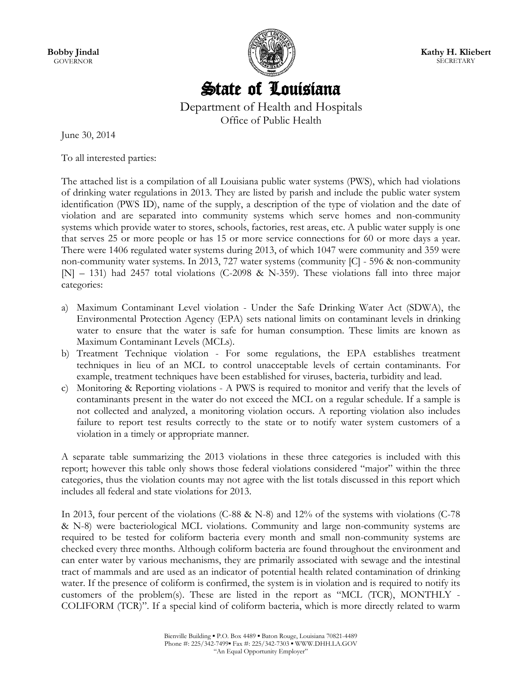**Bobby Jindal GOVERNOR** 



**Kathy H. Kliebert SECRETARY** 

# State of Louisiana

Department of Health and Hospitals Office of Public Health

June 30, 2014

To all interested parties:

The attached list is a compilation of all Louisiana public water systems (PWS), which had violations of drinking water regulations in 2013. They are listed by parish and include the public water system identification (PWS ID), name of the supply, a description of the type of violation and the date of violation and are separated into community systems which serve homes and non-community systems which provide water to stores, schools, factories, rest areas, etc. A public water supply is one that serves 25 or more people or has 15 or more service connections for 60 or more days a year. There were 1406 regulated water systems during 2013, of which 1047 were community and 359 were non-community water systems. In 2013, 727 water systems (community [C] - 596 & non-community [N] – 131) had 2457 total violations (C-2098 & N-359). These violations fall into three major categories:

- a) Maximum Contaminant Level violation Under the Safe Drinking Water Act (SDWA), the Environmental Protection Agency (EPA) sets national limits on contaminant levels in drinking water to ensure that the water is safe for human consumption. These limits are known as Maximum Contaminant Levels (MCLs).
- b) Treatment Technique violation For some regulations, the EPA establishes treatment techniques in lieu of an MCL to control unacceptable levels of certain contaminants. For example, treatment techniques have been established for viruses, bacteria, turbidity and lead.
- c) Monitoring & Reporting violations A PWS is required to monitor and verify that the levels of contaminants present in the water do not exceed the MCL on a regular schedule. If a sample is not collected and analyzed, a monitoring violation occurs. A reporting violation also includes failure to report test results correctly to the state or to notify water system customers of a violation in a timely or appropriate manner.

A separate table summarizing the 2013 violations in these three categories is included with this report; however this table only shows those federal violations considered "major" within the three categories, thus the violation counts may not agree with the list totals discussed in this report which includes all federal and state violations for 2013.

In 2013, four percent of the violations (C-88 & N-8) and 12% of the systems with violations (C-78 & N-8) were bacteriological MCL violations. Community and large non-community systems are required to be tested for coliform bacteria every month and small non-community systems are checked every three months. Although coliform bacteria are found throughout the environment and can enter water by various mechanisms, they are primarily associated with sewage and the intestinal tract of mammals and are used as an indicator of potential health related contamination of drinking water. If the presence of coliform is confirmed, the system is in violation and is required to notify its customers of the problem(s). These are listed in the report as "MCL (TCR), MONTHLY - COLIFORM (TCR)". If a special kind of coliform bacteria, which is more directly related to warm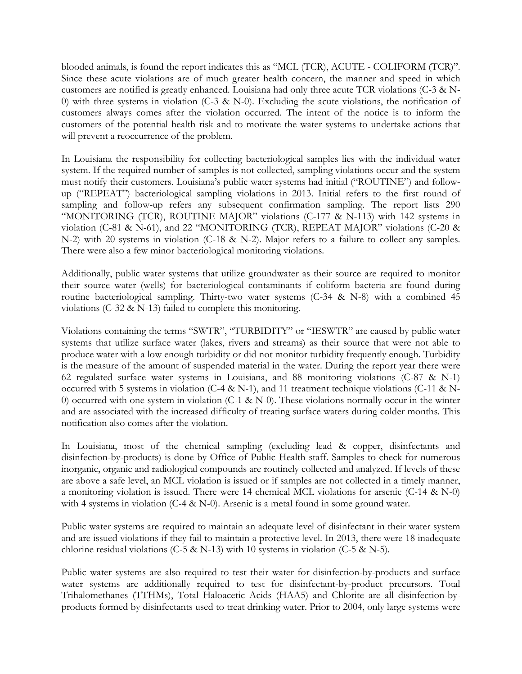blooded animals, is found the report indicates this as "MCL (TCR), ACUTE - COLIFORM (TCR)". Since these acute violations are of much greater health concern, the manner and speed in which customers are notified is greatly enhanced. Louisiana had only three acute TCR violations (C-3 & N-0) with three systems in violation (C-3 & N-0). Excluding the acute violations, the notification of customers always comes after the violation occurred. The intent of the notice is to inform the customers of the potential health risk and to motivate the water systems to undertake actions that will prevent a reoccurrence of the problem.

In Louisiana the responsibility for collecting bacteriological samples lies with the individual water system. If the required number of samples is not collected, sampling violations occur and the system must notify their customers. Louisiana's public water systems had initial ("ROUTINE") and followup ("REPEAT") bacteriological sampling violations in 2013. Initial refers to the first round of sampling and follow-up refers any subsequent confirmation sampling. The report lists 290 "MONITORING (TCR), ROUTINE MAJOR" violations (C-177 & N-113) with 142 systems in violation (C-81 & N-61), and 22 "MONITORING (TCR), REPEAT MAJOR" violations (C-20 & N-2) with 20 systems in violation (C-18 & N-2). Major refers to a failure to collect any samples. There were also a few minor bacteriological monitoring violations.

Additionally, public water systems that utilize groundwater as their source are required to monitor their source water (wells) for bacteriological contaminants if coliform bacteria are found during routine bacteriological sampling. Thirty-two water systems (C-34 & N-8) with a combined 45 violations (C-32 & N-13) failed to complete this monitoring.

Violations containing the terms "SWTR", "TURBIDITY" or "IESWTR" are caused by public water systems that utilize surface water (lakes, rivers and streams) as their source that were not able to produce water with a low enough turbidity or did not monitor turbidity frequently enough. Turbidity is the measure of the amount of suspended material in the water. During the report year there were 62 regulated surface water systems in Louisiana, and 88 monitoring violations (C-87 & N-1) occurred with 5 systems in violation (C-4 & N-1), and 11 treatment technique violations (C-11 & N-0) occurred with one system in violation (C-1 & N-0). These violations normally occur in the winter and are associated with the increased difficulty of treating surface waters during colder months. This notification also comes after the violation.

In Louisiana, most of the chemical sampling (excluding lead & copper, disinfectants and disinfection-by-products) is done by Office of Public Health staff. Samples to check for numerous inorganic, organic and radiological compounds are routinely collected and analyzed. If levels of these are above a safe level, an MCL violation is issued or if samples are not collected in a timely manner, a monitoring violation is issued. There were 14 chemical MCL violations for arsenic (C-14 & N-0) with 4 systems in violation (C-4 & N-0). Arsenic is a metal found in some ground water.

Public water systems are required to maintain an adequate level of disinfectant in their water system and are issued violations if they fail to maintain a protective level. In 2013, there were 18 inadequate chlorine residual violations (C-5 & N-13) with 10 systems in violation (C-5 & N-5).

Public water systems are also required to test their water for disinfection-by-products and surface water systems are additionally required to test for disinfectant-by-product precursors. Total Trihalomethanes (TTHMs), Total Haloacetic Acids (HAA5) and Chlorite are all disinfection-byproducts formed by disinfectants used to treat drinking water. Prior to 2004, only large systems were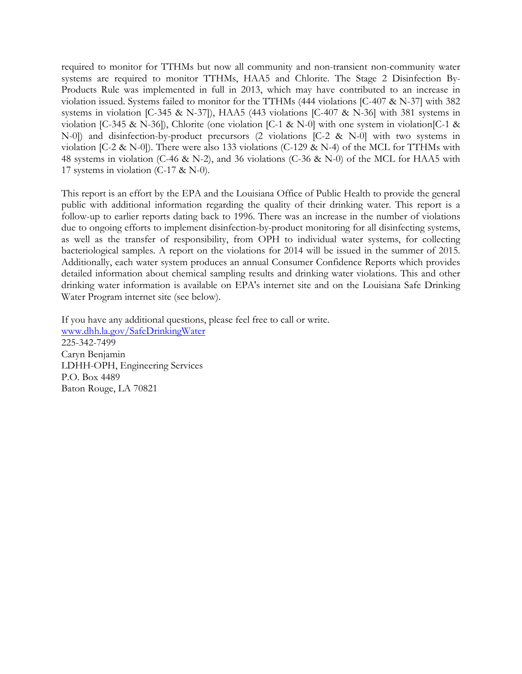required to monitor for TTHMs but now all community and non-transient non-community water systems are required to monitor TTHMs, HAA5 and Chlorite. The Stage 2 Disinfection By-Products Rule was implemented in full in 2013, which may have contributed to an increase in violation issued. Systems failed to monitor for the TTHMs (444 violations [C-407 & N-37] with 382 systems in violation [C-345 & N-37]), HAA5 (443 violations [C-407 & N-36] with 381 systems in violation [C-345 & N-36]), Chlorite (one violation [C-1 & N-0] with one system in violation[C-1 & N-0]) and disinfection-by-product precursors (2 violations [C-2 & N-0] with two systems in violation [C-2 & N-0]). There were also 133 violations (C-129 & N-4) of the MCL for TTHMs with 48 systems in violation (C-46 & N-2), and 36 violations (C-36 & N-0) of the MCL for HAA5 with 17 systems in violation (C-17 & N-0).

This report is an effort by the EPA and the Louisiana Office of Public Health to provide the general public with additional information regarding the quality of their drinking water. This report is a follow-up to earlier reports dating back to 1996. There was an increase in the number of violations due to ongoing efforts to implement disinfection-by-product monitoring for all disinfecting systems, as well as the transfer of responsibility, from OPH to individual water systems, for collecting bacteriological samples. A report on the violations for 2014 will be issued in the summer of 2015. Additionally, each water system produces an annual Consumer Confidence Reports which provides detailed information about chemical sampling results and drinking water violations. This and other drinking water information is available on EPA's internet site and on the Louisiana Safe Drinking Water Program internet site (see below).

If you have any additional questions, please feel free to call or write. [www.dhh.la.gov/SafeDrinkingWater](http://www.dhh.la.gov/SafeDrinkingWater) 225-342-7499 Caryn Benjamin LDHH-OPH, Engineering Services P.O. Box 4489 Baton Rouge, LA 70821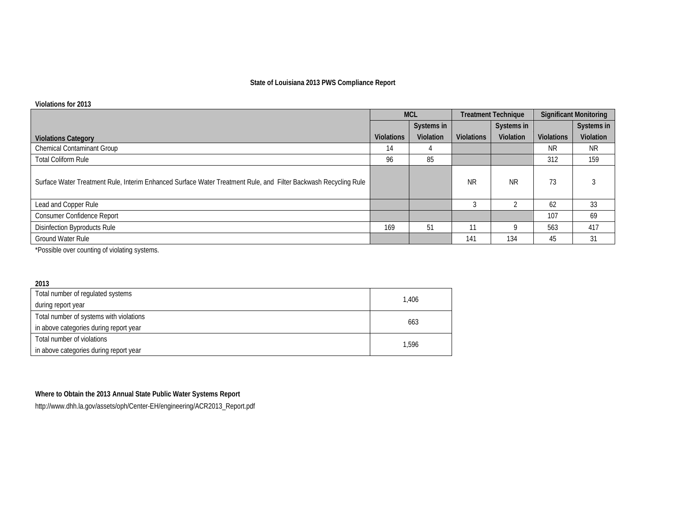### **State of Louisiana 2013 PWS Compliance Report**

#### **Violations for 2013**

|                                                                                                                 | <b>MCL</b>        |            | <b>Treatment Technique</b> |            | <b>Significant Monitoring</b> |            |
|-----------------------------------------------------------------------------------------------------------------|-------------------|------------|----------------------------|------------|-------------------------------|------------|
|                                                                                                                 |                   | Systems in |                            | Systems in |                               | Systems in |
| <b>Violations Category</b>                                                                                      | <b>Violations</b> | Violation  | <b>Violations</b>          | Violation  | <b>Violations</b>             | Violation  |
| <b>Chemical Contaminant Group</b>                                                                               | 14                |            |                            |            | NR.                           | NR.        |
| <b>Total Coliform Rule</b>                                                                                      | 96                | 85         |                            |            | 312                           | 159        |
| Surface Water Treatment Rule, Interim Enhanced Surface Water Treatment Rule, and Filter Backwash Recycling Rule |                   |            | <b>NR</b>                  | <b>NR</b>  | 73                            |            |
| Lead and Copper Rule                                                                                            |                   |            |                            |            | 62                            | 33         |
| Consumer Confidence Report                                                                                      |                   |            |                            |            | 107                           | 69         |
| Disinfection Byproducts Rule                                                                                    | 169               | 51         | $1^{\circ}$                | o          | 563                           | 417        |
| Ground Water Rule                                                                                               |                   |            | 141                        | 134        | 45                            | 31         |

\*Possible over counting of violating systems.

| 2013                                    |       |
|-----------------------------------------|-------|
| Total number of regulated systems       | 1.406 |
| during report year                      |       |
| Total number of systems with violations | 663   |
| in above categories during report year  |       |
| Total number of violations              |       |
| in above categories during report year  | 1,596 |

## **Where to Obtain the 2013 Annual State Public Water Systems Report**

http://www.dhh.la.gov/assets/oph/Center-EH/engineering/ACR2013\_Report.pdf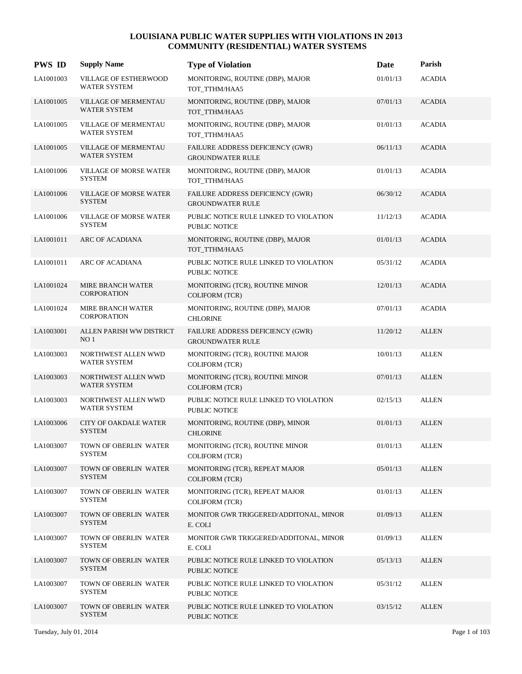| <b>PWS ID</b> | <b>Supply Name</b>                                 | <b>Type of Violation</b>                                       | Date     | Parish        |
|---------------|----------------------------------------------------|----------------------------------------------------------------|----------|---------------|
| LA1001003     | VILLAGE OF ESTHERWOOD<br><b>WATER SYSTEM</b>       | MONITORING, ROUTINE (DBP), MAJOR<br>TOT_TTHM/HAA5              | 01/01/13 | <b>ACADIA</b> |
| LA1001005     | <b>VILLAGE OF MERMENTAU</b><br><b>WATER SYSTEM</b> | MONITORING, ROUTINE (DBP), MAJOR<br>TOT_TTHM/HAA5              | 07/01/13 | <b>ACADIA</b> |
| LA1001005     | VILLAGE OF MERMENTAU<br><b>WATER SYSTEM</b>        | MONITORING, ROUTINE (DBP), MAJOR<br>TOT_TTHM/HAA5              | 01/01/13 | <b>ACADIA</b> |
| LA1001005     | <b>VILLAGE OF MERMENTAU</b><br><b>WATER SYSTEM</b> | FAILURE ADDRESS DEFICIENCY (GWR)<br><b>GROUNDWATER RULE</b>    | 06/11/13 | <b>ACADIA</b> |
| LA1001006     | <b>VILLAGE OF MORSE WATER</b><br><b>SYSTEM</b>     | MONITORING, ROUTINE (DBP), MAJOR<br>TOT_TTHM/HAA5              | 01/01/13 | <b>ACADIA</b> |
| LA1001006     | VILLAGE OF MORSE WATER<br><b>SYSTEM</b>            | FAILURE ADDRESS DEFICIENCY (GWR)<br><b>GROUNDWATER RULE</b>    | 06/30/12 | <b>ACADIA</b> |
| LA1001006     | <b>VILLAGE OF MORSE WATER</b><br><b>SYSTEM</b>     | PUBLIC NOTICE RULE LINKED TO VIOLATION<br><b>PUBLIC NOTICE</b> | 11/12/13 | <b>ACADIA</b> |
| LA1001011     | ARC OF ACADIANA                                    | MONITORING, ROUTINE (DBP), MAJOR<br>TOT_TTHM/HAA5              | 01/01/13 | <b>ACADIA</b> |
| LA1001011     | ARC OF ACADIANA                                    | PUBLIC NOTICE RULE LINKED TO VIOLATION<br><b>PUBLIC NOTICE</b> | 05/31/12 | <b>ACADIA</b> |
| LA1001024     | <b>MIRE BRANCH WATER</b><br><b>CORPORATION</b>     | MONITORING (TCR), ROUTINE MINOR<br><b>COLIFORM (TCR)</b>       | 12/01/13 | <b>ACADIA</b> |
| LA1001024     | MIRE BRANCH WATER<br><b>CORPORATION</b>            | MONITORING, ROUTINE (DBP), MAJOR<br><b>CHLORINE</b>            | 07/01/13 | <b>ACADIA</b> |
| LA1003001     | ALLEN PARISH WW DISTRICT<br>NO <sub>1</sub>        | FAILURE ADDRESS DEFICIENCY (GWR)<br><b>GROUNDWATER RULE</b>    | 11/20/12 | <b>ALLEN</b>  |
| LA1003003     | NORTHWEST ALLEN WWD<br>WATER SYSTEM                | MONITORING (TCR), ROUTINE MAJOR<br><b>COLIFORM (TCR)</b>       | 10/01/13 | <b>ALLEN</b>  |
| LA1003003     | NORTHWEST ALLEN WWD<br><b>WATER SYSTEM</b>         | MONITORING (TCR), ROUTINE MINOR<br><b>COLIFORM</b> (TCR)       | 07/01/13 | <b>ALLEN</b>  |
| LA1003003     | NORTHWEST ALLEN WWD<br><b>WATER SYSTEM</b>         | PUBLIC NOTICE RULE LINKED TO VIOLATION<br><b>PUBLIC NOTICE</b> | 02/15/13 | <b>ALLEN</b>  |
| LA1003006     | <b>CITY OF OAKDALE WATER</b><br><b>SYSTEM</b>      | MONITORING, ROUTINE (DBP), MINOR<br><b>CHLORINE</b>            | 01/01/13 | <b>ALLEN</b>  |
| LA1003007     | TOWN OF OBERLIN WATER<br><b>SYSTEM</b>             | MONITORING (TCR), ROUTINE MINOR<br><b>COLIFORM (TCR)</b>       | 01/01/13 | <b>ALLEN</b>  |
| LA1003007     | TOWN OF OBERLIN WATER<br><b>SYSTEM</b>             | MONITORING (TCR), REPEAT MAJOR<br><b>COLIFORM</b> (TCR)        | 05/01/13 | <b>ALLEN</b>  |
| LA1003007     | TOWN OF OBERLIN WATER<br><b>SYSTEM</b>             | MONITORING (TCR), REPEAT MAJOR<br><b>COLIFORM (TCR)</b>        | 01/01/13 | <b>ALLEN</b>  |
| LA1003007     | TOWN OF OBERLIN WATER<br><b>SYSTEM</b>             | MONITOR GWR TRIGGERED/ADDITONAL, MINOR<br>E. COLI              | 01/09/13 | <b>ALLEN</b>  |
| LA1003007     | TOWN OF OBERLIN WATER<br><b>SYSTEM</b>             | MONITOR GWR TRIGGERED/ADDITONAL, MINOR<br>E. COLI              | 01/09/13 | <b>ALLEN</b>  |
| LA1003007     | TOWN OF OBERLIN WATER<br><b>SYSTEM</b>             | PUBLIC NOTICE RULE LINKED TO VIOLATION<br><b>PUBLIC NOTICE</b> | 05/13/13 | <b>ALLEN</b>  |
| LA1003007     | TOWN OF OBERLIN WATER<br><b>SYSTEM</b>             | PUBLIC NOTICE RULE LINKED TO VIOLATION<br>PUBLIC NOTICE        | 05/31/12 | <b>ALLEN</b>  |
| LA1003007     | TOWN OF OBERLIN WATER<br><b>SYSTEM</b>             | PUBLIC NOTICE RULE LINKED TO VIOLATION<br>PUBLIC NOTICE        | 03/15/12 | <b>ALLEN</b>  |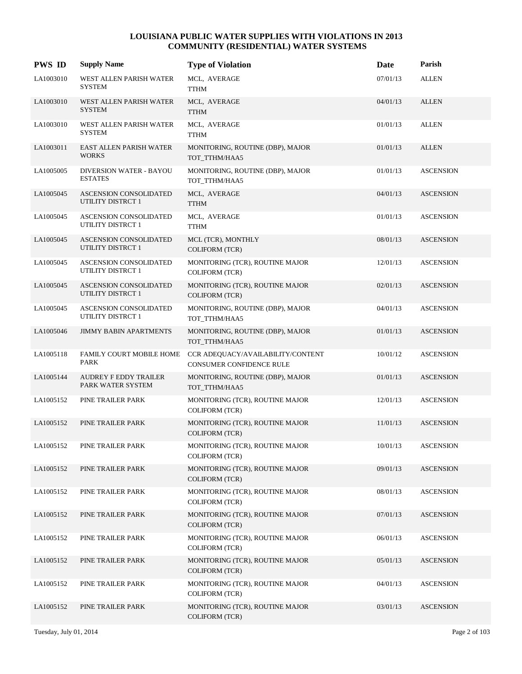| <b>PWS ID</b> | <b>Supply Name</b>                                        | <b>Type of Violation</b>                                             | Date     | Parish           |
|---------------|-----------------------------------------------------------|----------------------------------------------------------------------|----------|------------------|
| LA1003010     | WEST ALLEN PARISH WATER<br><b>SYSTEM</b>                  | MCL, AVERAGE<br><b>TTHM</b>                                          | 07/01/13 | <b>ALLEN</b>     |
| LA1003010     | WEST ALLEN PARISH WATER<br><b>SYSTEM</b>                  | MCL, AVERAGE<br><b>TTHM</b>                                          | 04/01/13 | <b>ALLEN</b>     |
| LA1003010     | WEST ALLEN PARISH WATER<br><b>SYSTEM</b>                  | MCL, AVERAGE<br><b>TTHM</b>                                          | 01/01/13 | <b>ALLEN</b>     |
| LA1003011     | EAST ALLEN PARISH WATER<br><b>WORKS</b>                   | MONITORING, ROUTINE (DBP), MAJOR<br>TOT_TTHM/HAA5                    | 01/01/13 | <b>ALLEN</b>     |
| LA1005005     | DIVERSION WATER - BAYOU<br><b>ESTATES</b>                 | MONITORING, ROUTINE (DBP), MAJOR<br>TOT_TTHM/HAA5                    | 01/01/13 | <b>ASCENSION</b> |
| LA1005045     | <b>ASCENSION CONSOLIDATED</b><br><b>UTILITY DISTRCT 1</b> | MCL, AVERAGE<br><b>TTHM</b>                                          | 04/01/13 | <b>ASCENSION</b> |
| LA1005045     | ASCENSION CONSOLIDATED<br><b>UTILITY DISTRCT 1</b>        | MCL, AVERAGE<br><b>TTHM</b>                                          | 01/01/13 | <b>ASCENSION</b> |
| LA1005045     | <b>ASCENSION CONSOLIDATED</b><br>UTILITY DISTRCT 1        | MCL (TCR), MONTHLY<br><b>COLIFORM (TCR)</b>                          | 08/01/13 | <b>ASCENSION</b> |
| LA1005045     | ASCENSION CONSOLIDATED<br>UTILITY DISTRCT 1               | MONITORING (TCR), ROUTINE MAJOR<br><b>COLIFORM (TCR)</b>             | 12/01/13 | <b>ASCENSION</b> |
| LA1005045     | ASCENSION CONSOLIDATED<br><b>UTILITY DISTRCT 1</b>        | MONITORING (TCR), ROUTINE MAJOR<br><b>COLIFORM (TCR)</b>             | 02/01/13 | <b>ASCENSION</b> |
| LA1005045     | ASCENSION CONSOLIDATED<br><b>UTILITY DISTRCT 1</b>        | MONITORING, ROUTINE (DBP), MAJOR<br>TOT_TTHM/HAA5                    | 04/01/13 | <b>ASCENSION</b> |
| LA1005046     | <b>JIMMY BABIN APARTMENTS</b>                             | MONITORING, ROUTINE (DBP), MAJOR<br>TOT_TTHM/HAA5                    | 01/01/13 | <b>ASCENSION</b> |
| LA1005118     | FAMILY COURT MOBILE HOME<br>PARK                          | CCR ADEQUACY/AVAILABILITY/CONTENT<br><b>CONSUMER CONFIDENCE RULE</b> | 10/01/12 | <b>ASCENSION</b> |
| LA1005144     | <b>AUDREY F EDDY TRAILER</b><br>PARK WATER SYSTEM         | MONITORING, ROUTINE (DBP), MAJOR<br>TOT_TTHM/HAA5                    | 01/01/13 | <b>ASCENSION</b> |
| LA1005152     | PINE TRAILER PARK                                         | MONITORING (TCR), ROUTINE MAJOR<br><b>COLIFORM (TCR)</b>             | 12/01/13 | <b>ASCENSION</b> |
| LA1005152     | PINE TRAILER PARK                                         | MONITORING (TCR), ROUTINE MAJOR<br><b>COLIFORM (TCR)</b>             | 11/01/13 | <b>ASCENSION</b> |
| LA1005152     | PINE TRAILER PARK                                         | MONITORING (TCR), ROUTINE MAJOR<br><b>COLIFORM (TCR)</b>             | 10/01/13 | <b>ASCENSION</b> |
| LA1005152     | PINE TRAILER PARK                                         | MONITORING (TCR), ROUTINE MAJOR<br><b>COLIFORM (TCR)</b>             | 09/01/13 | <b>ASCENSION</b> |
| LA1005152     | PINE TRAILER PARK                                         | MONITORING (TCR), ROUTINE MAJOR<br><b>COLIFORM (TCR)</b>             | 08/01/13 | <b>ASCENSION</b> |
| LA1005152     | PINE TRAILER PARK                                         | MONITORING (TCR), ROUTINE MAJOR<br>COLIFORM (TCR)                    | 07/01/13 | <b>ASCENSION</b> |
| LA1005152     | PINE TRAILER PARK                                         | MONITORING (TCR), ROUTINE MAJOR<br><b>COLIFORM (TCR)</b>             | 06/01/13 | <b>ASCENSION</b> |
| LA1005152     | PINE TRAILER PARK                                         | MONITORING (TCR), ROUTINE MAJOR<br><b>COLIFORM (TCR)</b>             | 05/01/13 | <b>ASCENSION</b> |
| LA1005152     | PINE TRAILER PARK                                         | MONITORING (TCR), ROUTINE MAJOR<br><b>COLIFORM (TCR)</b>             | 04/01/13 | <b>ASCENSION</b> |
| LA1005152     | PINE TRAILER PARK                                         | MONITORING (TCR), ROUTINE MAJOR<br>COLIFORM (TCR)                    | 03/01/13 | <b>ASCENSION</b> |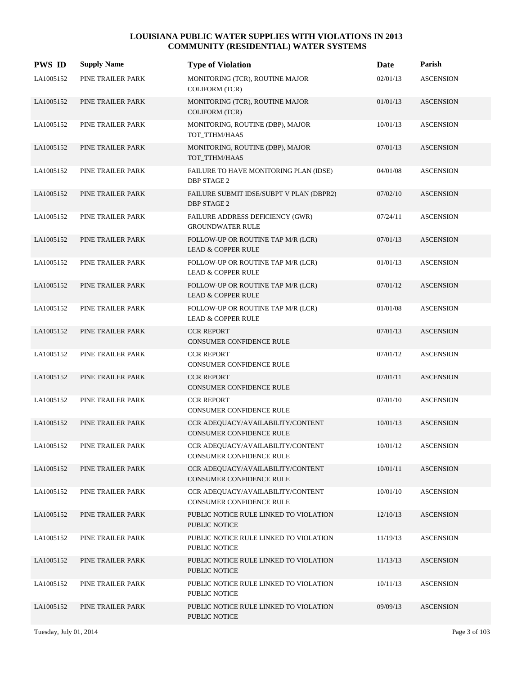| <b>PWS ID</b> | <b>Supply Name</b> | <b>Type of Violation</b>                                             | Date     | Parish           |
|---------------|--------------------|----------------------------------------------------------------------|----------|------------------|
| LA1005152     | PINE TRAILER PARK  | MONITORING (TCR), ROUTINE MAJOR<br>COLIFORM (TCR)                    | 02/01/13 | <b>ASCENSION</b> |
| LA1005152     | PINE TRAILER PARK  | MONITORING (TCR), ROUTINE MAJOR<br><b>COLIFORM (TCR)</b>             | 01/01/13 | <b>ASCENSION</b> |
| LA1005152     | PINE TRAILER PARK  | MONITORING, ROUTINE (DBP), MAJOR<br>TOT_TTHM/HAA5                    | 10/01/13 | <b>ASCENSION</b> |
| LA1005152     | PINE TRAILER PARK  | MONITORING, ROUTINE (DBP), MAJOR<br>TOT_TTHM/HAA5                    | 07/01/13 | <b>ASCENSION</b> |
| LA1005152     | PINE TRAILER PARK  | FAILURE TO HAVE MONITORING PLAN (IDSE)<br><b>DBP STAGE 2</b>         | 04/01/08 | <b>ASCENSION</b> |
| LA1005152     | PINE TRAILER PARK  | FAILURE SUBMIT IDSE/SUBPT V PLAN (DBPR2)<br><b>DBP STAGE 2</b>       | 07/02/10 | <b>ASCENSION</b> |
| LA1005152     | PINE TRAILER PARK  | FAILURE ADDRESS DEFICIENCY (GWR)<br><b>GROUNDWATER RULE</b>          | 07/24/11 | <b>ASCENSION</b> |
| LA1005152     | PINE TRAILER PARK  | FOLLOW-UP OR ROUTINE TAP M/R (LCR)<br><b>LEAD &amp; COPPER RULE</b>  | 07/01/13 | <b>ASCENSION</b> |
| LA1005152     | PINE TRAILER PARK  | FOLLOW-UP OR ROUTINE TAP M/R (LCR)<br><b>LEAD &amp; COPPER RULE</b>  | 01/01/13 | <b>ASCENSION</b> |
| LA1005152     | PINE TRAILER PARK  | FOLLOW-UP OR ROUTINE TAP M/R (LCR)<br><b>LEAD &amp; COPPER RULE</b>  | 07/01/12 | <b>ASCENSION</b> |
| LA1005152     | PINE TRAILER PARK  | FOLLOW-UP OR ROUTINE TAP M/R (LCR)<br><b>LEAD &amp; COPPER RULE</b>  | 01/01/08 | <b>ASCENSION</b> |
| LA1005152     | PINE TRAILER PARK  | <b>CCR REPORT</b><br><b>CONSUMER CONFIDENCE RULE</b>                 | 07/01/13 | <b>ASCENSION</b> |
| LA1005152     | PINE TRAILER PARK  | <b>CCR REPORT</b><br>CONSUMER CONFIDENCE RULE                        | 07/01/12 | <b>ASCENSION</b> |
| LA1005152     | PINE TRAILER PARK  | <b>CCR REPORT</b><br><b>CONSUMER CONFIDENCE RULE</b>                 | 07/01/11 | <b>ASCENSION</b> |
| LA1005152     | PINE TRAILER PARK  | <b>CCR REPORT</b><br><b>CONSUMER CONFIDENCE RULE</b>                 | 07/01/10 | <b>ASCENSION</b> |
| LA1005152     | PINE TRAILER PARK  | CCR ADEQUACY/AVAILABILITY/CONTENT<br><b>CONSUMER CONFIDENCE RULE</b> | 10/01/13 | <b>ASCENSION</b> |
| LA1005152     | PINE TRAILER PARK  | CCR ADEQUACY/AVAILABILITY/CONTENT<br>CONSUMER CONFIDENCE RULE        | 10/01/12 | <b>ASCENSION</b> |
| LA1005152     | PINE TRAILER PARK  | CCR ADEQUACY/AVAILABILITY/CONTENT<br>CONSUMER CONFIDENCE RULE        | 10/01/11 | <b>ASCENSION</b> |
| LA1005152     | PINE TRAILER PARK  | CCR ADEOUACY/AVAILABILITY/CONTENT<br>CONSUMER CONFIDENCE RULE        | 10/01/10 | <b>ASCENSION</b> |
| LA1005152     | PINE TRAILER PARK  | PUBLIC NOTICE RULE LINKED TO VIOLATION<br>PUBLIC NOTICE              | 12/10/13 | <b>ASCENSION</b> |
| LA1005152     | PINE TRAILER PARK  | PUBLIC NOTICE RULE LINKED TO VIOLATION<br>PUBLIC NOTICE              | 11/19/13 | <b>ASCENSION</b> |
| LA1005152     | PINE TRAILER PARK  | PUBLIC NOTICE RULE LINKED TO VIOLATION<br>PUBLIC NOTICE              | 11/13/13 | <b>ASCENSION</b> |
| LA1005152     | PINE TRAILER PARK  | PUBLIC NOTICE RULE LINKED TO VIOLATION<br>PUBLIC NOTICE              | 10/11/13 | <b>ASCENSION</b> |
| LA1005152     | PINE TRAILER PARK  | PUBLIC NOTICE RULE LINKED TO VIOLATION<br>PUBLIC NOTICE              | 09/09/13 | <b>ASCENSION</b> |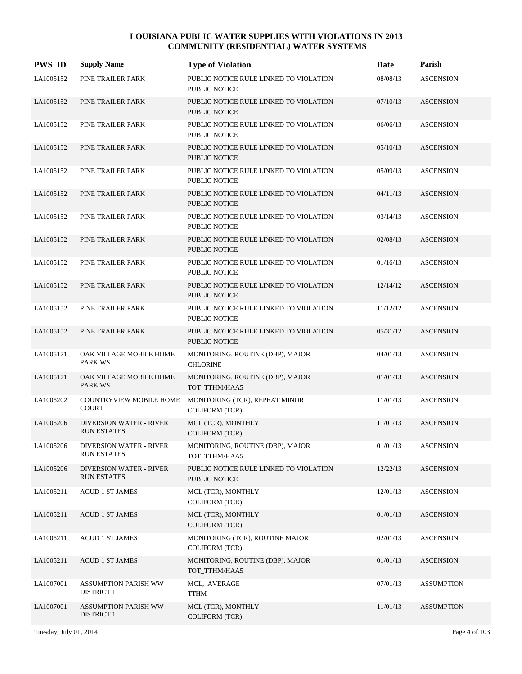| <b>PWS ID</b> | <b>Supply Name</b>                                   | <b>Type of Violation</b>                                       | Date     | Parish            |
|---------------|------------------------------------------------------|----------------------------------------------------------------|----------|-------------------|
| LA1005152     | PINE TRAILER PARK                                    | PUBLIC NOTICE RULE LINKED TO VIOLATION<br>PUBLIC NOTICE        | 08/08/13 | <b>ASCENSION</b>  |
| LA1005152     | PINE TRAILER PARK                                    | PUBLIC NOTICE RULE LINKED TO VIOLATION<br><b>PUBLIC NOTICE</b> | 07/10/13 | <b>ASCENSION</b>  |
| LA1005152     | PINE TRAILER PARK                                    | PUBLIC NOTICE RULE LINKED TO VIOLATION<br>PUBLIC NOTICE        | 06/06/13 | <b>ASCENSION</b>  |
| LA1005152     | PINE TRAILER PARK                                    | PUBLIC NOTICE RULE LINKED TO VIOLATION<br>PUBLIC NOTICE        | 05/10/13 | <b>ASCENSION</b>  |
| LA1005152     | PINE TRAILER PARK                                    | PUBLIC NOTICE RULE LINKED TO VIOLATION<br>PUBLIC NOTICE        | 05/09/13 | <b>ASCENSION</b>  |
| LA1005152     | PINE TRAILER PARK                                    | PUBLIC NOTICE RULE LINKED TO VIOLATION<br>PUBLIC NOTICE        | 04/11/13 | <b>ASCENSION</b>  |
| LA1005152     | PINE TRAILER PARK                                    | PUBLIC NOTICE RULE LINKED TO VIOLATION<br>PUBLIC NOTICE        | 03/14/13 | <b>ASCENSION</b>  |
| LA1005152     | PINE TRAILER PARK                                    | PUBLIC NOTICE RULE LINKED TO VIOLATION<br><b>PUBLIC NOTICE</b> | 02/08/13 | <b>ASCENSION</b>  |
| LA1005152     | PINE TRAILER PARK                                    | PUBLIC NOTICE RULE LINKED TO VIOLATION<br>PUBLIC NOTICE        | 01/16/13 | <b>ASCENSION</b>  |
| LA1005152     | PINE TRAILER PARK                                    | PUBLIC NOTICE RULE LINKED TO VIOLATION<br><b>PUBLIC NOTICE</b> | 12/14/12 | <b>ASCENSION</b>  |
| LA1005152     | PINE TRAILER PARK                                    | PUBLIC NOTICE RULE LINKED TO VIOLATION<br>PUBLIC NOTICE        | 11/12/12 | <b>ASCENSION</b>  |
| LA1005152     | PINE TRAILER PARK                                    | PUBLIC NOTICE RULE LINKED TO VIOLATION<br>PUBLIC NOTICE        | 05/31/12 | <b>ASCENSION</b>  |
| LA1005171     | OAK VILLAGE MOBILE HOME<br>PARK WS                   | MONITORING, ROUTINE (DBP), MAJOR<br><b>CHLORINE</b>            | 04/01/13 | <b>ASCENSION</b>  |
| LA1005171     | OAK VILLAGE MOBILE HOME<br><b>PARK WS</b>            | MONITORING, ROUTINE (DBP), MAJOR<br>TOT TTHM/HAA5              | 01/01/13 | <b>ASCENSION</b>  |
| LA1005202     | <b>COUNTRYVIEW MOBILE HOME</b><br><b>COURT</b>       | MONITORING (TCR), REPEAT MINOR<br><b>COLIFORM (TCR)</b>        | 11/01/13 | <b>ASCENSION</b>  |
| LA1005206     | <b>DIVERSION WATER - RIVER</b><br><b>RUN ESTATES</b> | MCL (TCR), MONTHLY<br><b>COLIFORM (TCR)</b>                    | 11/01/13 | <b>ASCENSION</b>  |
| LA1005206     | <b>DIVERSION WATER - RIVER</b><br><b>RUN ESTATES</b> | MONITORING, ROUTINE (DBP), MAJOR<br>TOT_TTHM/HAA5              | 01/01/13 | <b>ASCENSION</b>  |
| LA1005206     | <b>DIVERSION WATER - RIVER</b><br><b>RUN ESTATES</b> | PUBLIC NOTICE RULE LINKED TO VIOLATION<br>PUBLIC NOTICE        | 12/22/13 | <b>ASCENSION</b>  |
| LA1005211     | <b>ACUD 1 ST JAMES</b>                               | MCL (TCR), MONTHLY<br><b>COLIFORM (TCR)</b>                    | 12/01/13 | <b>ASCENSION</b>  |
| LA1005211     | <b>ACUD 1 ST JAMES</b>                               | MCL (TCR), MONTHLY<br><b>COLIFORM (TCR)</b>                    | 01/01/13 | <b>ASCENSION</b>  |
| LA1005211     | <b>ACUD 1 ST JAMES</b>                               | MONITORING (TCR), ROUTINE MAJOR<br><b>COLIFORM (TCR)</b>       | 02/01/13 | <b>ASCENSION</b>  |
| LA1005211     | <b>ACUD 1 ST JAMES</b>                               | MONITORING, ROUTINE (DBP), MAJOR<br>TOT_TTHM/HAA5              | 01/01/13 | <b>ASCENSION</b>  |
| LA1007001     | ASSUMPTION PARISH WW<br><b>DISTRICT 1</b>            | MCL, AVERAGE<br><b>TTHM</b>                                    | 07/01/13 | <b>ASSUMPTION</b> |
| LA1007001     | <b>ASSUMPTION PARISH WW</b><br><b>DISTRICT 1</b>     | MCL (TCR), MONTHLY<br><b>COLIFORM (TCR)</b>                    | 11/01/13 | <b>ASSUMPTION</b> |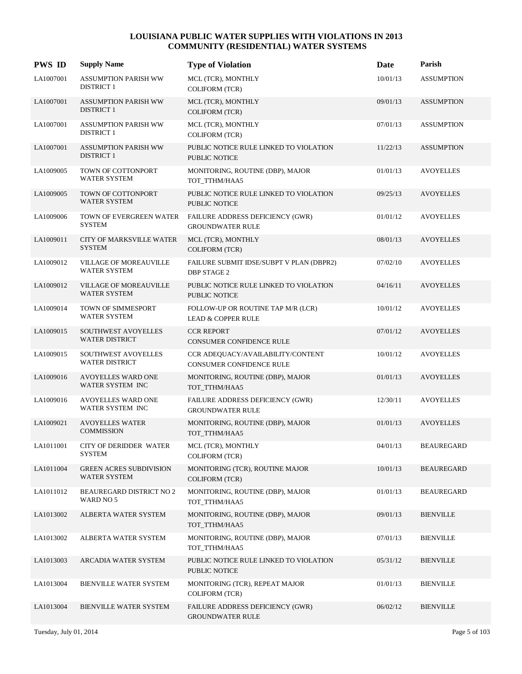| <b>PWS ID</b> | <b>Supply Name</b>                               | <b>Type of Violation</b>                                             | Date     | Parish            |
|---------------|--------------------------------------------------|----------------------------------------------------------------------|----------|-------------------|
| LA1007001     | ASSUMPTION PARISH WW<br><b>DISTRICT 1</b>        | MCL (TCR), MONTHLY<br><b>COLIFORM (TCR)</b>                          | 10/01/13 | <b>ASSUMPTION</b> |
| LA1007001     | ASSUMPTION PARISH WW<br><b>DISTRICT 1</b>        | MCL (TCR), MONTHLY<br><b>COLIFORM (TCR)</b>                          | 09/01/13 | <b>ASSUMPTION</b> |
| LA1007001     | <b>ASSUMPTION PARISH WW</b><br><b>DISTRICT 1</b> | MCL (TCR), MONTHLY<br><b>COLIFORM (TCR)</b>                          | 07/01/13 | <b>ASSUMPTION</b> |
| LA1007001     | ASSUMPTION PARISH WW<br><b>DISTRICT 1</b>        | PUBLIC NOTICE RULE LINKED TO VIOLATION<br><b>PUBLIC NOTICE</b>       | 11/22/13 | <b>ASSUMPTION</b> |
| LA1009005     | TOWN OF COTTONPORT<br>WATER SYSTEM               | MONITORING, ROUTINE (DBP), MAJOR<br>TOT_TTHM/HAA5                    | 01/01/13 | <b>AVOYELLES</b>  |
| LA1009005     | TOWN OF COTTONPORT<br><b>WATER SYSTEM</b>        | PUBLIC NOTICE RULE LINKED TO VIOLATION<br>PUBLIC NOTICE              | 09/25/13 | <b>AVOYELLES</b>  |
| LA1009006     | TOWN OF EVERGREEN WATER<br><b>SYSTEM</b>         | FAILURE ADDRESS DEFICIENCY (GWR)<br><b>GROUNDWATER RULE</b>          | 01/01/12 | <b>AVOYELLES</b>  |
| LA1009011     | <b>CITY OF MARKSVILLE WATER</b><br><b>SYSTEM</b> | MCL (TCR), MONTHLY<br><b>COLIFORM (TCR)</b>                          | 08/01/13 | <b>AVOYELLES</b>  |
| LA1009012     | VILLAGE OF MOREAUVILLE<br>WATER SYSTEM           | FAILURE SUBMIT IDSE/SUBPT V PLAN (DBPR2)<br><b>DBP STAGE 2</b>       | 07/02/10 | <b>AVOYELLES</b>  |
| LA1009012     | VILLAGE OF MOREAUVILLE<br><b>WATER SYSTEM</b>    | PUBLIC NOTICE RULE LINKED TO VIOLATION<br><b>PUBLIC NOTICE</b>       | 04/16/11 | <b>AVOYELLES</b>  |
| LA1009014     | TOWN OF SIMMESPORT<br><b>WATER SYSTEM</b>        | FOLLOW-UP OR ROUTINE TAP M/R (LCR)<br><b>LEAD &amp; COPPER RULE</b>  | 10/01/12 | <b>AVOYELLES</b>  |
| LA1009015     | SOUTHWEST AVOYELLES<br><b>WATER DISTRICT</b>     | <b>CCR REPORT</b><br><b>CONSUMER CONFIDENCE RULE</b>                 | 07/01/12 | <b>AVOYELLES</b>  |
| LA1009015     | SOUTHWEST AVOYELLES<br><b>WATER DISTRICT</b>     | CCR ADEQUACY/AVAILABILITY/CONTENT<br><b>CONSUMER CONFIDENCE RULE</b> | 10/01/12 | <b>AVOYELLES</b>  |
| LA1009016     | <b>AVOYELLES WARD ONE</b><br>WATER SYSTEM INC    | MONITORING, ROUTINE (DBP), MAJOR<br>TOT TTHM/HAA5                    | 01/01/13 | <b>AVOYELLES</b>  |
| LA1009016     | <b>AVOYELLES WARD ONE</b><br>WATER SYSTEM INC    | FAILURE ADDRESS DEFICIENCY (GWR)<br><b>GROUNDWATER RULE</b>          | 12/30/11 | <b>AVOYELLES</b>  |
| LA1009021     | <b>AVOYELLES WATER</b><br><b>COMMISSION</b>      | MONITORING, ROUTINE (DBP), MAJOR<br>TOT_TTHM/HAA5                    | 01/01/13 | <b>AVOYELLES</b>  |
| LA1011001     | CITY OF DERIDDER WATER<br><b>SYSTEM</b>          | MCL (TCR), MONTHLY<br><b>COLIFORM (TCR)</b>                          | 04/01/13 | <b>BEAUREGARD</b> |
| LA1011004     | <b>GREEN ACRES SUBDIVISION</b><br>WATER SYSTEM   | MONITORING (TCR), ROUTINE MAJOR<br><b>COLIFORM (TCR)</b>             | 10/01/13 | <b>BEAUREGARD</b> |
| LA1011012     | <b>BEAUREGARD DISTRICT NO 2</b><br>WARD NO 5     | MONITORING, ROUTINE (DBP), MAJOR<br>TOT_TTHM/HAA5                    | 01/01/13 | <b>BEAUREGARD</b> |
| LA1013002     | ALBERTA WATER SYSTEM                             | MONITORING, ROUTINE (DBP), MAJOR<br>TOT TTHM/HAA5                    | 09/01/13 | <b>BIENVILLE</b>  |
| LA1013002     | ALBERTA WATER SYSTEM                             | MONITORING, ROUTINE (DBP), MAJOR<br>TOT TTHM/HAA5                    | 07/01/13 | <b>BIENVILLE</b>  |
| LA1013003     | ARCADIA WATER SYSTEM                             | PUBLIC NOTICE RULE LINKED TO VIOLATION<br>PUBLIC NOTICE              | 05/31/12 | <b>BIENVILLE</b>  |
| LA1013004     | <b>BIENVILLE WATER SYSTEM</b>                    | MONITORING (TCR), REPEAT MAJOR<br>COLIFORM (TCR)                     | 01/01/13 | <b>BIENVILLE</b>  |
| LA1013004     | <b>BIENVILLE WATER SYSTEM</b>                    | FAILURE ADDRESS DEFICIENCY (GWR)<br><b>GROUNDWATER RULE</b>          | 06/02/12 | <b>BIENVILLE</b>  |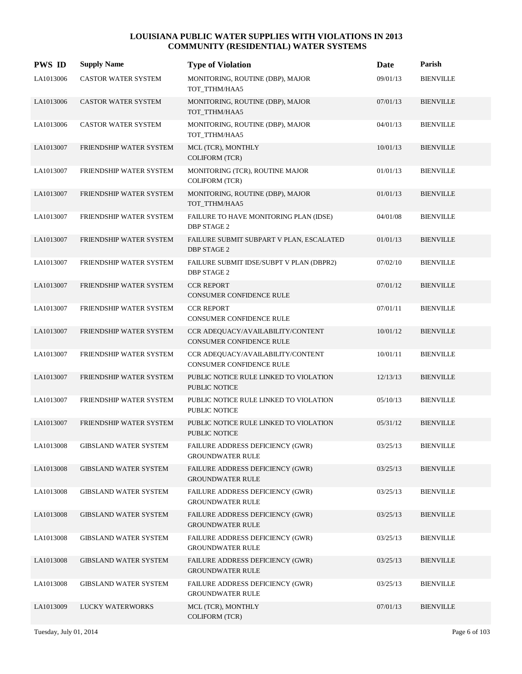| <b>PWS ID</b> | <b>Supply Name</b>           | <b>Type of Violation</b>                                       | Date     | Parish           |
|---------------|------------------------------|----------------------------------------------------------------|----------|------------------|
| LA1013006     | CASTOR WATER SYSTEM          | MONITORING, ROUTINE (DBP), MAJOR<br>TOT_TTHM/HAA5              | 09/01/13 | <b>BIENVILLE</b> |
| LA1013006     | CASTOR WATER SYSTEM          | MONITORING, ROUTINE (DBP), MAJOR<br>TOT_TTHM/HAA5              | 07/01/13 | <b>BIENVILLE</b> |
| LA1013006     | CASTOR WATER SYSTEM          | MONITORING, ROUTINE (DBP), MAJOR<br>TOT_TTHM/HAA5              | 04/01/13 | <b>BIENVILLE</b> |
| LA1013007     | FRIENDSHIP WATER SYSTEM      | MCL (TCR), MONTHLY<br><b>COLIFORM (TCR)</b>                    | 10/01/13 | <b>BIENVILLE</b> |
| LA1013007     | FRIENDSHIP WATER SYSTEM      | MONITORING (TCR), ROUTINE MAJOR<br>COLIFORM (TCR)              | 01/01/13 | <b>BIENVILLE</b> |
| LA1013007     | FRIENDSHIP WATER SYSTEM      | MONITORING, ROUTINE (DBP), MAJOR<br>TOT_TTHM/HAA5              | 01/01/13 | <b>BIENVILLE</b> |
| LA1013007     | FRIENDSHIP WATER SYSTEM      | FAILURE TO HAVE MONITORING PLAN (IDSE)<br><b>DBP STAGE 2</b>   | 04/01/08 | <b>BIENVILLE</b> |
| LA1013007     | FRIENDSHIP WATER SYSTEM      | FAILURE SUBMIT SUBPART V PLAN, ESCALATED<br><b>DBP STAGE 2</b> | 01/01/13 | <b>BIENVILLE</b> |
| LA1013007     | FRIENDSHIP WATER SYSTEM      | FAILURE SUBMIT IDSE/SUBPT V PLAN (DBPR2)<br><b>DBP STAGE 2</b> | 07/02/10 | <b>BIENVILLE</b> |
| LA1013007     | FRIENDSHIP WATER SYSTEM      | <b>CCR REPORT</b><br>CONSUMER CONFIDENCE RULE                  | 07/01/12 | <b>BIENVILLE</b> |
| LA1013007     | FRIENDSHIP WATER SYSTEM      | <b>CCR REPORT</b><br>CONSUMER CONFIDENCE RULE                  | 07/01/11 | <b>BIENVILLE</b> |
| LA1013007     | FRIENDSHIP WATER SYSTEM      | CCR ADEQUACY/AVAILABILITY/CONTENT<br>CONSUMER CONFIDENCE RULE  | 10/01/12 | <b>BIENVILLE</b> |
| LA1013007     | FRIENDSHIP WATER SYSTEM      | CCR ADEQUACY/AVAILABILITY/CONTENT<br>CONSUMER CONFIDENCE RULE  | 10/01/11 | <b>BIENVILLE</b> |
| LA1013007     | FRIENDSHIP WATER SYSTEM      | PUBLIC NOTICE RULE LINKED TO VIOLATION<br><b>PUBLIC NOTICE</b> | 12/13/13 | <b>BIENVILLE</b> |
| LA1013007     | FRIENDSHIP WATER SYSTEM      | PUBLIC NOTICE RULE LINKED TO VIOLATION<br>PUBLIC NOTICE        | 05/10/13 | <b>BIENVILLE</b> |
| LA1013007     | FRIENDSHIP WATER SYSTEM      | PUBLIC NOTICE RULE LINKED TO VIOLATION<br><b>PUBLIC NOTICE</b> | 05/31/12 | <b>BIENVILLE</b> |
| LA1013008     | <b>GIBSLAND WATER SYSTEM</b> | FAILURE ADDRESS DEFICIENCY (GWR)<br><b>GROUNDWATER RULE</b>    | 03/25/13 | <b>BIENVILLE</b> |
| LA1013008     | <b>GIBSLAND WATER SYSTEM</b> | FAILURE ADDRESS DEFICIENCY (GWR)<br><b>GROUNDWATER RULE</b>    | 03/25/13 | <b>BIENVILLE</b> |
| LA1013008     | <b>GIBSLAND WATER SYSTEM</b> | FAILURE ADDRESS DEFICIENCY (GWR)<br><b>GROUNDWATER RULE</b>    | 03/25/13 | <b>BIENVILLE</b> |
| LA1013008     | <b>GIBSLAND WATER SYSTEM</b> | FAILURE ADDRESS DEFICIENCY (GWR)<br><b>GROUNDWATER RULE</b>    | 03/25/13 | <b>BIENVILLE</b> |
| LA1013008     | <b>GIBSLAND WATER SYSTEM</b> | FAILURE ADDRESS DEFICIENCY (GWR)<br><b>GROUNDWATER RULE</b>    | 03/25/13 | <b>BIENVILLE</b> |
| LA1013008     | <b>GIBSLAND WATER SYSTEM</b> | FAILURE ADDRESS DEFICIENCY (GWR)<br><b>GROUNDWATER RULE</b>    | 03/25/13 | <b>BIENVILLE</b> |
| LA1013008     | <b>GIBSLAND WATER SYSTEM</b> | FAILURE ADDRESS DEFICIENCY (GWR)<br><b>GROUNDWATER RULE</b>    | 03/25/13 | <b>BIENVILLE</b> |
| LA1013009     | LUCKY WATERWORKS             | MCL (TCR), MONTHLY<br>COLIFORM (TCR)                           | 07/01/13 | <b>BIENVILLE</b> |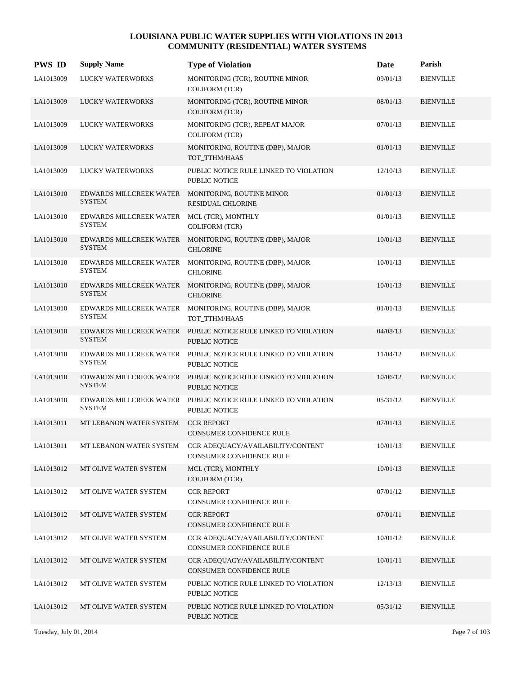| <b>PWS ID</b> | <b>Supply Name</b>                       | <b>Type of Violation</b>                                                               | Date     | Parish           |
|---------------|------------------------------------------|----------------------------------------------------------------------------------------|----------|------------------|
| LA1013009     | <b>LUCKY WATERWORKS</b>                  | MONITORING (TCR), ROUTINE MINOR<br><b>COLIFORM (TCR)</b>                               | 09/01/13 | <b>BIENVILLE</b> |
| LA1013009     | LUCKY WATERWORKS                         | MONITORING (TCR), ROUTINE MINOR<br><b>COLIFORM (TCR)</b>                               | 08/01/13 | <b>BIENVILLE</b> |
| LA1013009     | LUCKY WATERWORKS                         | MONITORING (TCR), REPEAT MAJOR<br><b>COLIFORM (TCR)</b>                                | 07/01/13 | <b>BIENVILLE</b> |
| LA1013009     | LUCKY WATERWORKS                         | MONITORING, ROUTINE (DBP), MAJOR<br>TOT_TTHM/HAA5                                      | 01/01/13 | <b>BIENVILLE</b> |
| LA1013009     | <b>LUCKY WATERWORKS</b>                  | PUBLIC NOTICE RULE LINKED TO VIOLATION<br>PUBLIC NOTICE                                | 12/10/13 | <b>BIENVILLE</b> |
| LA1013010     | <b>SYSTEM</b>                            | EDWARDS MILLCREEK WATER MONITORING, ROUTINE MINOR<br><b>RESIDUAL CHLORINE</b>          | 01/01/13 | <b>BIENVILLE</b> |
| LA1013010     | EDWARDS MILLCREEK WATER<br><b>SYSTEM</b> | MCL (TCR), MONTHLY<br>COLIFORM (TCR)                                                   | 01/01/13 | <b>BIENVILLE</b> |
| LA1013010     | EDWARDS MILLCREEK WATER<br><b>SYSTEM</b> | MONITORING, ROUTINE (DBP), MAJOR<br><b>CHLORINE</b>                                    | 10/01/13 | <b>BIENVILLE</b> |
| LA1013010     | EDWARDS MILLCREEK WATER<br><b>SYSTEM</b> | MONITORING, ROUTINE (DBP), MAJOR<br><b>CHLORINE</b>                                    | 10/01/13 | <b>BIENVILLE</b> |
| LA1013010     | <b>SYSTEM</b>                            | EDWARDS MILLCREEK WATER MONITORING, ROUTINE (DBP), MAJOR<br><b>CHLORINE</b>            | 10/01/13 | <b>BIENVILLE</b> |
| LA1013010     | EDWARDS MILLCREEK WATER<br><b>SYSTEM</b> | MONITORING, ROUTINE (DBP), MAJOR<br>TOT_TTHM/HAA5                                      | 01/01/13 | <b>BIENVILLE</b> |
| LA1013010     | <b>SYSTEM</b>                            | EDWARDS MILLCREEK WATER PUBLIC NOTICE RULE LINKED TO VIOLATION<br><b>PUBLIC NOTICE</b> | 04/08/13 | <b>BIENVILLE</b> |
| LA1013010     | EDWARDS MILLCREEK WATER<br><b>SYSTEM</b> | PUBLIC NOTICE RULE LINKED TO VIOLATION<br>PUBLIC NOTICE                                | 11/04/12 | <b>BIENVILLE</b> |
| LA1013010     | <b>SYSTEM</b>                            | EDWARDS MILLCREEK WATER PUBLIC NOTICE RULE LINKED TO VIOLATION<br><b>PUBLIC NOTICE</b> | 10/06/12 | <b>BIENVILLE</b> |
| LA1013010     | EDWARDS MILLCREEK WATER<br><b>SYSTEM</b> | PUBLIC NOTICE RULE LINKED TO VIOLATION<br>PUBLIC NOTICE                                | 05/31/12 | <b>BIENVILLE</b> |
| LA1013011     | MT LEBANON WATER SYSTEM                  | <b>CCR REPORT</b><br><b>CONSUMER CONFIDENCE RULE</b>                                   | 07/01/13 | <b>BIENVILLE</b> |
| LA1013011     | MT LEBANON WATER SYSTEM                  | CCR ADEQUACY/AVAILABILITY/CONTENT<br>CONSUMER CONFIDENCE RULE                          | 10/01/13 | <b>BIENVILLE</b> |
| LA1013012     | MT OLIVE WATER SYSTEM                    | MCL (TCR), MONTHLY<br><b>COLIFORM (TCR)</b>                                            | 10/01/13 | <b>BIENVILLE</b> |
| LA1013012     | MT OLIVE WATER SYSTEM                    | <b>CCR REPORT</b><br>CONSUMER CONFIDENCE RULE                                          | 07/01/12 | <b>BIENVILLE</b> |
| LA1013012     | MT OLIVE WATER SYSTEM                    | <b>CCR REPORT</b><br>CONSUMER CONFIDENCE RULE                                          | 07/01/11 | <b>BIENVILLE</b> |
| LA1013012     | MT OLIVE WATER SYSTEM                    | CCR ADEQUACY/AVAILABILITY/CONTENT<br>CONSUMER CONFIDENCE RULE                          | 10/01/12 | <b>BIENVILLE</b> |
| LA1013012     | MT OLIVE WATER SYSTEM                    | CCR ADEQUACY/AVAILABILITY/CONTENT<br>CONSUMER CONFIDENCE RULE                          | 10/01/11 | <b>BIENVILLE</b> |
| LA1013012     | MT OLIVE WATER SYSTEM                    | PUBLIC NOTICE RULE LINKED TO VIOLATION<br>PUBLIC NOTICE                                | 12/13/13 | <b>BIENVILLE</b> |
| LA1013012     | MT OLIVE WATER SYSTEM                    | PUBLIC NOTICE RULE LINKED TO VIOLATION<br>PUBLIC NOTICE                                | 05/31/12 | <b>BIENVILLE</b> |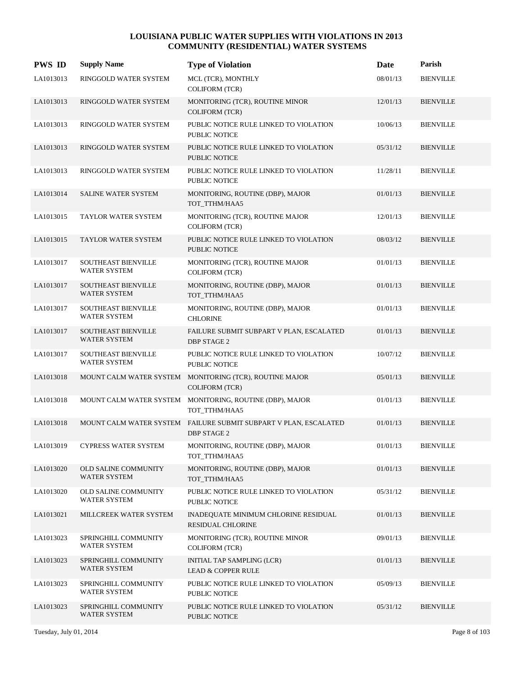| <b>PWS ID</b> | <b>Supply Name</b>                                | <b>Type of Violation</b>                                                               | Date     | Parish           |
|---------------|---------------------------------------------------|----------------------------------------------------------------------------------------|----------|------------------|
| LA1013013     | RINGGOLD WATER SYSTEM                             | MCL (TCR), MONTHLY<br><b>COLIFORM (TCR)</b>                                            | 08/01/13 | <b>BIENVILLE</b> |
| LA1013013     | RINGGOLD WATER SYSTEM                             | MONITORING (TCR), ROUTINE MINOR<br><b>COLIFORM (TCR)</b>                               | 12/01/13 | <b>BIENVILLE</b> |
| LA1013013     | RINGGOLD WATER SYSTEM                             | PUBLIC NOTICE RULE LINKED TO VIOLATION<br>PUBLIC NOTICE                                | 10/06/13 | <b>BIENVILLE</b> |
| LA1013013     | RINGGOLD WATER SYSTEM                             | PUBLIC NOTICE RULE LINKED TO VIOLATION<br>PUBLIC NOTICE                                | 05/31/12 | <b>BIENVILLE</b> |
| LA1013013     | RINGGOLD WATER SYSTEM                             | PUBLIC NOTICE RULE LINKED TO VIOLATION<br>PUBLIC NOTICE                                | 11/28/11 | <b>BIENVILLE</b> |
| LA1013014     | SALINE WATER SYSTEM                               | MONITORING, ROUTINE (DBP), MAJOR<br>TOT_TTHM/HAA5                                      | 01/01/13 | <b>BIENVILLE</b> |
| LA1013015     | TAYLOR WATER SYSTEM                               | MONITORING (TCR), ROUTINE MAJOR<br><b>COLIFORM (TCR)</b>                               | 12/01/13 | <b>BIENVILLE</b> |
| LA1013015     | TAYLOR WATER SYSTEM                               | PUBLIC NOTICE RULE LINKED TO VIOLATION<br><b>PUBLIC NOTICE</b>                         | 08/03/12 | <b>BIENVILLE</b> |
| LA1013017     | <b>SOUTHEAST BIENVILLE</b><br><b>WATER SYSTEM</b> | MONITORING (TCR), ROUTINE MAJOR<br><b>COLIFORM (TCR)</b>                               | 01/01/13 | <b>BIENVILLE</b> |
| LA1013017     | <b>SOUTHEAST BIENVILLE</b><br><b>WATER SYSTEM</b> | MONITORING, ROUTINE (DBP), MAJOR<br>TOT_TTHM/HAA5                                      | 01/01/13 | <b>BIENVILLE</b> |
| LA1013017     | SOUTHEAST BIENVILLE<br><b>WATER SYSTEM</b>        | MONITORING, ROUTINE (DBP), MAJOR<br><b>CHLORINE</b>                                    | 01/01/13 | <b>BIENVILLE</b> |
| LA1013017     | <b>SOUTHEAST BIENVILLE</b><br>WATER SYSTEM        | FAILURE SUBMIT SUBPART V PLAN, ESCALATED<br><b>DBP STAGE 2</b>                         | 01/01/13 | <b>BIENVILLE</b> |
| LA1013017     | SOUTHEAST BIENVILLE<br><b>WATER SYSTEM</b>        | PUBLIC NOTICE RULE LINKED TO VIOLATION<br>PUBLIC NOTICE                                | 10/07/12 | <b>BIENVILLE</b> |
| LA1013018     |                                                   | MOUNT CALM WATER SYSTEM MONITORING (TCR), ROUTINE MAJOR<br><b>COLIFORM (TCR)</b>       | 05/01/13 | <b>BIENVILLE</b> |
| LA1013018     |                                                   | MOUNT CALM WATER SYSTEM MONITORING, ROUTINE (DBP), MAJOR<br>TOT_TTHM/HAA5              | 01/01/13 | <b>BIENVILLE</b> |
| LA1013018     |                                                   | MOUNT CALM WATER SYSTEM FAILURE SUBMIT SUBPART V PLAN, ESCALATED<br><b>DBP STAGE 2</b> | 01/01/13 | <b>BIENVILLE</b> |
| LA1013019     | CYPRESS WATER SYSTEM                              | MONITORING, ROUTINE (DBP), MAJOR<br>TOT_TTHM/HAA5                                      | 01/01/13 | <b>BIENVILLE</b> |
| LA1013020     | OLD SALINE COMMUNITY<br>WATER SYSTEM              | MONITORING, ROUTINE (DBP), MAJOR<br>TOT_TTHM/HAA5                                      | 01/01/13 | <b>BIENVILLE</b> |
| LA1013020     | OLD SALINE COMMUNITY<br><b>WATER SYSTEM</b>       | PUBLIC NOTICE RULE LINKED TO VIOLATION<br>PUBLIC NOTICE                                | 05/31/12 | <b>BIENVILLE</b> |
| LA1013021     | MILLCREEK WATER SYSTEM                            | INADEQUATE MINIMUM CHLORINE RESIDUAL<br><b>RESIDUAL CHLORINE</b>                       | 01/01/13 | <b>BIENVILLE</b> |
| LA1013023     | SPRINGHILL COMMUNITY<br><b>WATER SYSTEM</b>       | MONITORING (TCR), ROUTINE MINOR<br><b>COLIFORM (TCR)</b>                               | 09/01/13 | <b>BIENVILLE</b> |
| LA1013023     | SPRINGHILL COMMUNITY<br>WATER SYSTEM              | INITIAL TAP SAMPLING (LCR)<br><b>LEAD &amp; COPPER RULE</b>                            | 01/01/13 | <b>BIENVILLE</b> |
| LA1013023     | SPRINGHILL COMMUNITY<br>WATER SYSTEM              | PUBLIC NOTICE RULE LINKED TO VIOLATION<br>PUBLIC NOTICE                                | 05/09/13 | <b>BIENVILLE</b> |
| LA1013023     | SPRINGHILL COMMUNITY<br><b>WATER SYSTEM</b>       | PUBLIC NOTICE RULE LINKED TO VIOLATION<br>PUBLIC NOTICE                                | 05/31/12 | <b>BIENVILLE</b> |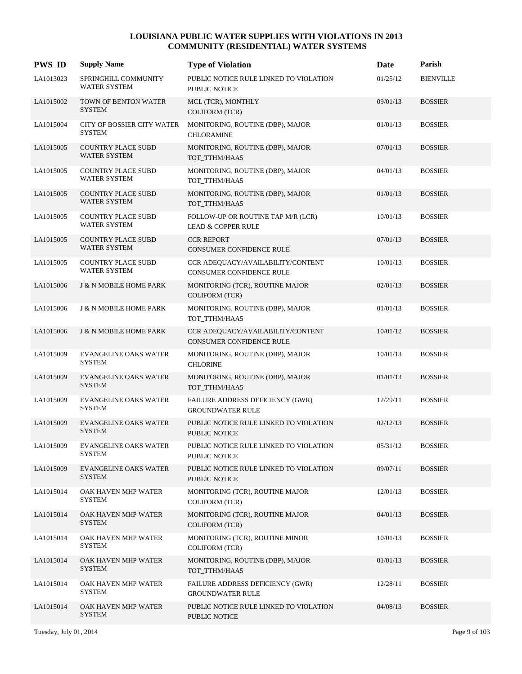| <b>PWS ID</b> | <b>Supply Name</b>                               | <b>Type of Violation</b>                                             | Date     | Parish           |
|---------------|--------------------------------------------------|----------------------------------------------------------------------|----------|------------------|
| LA1013023     | SPRINGHILL COMMUNITY<br><b>WATER SYSTEM</b>      | PUBLIC NOTICE RULE LINKED TO VIOLATION<br>PUBLIC NOTICE              | 01/25/12 | <b>BIENVILLE</b> |
| LA1015002     | TOWN OF BENTON WATER<br><b>SYSTEM</b>            | MCL (TCR), MONTHLY<br><b>COLIFORM (TCR)</b>                          | 09/01/13 | <b>BOSSIER</b>   |
| LA1015004     | CITY OF BOSSIER CITY WATER<br><b>SYSTEM</b>      | MONITORING, ROUTINE (DBP), MAJOR<br><b>CHLORAMINE</b>                | 01/01/13 | <b>BOSSIER</b>   |
| LA1015005     | <b>COUNTRY PLACE SUBD</b><br><b>WATER SYSTEM</b> | MONITORING, ROUTINE (DBP), MAJOR<br>TOT_TTHM/HAA5                    | 07/01/13 | <b>BOSSIER</b>   |
| LA1015005     | <b>COUNTRY PLACE SUBD</b><br><b>WATER SYSTEM</b> | MONITORING, ROUTINE (DBP), MAJOR<br>TOT_TTHM/HAA5                    | 04/01/13 | <b>BOSSIER</b>   |
| LA1015005     | <b>COUNTRY PLACE SUBD</b><br><b>WATER SYSTEM</b> | MONITORING, ROUTINE (DBP), MAJOR<br>TOT_TTHM/HAA5                    | 01/01/13 | <b>BOSSIER</b>   |
| LA1015005     | COUNTRY PLACE SUBD<br><b>WATER SYSTEM</b>        | FOLLOW-UP OR ROUTINE TAP M/R (LCR)<br><b>LEAD &amp; COPPER RULE</b>  | 10/01/13 | <b>BOSSIER</b>   |
| LA1015005     | <b>COUNTRY PLACE SUBD</b><br><b>WATER SYSTEM</b> | <b>CCR REPORT</b><br><b>CONSUMER CONFIDENCE RULE</b>                 | 07/01/13 | <b>BOSSIER</b>   |
| LA1015005     | <b>COUNTRY PLACE SUBD</b><br><b>WATER SYSTEM</b> | CCR ADEQUACY/AVAILABILITY/CONTENT<br><b>CONSUMER CONFIDENCE RULE</b> | 10/01/13 | <b>BOSSIER</b>   |
| LA1015006     | <b>J &amp; N MOBILE HOME PARK</b>                | MONITORING (TCR), ROUTINE MAJOR<br><b>COLIFORM (TCR)</b>             | 02/01/13 | <b>BOSSIER</b>   |
| LA1015006     | <b>J &amp; N MOBILE HOME PARK</b>                | MONITORING, ROUTINE (DBP), MAJOR<br>TOT_TTHM/HAA5                    | 01/01/13 | <b>BOSSIER</b>   |
| LA1015006     | <b>J &amp; N MOBILE HOME PARK</b>                | CCR ADEQUACY/AVAILABILITY/CONTENT<br><b>CONSUMER CONFIDENCE RULE</b> | 10/01/12 | <b>BOSSIER</b>   |
| LA1015009     | <b>EVANGELINE OAKS WATER</b><br><b>SYSTEM</b>    | MONITORING, ROUTINE (DBP), MAJOR<br><b>CHLORINE</b>                  | 10/01/13 | <b>BOSSIER</b>   |
| LA1015009     | EVANGELINE OAKS WATER<br><b>SYSTEM</b>           | MONITORING, ROUTINE (DBP), MAJOR<br>TOT TTHM/HAA5                    | 01/01/13 | <b>BOSSIER</b>   |
| LA1015009     | <b>EVANGELINE OAKS WATER</b><br><b>SYSTEM</b>    | FAILURE ADDRESS DEFICIENCY (GWR)<br><b>GROUNDWATER RULE</b>          | 12/29/11 | <b>BOSSIER</b>   |
| LA1015009     | <b>EVANGELINE OAKS WATER</b><br><b>SYSTEM</b>    | PUBLIC NOTICE RULE LINKED TO VIOLATION<br>PUBLIC NOTICE              | 02/12/13 | <b>BOSSIER</b>   |
| LA1015009     | <b>EVANGELINE OAKS WATER</b><br><b>SYSTEM</b>    | PUBLIC NOTICE RULE LINKED TO VIOLATION<br>PUBLIC NOTICE              | 05/31/12 | <b>BOSSIER</b>   |
| LA1015009     | <b>EVANGELINE OAKS WATER</b><br><b>SYSTEM</b>    | PUBLIC NOTICE RULE LINKED TO VIOLATION<br>PUBLIC NOTICE              | 09/07/11 | <b>BOSSIER</b>   |
| LA1015014     | OAK HAVEN MHP WATER<br><b>SYSTEM</b>             | MONITORING (TCR), ROUTINE MAJOR<br><b>COLIFORM (TCR)</b>             | 12/01/13 | <b>BOSSIER</b>   |
| LA1015014     | OAK HAVEN MHP WATER<br><b>SYSTEM</b>             | MONITORING (TCR), ROUTINE MAJOR<br><b>COLIFORM (TCR)</b>             | 04/01/13 | <b>BOSSIER</b>   |
| LA1015014     | OAK HAVEN MHP WATER<br><b>SYSTEM</b>             | MONITORING (TCR), ROUTINE MINOR<br><b>COLIFORM (TCR)</b>             | 10/01/13 | <b>BOSSIER</b>   |
| LA1015014     | OAK HAVEN MHP WATER<br><b>SYSTEM</b>             | MONITORING, ROUTINE (DBP), MAJOR<br>TOT_TTHM/HAA5                    | 01/01/13 | <b>BOSSIER</b>   |
| LA1015014     | OAK HAVEN MHP WATER<br><b>SYSTEM</b>             | FAILURE ADDRESS DEFICIENCY (GWR)<br><b>GROUNDWATER RULE</b>          | 12/28/11 | <b>BOSSIER</b>   |
| LA1015014     | OAK HAVEN MHP WATER<br><b>SYSTEM</b>             | PUBLIC NOTICE RULE LINKED TO VIOLATION<br>PUBLIC NOTICE              | 04/08/13 | <b>BOSSIER</b>   |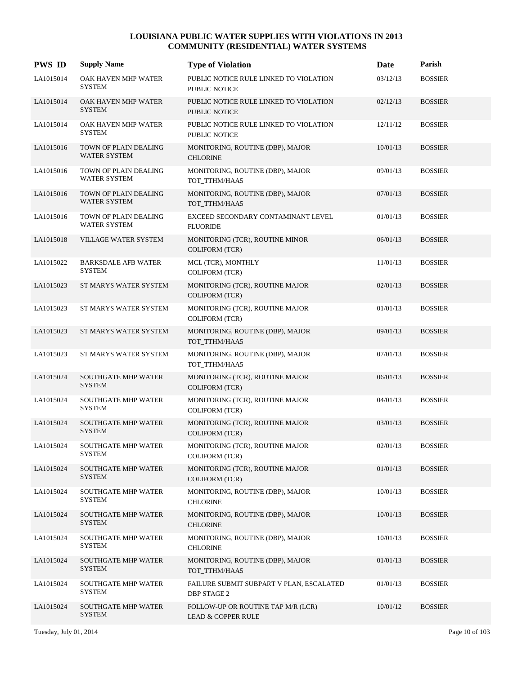| <b>PWS ID</b> | <b>Supply Name</b>                           | <b>Type of Violation</b>                                            | Date     | Parish         |
|---------------|----------------------------------------------|---------------------------------------------------------------------|----------|----------------|
| LA1015014     | OAK HAVEN MHP WATER<br><b>SYSTEM</b>         | PUBLIC NOTICE RULE LINKED TO VIOLATION<br><b>PUBLIC NOTICE</b>      | 03/12/13 | <b>BOSSIER</b> |
| LA1015014     | OAK HAVEN MHP WATER<br><b>SYSTEM</b>         | PUBLIC NOTICE RULE LINKED TO VIOLATION<br><b>PUBLIC NOTICE</b>      | 02/12/13 | <b>BOSSIER</b> |
| LA1015014     | OAK HAVEN MHP WATER<br><b>SYSTEM</b>         | PUBLIC NOTICE RULE LINKED TO VIOLATION<br>PUBLIC NOTICE             | 12/11/12 | <b>BOSSIER</b> |
| LA1015016     | TOWN OF PLAIN DEALING<br>WATER SYSTEM        | MONITORING, ROUTINE (DBP), MAJOR<br><b>CHLORINE</b>                 | 10/01/13 | <b>BOSSIER</b> |
| LA1015016     | TOWN OF PLAIN DEALING<br>WATER SYSTEM        | MONITORING, ROUTINE (DBP), MAJOR<br>TOT TTHM/HAA5                   | 09/01/13 | <b>BOSSIER</b> |
| LA1015016     | TOWN OF PLAIN DEALING<br>WATER SYSTEM        | MONITORING, ROUTINE (DBP), MAJOR<br>TOT_TTHM/HAA5                   | 07/01/13 | <b>BOSSIER</b> |
| LA1015016     | TOWN OF PLAIN DEALING<br><b>WATER SYSTEM</b> | EXCEED SECONDARY CONTAMINANT LEVEL<br><b>FLUORIDE</b>               | 01/01/13 | <b>BOSSIER</b> |
| LA1015018     | VILLAGE WATER SYSTEM                         | MONITORING (TCR), ROUTINE MINOR<br><b>COLIFORM (TCR)</b>            | 06/01/13 | <b>BOSSIER</b> |
| LA1015022     | <b>BARKSDALE AFB WATER</b><br><b>SYSTEM</b>  | MCL (TCR), MONTHLY<br><b>COLIFORM (TCR)</b>                         | 11/01/13 | <b>BOSSIER</b> |
| LA1015023     | ST MARYS WATER SYSTEM                        | MONITORING (TCR), ROUTINE MAJOR<br><b>COLIFORM (TCR)</b>            | 02/01/13 | <b>BOSSIER</b> |
| LA1015023     | ST MARYS WATER SYSTEM                        | MONITORING (TCR), ROUTINE MAJOR<br><b>COLIFORM (TCR)</b>            | 01/01/13 | <b>BOSSIER</b> |
| LA1015023     | ST MARYS WATER SYSTEM                        | MONITORING, ROUTINE (DBP), MAJOR<br>TOT_TTHM/HAA5                   | 09/01/13 | <b>BOSSIER</b> |
| LA1015023     | ST MARYS WATER SYSTEM                        | MONITORING, ROUTINE (DBP), MAJOR<br>TOT_TTHM/HAA5                   | 07/01/13 | <b>BOSSIER</b> |
| LA1015024     | SOUTHGATE MHP WATER<br><b>SYSTEM</b>         | MONITORING (TCR), ROUTINE MAJOR<br><b>COLIFORM (TCR)</b>            | 06/01/13 | <b>BOSSIER</b> |
| LA1015024     | SOUTHGATE MHP WATER<br><b>SYSTEM</b>         | MONITORING (TCR), ROUTINE MAJOR<br><b>COLIFORM (TCR)</b>            | 04/01/13 | <b>BOSSIER</b> |
| LA1015024     | <b>SOUTHGATE MHP WATER</b><br><b>SYSTEM</b>  | MONITORING (TCR), ROUTINE MAJOR<br><b>COLIFORM (TCR)</b>            | 03/01/13 | <b>BOSSIER</b> |
| LA1015024     | SOUTHGATE MHP WATER<br><b>SYSTEM</b>         | MONITORING (TCR), ROUTINE MAJOR<br><b>COLIFORM (TCR)</b>            | 02/01/13 | <b>BOSSIER</b> |
| LA1015024     | <b>SOUTHGATE MHP WATER</b><br><b>SYSTEM</b>  | MONITORING (TCR), ROUTINE MAJOR<br><b>COLIFORM (TCR)</b>            | 01/01/13 | <b>BOSSIER</b> |
| LA1015024     | <b>SOUTHGATE MHP WATER</b><br><b>SYSTEM</b>  | MONITORING, ROUTINE (DBP), MAJOR<br><b>CHLORINE</b>                 | 10/01/13 | <b>BOSSIER</b> |
| LA1015024     | <b>SOUTHGATE MHP WATER</b><br><b>SYSTEM</b>  | MONITORING, ROUTINE (DBP), MAJOR<br><b>CHLORINE</b>                 | 10/01/13 | <b>BOSSIER</b> |
| LA1015024     | <b>SOUTHGATE MHP WATER</b><br><b>SYSTEM</b>  | MONITORING, ROUTINE (DBP), MAJOR<br><b>CHLORINE</b>                 | 10/01/13 | <b>BOSSIER</b> |
| LA1015024     | <b>SOUTHGATE MHP WATER</b><br><b>SYSTEM</b>  | MONITORING, ROUTINE (DBP), MAJOR<br>TOT_TTHM/HAA5                   | 01/01/13 | <b>BOSSIER</b> |
| LA1015024     | <b>SOUTHGATE MHP WATER</b><br><b>SYSTEM</b>  | FAILURE SUBMIT SUBPART V PLAN, ESCALATED<br><b>DBP STAGE 2</b>      | 01/01/13 | <b>BOSSIER</b> |
| LA1015024     | <b>SOUTHGATE MHP WATER</b><br><b>SYSTEM</b>  | FOLLOW-UP OR ROUTINE TAP M/R (LCR)<br><b>LEAD &amp; COPPER RULE</b> | 10/01/12 | <b>BOSSIER</b> |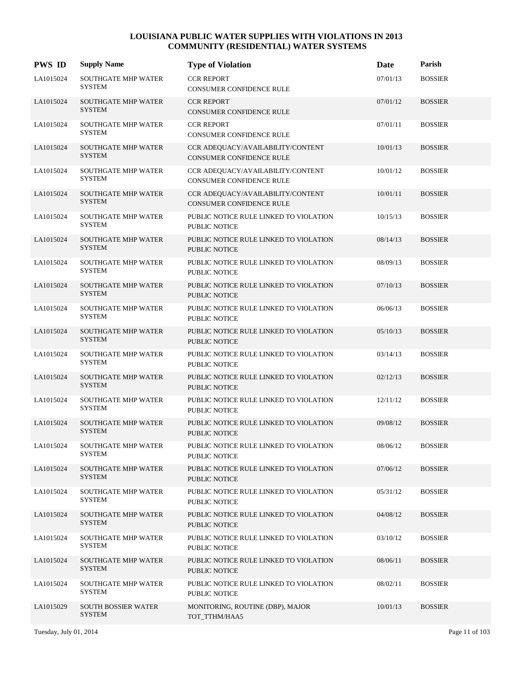| <b>PWS ID</b> | <b>Supply Name</b>                          | <b>Type of Violation</b>                                             | Date     | Parish         |
|---------------|---------------------------------------------|----------------------------------------------------------------------|----------|----------------|
| LA1015024     | <b>SOUTHGATE MHP WATER</b><br><b>SYSTEM</b> | <b>CCR REPORT</b><br>CONSUMER CONFIDENCE RULE                        | 07/01/13 | <b>BOSSIER</b> |
| LA1015024     | <b>SOUTHGATE MHP WATER</b><br><b>SYSTEM</b> | <b>CCR REPORT</b><br>CONSUMER CONFIDENCE RULE                        | 07/01/12 | <b>BOSSIER</b> |
| LA1015024     | <b>SOUTHGATE MHP WATER</b><br><b>SYSTEM</b> | <b>CCR REPORT</b><br>CONSUMER CONFIDENCE RULE                        | 07/01/11 | <b>BOSSIER</b> |
| LA1015024     | <b>SOUTHGATE MHP WATER</b><br><b>SYSTEM</b> | CCR ADEQUACY/AVAILABILITY/CONTENT<br><b>CONSUMER CONFIDENCE RULE</b> | 10/01/13 | <b>BOSSIER</b> |
| LA1015024     | <b>SOUTHGATE MHP WATER</b><br><b>SYSTEM</b> | CCR ADEQUACY/AVAILABILITY/CONTENT<br><b>CONSUMER CONFIDENCE RULE</b> | 10/01/12 | <b>BOSSIER</b> |
| LA1015024     | <b>SOUTHGATE MHP WATER</b><br><b>SYSTEM</b> | CCR ADEQUACY/AVAILABILITY/CONTENT<br>CONSUMER CONFIDENCE RULE        | 10/01/11 | <b>BOSSIER</b> |
| LA1015024     | <b>SOUTHGATE MHP WATER</b><br><b>SYSTEM</b> | PUBLIC NOTICE RULE LINKED TO VIOLATION<br><b>PUBLIC NOTICE</b>       | 10/15/13 | <b>BOSSIER</b> |
| LA1015024     | <b>SOUTHGATE MHP WATER</b><br><b>SYSTEM</b> | PUBLIC NOTICE RULE LINKED TO VIOLATION<br><b>PUBLIC NOTICE</b>       | 08/14/13 | <b>BOSSIER</b> |
| LA1015024     | <b>SOUTHGATE MHP WATER</b><br><b>SYSTEM</b> | PUBLIC NOTICE RULE LINKED TO VIOLATION<br>PUBLIC NOTICE              | 08/09/13 | <b>BOSSIER</b> |
| LA1015024     | SOUTHGATE MHP WATER<br><b>SYSTEM</b>        | PUBLIC NOTICE RULE LINKED TO VIOLATION<br>PUBLIC NOTICE              | 07/10/13 | <b>BOSSIER</b> |
| LA1015024     | <b>SOUTHGATE MHP WATER</b><br><b>SYSTEM</b> | PUBLIC NOTICE RULE LINKED TO VIOLATION<br>PUBLIC NOTICE              | 06/06/13 | <b>BOSSIER</b> |
| LA1015024     | <b>SOUTHGATE MHP WATER</b><br><b>SYSTEM</b> | PUBLIC NOTICE RULE LINKED TO VIOLATION<br><b>PUBLIC NOTICE</b>       | 05/10/13 | <b>BOSSIER</b> |
| LA1015024     | <b>SOUTHGATE MHP WATER</b><br><b>SYSTEM</b> | PUBLIC NOTICE RULE LINKED TO VIOLATION<br>PUBLIC NOTICE              | 03/14/13 | <b>BOSSIER</b> |
| LA1015024     | SOUTHGATE MHP WATER<br><b>SYSTEM</b>        | PUBLIC NOTICE RULE LINKED TO VIOLATION<br><b>PUBLIC NOTICE</b>       | 02/12/13 | <b>BOSSIER</b> |
| LA1015024     | <b>SOUTHGATE MHP WATER</b><br><b>SYSTEM</b> | PUBLIC NOTICE RULE LINKED TO VIOLATION<br>PUBLIC NOTICE              | 12/11/12 | <b>BOSSIER</b> |
| LA1015024     | <b>SOUTHGATE MHP WATER</b><br><b>SYSTEM</b> | PUBLIC NOTICE RULE LINKED TO VIOLATION<br><b>PUBLIC NOTICE</b>       | 09/08/12 | <b>BOSSIER</b> |
| LA1015024     | <b>SOUTHGATE MHP WATER</b><br><b>SYSTEM</b> | PUBLIC NOTICE RULE LINKED TO VIOLATION<br>PUBLIC NOTICE              | 08/06/12 | <b>BOSSIER</b> |
| LA1015024     | <b>SOUTHGATE MHP WATER</b><br><b>SYSTEM</b> | PUBLIC NOTICE RULE LINKED TO VIOLATION<br>PUBLIC NOTICE              | 07/06/12 | <b>BOSSIER</b> |
| LA1015024     | <b>SOUTHGATE MHP WATER</b><br><b>SYSTEM</b> | PUBLIC NOTICE RULE LINKED TO VIOLATION<br>PUBLIC NOTICE              | 05/31/12 | <b>BOSSIER</b> |
| LA1015024     | SOUTHGATE MHP WATER<br><b>SYSTEM</b>        | PUBLIC NOTICE RULE LINKED TO VIOLATION<br>PUBLIC NOTICE              | 04/08/12 | <b>BOSSIER</b> |
| LA1015024     | SOUTHGATE MHP WATER<br><b>SYSTEM</b>        | PUBLIC NOTICE RULE LINKED TO VIOLATION<br>PUBLIC NOTICE              | 03/10/12 | <b>BOSSIER</b> |
| LA1015024     | <b>SOUTHGATE MHP WATER</b><br><b>SYSTEM</b> | PUBLIC NOTICE RULE LINKED TO VIOLATION<br><b>PUBLIC NOTICE</b>       | 08/06/11 | <b>BOSSIER</b> |
| LA1015024     | <b>SOUTHGATE MHP WATER</b><br><b>SYSTEM</b> | PUBLIC NOTICE RULE LINKED TO VIOLATION<br>PUBLIC NOTICE              | 08/02/11 | <b>BOSSIER</b> |
| LA1015029     | SOUTH BOSSIER WATER<br><b>SYSTEM</b>        | MONITORING, ROUTINE (DBP), MAJOR<br>TOT_TTHM/HAA5                    | 10/01/13 | <b>BOSSIER</b> |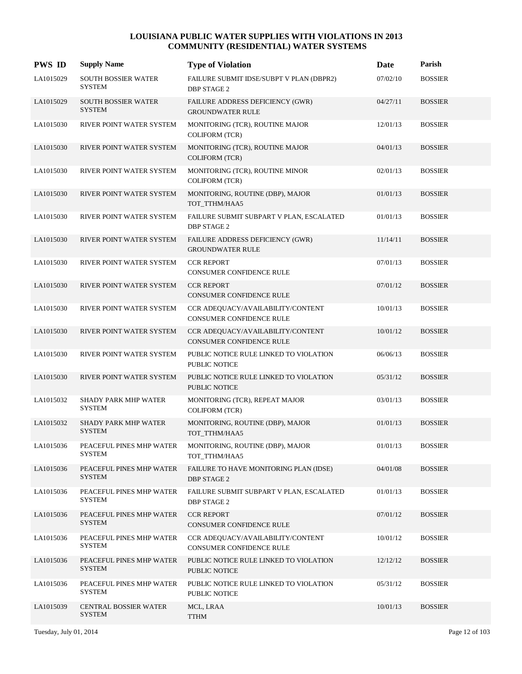| <b>PWS ID</b> | <b>Supply Name</b>                            | <b>Type of Violation</b>                                             | Date     | Parish         |
|---------------|-----------------------------------------------|----------------------------------------------------------------------|----------|----------------|
| LA1015029     | SOUTH BOSSIER WATER<br><b>SYSTEM</b>          | FAILURE SUBMIT IDSE/SUBPT V PLAN (DBPR2)<br><b>DBP STAGE 2</b>       | 07/02/10 | <b>BOSSIER</b> |
| LA1015029     | <b>SOUTH BOSSIER WATER</b><br><b>SYSTEM</b>   | FAILURE ADDRESS DEFICIENCY (GWR)<br><b>GROUNDWATER RULE</b>          | 04/27/11 | <b>BOSSIER</b> |
| LA1015030     | RIVER POINT WATER SYSTEM                      | MONITORING (TCR), ROUTINE MAJOR<br><b>COLIFORM (TCR)</b>             | 12/01/13 | <b>BOSSIER</b> |
| LA1015030     | RIVER POINT WATER SYSTEM                      | MONITORING (TCR), ROUTINE MAJOR<br>COLIFORM (TCR)                    | 04/01/13 | <b>BOSSIER</b> |
| LA1015030     | RIVER POINT WATER SYSTEM                      | MONITORING (TCR), ROUTINE MINOR<br><b>COLIFORM (TCR)</b>             | 02/01/13 | <b>BOSSIER</b> |
| LA1015030     | RIVER POINT WATER SYSTEM                      | MONITORING, ROUTINE (DBP), MAJOR<br>TOT_TTHM/HAA5                    | 01/01/13 | <b>BOSSIER</b> |
| LA1015030     | RIVER POINT WATER SYSTEM                      | FAILURE SUBMIT SUBPART V PLAN, ESCALATED<br><b>DBP STAGE 2</b>       | 01/01/13 | <b>BOSSIER</b> |
| LA1015030     | RIVER POINT WATER SYSTEM                      | FAILURE ADDRESS DEFICIENCY (GWR)<br><b>GROUNDWATER RULE</b>          | 11/14/11 | <b>BOSSIER</b> |
| LA1015030     | RIVER POINT WATER SYSTEM                      | <b>CCR REPORT</b><br>CONSUMER CONFIDENCE RULE                        | 07/01/13 | <b>BOSSIER</b> |
| LA1015030     | RIVER POINT WATER SYSTEM                      | <b>CCR REPORT</b><br>CONSUMER CONFIDENCE RULE                        | 07/01/12 | <b>BOSSIER</b> |
| LA1015030     | RIVER POINT WATER SYSTEM                      | CCR ADEQUACY/AVAILABILITY/CONTENT<br>CONSUMER CONFIDENCE RULE        | 10/01/13 | <b>BOSSIER</b> |
| LA1015030     | RIVER POINT WATER SYSTEM                      | CCR ADEQUACY/AVAILABILITY/CONTENT<br><b>CONSUMER CONFIDENCE RULE</b> | 10/01/12 | <b>BOSSIER</b> |
| LA1015030     | RIVER POINT WATER SYSTEM                      | PUBLIC NOTICE RULE LINKED TO VIOLATION<br>PUBLIC NOTICE              | 06/06/13 | <b>BOSSIER</b> |
| LA1015030     | RIVER POINT WATER SYSTEM                      | PUBLIC NOTICE RULE LINKED TO VIOLATION<br><b>PUBLIC NOTICE</b>       | 05/31/12 | <b>BOSSIER</b> |
| LA1015032     | SHADY PARK MHP WATER<br><b>SYSTEM</b>         | MONITORING (TCR), REPEAT MAJOR<br><b>COLIFORM (TCR)</b>              | 03/01/13 | <b>BOSSIER</b> |
| LA1015032     | <b>SHADY PARK MHP WATER</b><br><b>SYSTEM</b>  | MONITORING, ROUTINE (DBP), MAJOR<br>TOT_TTHM/HAA5                    | 01/01/13 | <b>BOSSIER</b> |
| LA1015036     | PEACEFUL PINES MHP WATER<br><b>SYSTEM</b>     | MONITORING, ROUTINE (DBP), MAJOR<br>TOT_TTHM/HAA5                    | 01/01/13 | <b>BOSSIER</b> |
| LA1015036     | PEACEFUL PINES MHP WATER<br><b>SYSTEM</b>     | FAILURE TO HAVE MONITORING PLAN (IDSE)<br><b>DBP STAGE 2</b>         | 04/01/08 | <b>BOSSIER</b> |
| LA1015036     | PEACEFUL PINES MHP WATER<br><b>SYSTEM</b>     | FAILURE SUBMIT SUBPART V PLAN, ESCALATED<br><b>DBP STAGE 2</b>       | 01/01/13 | <b>BOSSIER</b> |
| LA1015036     | PEACEFUL PINES MHP WATER<br><b>SYSTEM</b>     | <b>CCR REPORT</b><br>CONSUMER CONFIDENCE RULE                        | 07/01/12 | <b>BOSSIER</b> |
| LA1015036     | PEACEFUL PINES MHP WATER<br><b>SYSTEM</b>     | CCR ADEOUACY/AVAILABILITY/CONTENT<br>CONSUMER CONFIDENCE RULE        | 10/01/12 | <b>BOSSIER</b> |
| LA1015036     | PEACEFUL PINES MHP WATER<br><b>SYSTEM</b>     | PUBLIC NOTICE RULE LINKED TO VIOLATION<br>PUBLIC NOTICE              | 12/12/12 | <b>BOSSIER</b> |
| LA1015036     | PEACEFUL PINES MHP WATER<br><b>SYSTEM</b>     | PUBLIC NOTICE RULE LINKED TO VIOLATION<br>PUBLIC NOTICE              | 05/31/12 | <b>BOSSIER</b> |
| LA1015039     | <b>CENTRAL BOSSIER WATER</b><br><b>SYSTEM</b> | MCL, LRAA<br><b>TTHM</b>                                             | 10/01/13 | <b>BOSSIER</b> |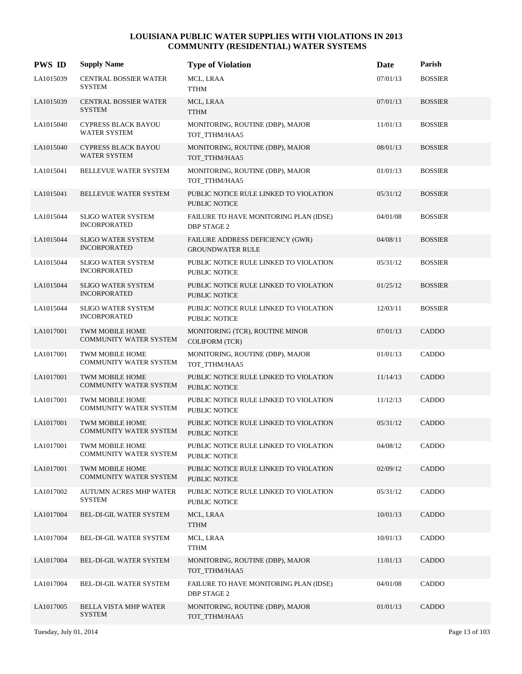| <b>PWS ID</b> | <b>Supply Name</b>                                      | <b>Type of Violation</b>                                       | Date     | Parish         |
|---------------|---------------------------------------------------------|----------------------------------------------------------------|----------|----------------|
| LA1015039     | CENTRAL BOSSIER WATER<br><b>SYSTEM</b>                  | MCL, LRAA<br>TTHM                                              | 07/01/13 | <b>BOSSIER</b> |
| LA1015039     | CENTRAL BOSSIER WATER<br><b>SYSTEM</b>                  | MCL, LRAA<br><b>TTHM</b>                                       | 07/01/13 | <b>BOSSIER</b> |
| LA1015040     | CYPRESS BLACK BAYOU<br><b>WATER SYSTEM</b>              | MONITORING, ROUTINE (DBP), MAJOR<br>TOT_TTHM/HAA5              | 11/01/13 | <b>BOSSIER</b> |
| LA1015040     | <b>CYPRESS BLACK BAYOU</b><br>WATER SYSTEM              | MONITORING, ROUTINE (DBP), MAJOR<br>TOT TTHM/HAA5              | 08/01/13 | <b>BOSSIER</b> |
| LA1015041     | BELLEVUE WATER SYSTEM                                   | MONITORING, ROUTINE (DBP), MAJOR<br>TOT TTHM/HAA5              | 01/01/13 | <b>BOSSIER</b> |
| LA1015041     | BELLEVUE WATER SYSTEM                                   | PUBLIC NOTICE RULE LINKED TO VIOLATION<br><b>PUBLIC NOTICE</b> | 05/31/12 | <b>BOSSIER</b> |
| LA1015044     | <b>SLIGO WATER SYSTEM</b><br><b>INCORPORATED</b>        | FAILURE TO HAVE MONITORING PLAN (IDSE)<br><b>DBP STAGE 2</b>   | 04/01/08 | <b>BOSSIER</b> |
| LA1015044     | <b>SLIGO WATER SYSTEM</b><br><b>INCORPORATED</b>        | FAILURE ADDRESS DEFICIENCY (GWR)<br><b>GROUNDWATER RULE</b>    | 04/08/11 | <b>BOSSIER</b> |
| LA1015044     | <b>SLIGO WATER SYSTEM</b><br><b>INCORPORATED</b>        | PUBLIC NOTICE RULE LINKED TO VIOLATION<br>PUBLIC NOTICE        | 05/31/12 | <b>BOSSIER</b> |
| LA1015044     | <b>SLIGO WATER SYSTEM</b><br><b>INCORPORATED</b>        | PUBLIC NOTICE RULE LINKED TO VIOLATION<br>PUBLIC NOTICE        | 01/25/12 | <b>BOSSIER</b> |
| LA1015044     | <b>SLIGO WATER SYSTEM</b><br><b>INCORPORATED</b>        | PUBLIC NOTICE RULE LINKED TO VIOLATION<br><b>PUBLIC NOTICE</b> | 12/03/11 | <b>BOSSIER</b> |
| LA1017001     | <b>TWM MOBILE HOME</b><br><b>COMMUNITY WATER SYSTEM</b> | MONITORING (TCR), ROUTINE MINOR<br><b>COLIFORM (TCR)</b>       | 07/01/13 | CADDO          |
| LA1017001     | TWM MOBILE HOME<br><b>COMMUNITY WATER SYSTEM</b>        | MONITORING, ROUTINE (DBP), MAJOR<br>TOT_TTHM/HAA5              | 01/01/13 | CADDO          |
| LA1017001     | TWM MOBILE HOME<br><b>COMMUNITY WATER SYSTEM</b>        | PUBLIC NOTICE RULE LINKED TO VIOLATION<br>PUBLIC NOTICE        | 11/14/13 | CADDO          |
| LA1017001     | TWM MOBILE HOME<br><b>COMMUNITY WATER SYSTEM</b>        | PUBLIC NOTICE RULE LINKED TO VIOLATION<br>PUBLIC NOTICE        | 11/12/13 | CADDO          |
| LA1017001     | <b>TWM MOBILE HOME</b><br><b>COMMUNITY WATER SYSTEM</b> | PUBLIC NOTICE RULE LINKED TO VIOLATION<br>PUBLIC NOTICE        | 05/31/12 | <b>CADDO</b>   |
| LA1017001     | TWM MOBILE HOME<br><b>COMMUNITY WATER SYSTEM</b>        | PUBLIC NOTICE RULE LINKED TO VIOLATION<br>PUBLIC NOTICE        | 04/08/12 | CADDO          |
| LA1017001     | TWM MOBILE HOME<br><b>COMMUNITY WATER SYSTEM</b>        | PUBLIC NOTICE RULE LINKED TO VIOLATION<br>PUBLIC NOTICE        | 02/09/12 | CADDO          |
| LA1017002     | <b>AUTUMN ACRES MHP WATER</b><br><b>SYSTEM</b>          | PUBLIC NOTICE RULE LINKED TO VIOLATION<br>PUBLIC NOTICE        | 05/31/12 | CADDO          |
| LA1017004     | BEL-DI-GIL WATER SYSTEM                                 | MCL, LRAA<br><b>TTHM</b>                                       | 10/01/13 | CADDO          |
| LA1017004     | BEL-DI-GIL WATER SYSTEM                                 | MCL, LRAA<br><b>TTHM</b>                                       | 10/01/13 | CADDO          |
| LA1017004     | BEL-DI-GIL WATER SYSTEM                                 | MONITORING, ROUTINE (DBP), MAJOR<br>TOT_TTHM/HAA5              | 11/01/13 | CADDO          |
| LA1017004     | BEL-DI-GIL WATER SYSTEM                                 | FAILURE TO HAVE MONITORING PLAN (IDSE)<br>DBP STAGE 2          | 04/01/08 | CADDO          |
| LA1017005     | BELLA VISTA MHP WATER<br><b>SYSTEM</b>                  | MONITORING, ROUTINE (DBP), MAJOR<br>TOT_TTHM/HAA5              | 01/01/13 | CADDO          |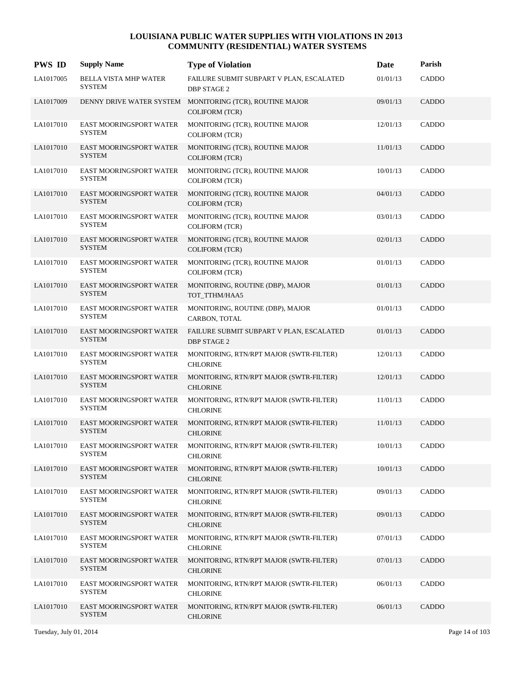| <b>PWS ID</b> | <b>Supply Name</b>                              | <b>Type of Violation</b>                                                          | Date     | Parish       |
|---------------|-------------------------------------------------|-----------------------------------------------------------------------------------|----------|--------------|
| LA1017005     | BELLA VISTA MHP WATER<br><b>SYSTEM</b>          | FAILURE SUBMIT SUBPART V PLAN, ESCALATED<br><b>DBP STAGE 2</b>                    | 01/01/13 | CADDO        |
| LA1017009     |                                                 | DENNY DRIVE WATER SYSTEM MONITORING (TCR), ROUTINE MAJOR<br><b>COLIFORM (TCR)</b> | 09/01/13 | CADDO        |
| LA1017010     | EAST MOORINGSPORT WATER<br><b>SYSTEM</b>        | MONITORING (TCR), ROUTINE MAJOR<br><b>COLIFORM (TCR)</b>                          | 12/01/13 | CADDO        |
| LA1017010     | EAST MOORINGSPORT WATER<br><b>SYSTEM</b>        | MONITORING (TCR), ROUTINE MAJOR<br><b>COLIFORM (TCR)</b>                          | 11/01/13 | <b>CADDO</b> |
| LA1017010     | <b>EAST MOORINGSPORT WATER</b><br><b>SYSTEM</b> | MONITORING (TCR), ROUTINE MAJOR<br><b>COLIFORM (TCR)</b>                          | 10/01/13 | CADDO        |
| LA1017010     | EAST MOORINGSPORT WATER<br><b>SYSTEM</b>        | MONITORING (TCR), ROUTINE MAJOR<br><b>COLIFORM (TCR)</b>                          | 04/01/13 | CADDO        |
| LA1017010     | EAST MOORINGSPORT WATER<br><b>SYSTEM</b>        | MONITORING (TCR), ROUTINE MAJOR<br><b>COLIFORM (TCR)</b>                          | 03/01/13 | CADDO        |
| LA1017010     | EAST MOORINGSPORT WATER<br><b>SYSTEM</b>        | MONITORING (TCR), ROUTINE MAJOR<br><b>COLIFORM (TCR)</b>                          | 02/01/13 | CADDO        |
| LA1017010     | EAST MOORINGSPORT WATER<br><b>SYSTEM</b>        | MONITORING (TCR), ROUTINE MAJOR<br><b>COLIFORM (TCR)</b>                          | 01/01/13 | CADDO        |
| LA1017010     | EAST MOORINGSPORT WATER<br><b>SYSTEM</b>        | MONITORING, ROUTINE (DBP), MAJOR<br>TOT_TTHM/HAA5                                 | 01/01/13 | <b>CADDO</b> |
| LA1017010     | EAST MOORINGSPORT WATER<br><b>SYSTEM</b>        | MONITORING, ROUTINE (DBP), MAJOR<br>CARBON, TOTAL                                 | 01/01/13 | CADDO        |
| LA1017010     | EAST MOORINGSPORT WATER<br><b>SYSTEM</b>        | FAILURE SUBMIT SUBPART V PLAN, ESCALATED<br><b>DBP STAGE 2</b>                    | 01/01/13 | CADDO        |
| LA1017010     | EAST MOORINGSPORT WATER<br><b>SYSTEM</b>        | MONITORING, RTN/RPT MAJOR (SWTR-FILTER)<br><b>CHLORINE</b>                        | 12/01/13 | CADDO        |
| LA1017010     | EAST MOORINGSPORT WATER<br><b>SYSTEM</b>        | MONITORING, RTN/RPT MAJOR (SWTR-FILTER)<br><b>CHLORINE</b>                        | 12/01/13 | CADDO        |
| LA1017010     | EAST MOORINGSPORT WATER<br><b>SYSTEM</b>        | MONITORING, RTN/RPT MAJOR (SWTR-FILTER)<br><b>CHLORINE</b>                        | 11/01/13 | CADDO        |
| LA1017010     | EAST MOORINGSPORT WATER<br><b>SYSTEM</b>        | MONITORING, RTN/RPT MAJOR (SWTR-FILTER)<br><b>CHLORINE</b>                        | 11/01/13 | <b>CADDO</b> |
| LA1017010     | EAST MOORINGSPORT WATER<br><b>SYSTEM</b>        | MONITORING, RTN/RPT MAJOR (SWTR-FILTER)<br><b>CHLORINE</b>                        | 10/01/13 | CADDO        |
| LA1017010     | EAST MOORINGSPORT WATER<br><b>SYSTEM</b>        | MONITORING, RTN/RPT MAJOR (SWTR-FILTER)<br><b>CHLORINE</b>                        | 10/01/13 | <b>CADDO</b> |
| LA1017010     | EAST MOORINGSPORT WATER<br><b>SYSTEM</b>        | MONITORING, RTN/RPT MAJOR (SWTR-FILTER)<br><b>CHLORINE</b>                        | 09/01/13 | CADDO        |
| LA1017010     | EAST MOORINGSPORT WATER<br><b>SYSTEM</b>        | MONITORING, RTN/RPT MAJOR (SWTR-FILTER)<br><b>CHLORINE</b>                        | 09/01/13 | CADDO        |
| LA1017010     | EAST MOORINGSPORT WATER<br><b>SYSTEM</b>        | MONITORING, RTN/RPT MAJOR (SWTR-FILTER)<br><b>CHLORINE</b>                        | 07/01/13 | CADDO        |
| LA1017010     | EAST MOORINGSPORT WATER<br><b>SYSTEM</b>        | MONITORING, RTN/RPT MAJOR (SWTR-FILTER)<br><b>CHLORINE</b>                        | 07/01/13 | CADDO        |
| LA1017010     | EAST MOORINGSPORT WATER<br><b>SYSTEM</b>        | MONITORING, RTN/RPT MAJOR (SWTR-FILTER)<br><b>CHLORINE</b>                        | 06/01/13 | CADDO        |
| LA1017010     | EAST MOORINGSPORT WATER<br><b>SYSTEM</b>        | MONITORING, RTN/RPT MAJOR (SWTR-FILTER)<br><b>CHLORINE</b>                        | 06/01/13 | CADDO        |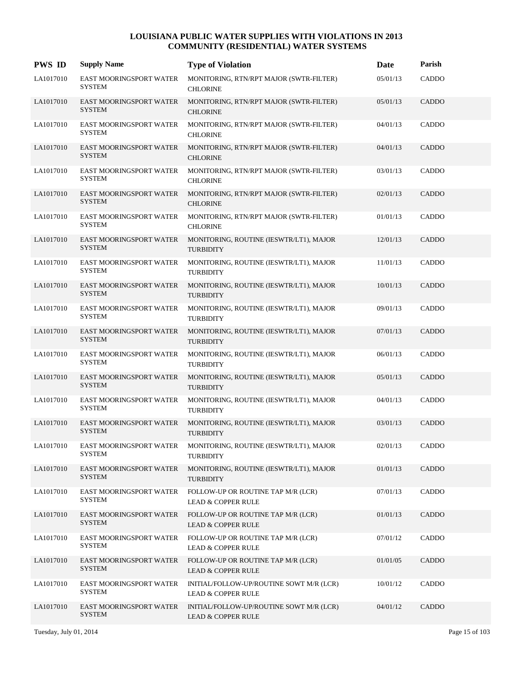| <b>PWS ID</b> | <b>Supply Name</b>                              | <b>Type of Violation</b>                                                  | Date     | Parish       |
|---------------|-------------------------------------------------|---------------------------------------------------------------------------|----------|--------------|
| LA1017010     | EAST MOORINGSPORT WATER<br><b>SYSTEM</b>        | MONITORING, RTN/RPT MAJOR (SWTR-FILTER)<br><b>CHLORINE</b>                | 05/01/13 | CADDO        |
| LA1017010     | <b>EAST MOORINGSPORT WATER</b><br><b>SYSTEM</b> | MONITORING, RTN/RPT MAJOR (SWTR-FILTER)<br><b>CHLORINE</b>                | 05/01/13 | <b>CADDO</b> |
| LA1017010     | EAST MOORINGSPORT WATER<br><b>SYSTEM</b>        | MONITORING, RTN/RPT MAJOR (SWTR-FILTER)<br><b>CHLORINE</b>                | 04/01/13 | <b>CADDO</b> |
| LA1017010     | EAST MOORINGSPORT WATER<br><b>SYSTEM</b>        | MONITORING, RTN/RPT MAJOR (SWTR-FILTER)<br><b>CHLORINE</b>                | 04/01/13 | <b>CADDO</b> |
| LA1017010     | EAST MOORINGSPORT WATER<br><b>SYSTEM</b>        | MONITORING, RTN/RPT MAJOR (SWTR-FILTER)<br><b>CHLORINE</b>                | 03/01/13 | CADDO        |
| LA1017010     | EAST MOORINGSPORT WATER<br><b>SYSTEM</b>        | MONITORING, RTN/RPT MAJOR (SWTR-FILTER)<br><b>CHLORINE</b>                | 02/01/13 | <b>CADDO</b> |
| LA1017010     | EAST MOORINGSPORT WATER<br><b>SYSTEM</b>        | MONITORING, RTN/RPT MAJOR (SWTR-FILTER)<br><b>CHLORINE</b>                | 01/01/13 | CADDO        |
| LA1017010     | EAST MOORINGSPORT WATER<br><b>SYSTEM</b>        | MONITORING, ROUTINE (IESWTR/LT1), MAJOR<br><b>TURBIDITY</b>               | 12/01/13 | <b>CADDO</b> |
| LA1017010     | EAST MOORINGSPORT WATER<br><b>SYSTEM</b>        | MONITORING, ROUTINE (IESWTR/LT1), MAJOR<br><b>TURBIDITY</b>               | 11/01/13 | CADDO        |
| LA1017010     | EAST MOORINGSPORT WATER<br><b>SYSTEM</b>        | MONITORING, ROUTINE (IESWTR/LT1), MAJOR<br><b>TURBIDITY</b>               | 10/01/13 | CADDO        |
| LA1017010     | EAST MOORINGSPORT WATER<br><b>SYSTEM</b>        | MONITORING, ROUTINE (IESWTR/LT1), MAJOR<br><b>TURBIDITY</b>               | 09/01/13 | CADDO        |
| LA1017010     | <b>EAST MOORINGSPORT WATER</b><br><b>SYSTEM</b> | MONITORING, ROUTINE (IESWTR/LT1), MAJOR<br><b>TURBIDITY</b>               | 07/01/13 | CADDO        |
| LA1017010     | EAST MOORINGSPORT WATER<br><b>SYSTEM</b>        | MONITORING, ROUTINE (IESWTR/LT1), MAJOR<br><b>TURBIDITY</b>               | 06/01/13 | CADDO        |
| LA1017010     | EAST MOORINGSPORT WATER<br><b>SYSTEM</b>        | MONITORING, ROUTINE (IESWTR/LT1), MAJOR<br><b>TURBIDITY</b>               | 05/01/13 | CADDO        |
| LA1017010     | EAST MOORINGSPORT WATER<br><b>SYSTEM</b>        | MONITORING, ROUTINE (IESWTR/LT1), MAJOR<br><b>TURBIDITY</b>               | 04/01/13 | CADDO        |
| LA1017010     | <b>EAST MOORINGSPORT WATER</b><br><b>SYSTEM</b> | MONITORING, ROUTINE (IESWTR/LT1), MAJOR<br><b>TURBIDITY</b>               | 03/01/13 | CADDO        |
| LA1017010     | EAST MOORINGSPORT WATER<br><b>SYSTEM</b>        | MONITORING, ROUTINE (IESWTR/LT1), MAJOR<br><b>TURBIDITY</b>               | 02/01/13 | CADDO        |
| LA1017010     | EAST MOORINGSPORT WATER<br><b>SYSTEM</b>        | MONITORING, ROUTINE (IESWTR/LT1), MAJOR<br><b>TURBIDITY</b>               | 01/01/13 | <b>CADDO</b> |
| LA1017010     | <b>EAST MOORINGSPORT WATER</b><br><b>SYSTEM</b> | FOLLOW-UP OR ROUTINE TAP M/R (LCR)<br><b>LEAD &amp; COPPER RULE</b>       | 07/01/13 | <b>CADDO</b> |
| LA1017010     | EAST MOORINGSPORT WATER<br><b>SYSTEM</b>        | FOLLOW-UP OR ROUTINE TAP M/R (LCR)<br><b>LEAD &amp; COPPER RULE</b>       | 01/01/13 | <b>CADDO</b> |
| LA1017010     | EAST MOORINGSPORT WATER<br><b>SYSTEM</b>        | FOLLOW-UP OR ROUTINE TAP M/R (LCR)<br><b>LEAD &amp; COPPER RULE</b>       | 07/01/12 | CADDO        |
| LA1017010     | EAST MOORINGSPORT WATER<br><b>SYSTEM</b>        | FOLLOW-UP OR ROUTINE TAP M/R (LCR)<br><b>LEAD &amp; COPPER RULE</b>       | 01/01/05 | CADDO        |
| LA1017010     | <b>EAST MOORINGSPORT WATER</b><br><b>SYSTEM</b> | INITIAL/FOLLOW-UP/ROUTINE SOWT M/R (LCR)<br><b>LEAD &amp; COPPER RULE</b> | 10/01/12 | CADDO        |
| LA1017010     | EAST MOORINGSPORT WATER<br><b>SYSTEM</b>        | INITIAL/FOLLOW-UP/ROUTINE SOWT M/R (LCR)<br><b>LEAD &amp; COPPER RULE</b> | 04/01/12 | <b>CADDO</b> |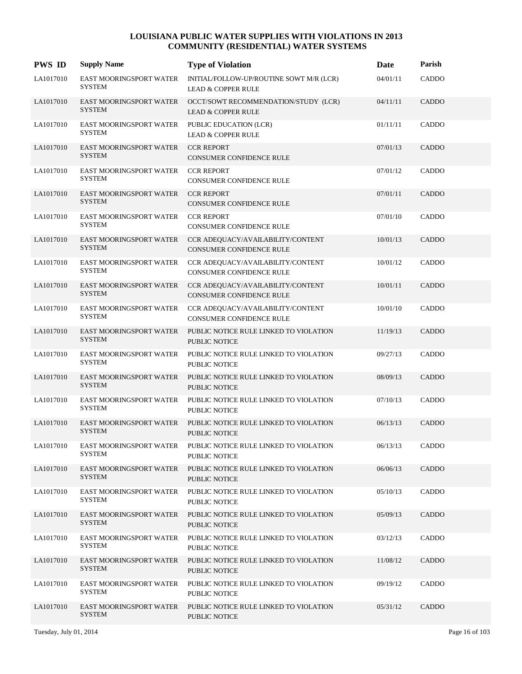| <b>PWS ID</b> | <b>Supply Name</b>                              | <b>Type of Violation</b>                                                               | Date     | Parish       |
|---------------|-------------------------------------------------|----------------------------------------------------------------------------------------|----------|--------------|
| LA1017010     | EAST MOORINGSPORT WATER<br><b>SYSTEM</b>        | INITIAL/FOLLOW-UP/ROUTINE SOWT M/R (LCR)<br><b>LEAD &amp; COPPER RULE</b>              | 04/01/11 | CADDO        |
| LA1017010     | EAST MOORINGSPORT WATER<br><b>SYSTEM</b>        | OCCT/SOWT RECOMMENDATION/STUDY (LCR)<br><b>LEAD &amp; COPPER RULE</b>                  | 04/11/11 | <b>CADDO</b> |
| LA1017010     | EAST MOORINGSPORT WATER<br><b>SYSTEM</b>        | PUBLIC EDUCATION (LCR)<br><b>LEAD &amp; COPPER RULE</b>                                | 01/11/11 | CADDO        |
| LA1017010     | EAST MOORINGSPORT WATER<br><b>SYSTEM</b>        | <b>CCR REPORT</b><br><b>CONSUMER CONFIDENCE RULE</b>                                   | 07/01/13 | CADDO        |
| LA1017010     | EAST MOORINGSPORT WATER<br><b>SYSTEM</b>        | <b>CCR REPORT</b><br>CONSUMER CONFIDENCE RULE                                          | 07/01/12 | CADDO        |
| LA1017010     | EAST MOORINGSPORT WATER<br><b>SYSTEM</b>        | <b>CCR REPORT</b><br>CONSUMER CONFIDENCE RULE                                          | 07/01/11 | CADDO        |
| LA1017010     | EAST MOORINGSPORT WATER<br><b>SYSTEM</b>        | <b>CCR REPORT</b><br><b>CONSUMER CONFIDENCE RULE</b>                                   | 07/01/10 | CADDO        |
| LA1017010     | <b>EAST MOORINGSPORT WATER</b><br><b>SYSTEM</b> | CCR ADEQUACY/AVAILABILITY/CONTENT<br><b>CONSUMER CONFIDENCE RULE</b>                   | 10/01/13 | CADDO        |
| LA1017010     | <b>EAST MOORINGSPORT WATER</b><br><b>SYSTEM</b> | CCR ADEQUACY/AVAILABILITY/CONTENT<br><b>CONSUMER CONFIDENCE RULE</b>                   | 10/01/12 | CADDO        |
| LA1017010     | EAST MOORINGSPORT WATER<br><b>SYSTEM</b>        | CCR ADEQUACY/AVAILABILITY/CONTENT<br><b>CONSUMER CONFIDENCE RULE</b>                   | 10/01/11 | <b>CADDO</b> |
| LA1017010     | EAST MOORINGSPORT WATER<br><b>SYSTEM</b>        | CCR ADEQUACY/AVAILABILITY/CONTENT<br><b>CONSUMER CONFIDENCE RULE</b>                   | 10/01/10 | CADDO        |
| LA1017010     | <b>EAST MOORINGSPORT WATER</b><br><b>SYSTEM</b> | PUBLIC NOTICE RULE LINKED TO VIOLATION<br><b>PUBLIC NOTICE</b>                         | 11/19/13 | CADDO        |
| LA1017010     | EAST MOORINGSPORT WATER<br><b>SYSTEM</b>        | PUBLIC NOTICE RULE LINKED TO VIOLATION<br><b>PUBLIC NOTICE</b>                         | 09/27/13 | CADDO        |
| LA1017010     | EAST MOORINGSPORT WATER<br><b>SYSTEM</b>        | PUBLIC NOTICE RULE LINKED TO VIOLATION<br><b>PUBLIC NOTICE</b>                         | 08/09/13 | CADDO        |
| LA1017010     | EAST MOORINGSPORT WATER<br><b>SYSTEM</b>        | PUBLIC NOTICE RULE LINKED TO VIOLATION<br><b>PUBLIC NOTICE</b>                         | 07/10/13 | CADDO        |
| LA1017010     | <b>EAST MOORINGSPORT WATER</b><br><b>SYSTEM</b> | PUBLIC NOTICE RULE LINKED TO VIOLATION<br><b>PUBLIC NOTICE</b>                         | 06/13/13 | CADDO        |
| LA1017010     | <b>SYSTEM</b>                                   | EAST MOORINGSPORT WATER PUBLIC NOTICE RULE LINKED TO VIOLATION<br><b>PUBLIC NOTICE</b> | 06/13/13 | CADDO        |
| LA1017010     | EAST MOORINGSPORT WATER<br><b>SYSTEM</b>        | PUBLIC NOTICE RULE LINKED TO VIOLATION<br>PUBLIC NOTICE                                | 06/06/13 | CADDO        |
| LA1017010     | EAST MOORINGSPORT WATER<br><b>SYSTEM</b>        | PUBLIC NOTICE RULE LINKED TO VIOLATION<br>PUBLIC NOTICE                                | 05/10/13 | CADDO        |
| LA1017010     | EAST MOORINGSPORT WATER<br><b>SYSTEM</b>        | PUBLIC NOTICE RULE LINKED TO VIOLATION<br>PUBLIC NOTICE                                | 05/09/13 | <b>CADDO</b> |
| LA1017010     | EAST MOORINGSPORT WATER<br><b>SYSTEM</b>        | PUBLIC NOTICE RULE LINKED TO VIOLATION<br>PUBLIC NOTICE                                | 03/12/13 | CADDO        |
| LA1017010     | EAST MOORINGSPORT WATER<br><b>SYSTEM</b>        | PUBLIC NOTICE RULE LINKED TO VIOLATION<br><b>PUBLIC NOTICE</b>                         | 11/08/12 | CADDO        |
| LA1017010     | EAST MOORINGSPORT WATER<br><b>SYSTEM</b>        | PUBLIC NOTICE RULE LINKED TO VIOLATION<br>PUBLIC NOTICE                                | 09/19/12 | CADDO        |
| LA1017010     | EAST MOORINGSPORT WATER<br><b>SYSTEM</b>        | PUBLIC NOTICE RULE LINKED TO VIOLATION<br>PUBLIC NOTICE                                | 05/31/12 | CADDO        |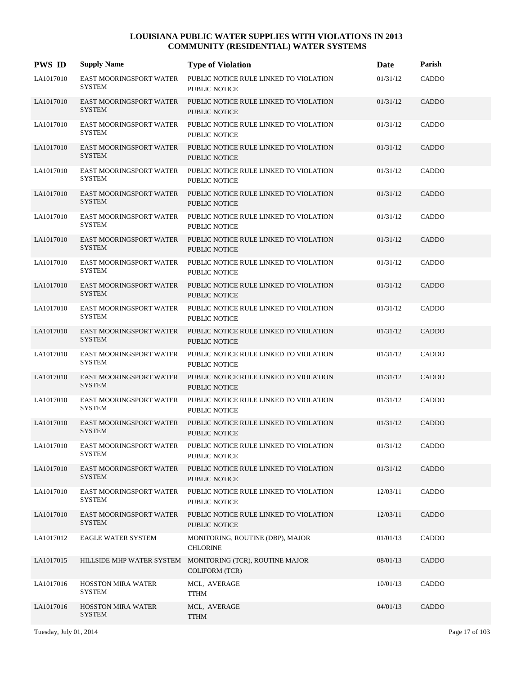| <b>PWS ID</b> | <b>Supply Name</b>                              | <b>Type of Violation</b>                                                           | Date     | Parish       |
|---------------|-------------------------------------------------|------------------------------------------------------------------------------------|----------|--------------|
| LA1017010     | <b>EAST MOORINGSPORT WATER</b><br><b>SYSTEM</b> | PUBLIC NOTICE RULE LINKED TO VIOLATION<br>PUBLIC NOTICE                            | 01/31/12 | CADDO        |
| LA1017010     | <b>EAST MOORINGSPORT WATER</b><br><b>SYSTEM</b> | PUBLIC NOTICE RULE LINKED TO VIOLATION<br><b>PUBLIC NOTICE</b>                     | 01/31/12 | <b>CADDO</b> |
| LA1017010     | <b>EAST MOORINGSPORT WATER</b><br><b>SYSTEM</b> | PUBLIC NOTICE RULE LINKED TO VIOLATION<br><b>PUBLIC NOTICE</b>                     | 01/31/12 | CADDO        |
| LA1017010     | <b>EAST MOORINGSPORT WATER</b><br><b>SYSTEM</b> | PUBLIC NOTICE RULE LINKED TO VIOLATION<br><b>PUBLIC NOTICE</b>                     | 01/31/12 | <b>CADDO</b> |
| LA1017010     | <b>EAST MOORINGSPORT WATER</b><br><b>SYSTEM</b> | PUBLIC NOTICE RULE LINKED TO VIOLATION<br>PUBLIC NOTICE                            | 01/31/12 | CADDO        |
| LA1017010     | <b>EAST MOORINGSPORT WATER</b><br><b>SYSTEM</b> | PUBLIC NOTICE RULE LINKED TO VIOLATION<br><b>PUBLIC NOTICE</b>                     | 01/31/12 | CADDO        |
| LA1017010     | <b>EAST MOORINGSPORT WATER</b><br><b>SYSTEM</b> | PUBLIC NOTICE RULE LINKED TO VIOLATION<br><b>PUBLIC NOTICE</b>                     | 01/31/12 | <b>CADDO</b> |
| LA1017010     | <b>EAST MOORINGSPORT WATER</b><br><b>SYSTEM</b> | PUBLIC NOTICE RULE LINKED TO VIOLATION<br><b>PUBLIC NOTICE</b>                     | 01/31/12 | <b>CADDO</b> |
| LA1017010     | EAST MOORINGSPORT WATER<br><b>SYSTEM</b>        | PUBLIC NOTICE RULE LINKED TO VIOLATION<br>PUBLIC NOTICE                            | 01/31/12 | CADDO        |
| LA1017010     | <b>EAST MOORINGSPORT WATER</b><br><b>SYSTEM</b> | PUBLIC NOTICE RULE LINKED TO VIOLATION<br><b>PUBLIC NOTICE</b>                     | 01/31/12 | <b>CADDO</b> |
| LA1017010     | <b>EAST MOORINGSPORT WATER</b><br><b>SYSTEM</b> | PUBLIC NOTICE RULE LINKED TO VIOLATION<br>PUBLIC NOTICE                            | 01/31/12 | <b>CADDO</b> |
| LA1017010     | <b>EAST MOORINGSPORT WATER</b><br><b>SYSTEM</b> | PUBLIC NOTICE RULE LINKED TO VIOLATION<br>PUBLIC NOTICE                            | 01/31/12 | <b>CADDO</b> |
| LA1017010     | <b>EAST MOORINGSPORT WATER</b><br><b>SYSTEM</b> | PUBLIC NOTICE RULE LINKED TO VIOLATION<br>PUBLIC NOTICE                            | 01/31/12 | CADDO        |
| LA1017010     | EAST MOORINGSPORT WATER<br><b>SYSTEM</b>        | PUBLIC NOTICE RULE LINKED TO VIOLATION<br><b>PUBLIC NOTICE</b>                     | 01/31/12 | <b>CADDO</b> |
| LA1017010     | <b>EAST MOORINGSPORT WATER</b><br><b>SYSTEM</b> | PUBLIC NOTICE RULE LINKED TO VIOLATION<br>PUBLIC NOTICE                            | 01/31/12 | CADDO        |
| LA1017010     | <b>EAST MOORINGSPORT WATER</b><br><b>SYSTEM</b> | PUBLIC NOTICE RULE LINKED TO VIOLATION<br><b>PUBLIC NOTICE</b>                     | 01/31/12 | <b>CADDO</b> |
| LA1017010     | EAST MOORINGSPORT WATER<br><b>SYSTEM</b>        | PUBLIC NOTICE RULE LINKED TO VIOLATION<br>PUBLIC NOTICE                            | 01/31/12 | CADDO        |
| LA1017010     | EAST MOORINGSPORT WATER<br><b>SYSTEM</b>        | PUBLIC NOTICE RULE LINKED TO VIOLATION<br>PUBLIC NOTICE                            | 01/31/12 | CADDO        |
| LA1017010     | <b>EAST MOORINGSPORT WATER</b><br><b>SYSTEM</b> | PUBLIC NOTICE RULE LINKED TO VIOLATION<br>PUBLIC NOTICE                            | 12/03/11 | <b>CADDO</b> |
| LA1017010     | <b>EAST MOORINGSPORT WATER</b><br><b>SYSTEM</b> | PUBLIC NOTICE RULE LINKED TO VIOLATION<br>PUBLIC NOTICE                            | 12/03/11 | CADDO        |
| LA1017012     | <b>EAGLE WATER SYSTEM</b>                       | MONITORING, ROUTINE (DBP), MAJOR<br><b>CHLORINE</b>                                | 01/01/13 | CADDO        |
| LA1017015     |                                                 | HILLSIDE MHP WATER SYSTEM MONITORING (TCR), ROUTINE MAJOR<br><b>COLIFORM (TCR)</b> | 08/01/13 | <b>CADDO</b> |
| LA1017016     | <b>HOSSTON MIRA WATER</b><br><b>SYSTEM</b>      | MCL, AVERAGE<br><b>TTHM</b>                                                        | 10/01/13 | CADDO        |
| LA1017016     | HOSSTON MIRA WATER<br><b>SYSTEM</b>             | MCL, AVERAGE<br><b>TTHM</b>                                                        | 04/01/13 | CADDO        |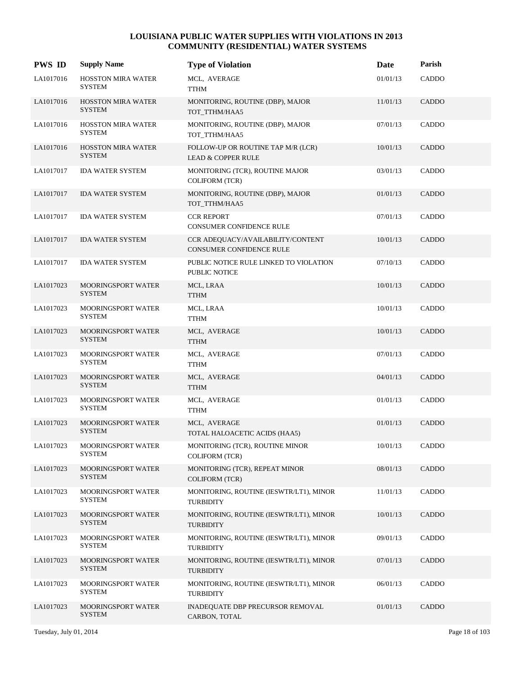| <b>PWS ID</b> | <b>Supply Name</b>                         | <b>Type of Violation</b>                                             | Date     | Parish       |
|---------------|--------------------------------------------|----------------------------------------------------------------------|----------|--------------|
| LA1017016     | <b>HOSSTON MIRA WATER</b><br><b>SYSTEM</b> | MCL, AVERAGE<br>TTHM                                                 | 01/01/13 | CADDO        |
| LA1017016     | <b>HOSSTON MIRA WATER</b><br><b>SYSTEM</b> | MONITORING, ROUTINE (DBP), MAJOR<br>TOT TTHM/HAA5                    | 11/01/13 | <b>CADDO</b> |
| LA1017016     | <b>HOSSTON MIRA WATER</b><br><b>SYSTEM</b> | MONITORING, ROUTINE (DBP), MAJOR<br>TOT_TTHM/HAA5                    | 07/01/13 | CADDO        |
| LA1017016     | <b>HOSSTON MIRA WATER</b><br><b>SYSTEM</b> | FOLLOW-UP OR ROUTINE TAP M/R (LCR)<br><b>LEAD &amp; COPPER RULE</b>  | 10/01/13 | CADDO        |
| LA1017017     | <b>IDA WATER SYSTEM</b>                    | MONITORING (TCR), ROUTINE MAJOR<br><b>COLIFORM (TCR)</b>             | 03/01/13 | <b>CADDO</b> |
| LA1017017     | <b>IDA WATER SYSTEM</b>                    | MONITORING, ROUTINE (DBP), MAJOR<br>TOT_TTHM/HAA5                    | 01/01/13 | CADDO        |
| LA1017017     | <b>IDA WATER SYSTEM</b>                    | <b>CCR REPORT</b><br><b>CONSUMER CONFIDENCE RULE</b>                 | 07/01/13 | CADDO        |
| LA1017017     | <b>IDA WATER SYSTEM</b>                    | CCR ADEQUACY/AVAILABILITY/CONTENT<br><b>CONSUMER CONFIDENCE RULE</b> | 10/01/13 | <b>CADDO</b> |
| LA1017017     | <b>IDA WATER SYSTEM</b>                    | PUBLIC NOTICE RULE LINKED TO VIOLATION<br>PUBLIC NOTICE              | 07/10/13 | CADDO        |
| LA1017023     | MOORINGSPORT WATER<br><b>SYSTEM</b>        | MCL, LRAA<br><b>TTHM</b>                                             | 10/01/13 | CADDO        |
| LA1017023     | <b>MOORINGSPORT WATER</b><br><b>SYSTEM</b> | MCL, LRAA<br><b>TTHM</b>                                             | 10/01/13 | CADDO        |
| LA1017023     | <b>MOORINGSPORT WATER</b><br><b>SYSTEM</b> | MCL, AVERAGE<br><b>TTHM</b>                                          | 10/01/13 | <b>CADDO</b> |
| LA1017023     | <b>MOORINGSPORT WATER</b><br><b>SYSTEM</b> | MCL, AVERAGE<br>TTHM                                                 | 07/01/13 | CADDO        |
| LA1017023     | <b>MOORINGSPORT WATER</b><br><b>SYSTEM</b> | MCL, AVERAGE<br><b>TTHM</b>                                          | 04/01/13 | CADDO        |
| LA1017023     | <b>MOORINGSPORT WATER</b><br><b>SYSTEM</b> | MCL, AVERAGE<br>TTHM                                                 | 01/01/13 | CADDO        |
| LA1017023     | <b>MOORINGSPORT WATER</b><br><b>SYSTEM</b> | MCL, AVERAGE<br>TOTAL HALOACETIC ACIDS (HAA5)                        | 01/01/13 | <b>CADDO</b> |
| LA1017023     | <b>MOORINGSPORT WATER</b><br><b>SYSTEM</b> | MONITORING (TCR), ROUTINE MINOR<br><b>COLIFORM (TCR)</b>             | 10/01/13 | CADDO        |
| LA1017023     | <b>MOORINGSPORT WATER</b><br><b>SYSTEM</b> | MONITORING (TCR), REPEAT MINOR<br><b>COLIFORM (TCR)</b>              | 08/01/13 | CADDO        |
| LA1017023     | <b>MOORINGSPORT WATER</b><br><b>SYSTEM</b> | MONITORING, ROUTINE (IESWTR/LT1), MINOR<br><b>TURBIDITY</b>          | 11/01/13 | CADDO        |
| LA1017023     | <b>MOORINGSPORT WATER</b><br><b>SYSTEM</b> | MONITORING, ROUTINE (IESWTR/LT1), MINOR<br><b>TURBIDITY</b>          | 10/01/13 | CADDO        |
| LA1017023     | <b>MOORINGSPORT WATER</b><br><b>SYSTEM</b> | MONITORING, ROUTINE (IESWTR/LT1), MINOR<br><b>TURBIDITY</b>          | 09/01/13 | CADDO        |
| LA1017023     | <b>MOORINGSPORT WATER</b><br><b>SYSTEM</b> | MONITORING, ROUTINE (IESWTR/LT1), MINOR<br><b>TURBIDITY</b>          | 07/01/13 | CADDO        |
| LA1017023     | <b>MOORINGSPORT WATER</b><br><b>SYSTEM</b> | MONITORING, ROUTINE (IESWTR/LT1), MINOR<br><b>TURBIDITY</b>          | 06/01/13 | CADDO        |
| LA1017023     | MOORINGSPORT WATER<br><b>SYSTEM</b>        | <b>INADEQUATE DBP PRECURSOR REMOVAL</b><br>CARBON, TOTAL             | 01/01/13 | CADDO        |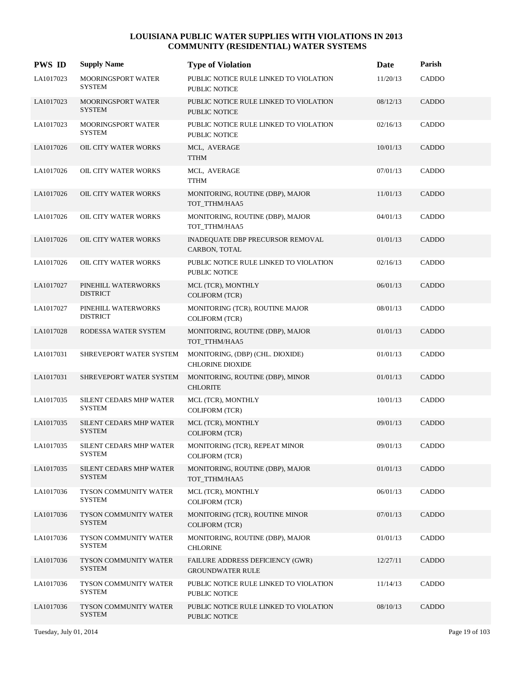| <b>PWS ID</b> | <b>Supply Name</b>                              | <b>Type of Violation</b>                                    | Date     | Parish       |
|---------------|-------------------------------------------------|-------------------------------------------------------------|----------|--------------|
| LA1017023     | MOORINGSPORT WATER<br><b>SYSTEM</b>             | PUBLIC NOTICE RULE LINKED TO VIOLATION<br>PUBLIC NOTICE     | 11/20/13 | CADDO        |
| LA1017023     | MOORINGSPORT WATER<br><b>SYSTEM</b>             | PUBLIC NOTICE RULE LINKED TO VIOLATION<br>PUBLIC NOTICE     | 08/12/13 | CADDO        |
| LA1017023     | MOORINGSPORT WATER<br><b>SYSTEM</b>             | PUBLIC NOTICE RULE LINKED TO VIOLATION<br>PUBLIC NOTICE     | 02/16/13 | CADDO        |
| LA1017026     | OIL CITY WATER WORKS                            | MCL, AVERAGE<br><b>TTHM</b>                                 | 10/01/13 | CADDO        |
| LA1017026     | OIL CITY WATER WORKS                            | MCL, AVERAGE<br><b>TTHM</b>                                 | 07/01/13 | <b>CADDO</b> |
| LA1017026     | OIL CITY WATER WORKS                            | MONITORING, ROUTINE (DBP), MAJOR<br>TOT_TTHM/HAA5           | 11/01/13 | <b>CADDO</b> |
| LA1017026     | OIL CITY WATER WORKS                            | MONITORING, ROUTINE (DBP), MAJOR<br>TOT TTHM/HAA5           | 04/01/13 | CADDO        |
| LA1017026     | OIL CITY WATER WORKS                            | <b>INADEQUATE DBP PRECURSOR REMOVAL</b><br>CARBON, TOTAL    | 01/01/13 | CADDO        |
| LA1017026     | OIL CITY WATER WORKS                            | PUBLIC NOTICE RULE LINKED TO VIOLATION<br>PUBLIC NOTICE     | 02/16/13 | CADDO        |
| LA1017027     | PINEHILL WATERWORKS<br><b>DISTRICT</b>          | MCL (TCR), MONTHLY<br><b>COLIFORM (TCR)</b>                 | 06/01/13 | <b>CADDO</b> |
| LA1017027     | PINEHILL WATERWORKS<br><b>DISTRICT</b>          | MONITORING (TCR), ROUTINE MAJOR<br><b>COLIFORM (TCR)</b>    | 08/01/13 | CADDO        |
| LA1017028     | RODESSA WATER SYSTEM                            | MONITORING, ROUTINE (DBP), MAJOR<br>TOT_TTHM/HAA5           | 01/01/13 | CADDO        |
| LA1017031     | SHREVEPORT WATER SYSTEM                         | MONITORING, (DBP) (CHL. DIOXIDE)<br><b>CHLORINE DIOXIDE</b> | 01/01/13 | <b>CADDO</b> |
| LA1017031     | SHREVEPORT WATER SYSTEM                         | MONITORING, ROUTINE (DBP), MINOR<br><b>CHLORITE</b>         | 01/01/13 | <b>CADDO</b> |
| LA1017035     | SILENT CEDARS MHP WATER<br><b>SYSTEM</b>        | MCL (TCR), MONTHLY<br><b>COLIFORM (TCR)</b>                 | 10/01/13 | CADDO        |
| LA1017035     | <b>SILENT CEDARS MHP WATER</b><br><b>SYSTEM</b> | MCL (TCR), MONTHLY<br><b>COLIFORM (TCR)</b>                 | 09/01/13 | CADDO        |
| LA1017035     | <b>SILENT CEDARS MHP WATER</b><br>SYSTEM        | MONITORING (TCR), REPEAT MINOR<br><b>COLIFORM (TCR)</b>     | 09/01/13 | CADDO        |
| LA1017035     | SILENT CEDARS MHP WATER<br><b>SYSTEM</b>        | MONITORING, ROUTINE (DBP), MAJOR<br>TOT_TTHM/HAA5           | 01/01/13 | CADDO        |
| LA1017036     | TYSON COMMUNITY WATER<br><b>SYSTEM</b>          | MCL (TCR), MONTHLY<br><b>COLIFORM (TCR)</b>                 | 06/01/13 | CADDO        |
| LA1017036     | TYSON COMMUNITY WATER<br><b>SYSTEM</b>          | MONITORING (TCR), ROUTINE MINOR<br><b>COLIFORM (TCR)</b>    | 07/01/13 | CADDO        |
| LA1017036     | TYSON COMMUNITY WATER<br><b>SYSTEM</b>          | MONITORING, ROUTINE (DBP), MAJOR<br><b>CHLORINE</b>         | 01/01/13 | CADDO        |
| LA1017036     | TYSON COMMUNITY WATER<br><b>SYSTEM</b>          | FAILURE ADDRESS DEFICIENCY (GWR)<br><b>GROUNDWATER RULE</b> | 12/27/11 | CADDO        |
| LA1017036     | TYSON COMMUNITY WATER<br><b>SYSTEM</b>          | PUBLIC NOTICE RULE LINKED TO VIOLATION<br>PUBLIC NOTICE     | 11/14/13 | CADDO        |
| LA1017036     | TYSON COMMUNITY WATER<br><b>SYSTEM</b>          | PUBLIC NOTICE RULE LINKED TO VIOLATION<br>PUBLIC NOTICE     | 08/10/13 | CADDO        |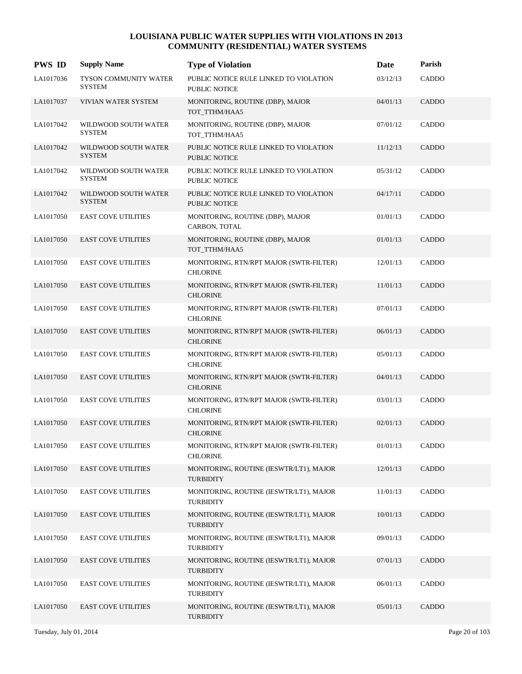| <b>PWS ID</b> | <b>Supply Name</b>                            | <b>Type of Violation</b>                                       | Date     | Parish       |
|---------------|-----------------------------------------------|----------------------------------------------------------------|----------|--------------|
| LA1017036     | <b>TYSON COMMUNITY WATER</b><br><b>SYSTEM</b> | PUBLIC NOTICE RULE LINKED TO VIOLATION<br>PUBLIC NOTICE        | 03/12/13 | CADDO        |
| LA1017037     | VIVIAN WATER SYSTEM                           | MONITORING, ROUTINE (DBP), MAJOR<br>TOT_TTHM/HAA5              | 04/01/13 | <b>CADDO</b> |
| LA1017042     | WILDWOOD SOUTH WATER<br><b>SYSTEM</b>         | MONITORING, ROUTINE (DBP), MAJOR<br>TOT_TTHM/HAA5              | 07/01/12 | CADDO        |
| LA1017042     | WILDWOOD SOUTH WATER<br><b>SYSTEM</b>         | PUBLIC NOTICE RULE LINKED TO VIOLATION<br><b>PUBLIC NOTICE</b> | 11/12/13 | <b>CADDO</b> |
| LA1017042     | WILDWOOD SOUTH WATER<br><b>SYSTEM</b>         | PUBLIC NOTICE RULE LINKED TO VIOLATION<br>PUBLIC NOTICE        | 05/31/12 | CADDO        |
| LA1017042     | WILDWOOD SOUTH WATER<br><b>SYSTEM</b>         | PUBLIC NOTICE RULE LINKED TO VIOLATION<br><b>PUBLIC NOTICE</b> | 04/17/11 | CADDO        |
| LA1017050     | <b>EAST COVE UTILITIES</b>                    | MONITORING, ROUTINE (DBP), MAJOR<br>CARBON, TOTAL              | 01/01/13 | CADDO        |
| LA1017050     | <b>EAST COVE UTILITIES</b>                    | MONITORING, ROUTINE (DBP), MAJOR<br>TOT_TTHM/HAA5              | 01/01/13 | <b>CADDO</b> |
| LA1017050     | <b>EAST COVE UTILITIES</b>                    | MONITORING, RTN/RPT MAJOR (SWTR-FILTER)<br><b>CHLORINE</b>     | 12/01/13 | CADDO        |
| LA1017050     | <b>EAST COVE UTILITIES</b>                    | MONITORING, RTN/RPT MAJOR (SWTR-FILTER)<br><b>CHLORINE</b>     | 11/01/13 | CADDO        |
| LA1017050     | <b>EAST COVE UTILITIES</b>                    | MONITORING, RTN/RPT MAJOR (SWTR-FILTER)<br><b>CHLORINE</b>     | 07/01/13 | CADDO        |
| LA1017050     | <b>EAST COVE UTILITIES</b>                    | MONITORING, RTN/RPT MAJOR (SWTR-FILTER)<br><b>CHLORINE</b>     | 06/01/13 | <b>CADDO</b> |
| LA1017050     | <b>EAST COVE UTILITIES</b>                    | MONITORING, RTN/RPT MAJOR (SWTR-FILTER)<br><b>CHLORINE</b>     | 05/01/13 | CADDO        |
| LA1017050     | <b>EAST COVE UTILITIES</b>                    | MONITORING, RTN/RPT MAJOR (SWTR-FILTER)<br><b>CHLORINE</b>     | 04/01/13 | <b>CADDO</b> |
| LA1017050     | <b>EAST COVE UTILITIES</b>                    | MONITORING, RTN/RPT MAJOR (SWTR-FILTER)<br><b>CHLORINE</b>     | 03/01/13 | CADDO        |
| LA1017050     | <b>EAST COVE UTILITIES</b>                    | MONITORING, RTN/RPT MAJOR (SWTR-FILTER)<br><b>CHLORINE</b>     | 02/01/13 | <b>CADDO</b> |
| LA1017050     | <b>EAST COVE UTILITIES</b>                    | MONITORING, RTN/RPT MAJOR (SWTR-FILTER)<br><b>CHLORINE</b>     | 01/01/13 | CADDO        |
| LA1017050     | <b>EAST COVE UTILITIES</b>                    | MONITORING, ROUTINE (IESWTR/LT1), MAJOR<br><b>TURBIDITY</b>    | 12/01/13 | CADDO        |
| LA1017050     | <b>EAST COVE UTILITIES</b>                    | MONITORING, ROUTINE (IESWTR/LT1), MAJOR<br><b>TURBIDITY</b>    | 11/01/13 | CADDO        |
| LA1017050     | <b>EAST COVE UTILITIES</b>                    | MONITORING, ROUTINE (IESWTR/LT1), MAJOR<br><b>TURBIDITY</b>    | 10/01/13 | <b>CADDO</b> |
| LA1017050     | <b>EAST COVE UTILITIES</b>                    | MONITORING, ROUTINE (IESWTR/LT1), MAJOR<br><b>TURBIDITY</b>    | 09/01/13 | CADDO        |
| LA1017050     | <b>EAST COVE UTILITIES</b>                    | MONITORING, ROUTINE (IESWTR/LT1), MAJOR<br><b>TURBIDITY</b>    | 07/01/13 | <b>CADDO</b> |
| LA1017050     | <b>EAST COVE UTILITIES</b>                    | MONITORING, ROUTINE (IESWTR/LT1), MAJOR<br><b>TURBIDITY</b>    | 06/01/13 | CADDO        |
| LA1017050     | <b>EAST COVE UTILITIES</b>                    | MONITORING, ROUTINE (IESWTR/LT1), MAJOR<br><b>TURBIDITY</b>    | 05/01/13 | <b>CADDO</b> |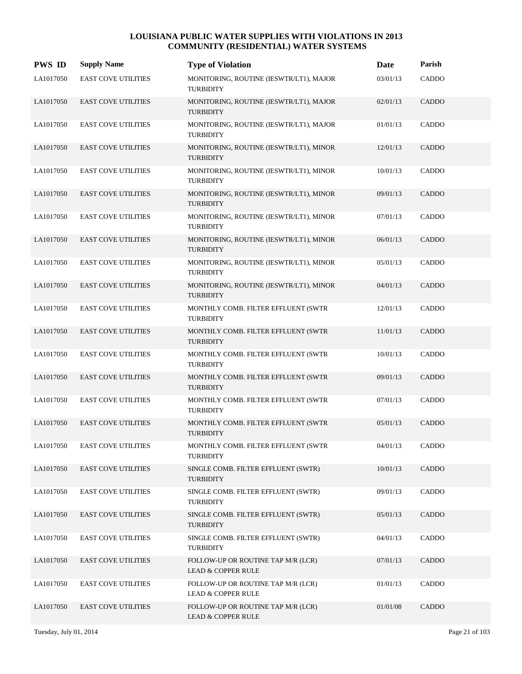| <b>PWS ID</b> | <b>Supply Name</b>         | <b>Type of Violation</b>                                            | Date     | Parish       |
|---------------|----------------------------|---------------------------------------------------------------------|----------|--------------|
| LA1017050     | <b>EAST COVE UTILITIES</b> | MONITORING, ROUTINE (IESWTR/LT1), MAJOR<br><b>TURBIDITY</b>         | 03/01/13 | CADDO        |
| LA1017050     | <b>EAST COVE UTILITIES</b> | MONITORING, ROUTINE (IESWTR/LT1), MAJOR<br><b>TURBIDITY</b>         | 02/01/13 | <b>CADDO</b> |
| LA1017050     | <b>EAST COVE UTILITIES</b> | MONITORING, ROUTINE (IESWTR/LT1), MAJOR<br><b>TURBIDITY</b>         | 01/01/13 | CADDO        |
| LA1017050     | <b>EAST COVE UTILITIES</b> | MONITORING, ROUTINE (IESWTR/LT1), MINOR<br><b>TURBIDITY</b>         | 12/01/13 | <b>CADDO</b> |
| LA1017050     | <b>EAST COVE UTILITIES</b> | MONITORING, ROUTINE (IESWTR/LT1), MINOR<br><b>TURBIDITY</b>         | 10/01/13 | <b>CADDO</b> |
| LA1017050     | <b>EAST COVE UTILITIES</b> | MONITORING, ROUTINE (IESWTR/LT1), MINOR<br><b>TURBIDITY</b>         | 09/01/13 | CADDO        |
| LA1017050     | <b>EAST COVE UTILITIES</b> | MONITORING, ROUTINE (IESWTR/LT1), MINOR<br><b>TURBIDITY</b>         | 07/01/13 | CADDO        |
| LA1017050     | <b>EAST COVE UTILITIES</b> | MONITORING, ROUTINE (IESWTR/LT1), MINOR<br><b>TURBIDITY</b>         | 06/01/13 | <b>CADDO</b> |
| LA1017050     | <b>EAST COVE UTILITIES</b> | MONITORING, ROUTINE (IESWTR/LT1), MINOR<br><b>TURBIDITY</b>         | 05/01/13 | CADDO        |
| LA1017050     | <b>EAST COVE UTILITIES</b> | MONITORING, ROUTINE (IESWTR/LT1), MINOR<br><b>TURBIDITY</b>         | 04/01/13 | <b>CADDO</b> |
| LA1017050     | <b>EAST COVE UTILITIES</b> | MONTHLY COMB. FILTER EFFLUENT (SWTR<br><b>TURBIDITY</b>             | 12/01/13 | CADDO        |
| LA1017050     | <b>EAST COVE UTILITIES</b> | MONTHLY COMB. FILTER EFFLUENT (SWTR<br><b>TURBIDITY</b>             | 11/01/13 | CADDO        |
| LA1017050     | <b>EAST COVE UTILITIES</b> | MONTHLY COMB. FILTER EFFLUENT (SWTR<br><b>TURBIDITY</b>             | 10/01/13 | CADDO        |
| LA1017050     | <b>EAST COVE UTILITIES</b> | MONTHLY COMB. FILTER EFFLUENT (SWTR<br><b>TURBIDITY</b>             | 09/01/13 | <b>CADDO</b> |
| LA1017050     | <b>EAST COVE UTILITIES</b> | MONTHLY COMB. FILTER EFFLUENT (SWTR<br><b>TURBIDITY</b>             | 07/01/13 | CADDO        |
| LA1017050     | <b>EAST COVE UTILITIES</b> | MONTHLY COMB. FILTER EFFLUENT (SWTR<br><b>TURBIDITY</b>             | 05/01/13 | <b>CADDO</b> |
| LA1017050     | <b>EAST COVE UTILITIES</b> | MONTHLY COMB. FILTER EFFLUENT (SWTR<br><b>TURBIDITY</b>             | 04/01/13 | CADDO        |
| LA1017050     | <b>EAST COVE UTILITIES</b> | SINGLE COMB. FILTER EFFLUENT (SWTR)<br><b>TURBIDITY</b>             | 10/01/13 | CADDO        |
| LA1017050     | <b>EAST COVE UTILITIES</b> | SINGLE COMB. FILTER EFFLUENT (SWTR)<br><b>TURBIDITY</b>             | 09/01/13 | CADDO        |
| LA1017050     | <b>EAST COVE UTILITIES</b> | SINGLE COMB. FILTER EFFLUENT (SWTR)<br><b>TURBIDITY</b>             | 05/01/13 | <b>CADDO</b> |
| LA1017050     | <b>EAST COVE UTILITIES</b> | SINGLE COMB. FILTER EFFLUENT (SWTR)<br><b>TURBIDITY</b>             | 04/01/13 | CADDO        |
| LA1017050     | <b>EAST COVE UTILITIES</b> | FOLLOW-UP OR ROUTINE TAP M/R (LCR)<br><b>LEAD &amp; COPPER RULE</b> | 07/01/13 | <b>CADDO</b> |
| LA1017050     | <b>EAST COVE UTILITIES</b> | FOLLOW-UP OR ROUTINE TAP M/R (LCR)<br><b>LEAD &amp; COPPER RULE</b> | 01/01/13 | <b>CADDO</b> |
| LA1017050     | <b>EAST COVE UTILITIES</b> | FOLLOW-UP OR ROUTINE TAP M/R (LCR)<br><b>LEAD &amp; COPPER RULE</b> | 01/01/08 | <b>CADDO</b> |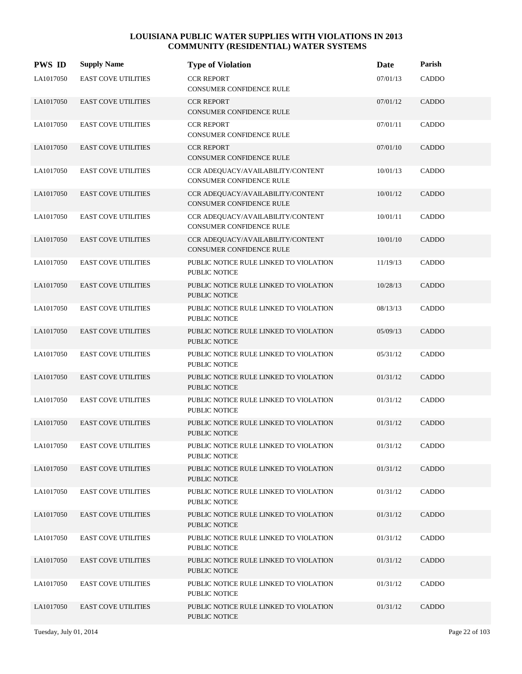| <b>PWS ID</b> | <b>Supply Name</b>         | <b>Type of Violation</b>                                             | Date     | Parish |
|---------------|----------------------------|----------------------------------------------------------------------|----------|--------|
| LA1017050     | <b>EAST COVE UTILITIES</b> | <b>CCR REPORT</b><br>CONSUMER CONFIDENCE RULE                        | 07/01/13 | CADDO  |
| LA1017050     | <b>EAST COVE UTILITIES</b> | <b>CCR REPORT</b><br>CONSUMER CONFIDENCE RULE                        | 07/01/12 | CADDO  |
| LA1017050     | <b>EAST COVE UTILITIES</b> | <b>CCR REPORT</b><br>CONSUMER CONFIDENCE RULE                        | 07/01/11 | CADDO  |
| LA1017050     | <b>EAST COVE UTILITIES</b> | <b>CCR REPORT</b><br>CONSUMER CONFIDENCE RULE                        | 07/01/10 | CADDO  |
| LA1017050     | <b>EAST COVE UTILITIES</b> | CCR ADEQUACY/AVAILABILITY/CONTENT<br><b>CONSUMER CONFIDENCE RULE</b> | 10/01/13 | CADDO  |
| LA1017050     | <b>EAST COVE UTILITIES</b> | CCR ADEQUACY/AVAILABILITY/CONTENT<br>CONSUMER CONFIDENCE RULE        | 10/01/12 | CADDO  |
| LA1017050     | <b>EAST COVE UTILITIES</b> | CCR ADEQUACY/AVAILABILITY/CONTENT<br>CONSUMER CONFIDENCE RULE        | 10/01/11 | CADDO  |
| LA1017050     | <b>EAST COVE UTILITIES</b> | CCR ADEQUACY/AVAILABILITY/CONTENT<br><b>CONSUMER CONFIDENCE RULE</b> | 10/01/10 | CADDO  |
| LA1017050     | <b>EAST COVE UTILITIES</b> | PUBLIC NOTICE RULE LINKED TO VIOLATION<br>PUBLIC NOTICE              | 11/19/13 | CADDO  |
| LA1017050     | <b>EAST COVE UTILITIES</b> | PUBLIC NOTICE RULE LINKED TO VIOLATION<br>PUBLIC NOTICE              | 10/28/13 | CADDO  |
| LA1017050     | <b>EAST COVE UTILITIES</b> | PUBLIC NOTICE RULE LINKED TO VIOLATION<br>PUBLIC NOTICE              | 08/13/13 | CADDO  |
| LA1017050     | <b>EAST COVE UTILITIES</b> | PUBLIC NOTICE RULE LINKED TO VIOLATION<br>PUBLIC NOTICE              | 05/09/13 | CADDO  |
| LA1017050     | <b>EAST COVE UTILITIES</b> | PUBLIC NOTICE RULE LINKED TO VIOLATION<br>PUBLIC NOTICE              | 05/31/12 | CADDO  |
| LA1017050     | <b>EAST COVE UTILITIES</b> | PUBLIC NOTICE RULE LINKED TO VIOLATION<br><b>PUBLIC NOTICE</b>       | 01/31/12 | CADDO  |
| LA1017050     | <b>EAST COVE UTILITIES</b> | PUBLIC NOTICE RULE LINKED TO VIOLATION<br>PUBLIC NOTICE              | 01/31/12 | CADDO  |
| LA1017050     | <b>EAST COVE UTILITIES</b> | PUBLIC NOTICE RULE LINKED TO VIOLATION<br>PUBLIC NOTICE              | 01/31/12 | CADDO  |
| LA1017050     | <b>EAST COVE UTILITIES</b> | PUBLIC NOTICE RULE LINKED TO VIOLATION<br>PUBLIC NOTICE              | 01/31/12 | CADDO  |
| LA1017050     | <b>EAST COVE UTILITIES</b> | PUBLIC NOTICE RULE LINKED TO VIOLATION<br>PUBLIC NOTICE              | 01/31/12 | CADDO  |
| LA1017050     | <b>EAST COVE UTILITIES</b> | PUBLIC NOTICE RULE LINKED TO VIOLATION<br>PUBLIC NOTICE              | 01/31/12 | CADDO  |
| LA1017050     | <b>EAST COVE UTILITIES</b> | PUBLIC NOTICE RULE LINKED TO VIOLATION<br><b>PUBLIC NOTICE</b>       | 01/31/12 | CADDO  |
| LA1017050     | <b>EAST COVE UTILITIES</b> | PUBLIC NOTICE RULE LINKED TO VIOLATION<br>PUBLIC NOTICE              | 01/31/12 | CADDO  |
| LA1017050     | <b>EAST COVE UTILITIES</b> | PUBLIC NOTICE RULE LINKED TO VIOLATION<br>PUBLIC NOTICE              | 01/31/12 | CADDO  |
| LA1017050     | <b>EAST COVE UTILITIES</b> | PUBLIC NOTICE RULE LINKED TO VIOLATION<br>PUBLIC NOTICE              | 01/31/12 | CADDO  |
| LA1017050     | <b>EAST COVE UTILITIES</b> | PUBLIC NOTICE RULE LINKED TO VIOLATION<br>PUBLIC NOTICE              | 01/31/12 | CADDO  |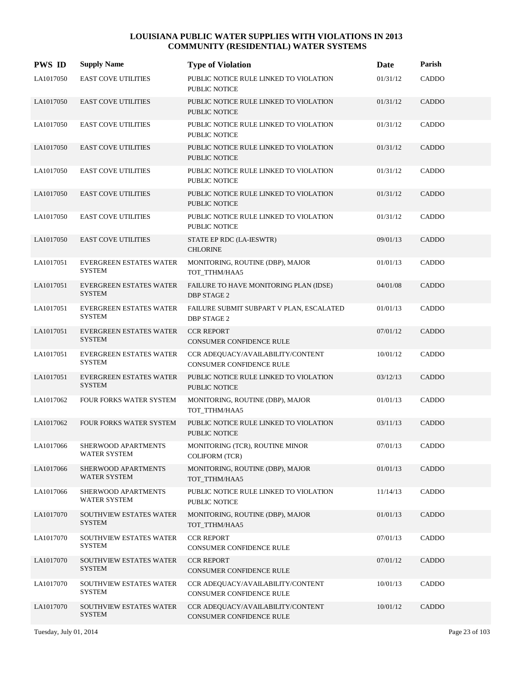| <b>PWS ID</b> | <b>Supply Name</b>                              | <b>Type of Violation</b>                                             | Date     | Parish       |
|---------------|-------------------------------------------------|----------------------------------------------------------------------|----------|--------------|
| LA1017050     | <b>EAST COVE UTILITIES</b>                      | PUBLIC NOTICE RULE LINKED TO VIOLATION<br><b>PUBLIC NOTICE</b>       | 01/31/12 | CADDO        |
| LA1017050     | <b>EAST COVE UTILITIES</b>                      | PUBLIC NOTICE RULE LINKED TO VIOLATION<br><b>PUBLIC NOTICE</b>       | 01/31/12 | <b>CADDO</b> |
| LA1017050     | <b>EAST COVE UTILITIES</b>                      | PUBLIC NOTICE RULE LINKED TO VIOLATION<br>PUBLIC NOTICE              | 01/31/12 | CADDO        |
| LA1017050     | <b>EAST COVE UTILITIES</b>                      | PUBLIC NOTICE RULE LINKED TO VIOLATION<br>PUBLIC NOTICE              | 01/31/12 | CADDO        |
| LA1017050     | <b>EAST COVE UTILITIES</b>                      | PUBLIC NOTICE RULE LINKED TO VIOLATION<br>PUBLIC NOTICE              | 01/31/12 | CADDO        |
| LA1017050     | <b>EAST COVE UTILITIES</b>                      | PUBLIC NOTICE RULE LINKED TO VIOLATION<br>PUBLIC NOTICE              | 01/31/12 | CADDO        |
| LA1017050     | <b>EAST COVE UTILITIES</b>                      | PUBLIC NOTICE RULE LINKED TO VIOLATION<br>PUBLIC NOTICE              | 01/31/12 | CADDO        |
| LA1017050     | <b>EAST COVE UTILITIES</b>                      | STATE EP RDC (LA-IESWTR)<br><b>CHLORINE</b>                          | 09/01/13 | <b>CADDO</b> |
| LA1017051     | EVERGREEN ESTATES WATER<br><b>SYSTEM</b>        | MONITORING, ROUTINE (DBP), MAJOR<br>TOT_TTHM/HAA5                    | 01/01/13 | CADDO        |
| LA1017051     | <b>EVERGREEN ESTATES WATER</b><br><b>SYSTEM</b> | FAILURE TO HAVE MONITORING PLAN (IDSE)<br><b>DBP STAGE 2</b>         | 04/01/08 | <b>CADDO</b> |
| LA1017051     | EVERGREEN ESTATES WATER<br><b>SYSTEM</b>        | FAILURE SUBMIT SUBPART V PLAN, ESCALATED<br><b>DBP STAGE 2</b>       | 01/01/13 | CADDO        |
| LA1017051     | <b>EVERGREEN ESTATES WATER</b><br><b>SYSTEM</b> | <b>CCR REPORT</b><br>CONSUMER CONFIDENCE RULE                        | 07/01/12 | <b>CADDO</b> |
| LA1017051     | EVERGREEN ESTATES WATER<br><b>SYSTEM</b>        | CCR ADEQUACY/AVAILABILITY/CONTENT<br><b>CONSUMER CONFIDENCE RULE</b> | 10/01/12 | CADDO        |
| LA1017051     | <b>EVERGREEN ESTATES WATER</b><br><b>SYSTEM</b> | PUBLIC NOTICE RULE LINKED TO VIOLATION<br><b>PUBLIC NOTICE</b>       | 03/12/13 | <b>CADDO</b> |
| LA1017062     | FOUR FORKS WATER SYSTEM                         | MONITORING, ROUTINE (DBP), MAJOR<br>TOT TTHM/HAA5                    | 01/01/13 | CADDO        |
| LA1017062     | FOUR FORKS WATER SYSTEM                         | PUBLIC NOTICE RULE LINKED TO VIOLATION<br>PUBLIC NOTICE              | 03/11/13 | <b>CADDO</b> |
| LA1017066     | SHERWOOD APARTMENTS<br>WATER SYSTEM             | MONITORING (TCR), ROUTINE MINOR<br><b>COLIFORM (TCR)</b>             | 07/01/13 | CADDO        |
| LA1017066     | SHERWOOD APARTMENTS<br>WATER SYSTEM             | MONITORING, ROUTINE (DBP), MAJOR<br>TOT TTHM/HAA5                    | 01/01/13 | CADDO        |
| LA1017066     | SHERWOOD APARTMENTS<br>WATER SYSTEM             | PUBLIC NOTICE RULE LINKED TO VIOLATION<br>PUBLIC NOTICE              | 11/14/13 | CADDO        |
| LA1017070     | SOUTHVIEW ESTATES WATER<br><b>SYSTEM</b>        | MONITORING, ROUTINE (DBP), MAJOR<br>TOT_TTHM/HAA5                    | 01/01/13 | CADDO        |
| LA1017070     | SOUTHVIEW ESTATES WATER<br><b>SYSTEM</b>        | <b>CCR REPORT</b><br>CONSUMER CONFIDENCE RULE                        | 07/01/13 | CADDO        |
| LA1017070     | SOUTHVIEW ESTATES WATER<br><b>SYSTEM</b>        | <b>CCR REPORT</b><br><b>CONSUMER CONFIDENCE RULE</b>                 | 07/01/12 | CADDO        |
| LA1017070     | SOUTHVIEW ESTATES WATER<br><b>SYSTEM</b>        | CCR ADEQUACY/AVAILABILITY/CONTENT<br>CONSUMER CONFIDENCE RULE        | 10/01/13 | CADDO        |
| LA1017070     | SOUTHVIEW ESTATES WATER<br><b>SYSTEM</b>        | CCR ADEQUACY/AVAILABILITY/CONTENT<br>CONSUMER CONFIDENCE RULE        | 10/01/12 | CADDO        |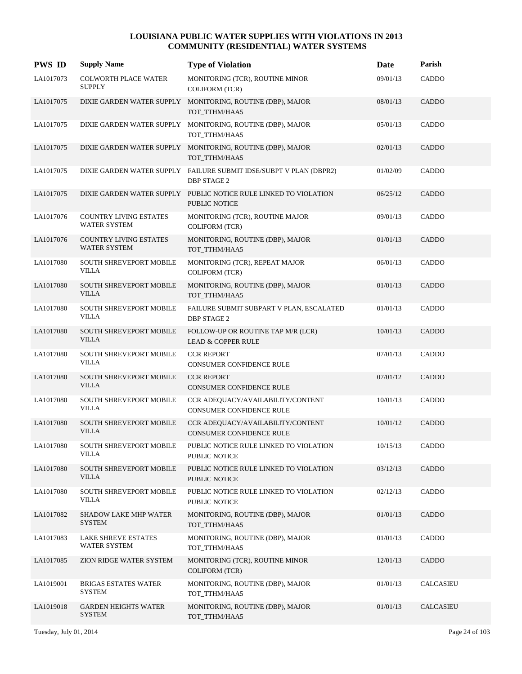| <b>PWS ID</b> | <b>Supply Name</b>                                   | <b>Type of Violation</b>                                                                 | Date     | Parish       |
|---------------|------------------------------------------------------|------------------------------------------------------------------------------------------|----------|--------------|
| LA1017073     | <b>COLWORTH PLACE WATER</b><br><b>SUPPLY</b>         | MONITORING (TCR), ROUTINE MINOR<br><b>COLIFORM (TCR)</b>                                 | 09/01/13 | CADDO        |
| LA1017075     |                                                      | DIXIE GARDEN WATER SUPPLY MONITORING, ROUTINE (DBP), MAJOR<br>TOT_TTHM/HAA5              | 08/01/13 | CADDO        |
| LA1017075     |                                                      | DIXIE GARDEN WATER SUPPLY MONITORING, ROUTINE (DBP), MAJOR<br>TOT_TTHM/HAA5              | 05/01/13 | CADDO        |
| LA1017075     |                                                      | DIXIE GARDEN WATER SUPPLY MONITORING, ROUTINE (DBP), MAJOR<br>TOT_TTHM/HAA5              | 02/01/13 | <b>CADDO</b> |
| LA1017075     |                                                      | DIXIE GARDEN WATER SUPPLY FAILURE SUBMIT IDSE/SUBPT V PLAN (DBPR2)<br><b>DBP STAGE 2</b> | 01/02/09 | CADDO        |
| LA1017075     |                                                      | DIXIE GARDEN WATER SUPPLY PUBLIC NOTICE RULE LINKED TO VIOLATION<br>PUBLIC NOTICE        | 06/25/12 | CADDO        |
| LA1017076     | <b>COUNTRY LIVING ESTATES</b><br><b>WATER SYSTEM</b> | MONITORING (TCR), ROUTINE MAJOR<br><b>COLIFORM (TCR)</b>                                 | 09/01/13 | CADDO        |
| LA1017076     | <b>COUNTRY LIVING ESTATES</b><br><b>WATER SYSTEM</b> | MONITORING, ROUTINE (DBP), MAJOR<br>TOT_TTHM/HAA5                                        | 01/01/13 | <b>CADDO</b> |
| LA1017080     | <b>SOUTH SHREVEPORT MOBILE</b><br><b>VILLA</b>       | MONITORING (TCR), REPEAT MAJOR<br><b>COLIFORM (TCR)</b>                                  | 06/01/13 | CADDO        |
| LA1017080     | <b>SOUTH SHREVEPORT MOBILE</b><br><b>VILLA</b>       | MONITORING, ROUTINE (DBP), MAJOR<br>TOT_TTHM/HAA5                                        | 01/01/13 | <b>CADDO</b> |
| LA1017080     | SOUTH SHREVEPORT MOBILE<br><b>VILLA</b>              | FAILURE SUBMIT SUBPART V PLAN, ESCALATED<br><b>DBP STAGE 2</b>                           | 01/01/13 | CADDO        |
| LA1017080     | <b>SOUTH SHREVEPORT MOBILE</b><br><b>VILLA</b>       | FOLLOW-UP OR ROUTINE TAP M/R (LCR)<br><b>LEAD &amp; COPPER RULE</b>                      | 10/01/13 | <b>CADDO</b> |
| LA1017080     | SOUTH SHREVEPORT MOBILE<br>VILLA                     | <b>CCR REPORT</b><br>CONSUMER CONFIDENCE RULE                                            | 07/01/13 | CADDO        |
| LA1017080     | <b>SOUTH SHREVEPORT MOBILE</b><br><b>VILLA</b>       | <b>CCR REPORT</b><br><b>CONSUMER CONFIDENCE RULE</b>                                     | 07/01/12 | <b>CADDO</b> |
| LA1017080     | <b>SOUTH SHREVEPORT MOBILE</b><br><b>VILLA</b>       | CCR ADEQUACY/AVAILABILITY/CONTENT<br><b>CONSUMER CONFIDENCE RULE</b>                     | 10/01/13 | CADDO        |
| LA1017080     | <b>SOUTH SHREVEPORT MOBILE</b><br><b>VILLA</b>       | CCR ADEQUACY/AVAILABILITY/CONTENT<br><b>CONSUMER CONFIDENCE RULE</b>                     | 10/01/12 | <b>CADDO</b> |
| LA1017080     | <b>SOUTH SHREVEPORT MOBILE</b><br><b>VILLA</b>       | PUBLIC NOTICE RULE LINKED TO VIOLATION<br>PUBLIC NOTICE                                  | 10/15/13 | CADDO        |
| LA1017080     | SOUTH SHREVEPORT MOBILE<br><b>VILLA</b>              | PUBLIC NOTICE RULE LINKED TO VIOLATION<br>PUBLIC NOTICE                                  | 03/12/13 | CADDO        |
| LA1017080     | <b>SOUTH SHREVEPORT MOBILE</b><br><b>VILLA</b>       | PUBLIC NOTICE RULE LINKED TO VIOLATION<br>PUBLIC NOTICE                                  | 02/12/13 | <b>CADDO</b> |
| LA1017082     | <b>SHADOW LAKE MHP WATER</b><br><b>SYSTEM</b>        | MONITORING, ROUTINE (DBP), MAJOR<br>TOT_TTHM/HAA5                                        | 01/01/13 | CADDO        |
| LA1017083     | <b>LAKE SHREVE ESTATES</b><br><b>WATER SYSTEM</b>    | MONITORING, ROUTINE (DBP), MAJOR<br>TOT TTHM/HAA5                                        | 01/01/13 | CADDO        |
| LA1017085     | ZION RIDGE WATER SYSTEM                              | MONITORING (TCR), ROUTINE MINOR<br><b>COLIFORM (TCR)</b>                                 | 12/01/13 | CADDO        |
| LA1019001     | <b>BRIGAS ESTATES WATER</b><br><b>SYSTEM</b>         | MONITORING, ROUTINE (DBP), MAJOR<br>TOT_TTHM/HAA5                                        | 01/01/13 | CALCASIEU    |
| LA1019018     | <b>GARDEN HEIGHTS WATER</b><br><b>SYSTEM</b>         | MONITORING, ROUTINE (DBP), MAJOR<br>TOT_TTHM/HAA5                                        | 01/01/13 | CALCASIEU    |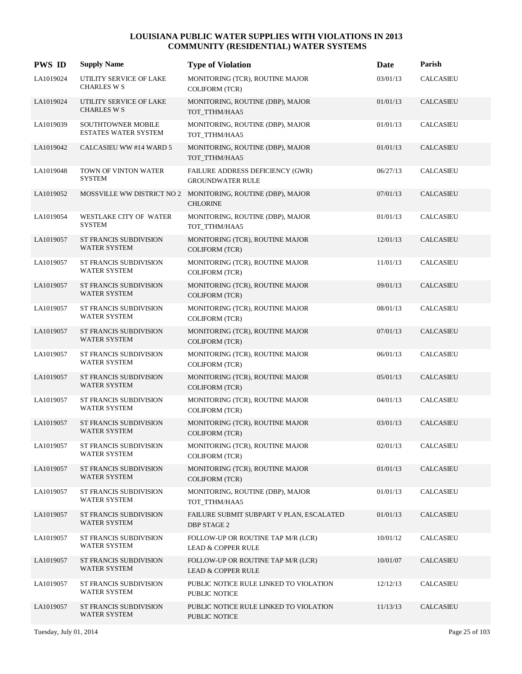| <b>PWS ID</b> | <b>Supply Name</b>                                       | <b>Type of Violation</b>                                                       | Date     | Parish               |
|---------------|----------------------------------------------------------|--------------------------------------------------------------------------------|----------|----------------------|
| LA1019024     | UTILITY SERVICE OF LAKE<br><b>CHARLES W S</b>            | MONITORING (TCR), ROUTINE MAJOR<br><b>COLIFORM (TCR)</b>                       | 03/01/13 | <b>CALCASIEU</b>     |
| LA1019024     | UTILITY SERVICE OF LAKE<br><b>CHARLES W S</b>            | MONITORING, ROUTINE (DBP), MAJOR<br>TOT_TTHM/HAA5                              | 01/01/13 | <b>CALCASIEU</b>     |
| LA1019039     | <b>SOUTHTOWNER MOBILE</b><br><b>ESTATES WATER SYSTEM</b> | MONITORING, ROUTINE (DBP), MAJOR<br>TOT_TTHM/HAA5                              | 01/01/13 | CALCASIEU            |
| LA1019042     | CALCASIEU WW #14 WARD 5                                  | MONITORING, ROUTINE (DBP), MAJOR<br>TOT_TTHM/HAA5                              | 01/01/13 | <b>CALCASIEU</b>     |
| LA1019048     | TOWN OF VINTON WATER<br><b>SYSTEM</b>                    | FAILURE ADDRESS DEFICIENCY (GWR)<br><b>GROUNDWATER RULE</b>                    | 06/27/13 | <b>CALCASIEU</b>     |
| LA1019052     |                                                          | MOSSVILLE WW DISTRICT NO 2 MONITORING, ROUTINE (DBP), MAJOR<br><b>CHLORINE</b> | 07/01/13 | <b>CALCASIEU</b>     |
| LA1019054     | WESTLAKE CITY OF WATER<br><b>SYSTEM</b>                  | MONITORING, ROUTINE (DBP), MAJOR<br>TOT TTHM/HAA5                              | 01/01/13 | <b>CALCASIEU</b>     |
| LA1019057     | ST FRANCIS SUBDIVISION<br>WATER SYSTEM                   | MONITORING (TCR), ROUTINE MAJOR<br><b>COLIFORM (TCR)</b>                       | 12/01/13 | <b>CALCASIEU</b>     |
| LA1019057     | ST FRANCIS SUBDIVISION<br>WATER SYSTEM                   | MONITORING (TCR), ROUTINE MAJOR<br><b>COLIFORM (TCR)</b>                       | 11/01/13 | <b>CALCASIEU</b>     |
| LA1019057     | ST FRANCIS SUBDIVISION<br><b>WATER SYSTEM</b>            | MONITORING (TCR), ROUTINE MAJOR<br><b>COLIFORM (TCR)</b>                       | 09/01/13 | <b>CALCASIEU</b>     |
| LA1019057     | ST FRANCIS SUBDIVISION<br><b>WATER SYSTEM</b>            | MONITORING (TCR), ROUTINE MAJOR<br><b>COLIFORM (TCR)</b>                       | 08/01/13 | <b>CALCASIEU</b>     |
| LA1019057     | ST FRANCIS SUBDIVISION<br>WATER SYSTEM                   | MONITORING (TCR), ROUTINE MAJOR<br><b>COLIFORM (TCR)</b>                       | 07/01/13 | <b>CALCASIEU</b>     |
| LA1019057     | ST FRANCIS SUBDIVISION<br>WATER SYSTEM                   | MONITORING (TCR), ROUTINE MAJOR<br><b>COLIFORM (TCR)</b>                       | 06/01/13 | <b>CALCASIEU</b>     |
| LA1019057     | ST FRANCIS SUBDIVISION<br>WATER SYSTEM                   | MONITORING (TCR), ROUTINE MAJOR<br><b>COLIFORM (TCR)</b>                       | 05/01/13 | <b>CALCASIEU</b>     |
| LA1019057     | ST FRANCIS SUBDIVISION<br>WATER SYSTEM                   | MONITORING (TCR), ROUTINE MAJOR<br><b>COLIFORM (TCR)</b>                       | 04/01/13 | <b>CALCASIEU</b>     |
| LA1019057     | ST FRANCIS SUBDIVISION<br><b>WATER SYSTEM</b>            | MONITORING (TCR), ROUTINE MAJOR<br><b>COLIFORM (TCR)</b>                       | 03/01/13 | <b>CALCASIEU</b>     |
| LA1019057     | ST FRANCIS SUBDIVISION<br>WATER SYSTEM                   | MONITORING (TCR), ROUTINE MAJOR<br><b>COLIFORM (TCR)</b>                       | 02/01/13 | CALCASIEU            |
| LA1019057     | ST FRANCIS SUBDIVISION<br>WATER SYSTEM                   | MONITORING (TCR), ROUTINE MAJOR<br><b>COLIFORM (TCR)</b>                       | 01/01/13 | <b>CALCASIEU</b>     |
| LA1019057     | ST FRANCIS SUBDIVISION<br>WATER SYSTEM                   | MONITORING, ROUTINE (DBP), MAJOR<br>TOT_TTHM/HAA5                              | 01/01/13 | $\mathsf{CALCASIEU}$ |
| LA1019057     | ST FRANCIS SUBDIVISION<br>WATER SYSTEM                   | FAILURE SUBMIT SUBPART V PLAN, ESCALATED<br><b>DBP STAGE 2</b>                 | 01/01/13 | CALCASIEU            |
| LA1019057     | ST FRANCIS SUBDIVISION<br>WATER SYSTEM                   | FOLLOW-UP OR ROUTINE TAP M/R (LCR)<br><b>LEAD &amp; COPPER RULE</b>            | 10/01/12 | CALCASIEU            |
| LA1019057     | ST FRANCIS SUBDIVISION<br>WATER SYSTEM                   | FOLLOW-UP OR ROUTINE TAP M/R (LCR)<br><b>LEAD &amp; COPPER RULE</b>            | 10/01/07 | CALCASIEU            |
| LA1019057     | ST FRANCIS SUBDIVISION<br>WATER SYSTEM                   | PUBLIC NOTICE RULE LINKED TO VIOLATION<br>PUBLIC NOTICE                        | 12/12/13 | CALCASIEU            |
| LA1019057     | ST FRANCIS SUBDIVISION<br>WATER SYSTEM                   | PUBLIC NOTICE RULE LINKED TO VIOLATION<br>PUBLIC NOTICE                        | 11/13/13 | <b>CALCASIEU</b>     |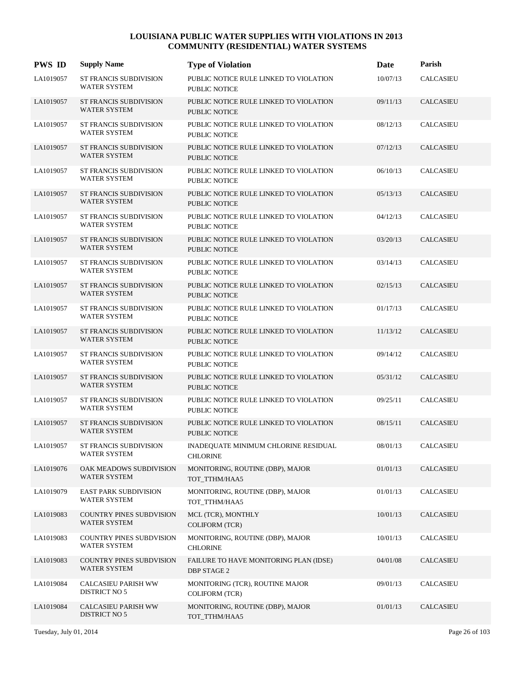| <b>PWS ID</b> | <b>Supply Name</b>                                   | <b>Type of Violation</b>                                       | Date     | Parish           |
|---------------|------------------------------------------------------|----------------------------------------------------------------|----------|------------------|
| LA1019057     | <b>ST FRANCIS SUBDIVISION</b><br><b>WATER SYSTEM</b> | PUBLIC NOTICE RULE LINKED TO VIOLATION<br>PUBLIC NOTICE        | 10/07/13 | <b>CALCASIEU</b> |
| LA1019057     | <b>ST FRANCIS SUBDIVISION</b><br><b>WATER SYSTEM</b> | PUBLIC NOTICE RULE LINKED TO VIOLATION<br><b>PUBLIC NOTICE</b> | 09/11/13 | <b>CALCASIEU</b> |
| LA1019057     | ST FRANCIS SUBDIVISION<br><b>WATER SYSTEM</b>        | PUBLIC NOTICE RULE LINKED TO VIOLATION<br>PUBLIC NOTICE        | 08/12/13 | CALCASIEU        |
| LA1019057     | <b>ST FRANCIS SUBDIVISION</b><br>WATER SYSTEM        | PUBLIC NOTICE RULE LINKED TO VIOLATION<br>PUBLIC NOTICE        | 07/12/13 | <b>CALCASIEU</b> |
| LA1019057     | <b>ST FRANCIS SUBDIVISION</b><br><b>WATER SYSTEM</b> | PUBLIC NOTICE RULE LINKED TO VIOLATION<br>PUBLIC NOTICE        | 06/10/13 | <b>CALCASIEU</b> |
| LA1019057     | <b>ST FRANCIS SUBDIVISION</b><br><b>WATER SYSTEM</b> | PUBLIC NOTICE RULE LINKED TO VIOLATION<br>PUBLIC NOTICE        | 05/13/13 | <b>CALCASIEU</b> |
| LA1019057     | <b>ST FRANCIS SUBDIVISION</b><br><b>WATER SYSTEM</b> | PUBLIC NOTICE RULE LINKED TO VIOLATION<br><b>PUBLIC NOTICE</b> | 04/12/13 | <b>CALCASIEU</b> |
| LA1019057     | <b>ST FRANCIS SUBDIVISION</b><br><b>WATER SYSTEM</b> | PUBLIC NOTICE RULE LINKED TO VIOLATION<br>PUBLIC NOTICE        | 03/20/13 | <b>CALCASIEU</b> |
| LA1019057     | <b>ST FRANCIS SUBDIVISION</b><br><b>WATER SYSTEM</b> | PUBLIC NOTICE RULE LINKED TO VIOLATION<br>PUBLIC NOTICE        | 03/14/13 | <b>CALCASIEU</b> |
| LA1019057     | <b>ST FRANCIS SUBDIVISION</b><br><b>WATER SYSTEM</b> | PUBLIC NOTICE RULE LINKED TO VIOLATION<br>PUBLIC NOTICE        | 02/15/13 | <b>CALCASIEU</b> |
| LA1019057     | <b>ST FRANCIS SUBDIVISION</b><br><b>WATER SYSTEM</b> | PUBLIC NOTICE RULE LINKED TO VIOLATION<br>PUBLIC NOTICE        | 01/17/13 | <b>CALCASIEU</b> |
| LA1019057     | <b>ST FRANCIS SUBDIVISION</b><br><b>WATER SYSTEM</b> | PUBLIC NOTICE RULE LINKED TO VIOLATION<br><b>PUBLIC NOTICE</b> | 11/13/12 | <b>CALCASIEU</b> |
| LA1019057     | <b>ST FRANCIS SUBDIVISION</b><br><b>WATER SYSTEM</b> | PUBLIC NOTICE RULE LINKED TO VIOLATION<br>PUBLIC NOTICE        | 09/14/12 | <b>CALCASIEU</b> |
| LA1019057     | <b>ST FRANCIS SUBDIVISION</b><br><b>WATER SYSTEM</b> | PUBLIC NOTICE RULE LINKED TO VIOLATION<br>PUBLIC NOTICE        | 05/31/12 | <b>CALCASIEU</b> |
| LA1019057     | <b>ST FRANCIS SUBDIVISION</b><br><b>WATER SYSTEM</b> | PUBLIC NOTICE RULE LINKED TO VIOLATION<br>PUBLIC NOTICE        | 09/25/11 | <b>CALCASIEU</b> |
| LA1019057     | <b>ST FRANCIS SUBDIVISION</b><br><b>WATER SYSTEM</b> | PUBLIC NOTICE RULE LINKED TO VIOLATION<br>PUBLIC NOTICE        | 08/15/11 | <b>CALCASIEU</b> |
| LA1019057     | ST FRANCIS SUBDIVISION<br><b>WATER SYSTEM</b>        | INADEQUATE MINIMUM CHLORINE RESIDUAL<br><b>CHLORINE</b>        | 08/01/13 | CALCASIEU        |
| LA1019076     | OAK MEADOWS SUBDIVISION<br>WATER SYSTEM              | MONITORING, ROUTINE (DBP), MAJOR<br>TOT_TTHM/HAA5              | 01/01/13 | CALCASIEU        |
| LA1019079     | EAST PARK SUBDIVISION<br>WATER SYSTEM                | MONITORING, ROUTINE (DBP), MAJOR<br>TOT_TTHM/HAA5              | 01/01/13 | CALCASIEU        |
| LA1019083     | <b>COUNTRY PINES SUBDVISION</b><br>WATER SYSTEM      | MCL (TCR), MONTHLY<br><b>COLIFORM (TCR)</b>                    | 10/01/13 | CALCASIEU        |
| LA1019083     | <b>COUNTRY PINES SUBDVISION</b><br>WATER SYSTEM      | MONITORING, ROUTINE (DBP), MAJOR<br><b>CHLORINE</b>            | 10/01/13 | CALCASIEU        |
| LA1019083     | COUNTRY PINES SUBDVISION<br>WATER SYSTEM             | FAILURE TO HAVE MONITORING PLAN (IDSE)<br>DBP STAGE 2          | 04/01/08 | CALCASIEU        |
| LA1019084     | CALCASIEU PARISH WW<br>DISTRICT NO 5                 | MONITORING (TCR), ROUTINE MAJOR<br><b>COLIFORM (TCR)</b>       | 09/01/13 | CALCASIEU        |
| LA1019084     | CALCASIEU PARISH WW<br>DISTRICT NO 5                 | MONITORING, ROUTINE (DBP), MAJOR<br>TOT_TTHM/HAA5              | 01/01/13 | CALCASIEU        |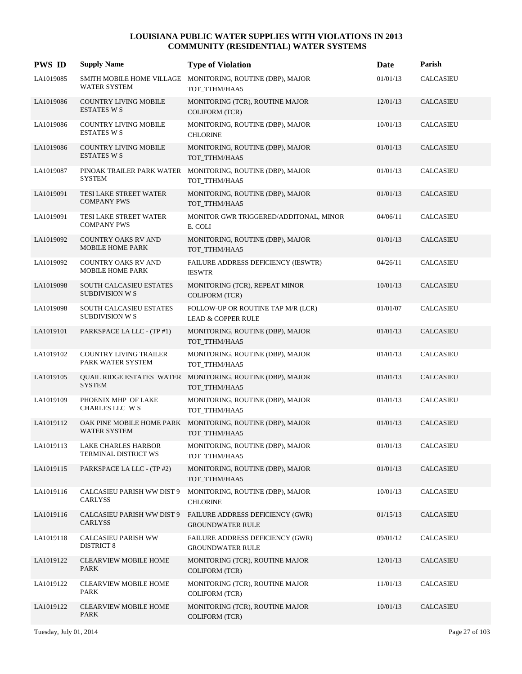| <b>PWS ID</b> | <b>Supply Name</b>                                       | <b>Type of Violation</b>                                                    | Date     | Parish           |
|---------------|----------------------------------------------------------|-----------------------------------------------------------------------------|----------|------------------|
| LA1019085     | SMITH MOBILE HOME VILLAGE<br><b>WATER SYSTEM</b>         | MONITORING, ROUTINE (DBP), MAJOR<br>TOT_TTHM/HAA5                           | 01/01/13 | <b>CALCASIEU</b> |
| LA1019086     | <b>COUNTRY LIVING MOBILE</b><br><b>ESTATES W S</b>       | MONITORING (TCR), ROUTINE MAJOR<br><b>COLIFORM (TCR)</b>                    | 12/01/13 | CALCASIEU        |
| LA1019086     | <b>COUNTRY LIVING MOBILE</b><br><b>ESTATES W S</b>       | MONITORING, ROUTINE (DBP), MAJOR<br><b>CHLORINE</b>                         | 10/01/13 | <b>CALCASIEU</b> |
| LA1019086     | <b>COUNTRY LIVING MOBILE</b><br><b>ESTATES W S</b>       | MONITORING, ROUTINE (DBP), MAJOR<br>TOT_TTHM/HAA5                           | 01/01/13 | <b>CALCASIEU</b> |
| LA1019087     | <b>SYSTEM</b>                                            | PINOAK TRAILER PARK WATER MONITORING, ROUTINE (DBP), MAJOR<br>TOT TTHM/HAA5 | 01/01/13 | <b>CALCASIEU</b> |
| LA1019091     | TESI LAKE STREET WATER<br><b>COMPANY PWS</b>             | MONITORING, ROUTINE (DBP), MAJOR<br>TOT_TTHM/HAA5                           | 01/01/13 | CALCASIEU        |
| LA1019091     | TESI LAKE STREET WATER<br><b>COMPANY PWS</b>             | MONITOR GWR TRIGGERED/ADDITONAL, MINOR<br>E. COLI                           | 04/06/11 | <b>CALCASIEU</b> |
| LA1019092     | <b>COUNTRY OAKS RV AND</b><br>MOBILE HOME PARK           | MONITORING, ROUTINE (DBP), MAJOR<br>TOT_TTHM/HAA5                           | 01/01/13 | <b>CALCASIEU</b> |
| LA1019092     | COUNTRY OAKS RV AND<br>MOBILE HOME PARK                  | FAILURE ADDRESS DEFICIENCY (IESWTR)<br><b>IESWTR</b>                        | 04/26/11 | <b>CALCASIEU</b> |
| LA1019098     | <b>SOUTH CALCASIEU ESTATES</b><br><b>SUBDIVISION W S</b> | MONITORING (TCR), REPEAT MINOR<br><b>COLIFORM (TCR)</b>                     | 10/01/13 | CALCASIEU        |
| LA1019098     | SOUTH CALCASIEU ESTATES<br><b>SUBDIVISION W S</b>        | FOLLOW-UP OR ROUTINE TAP M/R (LCR)<br><b>LEAD &amp; COPPER RULE</b>         | 01/01/07 | <b>CALCASIEU</b> |
| LA1019101     | PARKSPACE LA LLC - (TP #1)                               | MONITORING, ROUTINE (DBP), MAJOR<br>TOT_TTHM/HAA5                           | 01/01/13 | <b>CALCASIEU</b> |
| LA1019102     | <b>COUNTRY LIVING TRAILER</b><br>PARK WATER SYSTEM       | MONITORING, ROUTINE (DBP), MAJOR<br>TOT_TTHM/HAA5                           | 01/01/13 | CALCASIEU        |
| LA1019105     | <b>SYSTEM</b>                                            | QUAIL RIDGE ESTATES WATER MONITORING, ROUTINE (DBP), MAJOR<br>TOT TTHM/HAA5 | 01/01/13 | CALCASIEU        |
| LA1019109     | PHOENIX MHP OF LAKE<br>CHARLES LLC W S                   | MONITORING, ROUTINE (DBP), MAJOR<br>TOT TTHM/HAA5                           | 01/01/13 | <b>CALCASIEU</b> |
| LA1019112     | OAK PINE MOBILE HOME PARK<br><b>WATER SYSTEM</b>         | MONITORING, ROUTINE (DBP), MAJOR<br>TOT_TTHM/HAA5                           | 01/01/13 | CALCASIEU        |
| LA1019113     | LAKE CHARLES HARBOR<br>TERMINAL DISTRICT WS              | MONITORING, ROUTINE (DBP), MAJOR<br>TOT_TTHM/HAA5                           | 01/01/13 | <b>CALCASIEU</b> |
| LA1019115     | PARKSPACE LA LLC - (TP #2)                               | MONITORING, ROUTINE (DBP), MAJOR<br>TOT_TTHM/HAA5                           | 01/01/13 | CALCASIEU        |
| LA1019116     | CALCASIEU PARISH WW DIST 9<br>CARLYSS                    | MONITORING, ROUTINE (DBP), MAJOR<br><b>CHLORINE</b>                         | 10/01/13 | CALCASIEU        |
| LA1019116     | CALCASIEU PARISH WW DIST 9<br><b>CARLYSS</b>             | FAILURE ADDRESS DEFICIENCY (GWR)<br><b>GROUNDWATER RULE</b>                 | 01/15/13 | CALCASIEU        |
| LA1019118     | CALCASIEU PARISH WW<br><b>DISTRICT 8</b>                 | FAILURE ADDRESS DEFICIENCY (GWR)<br><b>GROUNDWATER RULE</b>                 | 09/01/12 | CALCASIEU        |
| LA1019122     | <b>CLEARVIEW MOBILE HOME</b><br>PARK                     | MONITORING (TCR), ROUTINE MAJOR<br><b>COLIFORM (TCR)</b>                    | 12/01/13 | CALCASIEU        |
| LA1019122     | <b>CLEARVIEW MOBILE HOME</b><br>PARK                     | MONITORING (TCR), ROUTINE MAJOR<br><b>COLIFORM (TCR)</b>                    | 11/01/13 | CALCASIEU        |
| LA1019122     | <b>CLEARVIEW MOBILE HOME</b><br>PARK                     | MONITORING (TCR), ROUTINE MAJOR<br><b>COLIFORM (TCR)</b>                    | 10/01/13 | CALCASIEU        |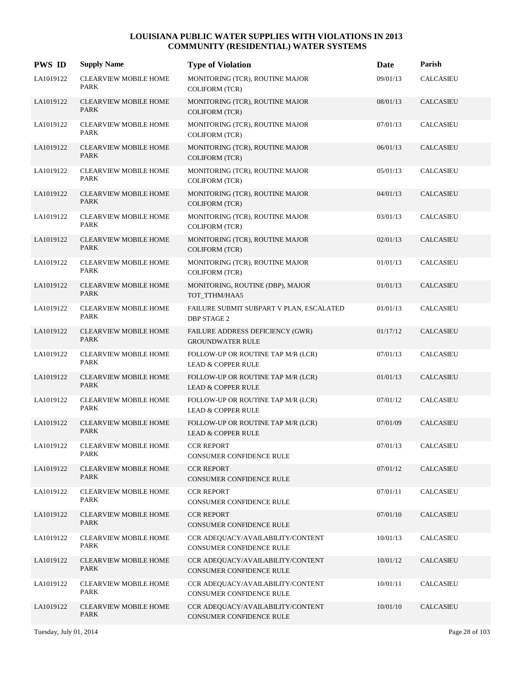| <b>PWS ID</b> | <b>Supply Name</b>                          | <b>Type of Violation</b>                                            | Date     | Parish           |
|---------------|---------------------------------------------|---------------------------------------------------------------------|----------|------------------|
| LA1019122     | <b>CLEARVIEW MOBILE HOME</b><br>PARK        | MONITORING (TCR), ROUTINE MAJOR<br><b>COLIFORM (TCR)</b>            | 09/01/13 | <b>CALCASIEU</b> |
| LA1019122     | <b>CLEARVIEW MOBILE HOME</b><br>PARK        | MONITORING (TCR), ROUTINE MAJOR<br><b>COLIFORM (TCR)</b>            | 08/01/13 | <b>CALCASIEU</b> |
| LA1019122     | <b>CLEARVIEW MOBILE HOME</b><br>PARK        | MONITORING (TCR), ROUTINE MAJOR<br><b>COLIFORM (TCR)</b>            | 07/01/13 | <b>CALCASIEU</b> |
| LA1019122     | <b>CLEARVIEW MOBILE HOME</b><br>PARK        | MONITORING (TCR), ROUTINE MAJOR<br><b>COLIFORM (TCR)</b>            | 06/01/13 | <b>CALCASIEU</b> |
| LA1019122     | <b>CLEARVIEW MOBILE HOME</b><br>PARK        | MONITORING (TCR), ROUTINE MAJOR<br><b>COLIFORM (TCR)</b>            | 05/01/13 | <b>CALCASIEU</b> |
| LA1019122     | <b>CLEARVIEW MOBILE HOME</b><br><b>PARK</b> | MONITORING (TCR), ROUTINE MAJOR<br><b>COLIFORM (TCR)</b>            | 04/01/13 | <b>CALCASIEU</b> |
| LA1019122     | <b>CLEARVIEW MOBILE HOME</b><br><b>PARK</b> | MONITORING (TCR), ROUTINE MAJOR<br><b>COLIFORM (TCR)</b>            | 03/01/13 | <b>CALCASIEU</b> |
| LA1019122     | <b>CLEARVIEW MOBILE HOME</b><br>PARK        | MONITORING (TCR), ROUTINE MAJOR<br><b>COLIFORM (TCR)</b>            | 02/01/13 | <b>CALCASIEU</b> |
| LA1019122     | <b>CLEARVIEW MOBILE HOME</b><br>PARK        | MONITORING (TCR), ROUTINE MAJOR<br><b>COLIFORM (TCR)</b>            | 01/01/13 | <b>CALCASIEU</b> |
| LA1019122     | <b>CLEARVIEW MOBILE HOME</b><br><b>PARK</b> | MONITORING, ROUTINE (DBP), MAJOR<br>TOT_TTHM/HAA5                   | 01/01/13 | <b>CALCASIEU</b> |
| LA1019122     | <b>CLEARVIEW MOBILE HOME</b><br>PARK        | FAILURE SUBMIT SUBPART V PLAN, ESCALATED<br><b>DBP STAGE 2</b>      | 01/01/13 | <b>CALCASIEU</b> |
| LA1019122     | <b>CLEARVIEW MOBILE HOME</b><br>PARK        | FAILURE ADDRESS DEFICIENCY (GWR)<br><b>GROUNDWATER RULE</b>         | 01/17/12 | <b>CALCASIEU</b> |
| LA1019122     | <b>CLEARVIEW MOBILE HOME</b><br>PARK        | FOLLOW-UP OR ROUTINE TAP M/R (LCR)<br><b>LEAD &amp; COPPER RULE</b> | 07/01/13 | <b>CALCASIEU</b> |
| LA1019122     | CLEARVIEW MOBILE HOME<br>PARK               | FOLLOW-UP OR ROUTINE TAP M/R (LCR)<br><b>LEAD &amp; COPPER RULE</b> | 01/01/13 | <b>CALCASIEU</b> |
| LA1019122     | <b>CLEARVIEW MOBILE HOME</b><br>PARK        | FOLLOW-UP OR ROUTINE TAP M/R (LCR)<br><b>LEAD &amp; COPPER RULE</b> | 07/01/12 | <b>CALCASIEU</b> |
| LA1019122     | <b>CLEARVIEW MOBILE HOME</b><br><b>PARK</b> | FOLLOW-UP OR ROUTINE TAP M/R (LCR)<br><b>LEAD &amp; COPPER RULE</b> | 07/01/09 | CALCASIEU        |
| LA1019122     | <b>CLEARVIEW MOBILE HOME</b><br><b>PARK</b> | <b>CCR REPORT</b><br>CONSUMER CONFIDENCE RULE                       | 07/01/13 | <b>CALCASIEU</b> |
| LA1019122     | <b>CLEARVIEW MOBILE HOME</b><br>PARK        | <b>CCR REPORT</b><br>CONSUMER CONFIDENCE RULE                       | 07/01/12 | <b>CALCASIEU</b> |
| LA1019122     | <b>CLEARVIEW MOBILE HOME</b><br>PARK        | <b>CCR REPORT</b><br>CONSUMER CONFIDENCE RULE                       | 07/01/11 | CALCASIEU        |
| LA1019122     | <b>CLEARVIEW MOBILE HOME</b><br>PARK        | <b>CCR REPORT</b><br>CONSUMER CONFIDENCE RULE                       | 07/01/10 | CALCASIEU        |
| LA1019122     | <b>CLEARVIEW MOBILE HOME</b><br>PARK        | CCR ADEQUACY/AVAILABILITY/CONTENT<br>CONSUMER CONFIDENCE RULE       | 10/01/13 | CALCASIEU        |
| LA1019122     | <b>CLEARVIEW MOBILE HOME</b><br>PARK        | CCR ADEQUACY/AVAILABILITY/CONTENT<br>CONSUMER CONFIDENCE RULE       | 10/01/12 | <b>CALCASIEU</b> |
| LA1019122     | <b>CLEARVIEW MOBILE HOME</b><br>PARK        | CCR ADEQUACY/AVAILABILITY/CONTENT<br>CONSUMER CONFIDENCE RULE       | 10/01/11 | CALCASIEU        |
| LA1019122     | CLEARVIEW MOBILE HOME<br>PARK               | CCR ADEQUACY/AVAILABILITY/CONTENT<br>CONSUMER CONFIDENCE RULE       | 10/01/10 | CALCASIEU        |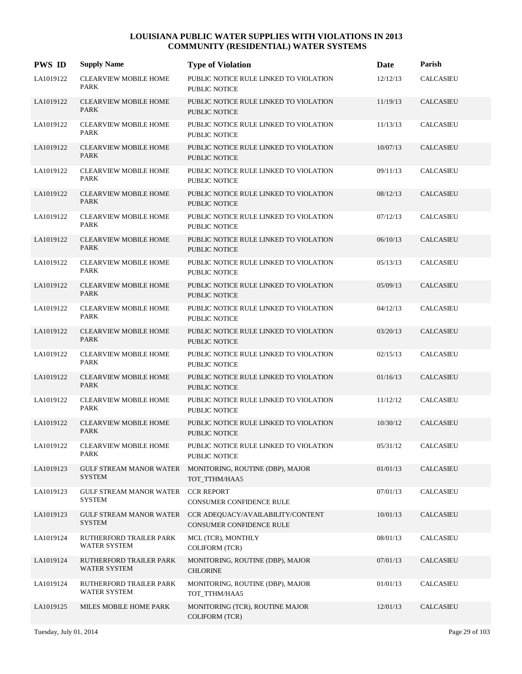| <b>PWS ID</b> | <b>Supply Name</b>                              | <b>Type of Violation</b>                                       | Date     | Parish           |
|---------------|-------------------------------------------------|----------------------------------------------------------------|----------|------------------|
| LA1019122     | <b>CLEARVIEW MOBILE HOME</b><br>PARK            | PUBLIC NOTICE RULE LINKED TO VIOLATION<br>PUBLIC NOTICE        | 12/12/13 | <b>CALCASIEU</b> |
| LA1019122     | <b>CLEARVIEW MOBILE HOME</b><br><b>PARK</b>     | PUBLIC NOTICE RULE LINKED TO VIOLATION<br><b>PUBLIC NOTICE</b> | 11/19/13 | <b>CALCASIEU</b> |
| LA1019122     | <b>CLEARVIEW MOBILE HOME</b><br><b>PARK</b>     | PUBLIC NOTICE RULE LINKED TO VIOLATION<br>PUBLIC NOTICE        | 11/13/13 | <b>CALCASIEU</b> |
| LA1019122     | <b>CLEARVIEW MOBILE HOME</b><br>PARK            | PUBLIC NOTICE RULE LINKED TO VIOLATION<br><b>PUBLIC NOTICE</b> | 10/07/13 | <b>CALCASIEU</b> |
| LA1019122     | <b>CLEARVIEW MOBILE HOME</b><br><b>PARK</b>     | PUBLIC NOTICE RULE LINKED TO VIOLATION<br>PUBLIC NOTICE        | 09/11/13 | <b>CALCASIEU</b> |
| LA1019122     | <b>CLEARVIEW MOBILE HOME</b><br>PARK            | PUBLIC NOTICE RULE LINKED TO VIOLATION<br><b>PUBLIC NOTICE</b> | 08/12/13 | <b>CALCASIEU</b> |
| LA1019122     | <b>CLEARVIEW MOBILE HOME</b><br>PARK            | PUBLIC NOTICE RULE LINKED TO VIOLATION<br><b>PUBLIC NOTICE</b> | 07/12/13 | <b>CALCASIEU</b> |
| LA1019122     | <b>CLEARVIEW MOBILE HOME</b><br>PARK            | PUBLIC NOTICE RULE LINKED TO VIOLATION<br>PUBLIC NOTICE        | 06/10/13 | <b>CALCASIEU</b> |
| LA1019122     | <b>CLEARVIEW MOBILE HOME</b><br>PARK            | PUBLIC NOTICE RULE LINKED TO VIOLATION<br>PUBLIC NOTICE        | 05/13/13 | <b>CALCASIEU</b> |
| LA1019122     | <b>CLEARVIEW MOBILE HOME</b><br>PARK            | PUBLIC NOTICE RULE LINKED TO VIOLATION<br><b>PUBLIC NOTICE</b> | 05/09/13 | <b>CALCASIEU</b> |
| LA1019122     | <b>CLEARVIEW MOBILE HOME</b><br>PARK            | PUBLIC NOTICE RULE LINKED TO VIOLATION<br>PUBLIC NOTICE        | 04/12/13 | <b>CALCASIEU</b> |
| LA1019122     | <b>CLEARVIEW MOBILE HOME</b><br><b>PARK</b>     | PUBLIC NOTICE RULE LINKED TO VIOLATION<br><b>PUBLIC NOTICE</b> | 03/20/13 | <b>CALCASIEU</b> |
| LA1019122     | <b>CLEARVIEW MOBILE HOME</b><br>PARK            | PUBLIC NOTICE RULE LINKED TO VIOLATION<br>PUBLIC NOTICE        | 02/15/13 | <b>CALCASIEU</b> |
| LA1019122     | <b>CLEARVIEW MOBILE HOME</b><br>PARK            | PUBLIC NOTICE RULE LINKED TO VIOLATION<br><b>PUBLIC NOTICE</b> | 01/16/13 | <b>CALCASIEU</b> |
| LA1019122     | <b>CLEARVIEW MOBILE HOME</b><br>PARK            | PUBLIC NOTICE RULE LINKED TO VIOLATION<br>PUBLIC NOTICE        | 11/12/12 | <b>CALCASIEU</b> |
| LA1019122     | <b>CLEARVIEW MOBILE HOME</b><br><b>PARK</b>     | PUBLIC NOTICE RULE LINKED TO VIOLATION<br><b>PUBLIC NOTICE</b> | 10/30/12 | <b>CALCASIEU</b> |
| LA1019122     | <b>CLEARVIEW MOBILE HOME</b><br>PARK            | PUBLIC NOTICE RULE LINKED TO VIOLATION<br>PUBLIC NOTICE        | 05/31/12 | CALCASIEU        |
| LA1019123     | <b>GULF STREAM MANOR WATER</b><br><b>SYSTEM</b> | MONITORING, ROUTINE (DBP), MAJOR<br>TOT_TTHM/HAA5              | 01/01/13 | <b>CALCASIEU</b> |
| LA1019123     | GULF STREAM MANOR WATER<br><b>SYSTEM</b>        | <b>CCR REPORT</b><br>CONSUMER CONFIDENCE RULE                  | 07/01/13 | <b>CALCASIEU</b> |
| LA1019123     | GULF STREAM MANOR WATER<br><b>SYSTEM</b>        | CCR ADEQUACY/AVAILABILITY/CONTENT<br>CONSUMER CONFIDENCE RULE  | 10/01/13 | <b>CALCASIEU</b> |
| LA1019124     | RUTHERFORD TRAILER PARK<br><b>WATER SYSTEM</b>  | MCL (TCR), MONTHLY<br>COLIFORM (TCR)                           | 08/01/13 | <b>CALCASIEU</b> |
| LA1019124     | RUTHERFORD TRAILER PARK<br>WATER SYSTEM         | MONITORING, ROUTINE (DBP), MAJOR<br><b>CHLORINE</b>            | 07/01/13 | <b>CALCASIEU</b> |
| LA1019124     | RUTHERFORD TRAILER PARK<br>WATER SYSTEM         | MONITORING, ROUTINE (DBP), MAJOR<br>TOT_TTHM/HAA5              | 01/01/13 | <b>CALCASIEU</b> |
| LA1019125     | MILES MOBILE HOME PARK                          | MONITORING (TCR), ROUTINE MAJOR<br>COLIFORM (TCR)              | 12/01/13 | <b>CALCASIEU</b> |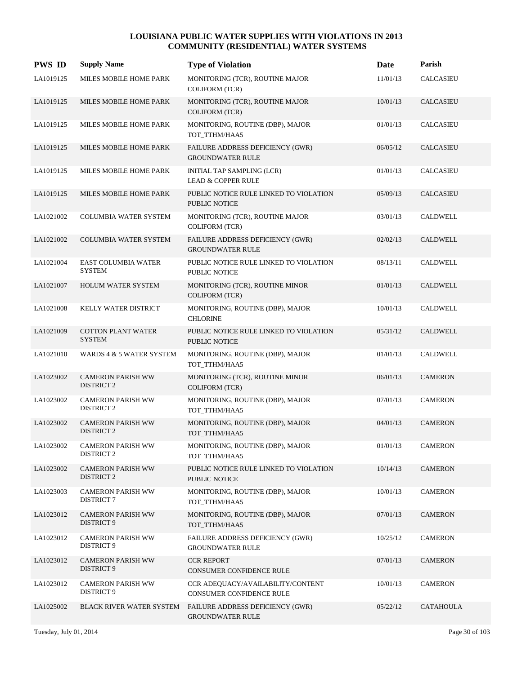| <b>PWS ID</b> | <b>Supply Name</b>                            | <b>Type of Violation</b>                                       | Date     | Parish           |
|---------------|-----------------------------------------------|----------------------------------------------------------------|----------|------------------|
| LA1019125     | MILES MOBILE HOME PARK                        | MONITORING (TCR), ROUTINE MAJOR<br><b>COLIFORM (TCR)</b>       | 11/01/13 | <b>CALCASIEU</b> |
| LA1019125     | MILES MOBILE HOME PARK                        | MONITORING (TCR), ROUTINE MAJOR<br><b>COLIFORM (TCR)</b>       | 10/01/13 | CALCASIEU        |
| LA1019125     | MILES MOBILE HOME PARK                        | MONITORING, ROUTINE (DBP), MAJOR<br>TOT_TTHM/HAA5              | 01/01/13 | <b>CALCASIEU</b> |
| LA1019125     | MILES MOBILE HOME PARK                        | FAILURE ADDRESS DEFICIENCY (GWR)<br><b>GROUNDWATER RULE</b>    | 06/05/12 | CALCASIEU        |
| LA1019125     | MILES MOBILE HOME PARK                        | INITIAL TAP SAMPLING (LCR)<br><b>LEAD &amp; COPPER RULE</b>    | 01/01/13 | <b>CALCASIEU</b> |
| LA1019125     | MILES MOBILE HOME PARK                        | PUBLIC NOTICE RULE LINKED TO VIOLATION<br>PUBLIC NOTICE        | 05/09/13 | CALCASIEU        |
| LA1021002     | COLUMBIA WATER SYSTEM                         | MONITORING (TCR), ROUTINE MAJOR<br>COLIFORM (TCR)              | 03/01/13 | <b>CALDWELL</b>  |
| LA1021002     | <b>COLUMBIA WATER SYSTEM</b>                  | FAILURE ADDRESS DEFICIENCY (GWR)<br><b>GROUNDWATER RULE</b>    | 02/02/13 | <b>CALDWELL</b>  |
| LA1021004     | <b>EAST COLUMBIA WATER</b><br><b>SYSTEM</b>   | PUBLIC NOTICE RULE LINKED TO VIOLATION<br>PUBLIC NOTICE        | 08/13/11 | <b>CALDWELL</b>  |
| LA1021007     | <b>HOLUM WATER SYSTEM</b>                     | MONITORING (TCR), ROUTINE MINOR<br><b>COLIFORM (TCR)</b>       | 01/01/13 | <b>CALDWELL</b>  |
| LA1021008     | KELLY WATER DISTRICT                          | MONITORING, ROUTINE (DBP), MAJOR<br><b>CHLORINE</b>            | 10/01/13 | <b>CALDWELL</b>  |
| LA1021009     | <b>COTTON PLANT WATER</b><br><b>SYSTEM</b>    | PUBLIC NOTICE RULE LINKED TO VIOLATION<br><b>PUBLIC NOTICE</b> | 05/31/12 | <b>CALDWELL</b>  |
| LA1021010     | WARDS 4 & 5 WATER SYSTEM                      | MONITORING, ROUTINE (DBP), MAJOR<br>TOT_TTHM/HAA5              | 01/01/13 | <b>CALDWELL</b>  |
| LA1023002     | <b>CAMERON PARISH WW</b><br><b>DISTRICT 2</b> | MONITORING (TCR), ROUTINE MINOR<br><b>COLIFORM (TCR)</b>       | 06/01/13 | <b>CAMERON</b>   |
| LA1023002     | <b>CAMERON PARISH WW</b><br><b>DISTRICT 2</b> | MONITORING, ROUTINE (DBP), MAJOR<br>TOT_TTHM/HAA5              | 07/01/13 | <b>CAMERON</b>   |
| LA1023002     | <b>CAMERON PARISH WW</b><br><b>DISTRICT 2</b> | MONITORING, ROUTINE (DBP), MAJOR<br>TOT_TTHM/HAA5              | 04/01/13 | <b>CAMERON</b>   |
| LA1023002     | <b>CAMERON PARISH WW</b><br><b>DISTRICT 2</b> | MONITORING, ROUTINE (DBP), MAJOR<br>TOT TTHM/HAA5              | 01/01/13 | <b>CAMERON</b>   |
| LA1023002     | <b>CAMERON PARISH WW</b><br><b>DISTRICT 2</b> | PUBLIC NOTICE RULE LINKED TO VIOLATION<br>PUBLIC NOTICE        | 10/14/13 | <b>CAMERON</b>   |
| LA1023003     | <b>CAMERON PARISH WW</b><br><b>DISTRICT 7</b> | MONITORING, ROUTINE (DBP), MAJOR<br>TOT TTHM/HAA5              | 10/01/13 | <b>CAMERON</b>   |
| LA1023012     | <b>CAMERON PARISH WW</b><br><b>DISTRICT 9</b> | MONITORING, ROUTINE (DBP), MAJOR<br>TOT_TTHM/HAA5              | 07/01/13 | <b>CAMERON</b>   |
| LA1023012     | <b>CAMERON PARISH WW</b><br>DISTRICT 9        | FAILURE ADDRESS DEFICIENCY (GWR)<br><b>GROUNDWATER RULE</b>    | 10/25/12 | <b>CAMERON</b>   |
| LA1023012     | <b>CAMERON PARISH WW</b><br><b>DISTRICT 9</b> | <b>CCR REPORT</b><br>CONSUMER CONFIDENCE RULE                  | 07/01/13 | <b>CAMERON</b>   |
| LA1023012     | <b>CAMERON PARISH WW</b><br>DISTRICT 9        | CCR ADEQUACY/AVAILABILITY/CONTENT<br>CONSUMER CONFIDENCE RULE  | 10/01/13 | <b>CAMERON</b>   |
| LA1025002     | BLACK RIVER WATER SYSTEM                      | FAILURE ADDRESS DEFICIENCY (GWR)<br><b>GROUNDWATER RULE</b>    | 05/22/12 | <b>CATAHOULA</b> |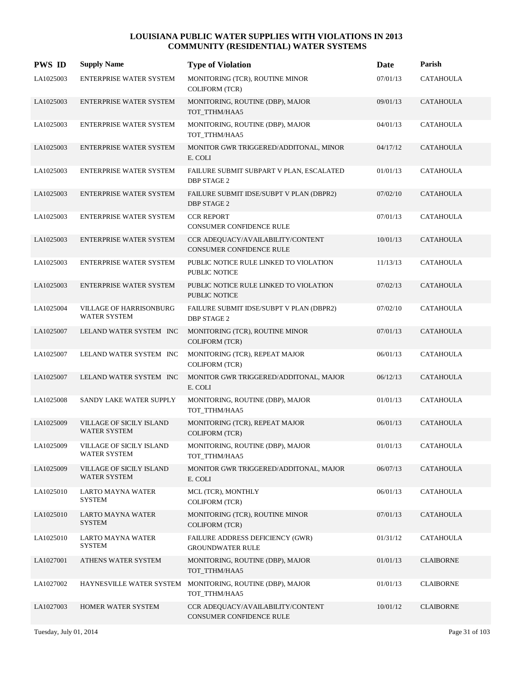| <b>PWS ID</b> | <b>Supply Name</b>                                    | <b>Type of Violation</b>                                       | Date     | Parish           |
|---------------|-------------------------------------------------------|----------------------------------------------------------------|----------|------------------|
| LA1025003     | ENTERPRISE WATER SYSTEM                               | MONITORING (TCR), ROUTINE MINOR<br><b>COLIFORM (TCR)</b>       | 07/01/13 | <b>CATAHOULA</b> |
| LA1025003     | <b>ENTERPRISE WATER SYSTEM</b>                        | MONITORING, ROUTINE (DBP), MAJOR<br>TOT_TTHM/HAA5              | 09/01/13 | <b>CATAHOULA</b> |
| LA1025003     | ENTERPRISE WATER SYSTEM                               | MONITORING, ROUTINE (DBP), MAJOR<br>TOT_TTHM/HAA5              | 04/01/13 | CATAHOULA        |
| LA1025003     | <b>ENTERPRISE WATER SYSTEM</b>                        | MONITOR GWR TRIGGERED/ADDITONAL, MINOR<br>E. COLI              | 04/17/12 | <b>CATAHOULA</b> |
| LA1025003     | ENTERPRISE WATER SYSTEM                               | FAILURE SUBMIT SUBPART V PLAN, ESCALATED<br><b>DBP STAGE 2</b> | 01/01/13 | <b>CATAHOULA</b> |
| LA1025003     | <b>ENTERPRISE WATER SYSTEM</b>                        | FAILURE SUBMIT IDSE/SUBPT V PLAN (DBPR2)<br><b>DBP STAGE 2</b> | 07/02/10 | CATAHOULA        |
| LA1025003     | ENTERPRISE WATER SYSTEM                               | <b>CCR REPORT</b><br>CONSUMER CONFIDENCE RULE                  | 07/01/13 | CATAHOULA        |
| LA1025003     | <b>ENTERPRISE WATER SYSTEM</b>                        | CCR ADEQUACY/AVAILABILITY/CONTENT<br>CONSUMER CONFIDENCE RULE  | 10/01/13 | CATAHOULA        |
| LA1025003     | ENTERPRISE WATER SYSTEM                               | PUBLIC NOTICE RULE LINKED TO VIOLATION<br><b>PUBLIC NOTICE</b> | 11/13/13 | CATAHOULA        |
| LA1025003     | <b>ENTERPRISE WATER SYSTEM</b>                        | PUBLIC NOTICE RULE LINKED TO VIOLATION<br>PUBLIC NOTICE        | 07/02/13 | <b>CATAHOULA</b> |
| LA1025004     | <b>VILLAGE OF HARRISONBURG</b><br><b>WATER SYSTEM</b> | FAILURE SUBMIT IDSE/SUBPT V PLAN (DBPR2)<br><b>DBP STAGE 2</b> | 07/02/10 | <b>CATAHOULA</b> |
| LA1025007     | LELAND WATER SYSTEM INC                               | MONITORING (TCR), ROUTINE MINOR<br><b>COLIFORM (TCR)</b>       | 07/01/13 | <b>CATAHOULA</b> |
| LA1025007     | LELAND WATER SYSTEM INC                               | MONITORING (TCR), REPEAT MAJOR<br><b>COLIFORM (TCR)</b>        | 06/01/13 | <b>CATAHOULA</b> |
| LA1025007     | LELAND WATER SYSTEM INC                               | MONITOR GWR TRIGGERED/ADDITONAL, MAJOR<br>E. COLI              | 06/12/13 | <b>CATAHOULA</b> |
| LA1025008     | SANDY LAKE WATER SUPPLY                               | MONITORING, ROUTINE (DBP), MAJOR<br>TOT_TTHM/HAA5              | 01/01/13 | <b>CATAHOULA</b> |
| LA1025009     | VILLAGE OF SICILY ISLAND<br>WATER SYSTEM              | MONITORING (TCR), REPEAT MAJOR<br><b>COLIFORM (TCR)</b>        | 06/01/13 | <b>CATAHOULA</b> |
| LA1025009     | VILLAGE OF SICILY ISLAND<br><b>WATER SYSTEM</b>       | MONITORING, ROUTINE (DBP), MAJOR<br>TOT_TTHM/HAA5              | 01/01/13 | <b>CATAHOULA</b> |
| LA1025009     | VILLAGE OF SICILY ISLAND<br>WATER SYSTEM              | MONITOR GWR TRIGGERED/ADDITONAL, MAJOR<br>E. COLI              | 06/07/13 | CATAHOULA        |
| LA1025010     | LARTO MAYNA WATER<br><b>SYSTEM</b>                    | MCL (TCR), MONTHLY<br><b>COLIFORM (TCR)</b>                    | 06/01/13 | <b>CATAHOULA</b> |
| LA1025010     | <b>LARTO MAYNA WATER</b><br><b>SYSTEM</b>             | MONITORING (TCR), ROUTINE MINOR<br><b>COLIFORM (TCR)</b>       | 07/01/13 | <b>CATAHOULA</b> |
| LA1025010     | <b>LARTO MAYNA WATER</b><br><b>SYSTEM</b>             | FAILURE ADDRESS DEFICIENCY (GWR)<br><b>GROUNDWATER RULE</b>    | 01/31/12 | CATAHOULA        |
| LA1027001     | ATHENS WATER SYSTEM                                   | MONITORING, ROUTINE (DBP), MAJOR<br>TOT_TTHM/HAA5              | 01/01/13 | <b>CLAIBORNE</b> |
| LA1027002     | HAYNESVILLE WATER SYSTEM                              | MONITORING, ROUTINE (DBP), MAJOR<br>TOT_TTHM/HAA5              | 01/01/13 | <b>CLAIBORNE</b> |
| LA1027003     | HOMER WATER SYSTEM                                    | CCR ADEQUACY/AVAILABILITY/CONTENT<br>CONSUMER CONFIDENCE RULE  | 10/01/12 | <b>CLAIBORNE</b> |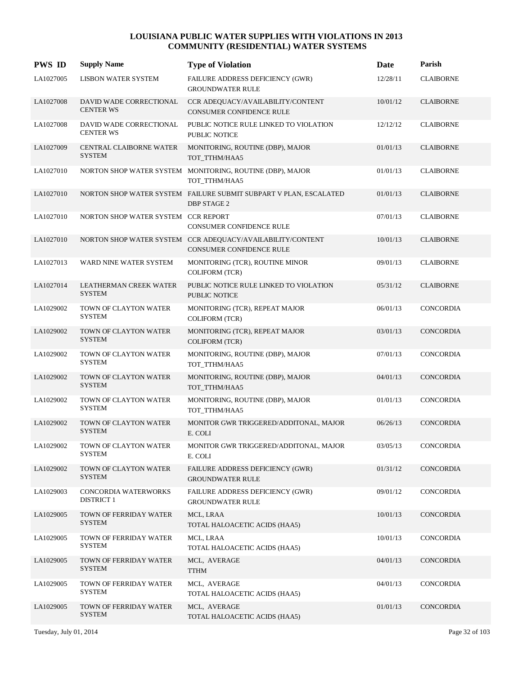| <b>PWS ID</b> | <b>Supply Name</b>                              | <b>Type of Violation</b>                                                                      | Date     | Parish           |
|---------------|-------------------------------------------------|-----------------------------------------------------------------------------------------------|----------|------------------|
| LA1027005     | <b>LISBON WATER SYSTEM</b>                      | FAILURE ADDRESS DEFICIENCY (GWR)<br><b>GROUNDWATER RULE</b>                                   | 12/28/11 | <b>CLAIBORNE</b> |
| LA1027008     | DAVID WADE CORRECTIONAL<br><b>CENTER WS</b>     | CCR ADEQUACY/AVAILABILITY/CONTENT<br><b>CONSUMER CONFIDENCE RULE</b>                          | 10/01/12 | <b>CLAIBORNE</b> |
| LA1027008     | DAVID WADE CORRECTIONAL<br><b>CENTER WS</b>     | PUBLIC NOTICE RULE LINKED TO VIOLATION<br>PUBLIC NOTICE                                       | 12/12/12 | <b>CLAIBORNE</b> |
| LA1027009     | <b>CENTRAL CLAIBORNE WATER</b><br><b>SYSTEM</b> | MONITORING, ROUTINE (DBP), MAJOR<br>TOT_TTHM/HAA5                                             | 01/01/13 | <b>CLAIBORNE</b> |
| LA1027010     |                                                 | NORTON SHOP WATER SYSTEM MONITORING, ROUTINE (DBP), MAJOR<br>TOT TTHM/HAA5                    | 01/01/13 | <b>CLAIBORNE</b> |
| LA1027010     |                                                 | NORTON SHOP WATER SYSTEM FAILURE SUBMIT SUBPART V PLAN, ESCALATED<br><b>DBP STAGE 2</b>       | 01/01/13 | <b>CLAIBORNE</b> |
| LA1027010     | NORTON SHOP WATER SYSTEM CCR REPORT             | CONSUMER CONFIDENCE RULE                                                                      | 07/01/13 | <b>CLAIBORNE</b> |
| LA1027010     |                                                 | NORTON SHOP WATER SYSTEM CCR ADEQUACY/AVAILABILITY/CONTENT<br><b>CONSUMER CONFIDENCE RULE</b> | 10/01/13 | <b>CLAIBORNE</b> |
| LA1027013     | WARD NINE WATER SYSTEM                          | MONITORING (TCR), ROUTINE MINOR<br><b>COLIFORM (TCR)</b>                                      | 09/01/13 | <b>CLAIBORNE</b> |
| LA1027014     | LEATHERMAN CREEK WATER<br><b>SYSTEM</b>         | PUBLIC NOTICE RULE LINKED TO VIOLATION<br><b>PUBLIC NOTICE</b>                                | 05/31/12 | <b>CLAIBORNE</b> |
| LA1029002     | TOWN OF CLAYTON WATER<br><b>SYSTEM</b>          | MONITORING (TCR), REPEAT MAJOR<br><b>COLIFORM (TCR)</b>                                       | 06/01/13 | <b>CONCORDIA</b> |
| LA1029002     | TOWN OF CLAYTON WATER<br><b>SYSTEM</b>          | MONITORING (TCR), REPEAT MAJOR<br><b>COLIFORM (TCR)</b>                                       | 03/01/13 | <b>CONCORDIA</b> |
| LA1029002     | TOWN OF CLAYTON WATER<br><b>SYSTEM</b>          | MONITORING, ROUTINE (DBP), MAJOR<br>TOT_TTHM/HAA5                                             | 07/01/13 | CONCORDIA        |
| LA1029002     | TOWN OF CLAYTON WATER<br><b>SYSTEM</b>          | MONITORING, ROUTINE (DBP), MAJOR<br>TOT TTHM/HAA5                                             | 04/01/13 | <b>CONCORDIA</b> |
| LA1029002     | TOWN OF CLAYTON WATER<br><b>SYSTEM</b>          | MONITORING, ROUTINE (DBP), MAJOR<br>TOT TTHM/HAA5                                             | 01/01/13 | <b>CONCORDIA</b> |
| LA1029002     | TOWN OF CLAYTON WATER<br><b>SYSTEM</b>          | MONITOR GWR TRIGGERED/ADDITONAL, MAJOR<br>E. COLI                                             | 06/26/13 | <b>CONCORDIA</b> |
| LA1029002     | TOWN OF CLAYTON WATER<br><b>SYSTEM</b>          | MONITOR GWR TRIGGERED/ADDITONAL, MAJOR<br>E. COLI                                             | 03/05/13 | <b>CONCORDIA</b> |
| LA1029002     | TOWN OF CLAYTON WATER<br><b>SYSTEM</b>          | FAILURE ADDRESS DEFICIENCY (GWR)<br><b>GROUNDWATER RULE</b>                                   | 01/31/12 | CONCORDIA        |
| LA1029003     | CONCORDIA WATERWORKS<br><b>DISTRICT 1</b>       | FAILURE ADDRESS DEFICIENCY (GWR)<br><b>GROUNDWATER RULE</b>                                   | 09/01/12 | CONCORDIA        |
| LA1029005     | TOWN OF FERRIDAY WATER<br><b>SYSTEM</b>         | MCL, LRAA<br>TOTAL HALOACETIC ACIDS (HAA5)                                                    | 10/01/13 | CONCORDIA        |
| LA1029005     | TOWN OF FERRIDAY WATER<br><b>SYSTEM</b>         | MCL, LRAA<br>TOTAL HALOACETIC ACIDS (HAA5)                                                    | 10/01/13 | CONCORDIA        |
| LA1029005     | TOWN OF FERRIDAY WATER<br><b>SYSTEM</b>         | MCL, AVERAGE<br><b>TTHM</b>                                                                   | 04/01/13 | CONCORDIA        |
| LA1029005     | TOWN OF FERRIDAY WATER<br><b>SYSTEM</b>         | MCL, AVERAGE<br>TOTAL HALOACETIC ACIDS (HAA5)                                                 | 04/01/13 | CONCORDIA        |
| LA1029005     | TOWN OF FERRIDAY WATER<br><b>SYSTEM</b>         | MCL, AVERAGE<br>TOTAL HALOACETIC ACIDS (HAA5)                                                 | 01/01/13 | CONCORDIA        |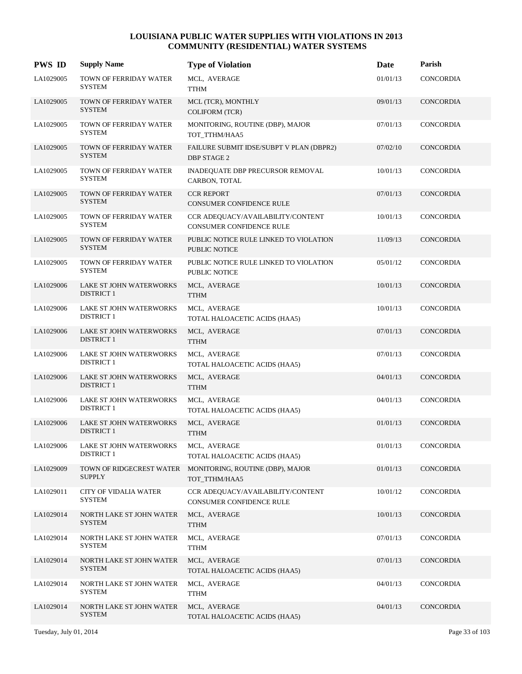| <b>PWS ID</b> | <b>Supply Name</b>                                  | <b>Type of Violation</b>                                             | Date     | Parish           |
|---------------|-----------------------------------------------------|----------------------------------------------------------------------|----------|------------------|
| LA1029005     | TOWN OF FERRIDAY WATER<br><b>SYSTEM</b>             | MCL, AVERAGE<br><b>TTHM</b>                                          | 01/01/13 | CONCORDIA        |
| LA1029005     | TOWN OF FERRIDAY WATER<br><b>SYSTEM</b>             | MCL (TCR), MONTHLY<br><b>COLIFORM (TCR)</b>                          | 09/01/13 | CONCORDIA        |
| LA1029005     | TOWN OF FERRIDAY WATER<br><b>SYSTEM</b>             | MONITORING, ROUTINE (DBP), MAJOR<br>TOT_TTHM/HAA5                    | 07/01/13 | CONCORDIA        |
| LA1029005     | TOWN OF FERRIDAY WATER<br><b>SYSTEM</b>             | FAILURE SUBMIT IDSE/SUBPT V PLAN (DBPR2)<br><b>DBP STAGE 2</b>       | 07/02/10 | CONCORDIA        |
| LA1029005     | TOWN OF FERRIDAY WATER<br><b>SYSTEM</b>             | INADEQUATE DBP PRECURSOR REMOVAL<br>CARBON, TOTAL                    | 10/01/13 | CONCORDIA        |
| LA1029005     | TOWN OF FERRIDAY WATER<br><b>SYSTEM</b>             | <b>CCR REPORT</b><br>CONSUMER CONFIDENCE RULE                        | 07/01/13 | CONCORDIA        |
| LA1029005     | TOWN OF FERRIDAY WATER<br><b>SYSTEM</b>             | CCR ADEQUACY/AVAILABILITY/CONTENT<br>CONSUMER CONFIDENCE RULE        | 10/01/13 | CONCORDIA        |
| LA1029005     | TOWN OF FERRIDAY WATER<br><b>SYSTEM</b>             | PUBLIC NOTICE RULE LINKED TO VIOLATION<br><b>PUBLIC NOTICE</b>       | 11/09/13 | CONCORDIA        |
| LA1029005     | TOWN OF FERRIDAY WATER<br><b>SYSTEM</b>             | PUBLIC NOTICE RULE LINKED TO VIOLATION<br>PUBLIC NOTICE              | 05/01/12 | CONCORDIA        |
| LA1029006     | <b>LAKE ST JOHN WATERWORKS</b><br><b>DISTRICT 1</b> | MCL, AVERAGE<br><b>TTHM</b>                                          | 10/01/13 | CONCORDIA        |
| LA1029006     | LAKE ST JOHN WATERWORKS<br><b>DISTRICT 1</b>        | MCL, AVERAGE<br>TOTAL HALOACETIC ACIDS (HAA5)                        | 10/01/13 | CONCORDIA        |
| LA1029006     | <b>LAKE ST JOHN WATERWORKS</b><br><b>DISTRICT 1</b> | MCL, AVERAGE<br><b>TTHM</b>                                          | 07/01/13 | CONCORDIA        |
| LA1029006     | LAKE ST JOHN WATERWORKS<br><b>DISTRICT 1</b>        | MCL, AVERAGE<br>TOTAL HALOACETIC ACIDS (HAA5)                        | 07/01/13 | CONCORDIA        |
| LA1029006     | LAKE ST JOHN WATERWORKS<br><b>DISTRICT 1</b>        | MCL, AVERAGE<br><b>TTHM</b>                                          | 04/01/13 | <b>CONCORDIA</b> |
| LA1029006     | LAKE ST JOHN WATERWORKS<br><b>DISTRICT 1</b>        | MCL, AVERAGE<br>TOTAL HALOACETIC ACIDS (HAA5)                        | 04/01/13 | CONCORDIA        |
| LA1029006     | <b>LAKE ST JOHN WATERWORKS</b><br><b>DISTRICT 1</b> | MCL, AVERAGE<br><b>TTHM</b>                                          | 01/01/13 | CONCORDIA        |
| LA1029006     | LAKE ST JOHN WATERWORKS<br><b>DISTRICT 1</b>        | MCL, AVERAGE<br>TOTAL HALOACETIC ACIDS (HAA5)                        | 01/01/13 | CONCORDIA        |
| LA1029009     | TOWN OF RIDGECREST WATER<br><b>SUPPLY</b>           | MONITORING, ROUTINE (DBP), MAJOR<br>TOT_TTHM/HAA5                    | 01/01/13 | CONCORDIA        |
| LA1029011     | <b>CITY OF VIDALIA WATER</b><br>SYSTEM              | CCR ADEQUACY/AVAILABILITY/CONTENT<br><b>CONSUMER CONFIDENCE RULE</b> | 10/01/12 | CONCORDIA        |
| LA1029014     | NORTH LAKE ST JOHN WATER<br><b>SYSTEM</b>           | MCL, AVERAGE<br><b>TTHM</b>                                          | 10/01/13 | CONCORDIA        |
| LA1029014     | NORTH LAKE ST JOHN WATER<br><b>SYSTEM</b>           | MCL, AVERAGE<br><b>TTHM</b>                                          | 07/01/13 | CONCORDIA        |
| LA1029014     | NORTH LAKE ST JOHN WATER<br><b>SYSTEM</b>           | MCL, AVERAGE<br>TOTAL HALOACETIC ACIDS (HAA5)                        | 07/01/13 | CONCORDIA        |
| LA1029014     | NORTH LAKE ST JOHN WATER<br><b>SYSTEM</b>           | MCL, AVERAGE<br><b>TTHM</b>                                          | 04/01/13 | CONCORDIA        |
| LA1029014     | NORTH LAKE ST JOHN WATER<br><b>SYSTEM</b>           | MCL, AVERAGE<br>TOTAL HALOACETIC ACIDS (HAA5)                        | 04/01/13 | CONCORDIA        |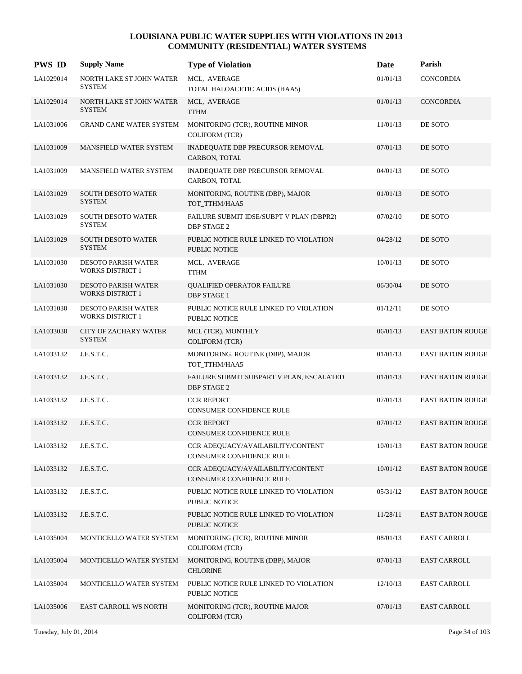| <b>PWS ID</b> | <b>Supply Name</b>                                    | <b>Type of Violation</b>                                       | Date     | Parish                  |
|---------------|-------------------------------------------------------|----------------------------------------------------------------|----------|-------------------------|
| LA1029014     | NORTH LAKE ST JOHN WATER<br><b>SYSTEM</b>             | MCL, AVERAGE<br>TOTAL HALOACETIC ACIDS (HAA5)                  | 01/01/13 | CONCORDIA               |
| LA1029014     | NORTH LAKE ST JOHN WATER<br><b>SYSTEM</b>             | MCL, AVERAGE<br><b>TTHM</b>                                    | 01/01/13 | CONCORDIA               |
| LA1031006     | <b>GRAND CANE WATER SYSTEM</b>                        | MONITORING (TCR), ROUTINE MINOR<br><b>COLIFORM (TCR)</b>       | 11/01/13 | DE SOTO                 |
| LA1031009     | MANSFIELD WATER SYSTEM                                | <b>INADEQUATE DBP PRECURSOR REMOVAL</b><br>CARBON, TOTAL       | 07/01/13 | DE SOTO                 |
| LA1031009     | MANSFIELD WATER SYSTEM                                | INADEQUATE DBP PRECURSOR REMOVAL<br>CARBON, TOTAL              | 04/01/13 | DE SOTO                 |
| LA1031029     | SOUTH DESOTO WATER<br><b>SYSTEM</b>                   | MONITORING, ROUTINE (DBP), MAJOR<br>TOT_TTHM/HAA5              | 01/01/13 | DE SOTO                 |
| LA1031029     | <b>SOUTH DESOTO WATER</b><br><b>SYSTEM</b>            | FAILURE SUBMIT IDSE/SUBPT V PLAN (DBPR2)<br><b>DBP STAGE 2</b> | 07/02/10 | DE SOTO                 |
| LA1031029     | SOUTH DESOTO WATER<br><b>SYSTEM</b>                   | PUBLIC NOTICE RULE LINKED TO VIOLATION<br><b>PUBLIC NOTICE</b> | 04/28/12 | DE SOTO                 |
| LA1031030     | DESOTO PARISH WATER<br><b>WORKS DISTRICT 1</b>        | MCL, AVERAGE<br>TTHM                                           | 10/01/13 | DE SOTO                 |
| LA1031030     | DESOTO PARISH WATER<br><b>WORKS DISTRICT 1</b>        | <b>QUALIFIED OPERATOR FAILURE</b><br><b>DBP STAGE 1</b>        | 06/30/04 | DE SOTO                 |
| LA1031030     | <b>DESOTO PARISH WATER</b><br><b>WORKS DISTRICT 1</b> | PUBLIC NOTICE RULE LINKED TO VIOLATION<br>PUBLIC NOTICE        | 01/12/11 | DE SOTO                 |
| LA1033030     | <b>CITY OF ZACHARY WATER</b><br><b>SYSTEM</b>         | MCL (TCR), MONTHLY<br><b>COLIFORM (TCR)</b>                    | 06/01/13 | <b>EAST BATON ROUGE</b> |
| LA1033132     | J.E.S.T.C.                                            | MONITORING, ROUTINE (DBP), MAJOR<br>TOT_TTHM/HAA5              | 01/01/13 | <b>EAST BATON ROUGE</b> |
| LA1033132     | J.E.S.T.C.                                            | FAILURE SUBMIT SUBPART V PLAN, ESCALATED<br><b>DBP STAGE 2</b> | 01/01/13 | <b>EAST BATON ROUGE</b> |
| LA1033132     | J.E.S.T.C.                                            | <b>CCR REPORT</b><br>CONSUMER CONFIDENCE RULE                  | 07/01/13 | <b>EAST BATON ROUGE</b> |
| LA1033132     | J.E.S.T.C.                                            | <b>CCR REPORT</b><br><b>CONSUMER CONFIDENCE RULE</b>           | 07/01/12 | <b>EAST BATON ROUGE</b> |
| LA1033132     | J.E.S.T.C.                                            | CCR ADEQUACY/AVAILABILITY/CONTENT<br>CONSUMER CONFIDENCE RULE  | 10/01/13 | <b>EAST BATON ROUGE</b> |
| LA1033132     | J.E.S.T.C.                                            | CCR ADEQUACY/AVAILABILITY/CONTENT<br>CONSUMER CONFIDENCE RULE  | 10/01/12 | <b>EAST BATON ROUGE</b> |
| LA1033132     | J.E.S.T.C.                                            | PUBLIC NOTICE RULE LINKED TO VIOLATION<br>PUBLIC NOTICE        | 05/31/12 | <b>EAST BATON ROUGE</b> |
| LA1033132     | J.E.S.T.C.                                            | PUBLIC NOTICE RULE LINKED TO VIOLATION<br>PUBLIC NOTICE        | 11/28/11 | <b>EAST BATON ROUGE</b> |
| LA1035004     | MONTICELLO WATER SYSTEM                               | MONITORING (TCR), ROUTINE MINOR<br><b>COLIFORM (TCR)</b>       | 08/01/13 | EAST CARROLL            |
| LA1035004     | MONTICELLO WATER SYSTEM                               | MONITORING, ROUTINE (DBP), MAJOR<br><b>CHLORINE</b>            | 07/01/13 | <b>EAST CARROLL</b>     |
| LA1035004     | MONTICELLO WATER SYSTEM                               | PUBLIC NOTICE RULE LINKED TO VIOLATION<br>PUBLIC NOTICE        | 12/10/13 | <b>EAST CARROLL</b>     |
| LA1035006     | EAST CARROLL WS NORTH                                 | MONITORING (TCR), ROUTINE MAJOR<br>COLIFORM (TCR)              | 07/01/13 | EAST CARROLL            |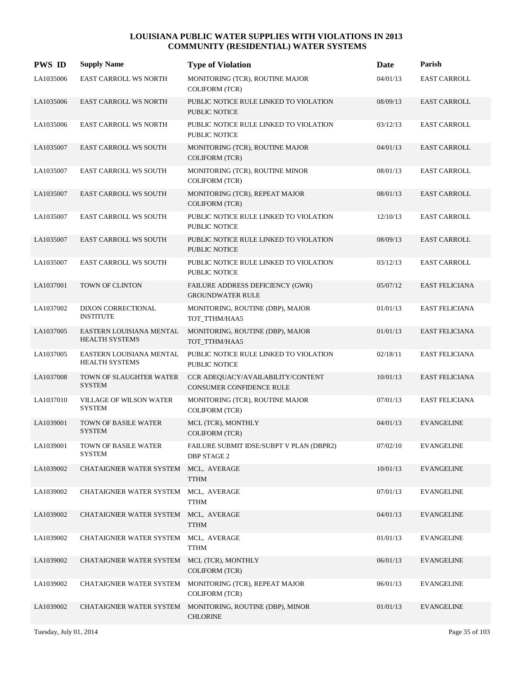| <b>PWS ID</b> | <b>Supply Name</b>                                | <b>Type of Violation</b>                                             | Date     | Parish                |
|---------------|---------------------------------------------------|----------------------------------------------------------------------|----------|-----------------------|
| LA1035006     | EAST CARROLL WS NORTH                             | MONITORING (TCR), ROUTINE MAJOR<br><b>COLIFORM (TCR)</b>             | 04/01/13 | <b>EAST CARROLL</b>   |
| LA1035006     | <b>EAST CARROLL WS NORTH</b>                      | PUBLIC NOTICE RULE LINKED TO VIOLATION<br><b>PUBLIC NOTICE</b>       | 08/09/13 | <b>EAST CARROLL</b>   |
| LA1035006     | <b>EAST CARROLL WS NORTH</b>                      | PUBLIC NOTICE RULE LINKED TO VIOLATION<br>PUBLIC NOTICE              | 03/12/13 | <b>EAST CARROLL</b>   |
| LA1035007     | <b>EAST CARROLL WS SOUTH</b>                      | MONITORING (TCR), ROUTINE MAJOR<br><b>COLIFORM (TCR)</b>             | 04/01/13 | <b>EAST CARROLL</b>   |
| LA1035007     | <b>EAST CARROLL WS SOUTH</b>                      | MONITORING (TCR), ROUTINE MINOR<br><b>COLIFORM (TCR)</b>             | 08/01/13 | <b>EAST CARROLL</b>   |
| LA1035007     | <b>EAST CARROLL WS SOUTH</b>                      | MONITORING (TCR), REPEAT MAJOR<br><b>COLIFORM (TCR)</b>              | 08/01/13 | <b>EAST CARROLL</b>   |
| LA1035007     | <b>EAST CARROLL WS SOUTH</b>                      | PUBLIC NOTICE RULE LINKED TO VIOLATION<br>PUBLIC NOTICE              | 12/10/13 | <b>EAST CARROLL</b>   |
| LA1035007     | <b>EAST CARROLL WS SOUTH</b>                      | PUBLIC NOTICE RULE LINKED TO VIOLATION<br>PUBLIC NOTICE              | 08/09/13 | <b>EAST CARROLL</b>   |
| LA1035007     | <b>EAST CARROLL WS SOUTH</b>                      | PUBLIC NOTICE RULE LINKED TO VIOLATION<br>PUBLIC NOTICE              | 03/12/13 | <b>EAST CARROLL</b>   |
| LA1037001     | TOWN OF CLINTON                                   | FAILURE ADDRESS DEFICIENCY (GWR)<br><b>GROUNDWATER RULE</b>          | 05/07/12 | <b>EAST FELICIANA</b> |
| LA1037002     | DIXON CORRECTIONAL<br><b>INSTITUTE</b>            | MONITORING, ROUTINE (DBP), MAJOR<br>TOT_TTHM/HAA5                    | 01/01/13 | <b>EAST FELICIANA</b> |
| LA1037005     | EASTERN LOUISIANA MENTAL<br>HEALTH SYSTEMS        | MONITORING, ROUTINE (DBP), MAJOR<br>TOT_TTHM/HAA5                    | 01/01/13 | <b>EAST FELICIANA</b> |
| LA1037005     | EASTERN LOUISIANA MENTAL<br><b>HEALTH SYSTEMS</b> | PUBLIC NOTICE RULE LINKED TO VIOLATION<br>PUBLIC NOTICE              | 02/18/11 | <b>EAST FELICIANA</b> |
| LA1037008     | TOWN OF SLAUGHTER WATER<br><b>SYSTEM</b>          | CCR ADEQUACY/AVAILABILITY/CONTENT<br><b>CONSUMER CONFIDENCE RULE</b> | 10/01/13 | <b>EAST FELICIANA</b> |
| LA1037010     | <b>VILLAGE OF WILSON WATER</b><br><b>SYSTEM</b>   | MONITORING (TCR), ROUTINE MAJOR<br><b>COLIFORM (TCR)</b>             | 07/01/13 | <b>EAST FELICIANA</b> |
| LA1039001     | <b>TOWN OF BASILE WATER</b><br><b>SYSTEM</b>      | MCL (TCR), MONTHLY<br><b>COLIFORM (TCR)</b>                          | 04/01/13 | <b>EVANGELINE</b>     |
| LA1039001     | TOWN OF BASILE WATER<br>SYSTEM                    | FAILURE SUBMIT IDSE/SUBPT V PLAN (DBPR2)<br><b>DBP STAGE 2</b>       | 07/02/10 | <b>EVANGELINE</b>     |
| LA1039002     | CHATAIGNIER WATER SYSTEM                          | MCL, AVERAGE<br><b>TTHM</b>                                          | 10/01/13 | <b>EVANGELINE</b>     |
| LA1039002     | CHATAIGNIER WATER SYSTEM                          | MCL, AVERAGE<br><b>TTHM</b>                                          | 07/01/13 | <b>EVANGELINE</b>     |
| LA1039002     | CHATAIGNIER WATER SYSTEM MCL, AVERAGE             | <b>TTHM</b>                                                          | 04/01/13 | <b>EVANGELINE</b>     |
| LA1039002     | CHATAIGNIER WATER SYSTEM                          | MCL, AVERAGE<br><b>TTHM</b>                                          | 01/01/13 | <b>EVANGELINE</b>     |
| LA1039002     | CHATAIGNIER WATER SYSTEM                          | MCL (TCR), MONTHLY<br>COLIFORM (TCR)                                 | 06/01/13 | <b>EVANGELINE</b>     |
| LA1039002     | CHATAIGNIER WATER SYSTEM                          | MONITORING (TCR), REPEAT MAJOR<br><b>COLIFORM (TCR)</b>              | 06/01/13 | <b>EVANGELINE</b>     |
| LA1039002     | CHATAIGNIER WATER SYSTEM                          | MONITORING, ROUTINE (DBP), MINOR<br><b>CHLORINE</b>                  | 01/01/13 | <b>EVANGELINE</b>     |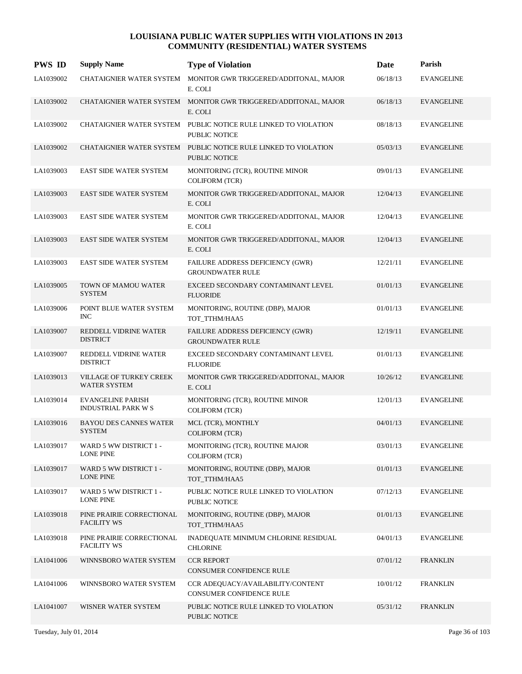| <b>PWS ID</b> | <b>Supply Name</b>                                     | <b>Type of Violation</b>                                                   | Date     | Parish            |
|---------------|--------------------------------------------------------|----------------------------------------------------------------------------|----------|-------------------|
| LA1039002     | CHATAIGNIER WATER SYSTEM                               | MONITOR GWR TRIGGERED/ADDITONAL, MAJOR<br>E. COLI                          | 06/18/13 | <b>EVANGELINE</b> |
| LA1039002     |                                                        | CHATAIGNIER WATER SYSTEM MONITOR GWR TRIGGERED/ADDITONAL, MAJOR<br>E. COLI | 06/18/13 | <b>EVANGELINE</b> |
| LA1039002     | <b>CHATAIGNIER WATER SYSTEM</b>                        | PUBLIC NOTICE RULE LINKED TO VIOLATION<br>PUBLIC NOTICE                    | 08/18/13 | <b>EVANGELINE</b> |
| LA1039002     | <b>CHATAIGNIER WATER SYSTEM</b>                        | PUBLIC NOTICE RULE LINKED TO VIOLATION<br><b>PUBLIC NOTICE</b>             | 05/03/13 | <b>EVANGELINE</b> |
| LA1039003     | EAST SIDE WATER SYSTEM                                 | MONITORING (TCR), ROUTINE MINOR<br><b>COLIFORM (TCR)</b>                   | 09/01/13 | <b>EVANGELINE</b> |
| LA1039003     | <b>EAST SIDE WATER SYSTEM</b>                          | MONITOR GWR TRIGGERED/ADDITONAL, MAJOR<br>E. COLI                          | 12/04/13 | <b>EVANGELINE</b> |
| LA1039003     | <b>EAST SIDE WATER SYSTEM</b>                          | MONITOR GWR TRIGGERED/ADDITONAL, MAJOR<br>E. COLI                          | 12/04/13 | <b>EVANGELINE</b> |
| LA1039003     | <b>EAST SIDE WATER SYSTEM</b>                          | MONITOR GWR TRIGGERED/ADDITONAL, MAJOR<br>E. COLI                          | 12/04/13 | <b>EVANGELINE</b> |
| LA1039003     | <b>EAST SIDE WATER SYSTEM</b>                          | FAILURE ADDRESS DEFICIENCY (GWR)<br><b>GROUNDWATER RULE</b>                | 12/21/11 | <b>EVANGELINE</b> |
| LA1039005     | TOWN OF MAMOU WATER<br><b>SYSTEM</b>                   | EXCEED SECONDARY CONTAMINANT LEVEL<br><b>FLUORIDE</b>                      | 01/01/13 | <b>EVANGELINE</b> |
| LA1039006     | POINT BLUE WATER SYSTEM<br><b>INC</b>                  | MONITORING, ROUTINE (DBP), MAJOR<br>TOT_TTHM/HAA5                          | 01/01/13 | <b>EVANGELINE</b> |
| LA1039007     | REDDELL VIDRINE WATER<br><b>DISTRICT</b>               | <b>FAILURE ADDRESS DEFICIENCY (GWR)</b><br><b>GROUNDWATER RULE</b>         | 12/19/11 | <b>EVANGELINE</b> |
| LA1039007     | REDDELL VIDRINE WATER<br><b>DISTRICT</b>               | EXCEED SECONDARY CONTAMINANT LEVEL<br><b>FLUORIDE</b>                      | 01/01/13 | <b>EVANGELINE</b> |
| LA1039013     | VILLAGE OF TURKEY CREEK<br><b>WATER SYSTEM</b>         | MONITOR GWR TRIGGERED/ADDITONAL, MAJOR<br>E. COLI                          | 10/26/12 | EVANGELINE        |
| LA1039014     | <b>EVANGELINE PARISH</b><br><b>INDUSTRIAL PARK W S</b> | MONITORING (TCR), ROUTINE MINOR<br><b>COLIFORM (TCR)</b>                   | 12/01/13 | <b>EVANGELINE</b> |
| LA1039016     | <b>BAYOU DES CANNES WATER</b><br><b>SYSTEM</b>         | MCL (TCR), MONTHLY<br><b>COLIFORM (TCR)</b>                                | 04/01/13 | EVANGELINE        |
| LA1039017     | WARD 5 WW DISTRICT 1 -<br><b>LONE PINE</b>             | MONITORING (TCR), ROUTINE MAJOR<br><b>COLIFORM (TCR)</b>                   | 03/01/13 | <b>EVANGELINE</b> |
| LA1039017     | WARD 5 WW DISTRICT 1 -<br><b>LONE PINE</b>             | MONITORING, ROUTINE (DBP), MAJOR<br>TOT TTHM/HAA5                          | 01/01/13 | <b>EVANGELINE</b> |
| LA1039017     | WARD 5 WW DISTRICT 1 -<br><b>LONE PINE</b>             | PUBLIC NOTICE RULE LINKED TO VIOLATION<br>PUBLIC NOTICE                    | 07/12/13 | EVANGELINE        |
| LA1039018     | PINE PRAIRIE CORRECTIONAL<br><b>FACILITY WS</b>        | MONITORING, ROUTINE (DBP), MAJOR<br>TOT TTHM/HAA5                          | 01/01/13 | <b>EVANGELINE</b> |
| LA1039018     | PINE PRAIRIE CORRECTIONAL<br><b>FACILITY WS</b>        | INADEQUATE MINIMUM CHLORINE RESIDUAL<br><b>CHLORINE</b>                    | 04/01/13 | <b>EVANGELINE</b> |
| LA1041006     | WINNSBORO WATER SYSTEM                                 | <b>CCR REPORT</b><br>CONSUMER CONFIDENCE RULE                              | 07/01/12 | <b>FRANKLIN</b>   |
| LA1041006     | WINNSBORO WATER SYSTEM                                 | CCR ADEQUACY/AVAILABILITY/CONTENT<br>CONSUMER CONFIDENCE RULE              | 10/01/12 | <b>FRANKLIN</b>   |
| LA1041007     | WISNER WATER SYSTEM                                    | PUBLIC NOTICE RULE LINKED TO VIOLATION<br>PUBLIC NOTICE                    | 05/31/12 | <b>FRANKLIN</b>   |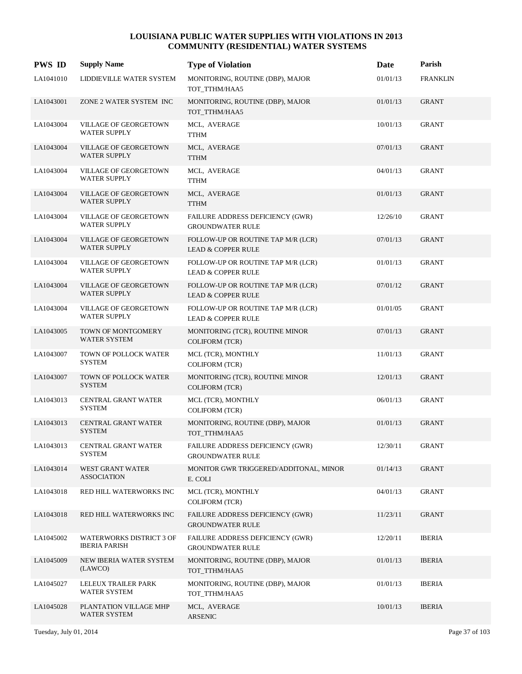| <b>PWS ID</b> | <b>Supply Name</b>                                      | <b>Type of Violation</b>                                            | Date     | Parish          |
|---------------|---------------------------------------------------------|---------------------------------------------------------------------|----------|-----------------|
| LA1041010     | LIDDIEVILLE WATER SYSTEM                                | MONITORING, ROUTINE (DBP), MAJOR<br>TOT TTHM/HAA5                   | 01/01/13 | <b>FRANKLIN</b> |
| LA1043001     | ZONE 2 WATER SYSTEM INC                                 | MONITORING, ROUTINE (DBP), MAJOR<br>TOT_TTHM/HAA5                   | 01/01/13 | <b>GRANT</b>    |
| LA1043004     | VILLAGE OF GEORGETOWN<br><b>WATER SUPPLY</b>            | MCL, AVERAGE<br><b>TTHM</b>                                         | 10/01/13 | <b>GRANT</b>    |
| LA1043004     | <b>VILLAGE OF GEORGETOWN</b><br><b>WATER SUPPLY</b>     | MCL, AVERAGE<br><b>TTHM</b>                                         | 07/01/13 | <b>GRANT</b>    |
| LA1043004     | <b>VILLAGE OF GEORGETOWN</b><br>WATER SUPPLY            | MCL, AVERAGE<br><b>TTHM</b>                                         | 04/01/13 | <b>GRANT</b>    |
| LA1043004     | <b>VILLAGE OF GEORGETOWN</b><br><b>WATER SUPPLY</b>     | MCL, AVERAGE<br><b>TTHM</b>                                         | 01/01/13 | <b>GRANT</b>    |
| LA1043004     | VILLAGE OF GEORGETOWN<br><b>WATER SUPPLY</b>            | FAILURE ADDRESS DEFICIENCY (GWR)<br><b>GROUNDWATER RULE</b>         | 12/26/10 | <b>GRANT</b>    |
| LA1043004     | <b>VILLAGE OF GEORGETOWN</b><br><b>WATER SUPPLY</b>     | FOLLOW-UP OR ROUTINE TAP M/R (LCR)<br><b>LEAD &amp; COPPER RULE</b> | 07/01/13 | <b>GRANT</b>    |
| LA1043004     | VILLAGE OF GEORGETOWN<br><b>WATER SUPPLY</b>            | FOLLOW-UP OR ROUTINE TAP M/R (LCR)<br><b>LEAD &amp; COPPER RULE</b> | 01/01/13 | <b>GRANT</b>    |
| LA1043004     | <b>VILLAGE OF GEORGETOWN</b><br><b>WATER SUPPLY</b>     | FOLLOW-UP OR ROUTINE TAP M/R (LCR)<br><b>LEAD &amp; COPPER RULE</b> | 07/01/12 | <b>GRANT</b>    |
| LA1043004     | <b>VILLAGE OF GEORGETOWN</b><br><b>WATER SUPPLY</b>     | FOLLOW-UP OR ROUTINE TAP M/R (LCR)<br><b>LEAD &amp; COPPER RULE</b> | 01/01/05 | <b>GRANT</b>    |
| LA1043005     | TOWN OF MONTGOMERY<br>WATER SYSTEM                      | MONITORING (TCR), ROUTINE MINOR<br><b>COLIFORM (TCR)</b>            | 07/01/13 | <b>GRANT</b>    |
| LA1043007     | TOWN OF POLLOCK WATER<br><b>SYSTEM</b>                  | MCL (TCR), MONTHLY<br><b>COLIFORM (TCR)</b>                         | 11/01/13 | <b>GRANT</b>    |
| LA1043007     | TOWN OF POLLOCK WATER<br><b>SYSTEM</b>                  | MONITORING (TCR), ROUTINE MINOR<br><b>COLIFORM (TCR)</b>            | 12/01/13 | <b>GRANT</b>    |
| LA1043013     | CENTRAL GRANT WATER<br><b>SYSTEM</b>                    | MCL (TCR), MONTHLY<br><b>COLIFORM (TCR)</b>                         | 06/01/13 | <b>GRANT</b>    |
| LA1043013     | CENTRAL GRANT WATER<br><b>SYSTEM</b>                    | MONITORING, ROUTINE (DBP), MAJOR<br>TOT_TTHM/HAA5                   | 01/01/13 | <b>GRANT</b>    |
| LA1043013     | <b>CENTRAL GRANT WATER</b><br><b>SYSTEM</b>             | FAILURE ADDRESS DEFICIENCY (GWR)<br><b>GROUNDWATER RULE</b>         | 12/30/11 | <b>GRANT</b>    |
| LA1043014     | WEST GRANT WATER<br><b>ASSOCIATION</b>                  | MONITOR GWR TRIGGERED/ADDITONAL, MINOR<br>E. COLI                   | 01/14/13 | <b>GRANT</b>    |
| LA1043018     | RED HILL WATERWORKS INC                                 | MCL (TCR), MONTHLY<br><b>COLIFORM (TCR)</b>                         | 04/01/13 | <b>GRANT</b>    |
| LA1043018     | RED HILL WATERWORKS INC                                 | FAILURE ADDRESS DEFICIENCY (GWR)<br><b>GROUNDWATER RULE</b>         | 11/23/11 | <b>GRANT</b>    |
| LA1045002     | <b>WATERWORKS DISTRICT 3 OF</b><br><b>IBERIA PARISH</b> | FAILURE ADDRESS DEFICIENCY (GWR)<br><b>GROUNDWATER RULE</b>         | 12/20/11 | <b>IBERIA</b>   |
| LA1045009     | NEW IBERIA WATER SYSTEM<br>(LAWCO)                      | MONITORING, ROUTINE (DBP), MAJOR<br>TOT_TTHM/HAA5                   | 01/01/13 | <b>IBERIA</b>   |
| LA1045027     | LELEUX TRAILER PARK<br>WATER SYSTEM                     | MONITORING, ROUTINE (DBP), MAJOR<br>TOT_TTHM/HAA5                   | 01/01/13 | <b>IBERIA</b>   |
| LA1045028     | PLANTATION VILLAGE MHP<br>WATER SYSTEM                  | MCL, AVERAGE<br><b>ARSENIC</b>                                      | 10/01/13 | <b>IBERIA</b>   |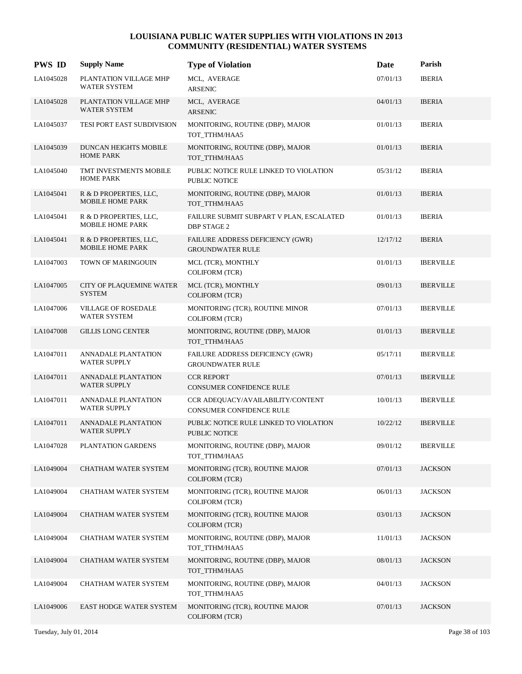| <b>PWS ID</b> | <b>Supply Name</b>                                | <b>Type of Violation</b>                                       | Date     | Parish           |
|---------------|---------------------------------------------------|----------------------------------------------------------------|----------|------------------|
| LA1045028     | PLANTATION VILLAGE MHP<br>WATER SYSTEM            | MCL, AVERAGE<br><b>ARSENIC</b>                                 | 07/01/13 | <b>IBERIA</b>    |
| LA1045028     | PLANTATION VILLAGE MHP<br>WATER SYSTEM            | MCL, AVERAGE<br><b>ARSENIC</b>                                 | 04/01/13 | <b>IBERIA</b>    |
| LA1045037     | TESI PORT EAST SUBDIVISION                        | MONITORING, ROUTINE (DBP), MAJOR<br>TOT_TTHM/HAA5              | 01/01/13 | <b>IBERIA</b>    |
| LA1045039     | DUNCAN HEIGHTS MOBILE<br><b>HOME PARK</b>         | MONITORING, ROUTINE (DBP), MAJOR<br>TOT_TTHM/HAA5              | 01/01/13 | <b>IBERIA</b>    |
| LA1045040     | TMT INVESTMENTS MOBILE<br><b>HOME PARK</b>        | PUBLIC NOTICE RULE LINKED TO VIOLATION<br><b>PUBLIC NOTICE</b> | 05/31/12 | <b>IBERIA</b>    |
| LA1045041     | R & D PROPERTIES, LLC,<br><b>MOBILE HOME PARK</b> | MONITORING, ROUTINE (DBP), MAJOR<br>TOT_TTHM/HAA5              | 01/01/13 | <b>IBERIA</b>    |
| LA1045041     | R & D PROPERTIES, LLC,<br><b>MOBILE HOME PARK</b> | FAILURE SUBMIT SUBPART V PLAN, ESCALATED<br><b>DBP STAGE 2</b> | 01/01/13 | <b>IBERIA</b>    |
| LA1045041     | R & D PROPERTIES, LLC,<br><b>MOBILE HOME PARK</b> | FAILURE ADDRESS DEFICIENCY (GWR)<br><b>GROUNDWATER RULE</b>    | 12/17/12 | <b>IBERIA</b>    |
| LA1047003     | TOWN OF MARINGOUIN                                | MCL (TCR), MONTHLY<br><b>COLIFORM (TCR)</b>                    | 01/01/13 | <b>IBERVILLE</b> |
| LA1047005     | CITY OF PLAQUEMINE WATER<br><b>SYSTEM</b>         | MCL (TCR), MONTHLY<br><b>COLIFORM (TCR)</b>                    | 09/01/13 | <b>IBERVILLE</b> |
| LA1047006     | <b>VILLAGE OF ROSEDALE</b><br><b>WATER SYSTEM</b> | MONITORING (TCR), ROUTINE MINOR<br><b>COLIFORM (TCR)</b>       | 07/01/13 | <b>IBERVILLE</b> |
| LA1047008     | <b>GILLIS LONG CENTER</b>                         | MONITORING, ROUTINE (DBP), MAJOR<br>TOT_TTHM/HAA5              | 01/01/13 | <b>IBERVILLE</b> |
| LA1047011     | <b>ANNADALE PLANTATION</b><br><b>WATER SUPPLY</b> | FAILURE ADDRESS DEFICIENCY (GWR)<br><b>GROUNDWATER RULE</b>    | 05/17/11 | <b>IBERVILLE</b> |
| LA1047011     | ANNADALE PLANTATION<br><b>WATER SUPPLY</b>        | <b>CCR REPORT</b><br>CONSUMER CONFIDENCE RULE                  | 07/01/13 | <b>IBERVILLE</b> |
| LA1047011     | ANNADALE PLANTATION<br><b>WATER SUPPLY</b>        | CCR ADEQUACY/AVAILABILITY/CONTENT<br>CONSUMER CONFIDENCE RULE  | 10/01/13 | <b>IBERVILLE</b> |
| LA1047011     | ANNADALE PLANTATION<br><b>WATER SUPPLY</b>        | PUBLIC NOTICE RULE LINKED TO VIOLATION<br>PUBLIC NOTICE        | 10/22/12 | <b>IBERVILLE</b> |
| LA1047028     | PLANTATION GARDENS                                | MONITORING, ROUTINE (DBP), MAJOR<br>TOT_TTHM/HAA5              | 09/01/12 | <b>IBERVILLE</b> |
| LA1049004     | CHATHAM WATER SYSTEM                              | MONITORING (TCR), ROUTINE MAJOR<br>COLIFORM (TCR)              | 07/01/13 | <b>JACKSON</b>   |
| LA1049004     | CHATHAM WATER SYSTEM                              | MONITORING (TCR), ROUTINE MAJOR<br>COLIFORM (TCR)              | 06/01/13 | <b>JACKSON</b>   |
| LA1049004     | CHATHAM WATER SYSTEM                              | MONITORING (TCR), ROUTINE MAJOR<br>COLIFORM (TCR)              | 03/01/13 | <b>JACKSON</b>   |
| LA1049004     | CHATHAM WATER SYSTEM                              | MONITORING, ROUTINE (DBP), MAJOR<br>TOT_TTHM/HAA5              | 11/01/13 | <b>JACKSON</b>   |
| LA1049004     | CHATHAM WATER SYSTEM                              | MONITORING, ROUTINE (DBP), MAJOR<br>TOT_TTHM/HAA5              | 08/01/13 | <b>JACKSON</b>   |
| LA1049004     | CHATHAM WATER SYSTEM                              | MONITORING, ROUTINE (DBP), MAJOR<br>TOT_TTHM/HAA5              | 04/01/13 | <b>JACKSON</b>   |
| LA1049006     | EAST HODGE WATER SYSTEM                           | MONITORING (TCR), ROUTINE MAJOR<br>COLIFORM (TCR)              | 07/01/13 | <b>JACKSON</b>   |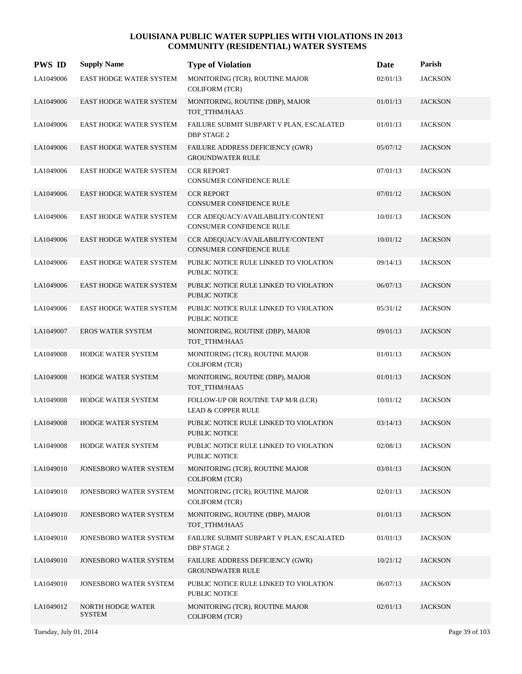| <b>PWS ID</b> | <b>Supply Name</b>                 | <b>Type of Violation</b>                                             | <b>Date</b> | Parish         |
|---------------|------------------------------------|----------------------------------------------------------------------|-------------|----------------|
| LA1049006     | <b>EAST HODGE WATER SYSTEM</b>     | MONITORING (TCR), ROUTINE MAJOR<br><b>COLIFORM (TCR)</b>             | 02/01/13    | <b>JACKSON</b> |
| LA1049006     | <b>EAST HODGE WATER SYSTEM</b>     | MONITORING, ROUTINE (DBP), MAJOR<br>TOT_TTHM/HAA5                    | 01/01/13    | <b>JACKSON</b> |
| LA1049006     | EAST HODGE WATER SYSTEM            | FAILURE SUBMIT SUBPART V PLAN, ESCALATED<br><b>DBP STAGE 2</b>       | 01/01/13    | <b>JACKSON</b> |
| LA1049006     | <b>EAST HODGE WATER SYSTEM</b>     | FAILURE ADDRESS DEFICIENCY (GWR)<br><b>GROUNDWATER RULE</b>          | 05/07/12    | <b>JACKSON</b> |
| LA1049006     | <b>EAST HODGE WATER SYSTEM</b>     | <b>CCR REPORT</b><br><b>CONSUMER CONFIDENCE RULE</b>                 | 07/01/13    | <b>JACKSON</b> |
| LA1049006     | <b>EAST HODGE WATER SYSTEM</b>     | <b>CCR REPORT</b><br><b>CONSUMER CONFIDENCE RULE</b>                 | 07/01/12    | <b>JACKSON</b> |
| LA1049006     | <b>EAST HODGE WATER SYSTEM</b>     | CCR ADEQUACY/AVAILABILITY/CONTENT<br><b>CONSUMER CONFIDENCE RULE</b> | 10/01/13    | <b>JACKSON</b> |
| LA1049006     | <b>EAST HODGE WATER SYSTEM</b>     | CCR ADEQUACY/AVAILABILITY/CONTENT<br><b>CONSUMER CONFIDENCE RULE</b> | 10/01/12    | <b>JACKSON</b> |
| LA1049006     | <b>EAST HODGE WATER SYSTEM</b>     | PUBLIC NOTICE RULE LINKED TO VIOLATION<br>PUBLIC NOTICE              | 09/14/13    | <b>JACKSON</b> |
| LA1049006     | <b>EAST HODGE WATER SYSTEM</b>     | PUBLIC NOTICE RULE LINKED TO VIOLATION<br><b>PUBLIC NOTICE</b>       | 06/07/13    | <b>JACKSON</b> |
| LA1049006     | <b>EAST HODGE WATER SYSTEM</b>     | PUBLIC NOTICE RULE LINKED TO VIOLATION<br>PUBLIC NOTICE              | 05/31/12    | <b>JACKSON</b> |
| LA1049007     | <b>EROS WATER SYSTEM</b>           | MONITORING, ROUTINE (DBP), MAJOR<br>TOT_TTHM/HAA5                    | 09/01/13    | <b>JACKSON</b> |
| LA1049008     | HODGE WATER SYSTEM                 | MONITORING (TCR), ROUTINE MAJOR<br><b>COLIFORM (TCR)</b>             | 01/01/13    | <b>JACKSON</b> |
| LA1049008     | HODGE WATER SYSTEM                 | MONITORING, ROUTINE (DBP), MAJOR<br>TOT TTHM/HAA5                    | 01/01/13    | <b>JACKSON</b> |
| LA1049008     | HODGE WATER SYSTEM                 | FOLLOW-UP OR ROUTINE TAP M/R (LCR)<br><b>LEAD &amp; COPPER RULE</b>  | 10/01/12    | <b>JACKSON</b> |
| LA1049008     | <b>HODGE WATER SYSTEM</b>          | PUBLIC NOTICE RULE LINKED TO VIOLATION<br>PUBLIC NOTICE              | 03/14/13    | <b>JACKSON</b> |
| LA1049008     | HODGE WATER SYSTEM                 | PUBLIC NOTICE RULE LINKED TO VIOLATION<br>PUBLIC NOTICE              | 02/08/13    | <b>JACKSON</b> |
| LA1049010     | JONESBORO WATER SYSTEM             | MONITORING (TCR), ROUTINE MAJOR<br><b>COLIFORM (TCR)</b>             | 03/01/13    | <b>JACKSON</b> |
| LA1049010     | JONESBORO WATER SYSTEM             | MONITORING (TCR), ROUTINE MAJOR<br><b>COLIFORM (TCR)</b>             | 02/01/13    | <b>JACKSON</b> |
| LA1049010     | JONESBORO WATER SYSTEM             | MONITORING, ROUTINE (DBP), MAJOR<br>TOT TTHM/HAA5                    | 01/01/13    | <b>JACKSON</b> |
| LA1049010     | JONESBORO WATER SYSTEM             | FAILURE SUBMIT SUBPART V PLAN, ESCALATED<br><b>DBP STAGE 2</b>       | 01/01/13    | <b>JACKSON</b> |
| LA1049010     | <b>JONESBORO WATER SYSTEM</b>      | FAILURE ADDRESS DEFICIENCY (GWR)<br><b>GROUNDWATER RULE</b>          | 10/21/12    | <b>JACKSON</b> |
| LA1049010     | JONESBORO WATER SYSTEM             | PUBLIC NOTICE RULE LINKED TO VIOLATION<br>PUBLIC NOTICE              | 06/07/13    | <b>JACKSON</b> |
| LA1049012     | NORTH HODGE WATER<br><b>SYSTEM</b> | MONITORING (TCR), ROUTINE MAJOR<br><b>COLIFORM (TCR)</b>             | 02/01/13    | <b>JACKSON</b> |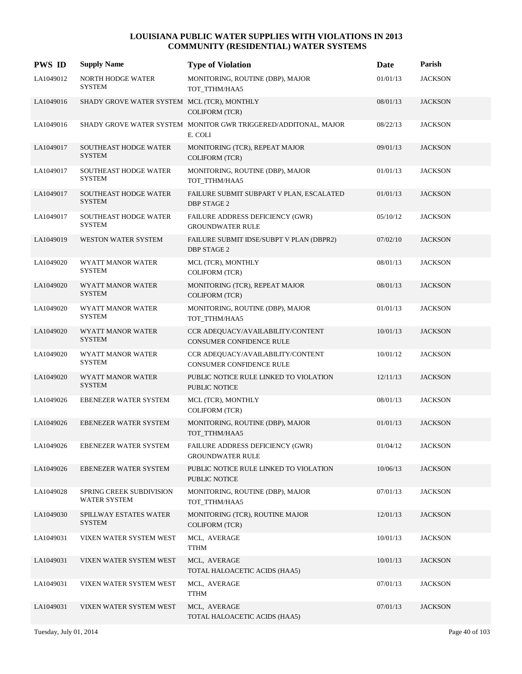| <b>PWS ID</b> | <b>Supply Name</b>                              | <b>Type of Violation</b>                                                   | Date     | Parish         |
|---------------|-------------------------------------------------|----------------------------------------------------------------------------|----------|----------------|
| LA1049012     | NORTH HODGE WATER<br><b>SYSTEM</b>              | MONITORING, ROUTINE (DBP), MAJOR<br>TOT_TTHM/HAA5                          | 01/01/13 | <b>JACKSON</b> |
| LA1049016     | SHADY GROVE WATER SYSTEM MCL (TCR), MONTHLY     | <b>COLIFORM (TCR)</b>                                                      | 08/01/13 | <b>JACKSON</b> |
| LA1049016     |                                                 | SHADY GROVE WATER SYSTEM MONITOR GWR TRIGGERED/ADDITONAL, MAJOR<br>E. COLI | 08/22/13 | <b>JACKSON</b> |
| LA1049017     | <b>SOUTHEAST HODGE WATER</b><br><b>SYSTEM</b>   | MONITORING (TCR), REPEAT MAJOR<br><b>COLIFORM (TCR)</b>                    | 09/01/13 | <b>JACKSON</b> |
| LA1049017     | SOUTHEAST HODGE WATER<br><b>SYSTEM</b>          | MONITORING, ROUTINE (DBP), MAJOR<br>TOT TTHM/HAA5                          | 01/01/13 | <b>JACKSON</b> |
| LA1049017     | <b>SOUTHEAST HODGE WATER</b><br><b>SYSTEM</b>   | FAILURE SUBMIT SUBPART V PLAN, ESCALATED<br><b>DBP STAGE 2</b>             | 01/01/13 | <b>JACKSON</b> |
| LA1049017     | SOUTHEAST HODGE WATER<br><b>SYSTEM</b>          | FAILURE ADDRESS DEFICIENCY (GWR)<br><b>GROUNDWATER RULE</b>                | 05/10/12 | <b>JACKSON</b> |
| LA1049019     | WESTON WATER SYSTEM                             | FAILURE SUBMIT IDSE/SUBPT V PLAN (DBPR2)<br><b>DBP STAGE 2</b>             | 07/02/10 | <b>JACKSON</b> |
| LA1049020     | WYATT MANOR WATER<br><b>SYSTEM</b>              | MCL (TCR), MONTHLY<br><b>COLIFORM (TCR)</b>                                | 08/01/13 | <b>JACKSON</b> |
| LA1049020     | WYATT MANOR WATER<br><b>SYSTEM</b>              | MONITORING (TCR), REPEAT MAJOR<br><b>COLIFORM (TCR)</b>                    | 08/01/13 | <b>JACKSON</b> |
| LA1049020     | WYATT MANOR WATER<br><b>SYSTEM</b>              | MONITORING, ROUTINE (DBP), MAJOR<br>TOT_TTHM/HAA5                          | 01/01/13 | <b>JACKSON</b> |
| LA1049020     | WYATT MANOR WATER<br><b>SYSTEM</b>              | CCR ADEQUACY/AVAILABILITY/CONTENT<br><b>CONSUMER CONFIDENCE RULE</b>       | 10/01/13 | <b>JACKSON</b> |
| LA1049020     | WYATT MANOR WATER<br><b>SYSTEM</b>              | CCR ADEQUACY/AVAILABILITY/CONTENT<br>CONSUMER CONFIDENCE RULE              | 10/01/12 | <b>JACKSON</b> |
| LA1049020     | WYATT MANOR WATER<br><b>SYSTEM</b>              | PUBLIC NOTICE RULE LINKED TO VIOLATION<br><b>PUBLIC NOTICE</b>             | 12/11/13 | <b>JACKSON</b> |
| LA1049026     | EBENEZER WATER SYSTEM                           | MCL (TCR), MONTHLY<br><b>COLIFORM (TCR)</b>                                | 08/01/13 | <b>JACKSON</b> |
| LA1049026     | EBENEZER WATER SYSTEM                           | MONITORING, ROUTINE (DBP), MAJOR<br>TOT_TTHM/HAA5                          | 01/01/13 | <b>JACKSON</b> |
| LA1049026     | EBENEZER WATER SYSTEM                           | FAILURE ADDRESS DEFICIENCY (GWR)<br><b>GROUNDWATER RULE</b>                | 01/04/12 | <b>JACKSON</b> |
| LA1049026     | <b>EBENEZER WATER SYSTEM</b>                    | PUBLIC NOTICE RULE LINKED TO VIOLATION<br>PUBLIC NOTICE                    | 10/06/13 | <b>JACKSON</b> |
| LA1049028     | <b>SPRING CREEK SUBDIVISION</b><br>WATER SYSTEM | MONITORING, ROUTINE (DBP), MAJOR<br>TOT_TTHM/HAA5                          | 07/01/13 | <b>JACKSON</b> |
| LA1049030     | SPILLWAY ESTATES WATER<br><b>SYSTEM</b>         | MONITORING (TCR), ROUTINE MAJOR<br><b>COLIFORM (TCR)</b>                   | 12/01/13 | <b>JACKSON</b> |
| LA1049031     | VIXEN WATER SYSTEM WEST                         | MCL, AVERAGE<br><b>TTHM</b>                                                | 10/01/13 | <b>JACKSON</b> |
| LA1049031     | VIXEN WATER SYSTEM WEST                         | MCL, AVERAGE<br>TOTAL HALOACETIC ACIDS (HAA5)                              | 10/01/13 | <b>JACKSON</b> |
| LA1049031     | VIXEN WATER SYSTEM WEST                         | MCL, AVERAGE<br>${\sf TTHM}$                                               | 07/01/13 | <b>JACKSON</b> |
| LA1049031     | VIXEN WATER SYSTEM WEST                         | MCL, AVERAGE<br>TOTAL HALOACETIC ACIDS (HAA5)                              | 07/01/13 | <b>JACKSON</b> |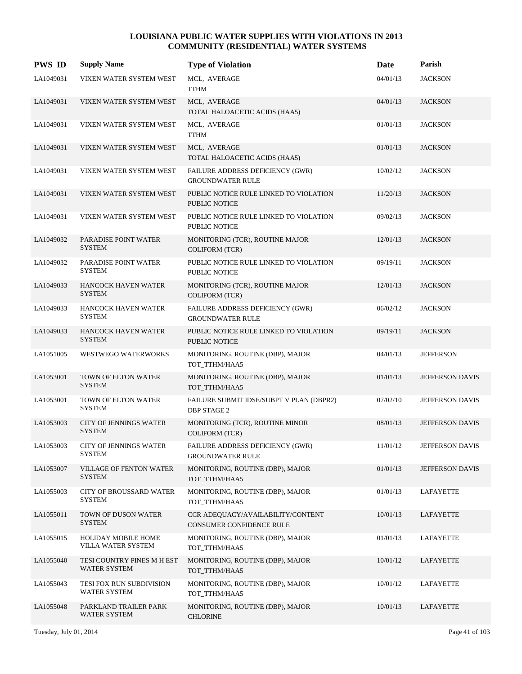| <b>PWS ID</b> | <b>Supply Name</b>                               | <b>Type of Violation</b>                                       | Date     | Parish                 |
|---------------|--------------------------------------------------|----------------------------------------------------------------|----------|------------------------|
| LA1049031     | VIXEN WATER SYSTEM WEST                          | MCL, AVERAGE<br><b>TTHM</b>                                    | 04/01/13 | <b>JACKSON</b>         |
| LA1049031     | VIXEN WATER SYSTEM WEST                          | MCL, AVERAGE<br>TOTAL HALOACETIC ACIDS (HAA5)                  | 04/01/13 | <b>JACKSON</b>         |
| LA1049031     | VIXEN WATER SYSTEM WEST                          | MCL, AVERAGE<br><b>TTHM</b>                                    | 01/01/13 | <b>JACKSON</b>         |
| LA1049031     | VIXEN WATER SYSTEM WEST                          | MCL, AVERAGE<br>TOTAL HALOACETIC ACIDS (HAA5)                  | 01/01/13 | <b>JACKSON</b>         |
| LA1049031     | VIXEN WATER SYSTEM WEST                          | FAILURE ADDRESS DEFICIENCY (GWR)<br><b>GROUNDWATER RULE</b>    | 10/02/12 | <b>JACKSON</b>         |
| LA1049031     | VIXEN WATER SYSTEM WEST                          | PUBLIC NOTICE RULE LINKED TO VIOLATION<br>PUBLIC NOTICE        | 11/20/13 | <b>JACKSON</b>         |
| LA1049031     | VIXEN WATER SYSTEM WEST                          | PUBLIC NOTICE RULE LINKED TO VIOLATION<br><b>PUBLIC NOTICE</b> | 09/02/13 | <b>JACKSON</b>         |
| LA1049032     | PARADISE POINT WATER<br><b>SYSTEM</b>            | MONITORING (TCR), ROUTINE MAJOR<br><b>COLIFORM</b> (TCR)       | 12/01/13 | <b>JACKSON</b>         |
| LA1049032     | PARADISE POINT WATER<br><b>SYSTEM</b>            | PUBLIC NOTICE RULE LINKED TO VIOLATION<br><b>PUBLIC NOTICE</b> | 09/19/11 | <b>JACKSON</b>         |
| LA1049033     | <b>HANCOCK HAVEN WATER</b><br><b>SYSTEM</b>      | MONITORING (TCR), ROUTINE MAJOR<br><b>COLIFORM (TCR)</b>       | 12/01/13 | <b>JACKSON</b>         |
| LA1049033     | <b>HANCOCK HAVEN WATER</b><br><b>SYSTEM</b>      | FAILURE ADDRESS DEFICIENCY (GWR)<br><b>GROUNDWATER RULE</b>    | 06/02/12 | <b>JACKSON</b>         |
| LA1049033     | <b>HANCOCK HAVEN WATER</b><br><b>SYSTEM</b>      | PUBLIC NOTICE RULE LINKED TO VIOLATION<br>PUBLIC NOTICE        | 09/19/11 | <b>JACKSON</b>         |
| LA1051005     | WESTWEGO WATERWORKS                              | MONITORING, ROUTINE (DBP), MAJOR<br>TOT_TTHM/HAA5              | 04/01/13 | <b>JEFFERSON</b>       |
| LA1053001     | TOWN OF ELTON WATER<br><b>SYSTEM</b>             | MONITORING, ROUTINE (DBP), MAJOR<br>TOT_TTHM/HAA5              | 01/01/13 | JEFFERSON DAVIS        |
| LA1053001     | TOWN OF ELTON WATER<br><b>SYSTEM</b>             | FAILURE SUBMIT IDSE/SUBPT V PLAN (DBPR2)<br><b>DBP STAGE 2</b> | 07/02/10 | JEFFERSON DAVIS        |
| LA1053003     | <b>CITY OF JENNINGS WATER</b><br><b>SYSTEM</b>   | MONITORING (TCR), ROUTINE MINOR<br><b>COLIFORM (TCR)</b>       | 08/01/13 | <b>JEFFERSON DAVIS</b> |
| LA1053003     | <b>CITY OF JENNINGS WATER</b><br><b>SYSTEM</b>   | FAILURE ADDRESS DEFICIENCY (GWR)<br><b>GROUNDWATER RULE</b>    | 11/01/12 | JEFFERSON DAVIS        |
| LA1053007     | <b>VILLAGE OF FENTON WATER</b><br><b>SYSTEM</b>  | MONITORING, ROUTINE (DBP), MAJOR<br>TOT_TTHM/HAA5              | 01/01/13 | JEFFERSON DAVIS        |
| LA1055003     | <b>CITY OF BROUSSARD WATER</b><br><b>SYSTEM</b>  | MONITORING, ROUTINE (DBP), MAJOR<br>TOT TTHM/HAA5              | 01/01/13 | LAFAYETTE              |
| LA1055011     | TOWN OF DUSON WATER<br><b>SYSTEM</b>             | CCR ADEQUACY/AVAILABILITY/CONTENT<br>CONSUMER CONFIDENCE RULE  | 10/01/13 | LAFAYETTE              |
| LA1055015     | <b>HOLIDAY MOBILE HOME</b><br>VILLA WATER SYSTEM | MONITORING, ROUTINE (DBP), MAJOR<br>TOT_TTHM/HAA5              | 01/01/13 | LAFAYETTE              |
| LA1055040     | TESI COUNTRY PINES M H EST<br>WATER SYSTEM       | MONITORING, ROUTINE (DBP), MAJOR<br>TOT_TTHM/HAA5              | 10/01/12 | LAFAYETTE              |
| LA1055043     | TESI FOX RUN SUBDIVISION<br>WATER SYSTEM         | MONITORING, ROUTINE (DBP), MAJOR<br>TOT_TTHM/HAA5              | 10/01/12 | LAFAYETTE              |
| LA1055048     | PARKLAND TRAILER PARK<br>WATER SYSTEM            | MONITORING, ROUTINE (DBP), MAJOR<br><b>CHLORINE</b>            | 10/01/13 | LAFAYETTE              |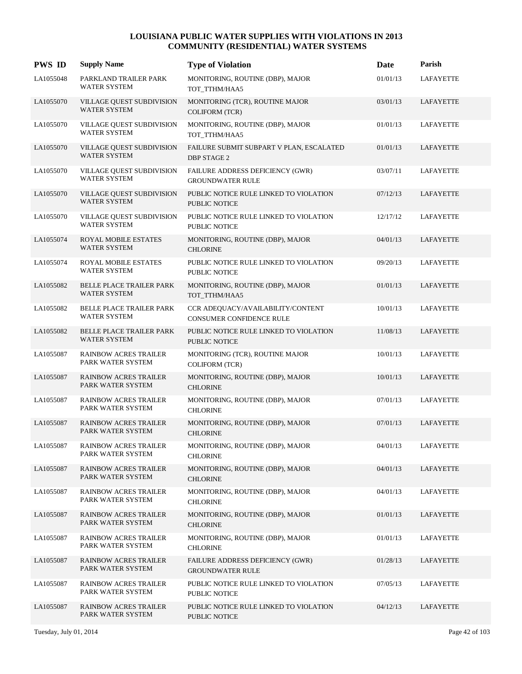| <b>PWS ID</b> | <b>Supply Name</b>                                      | <b>Type of Violation</b>                                       | Date     | Parish           |
|---------------|---------------------------------------------------------|----------------------------------------------------------------|----------|------------------|
| LA1055048     | PARKLAND TRAILER PARK<br>WATER SYSTEM                   | MONITORING, ROUTINE (DBP), MAJOR<br>TOT_TTHM/HAA5              | 01/01/13 | <b>LAFAYETTE</b> |
| LA1055070     | VILLAGE QUEST SUBDIVISION<br><b>WATER SYSTEM</b>        | MONITORING (TCR), ROUTINE MAJOR<br><b>COLIFORM (TCR)</b>       | 03/01/13 | <b>LAFAYETTE</b> |
| LA1055070     | VILLAGE QUEST SUBDIVISION<br><b>WATER SYSTEM</b>        | MONITORING, ROUTINE (DBP), MAJOR<br>TOT_TTHM/HAA5              | 01/01/13 | <b>LAFAYETTE</b> |
| LA1055070     | VILLAGE QUEST SUBDIVISION<br><b>WATER SYSTEM</b>        | FAILURE SUBMIT SUBPART V PLAN, ESCALATED<br>DBP STAGE 2        | 01/01/13 | LAFAYETTE        |
| LA1055070     | VILLAGE QUEST SUBDIVISION<br><b>WATER SYSTEM</b>        | FAILURE ADDRESS DEFICIENCY (GWR)<br><b>GROUNDWATER RULE</b>    | 03/07/11 | <b>LAFAYETTE</b> |
| LA1055070     | <b>VILLAGE QUEST SUBDIVISION</b><br><b>WATER SYSTEM</b> | PUBLIC NOTICE RULE LINKED TO VIOLATION<br><b>PUBLIC NOTICE</b> | 07/12/13 | LAFAYETTE        |
| LA1055070     | VILLAGE QUEST SUBDIVISION<br><b>WATER SYSTEM</b>        | PUBLIC NOTICE RULE LINKED TO VIOLATION<br>PUBLIC NOTICE        | 12/17/12 | <b>LAFAYETTE</b> |
| LA1055074     | ROYAL MOBILE ESTATES<br><b>WATER SYSTEM</b>             | MONITORING, ROUTINE (DBP), MAJOR<br><b>CHLORINE</b>            | 04/01/13 | <b>LAFAYETTE</b> |
| LA1055074     | ROYAL MOBILE ESTATES<br><b>WATER SYSTEM</b>             | PUBLIC NOTICE RULE LINKED TO VIOLATION<br>PUBLIC NOTICE        | 09/20/13 | <b>LAFAYETTE</b> |
| LA1055082     | <b>BELLE PLACE TRAILER PARK</b><br><b>WATER SYSTEM</b>  | MONITORING, ROUTINE (DBP), MAJOR<br>TOT_TTHM/HAA5              | 01/01/13 | LAFAYETTE        |
| LA1055082     | BELLE PLACE TRAILER PARK<br><b>WATER SYSTEM</b>         | CCR ADEQUACY/AVAILABILITY/CONTENT<br>CONSUMER CONFIDENCE RULE  | 10/01/13 | LAFAYETTE        |
| LA1055082     | <b>BELLE PLACE TRAILER PARK</b><br><b>WATER SYSTEM</b>  | PUBLIC NOTICE RULE LINKED TO VIOLATION<br><b>PUBLIC NOTICE</b> | 11/08/13 | LAFAYETTE        |
| LA1055087     | <b>RAINBOW ACRES TRAILER</b><br>PARK WATER SYSTEM       | MONITORING (TCR), ROUTINE MAJOR<br><b>COLIFORM (TCR)</b>       | 10/01/13 | LAFAYETTE        |
| LA1055087     | <b>RAINBOW ACRES TRAILER</b><br>PARK WATER SYSTEM       | MONITORING, ROUTINE (DBP), MAJOR<br><b>CHLORINE</b>            | 10/01/13 | LAFAYETTE        |
| LA1055087     | <b>RAINBOW ACRES TRAILER</b><br>PARK WATER SYSTEM       | MONITORING, ROUTINE (DBP), MAJOR<br><b>CHLORINE</b>            | 07/01/13 | LAFAYETTE        |
| LA1055087     | <b>RAINBOW ACRES TRAILER</b><br>PARK WATER SYSTEM       | MONITORING, ROUTINE (DBP), MAJOR<br><b>CHLORINE</b>            | 07/01/13 | LAFAYETTE        |
| LA1055087     | <b>RAINBOW ACRES TRAILER</b><br>PARK WATER SYSTEM       | MONITORING, ROUTINE (DBP), MAJOR<br><b>CHLORINE</b>            | 04/01/13 | <b>LAFAYETTE</b> |
| LA1055087     | <b>RAINBOW ACRES TRAILER</b><br>PARK WATER SYSTEM       | MONITORING, ROUTINE (DBP), MAJOR<br><b>CHLORINE</b>            | 04/01/13 | LAFAYETTE        |
| LA1055087     | <b>RAINBOW ACRES TRAILER</b><br>PARK WATER SYSTEM       | MONITORING, ROUTINE (DBP), MAJOR<br><b>CHLORINE</b>            | 04/01/13 | LAFAYETTE        |
| LA1055087     | <b>RAINBOW ACRES TRAILER</b><br>PARK WATER SYSTEM       | MONITORING, ROUTINE (DBP), MAJOR<br><b>CHLORINE</b>            | 01/01/13 | LAFAYETTE        |
| LA1055087     | <b>RAINBOW ACRES TRAILER</b><br>PARK WATER SYSTEM       | MONITORING, ROUTINE (DBP), MAJOR<br><b>CHLORINE</b>            | 01/01/13 | <b>LAFAYETTE</b> |
| LA1055087     | <b>RAINBOW ACRES TRAILER</b><br>PARK WATER SYSTEM       | FAILURE ADDRESS DEFICIENCY (GWR)<br><b>GROUNDWATER RULE</b>    | 01/28/13 | LAFAYETTE        |
| LA1055087     | <b>RAINBOW ACRES TRAILER</b><br>PARK WATER SYSTEM       | PUBLIC NOTICE RULE LINKED TO VIOLATION<br>PUBLIC NOTICE        | 07/05/13 | LAFAYETTE        |
| LA1055087     | <b>RAINBOW ACRES TRAILER</b><br>PARK WATER SYSTEM       | PUBLIC NOTICE RULE LINKED TO VIOLATION<br>PUBLIC NOTICE        | 04/12/13 | LAFAYETTE        |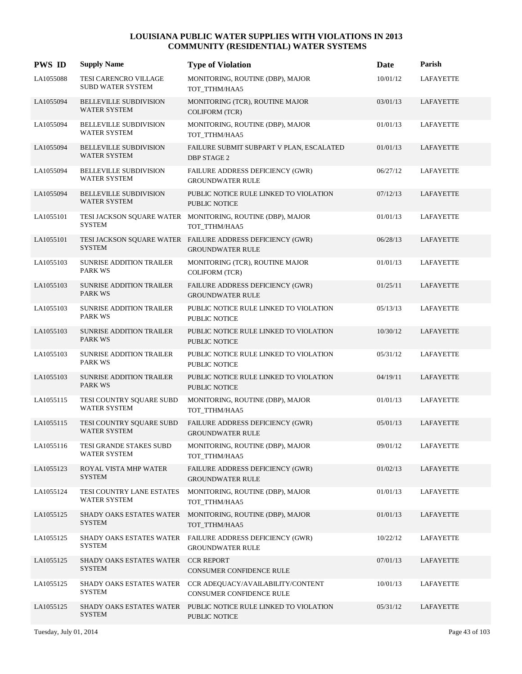| <b>PWS ID</b> | <b>Supply Name</b>                                   | <b>Type of Violation</b>                                                              | Date     | Parish           |
|---------------|------------------------------------------------------|---------------------------------------------------------------------------------------|----------|------------------|
| LA1055088     | TESI CARENCRO VILLAGE<br><b>SUBD WATER SYSTEM</b>    | MONITORING, ROUTINE (DBP), MAJOR<br>TOT_TTHM/HAA5                                     | 10/01/12 | <b>LAFAYETTE</b> |
| LA1055094     | <b>BELLEVILLE SUBDIVISION</b><br><b>WATER SYSTEM</b> | MONITORING (TCR), ROUTINE MAJOR<br><b>COLIFORM (TCR)</b>                              | 03/01/13 | LAFAYETTE        |
| LA1055094     | <b>BELLEVILLE SUBDIVISION</b><br><b>WATER SYSTEM</b> | MONITORING, ROUTINE (DBP), MAJOR<br>TOT_TTHM/HAA5                                     | 01/01/13 | <b>LAFAYETTE</b> |
| LA1055094     | <b>BELLEVILLE SUBDIVISION</b><br>WATER SYSTEM        | FAILURE SUBMIT SUBPART V PLAN, ESCALATED<br>DBP STAGE 2                               | 01/01/13 | LAFAYETTE        |
| LA1055094     | <b>BELLEVILLE SUBDIVISION</b><br><b>WATER SYSTEM</b> | FAILURE ADDRESS DEFICIENCY (GWR)<br><b>GROUNDWATER RULE</b>                           | 06/27/12 | <b>LAFAYETTE</b> |
| LA1055094     | <b>BELLEVILLE SUBDIVISION</b><br><b>WATER SYSTEM</b> | PUBLIC NOTICE RULE LINKED TO VIOLATION<br>PUBLIC NOTICE                               | 07/12/13 | LAFAYETTE        |
| LA1055101     | <b>SYSTEM</b>                                        | TESI JACKSON SQUARE WATER MONITORING, ROUTINE (DBP), MAJOR<br>TOT TTHM/HAA5           | 01/01/13 | <b>LAFAYETTE</b> |
| LA1055101     | <b>SYSTEM</b>                                        | TESI JACKSON SQUARE WATER FAILURE ADDRESS DEFICIENCY (GWR)<br><b>GROUNDWATER RULE</b> | 06/28/13 | LAFAYETTE        |
| LA1055103     | <b>SUNRISE ADDITION TRAILER</b><br><b>PARK WS</b>    | MONITORING (TCR), ROUTINE MAJOR<br><b>COLIFORM (TCR)</b>                              | 01/01/13 | <b>LAFAYETTE</b> |
| LA1055103     | SUNRISE ADDITION TRAILER<br><b>PARK WS</b>           | FAILURE ADDRESS DEFICIENCY (GWR)<br><b>GROUNDWATER RULE</b>                           | 01/25/11 | LAFAYETTE        |
| LA1055103     | <b>SUNRISE ADDITION TRAILER</b><br><b>PARK WS</b>    | PUBLIC NOTICE RULE LINKED TO VIOLATION<br>PUBLIC NOTICE                               | 05/13/13 | LAFAYETTE        |
| LA1055103     | <b>SUNRISE ADDITION TRAILER</b><br><b>PARK WS</b>    | PUBLIC NOTICE RULE LINKED TO VIOLATION<br><b>PUBLIC NOTICE</b>                        | 10/30/12 | LAFAYETTE        |
| LA1055103     | <b>SUNRISE ADDITION TRAILER</b><br><b>PARK WS</b>    | PUBLIC NOTICE RULE LINKED TO VIOLATION<br>PUBLIC NOTICE                               | 05/31/12 | <b>LAFAYETTE</b> |
| LA1055103     | <b>SUNRISE ADDITION TRAILER</b><br><b>PARK WS</b>    | PUBLIC NOTICE RULE LINKED TO VIOLATION<br><b>PUBLIC NOTICE</b>                        | 04/19/11 | LAFAYETTE        |
| LA1055115     | TESI COUNTRY SQUARE SUBD<br><b>WATER SYSTEM</b>      | MONITORING, ROUTINE (DBP), MAJOR<br>TOT_TTHM/HAA5                                     | 01/01/13 | LAFAYETTE        |
| LA1055115     | TESI COUNTRY SQUARE SUBD<br><b>WATER SYSTEM</b>      | FAILURE ADDRESS DEFICIENCY (GWR)<br><b>GROUNDWATER RULE</b>                           | 05/01/13 | LAFAYETTE        |
| LA1055116     | TESI GRANDE STAKES SUBD<br>WATER SYSTEM              | MONITORING, ROUTINE (DBP), MAJOR<br>TOT_TTHM/HAA5                                     | 09/01/12 | <b>LAFAYETTE</b> |
| LA1055123     | ROYAL VISTA MHP WATER<br><b>SYSTEM</b>               | FAILURE ADDRESS DEFICIENCY (GWR)<br><b>GROUNDWATER RULE</b>                           | 01/02/13 | LAFAYETTE        |
| LA1055124     | TESI COUNTRY LANE ESTATES<br>WATER SYSTEM            | MONITORING, ROUTINE (DBP), MAJOR<br>TOT_TTHM/HAA5                                     | 01/01/13 | LAFAYETTE        |
| LA1055125     | <b>SHADY OAKS ESTATES WATER</b><br><b>SYSTEM</b>     | MONITORING, ROUTINE (DBP), MAJOR<br>TOT_TTHM/HAA5                                     | 01/01/13 | <b>LAFAYETTE</b> |
| LA1055125     | SHADY OAKS ESTATES WATER<br><b>SYSTEM</b>            | FAILURE ADDRESS DEFICIENCY (GWR)<br><b>GROUNDWATER RULE</b>                           | 10/22/12 | LAFAYETTE        |
| LA1055125     | SHADY OAKS ESTATES WATER<br><b>SYSTEM</b>            | <b>CCR REPORT</b><br>CONSUMER CONFIDENCE RULE                                         | 07/01/13 | LAFAYETTE        |
| LA1055125     | SHADY OAKS ESTATES WATER<br><b>SYSTEM</b>            | CCR ADEQUACY/AVAILABILITY/CONTENT<br>CONSUMER CONFIDENCE RULE                         | 10/01/13 | LAFAYETTE        |
| LA1055125     | SHADY OAKS ESTATES WATER<br><b>SYSTEM</b>            | PUBLIC NOTICE RULE LINKED TO VIOLATION<br>PUBLIC NOTICE                               | 05/31/12 | LAFAYETTE        |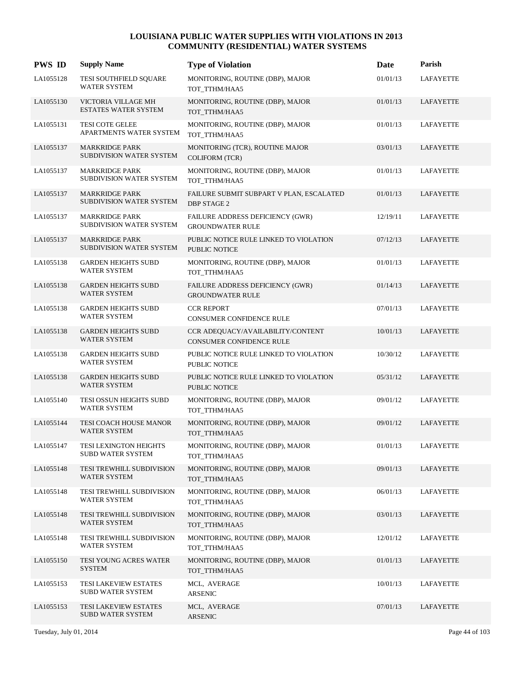| <b>PWS ID</b> | <b>Supply Name</b>                                 | <b>Type of Violation</b>                                       | Date     | Parish           |
|---------------|----------------------------------------------------|----------------------------------------------------------------|----------|------------------|
| LA1055128     | TESI SOUTHFIELD SQUARE<br>WATER SYSTEM             | MONITORING, ROUTINE (DBP), MAJOR<br>TOT_TTHM/HAA5              | 01/01/13 | <b>LAFAYETTE</b> |
| LA1055130     | VICTORIA VILLAGE MH<br>ESTATES WATER SYSTEM        | MONITORING, ROUTINE (DBP), MAJOR<br>TOT TTHM/HAA5              | 01/01/13 | LAFAYETTE        |
| LA1055131     | <b>TESI COTE GELEE</b><br>APARTMENTS WATER SYSTEM  | MONITORING, ROUTINE (DBP), MAJOR<br>TOT_TTHM/HAA5              | 01/01/13 | LAFAYETTE        |
| LA1055137     | <b>MARKRIDGE PARK</b><br>SUBDIVISION WATER SYSTEM  | MONITORING (TCR), ROUTINE MAJOR<br><b>COLIFORM (TCR)</b>       | 03/01/13 | <b>LAFAYETTE</b> |
| LA1055137     | <b>MARKRIDGE PARK</b><br>SUBDIVISION WATER SYSTEM  | MONITORING, ROUTINE (DBP), MAJOR<br>TOT_TTHM/HAA5              | 01/01/13 | <b>LAFAYETTE</b> |
| LA1055137     | <b>MARKRIDGE PARK</b><br>SUBDIVISION WATER SYSTEM  | FAILURE SUBMIT SUBPART V PLAN, ESCALATED<br><b>DBP STAGE 2</b> | 01/01/13 | LAFAYETTE        |
| LA1055137     | <b>MARKRIDGE PARK</b><br>SUBDIVISION WATER SYSTEM  | FAILURE ADDRESS DEFICIENCY (GWR)<br><b>GROUNDWATER RULE</b>    | 12/19/11 | LAFAYETTE        |
| LA1055137     | <b>MARKRIDGE PARK</b><br>SUBDIVISION WATER SYSTEM  | PUBLIC NOTICE RULE LINKED TO VIOLATION<br><b>PUBLIC NOTICE</b> | 07/12/13 | LAFAYETTE        |
| LA1055138     | <b>GARDEN HEIGHTS SUBD</b><br><b>WATER SYSTEM</b>  | MONITORING, ROUTINE (DBP), MAJOR<br>TOT_TTHM/HAA5              | 01/01/13 | <b>LAFAYETTE</b> |
| LA1055138     | <b>GARDEN HEIGHTS SUBD</b><br><b>WATER SYSTEM</b>  | FAILURE ADDRESS DEFICIENCY (GWR)<br><b>GROUNDWATER RULE</b>    | 01/14/13 | LAFAYETTE        |
| LA1055138     | <b>GARDEN HEIGHTS SUBD</b><br><b>WATER SYSTEM</b>  | <b>CCR REPORT</b><br>CONSUMER CONFIDENCE RULE                  | 07/01/13 | LAFAYETTE        |
| LA1055138     | <b>GARDEN HEIGHTS SUBD</b><br><b>WATER SYSTEM</b>  | CCR ADEQUACY/AVAILABILITY/CONTENT<br>CONSUMER CONFIDENCE RULE  | 10/01/13 | LAFAYETTE        |
| LA1055138     | <b>GARDEN HEIGHTS SUBD</b><br><b>WATER SYSTEM</b>  | PUBLIC NOTICE RULE LINKED TO VIOLATION<br>PUBLIC NOTICE        | 10/30/12 | LAFAYETTE        |
| LA1055138     | <b>GARDEN HEIGHTS SUBD</b><br><b>WATER SYSTEM</b>  | PUBLIC NOTICE RULE LINKED TO VIOLATION<br>PUBLIC NOTICE        | 05/31/12 | LAFAYETTE        |
| LA1055140     | TESI OSSUN HEIGHTS SUBD<br><b>WATER SYSTEM</b>     | MONITORING, ROUTINE (DBP), MAJOR<br>TOT TTHM/HAA5              | 09/01/12 | <b>LAFAYETTE</b> |
| LA1055144     | TESI COACH HOUSE MANOR<br><b>WATER SYSTEM</b>      | MONITORING, ROUTINE (DBP), MAJOR<br>TOT_TTHM/HAA5              | 09/01/12 | <b>LAFAYETTE</b> |
| LA1055147     | TESI LEXINGTON HEIGHTS<br><b>SUBD WATER SYSTEM</b> | MONITORING, ROUTINE (DBP), MAJOR<br>TOT_TTHM/HAA5              | 01/01/13 | LAFAYETTE        |
| LA1055148     | TESI TREWHILL SUBDIVISION<br>WATER SYSTEM          | MONITORING, ROUTINE (DBP), MAJOR<br>TOT_TTHM/HAA5              | 09/01/13 | <b>LAFAYETTE</b> |
| LA1055148     | TESI TREWHILL SUBDIVISION<br>WATER SYSTEM          | MONITORING, ROUTINE (DBP), MAJOR<br>TOT_TTHM/HAA5              | 06/01/13 | <b>LAFAYETTE</b> |
| LA1055148     | TESI TREWHILL SUBDIVISION<br>WATER SYSTEM          | MONITORING, ROUTINE (DBP), MAJOR<br>TOT_TTHM/HAA5              | 03/01/13 | <b>LAFAYETTE</b> |
| LA1055148     | TESI TREWHILL SUBDIVISION<br><b>WATER SYSTEM</b>   | MONITORING, ROUTINE (DBP), MAJOR<br>TOT TTHM/HAA5              | 12/01/12 | LAFAYETTE        |
| LA1055150     | TESI YOUNG ACRES WATER<br><b>SYSTEM</b>            | MONITORING, ROUTINE (DBP), MAJOR<br>TOT_TTHM/HAA5              | 01/01/13 | LAFAYETTE        |
| LA1055153     | TESI LAKEVIEW ESTATES<br><b>SUBD WATER SYSTEM</b>  | MCL, AVERAGE<br>ARSENIC                                        | 10/01/13 | LAFAYETTE        |
| LA1055153     | TESI LAKEVIEW ESTATES<br><b>SUBD WATER SYSTEM</b>  | MCL, AVERAGE<br><b>ARSENIC</b>                                 | 07/01/13 | LAFAYETTE        |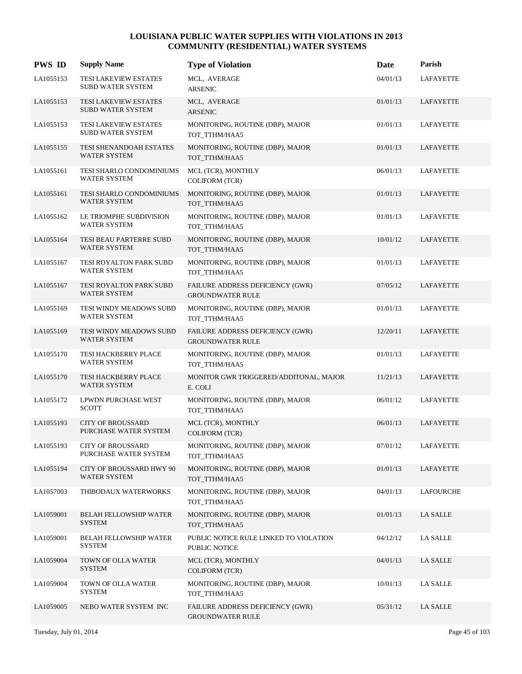| <b>PWS ID</b> | <b>Supply Name</b>                                | <b>Type of Violation</b>                                    | Date     | Parish          |
|---------------|---------------------------------------------------|-------------------------------------------------------------|----------|-----------------|
| LA1055153     | TESI LAKEVIEW ESTATES<br>SUBD WATER SYSTEM        | MCL, AVERAGE<br><b>ARSENIC</b>                              | 04/01/13 | LAFAYETTE       |
| LA1055153     | TESI LAKEVIEW ESTATES<br><b>SUBD WATER SYSTEM</b> | MCL, AVERAGE<br><b>ARSENIC</b>                              | 01/01/13 | LAFAYETTE       |
| LA1055153     | TESI LAKEVIEW ESTATES<br><b>SUBD WATER SYSTEM</b> | MONITORING, ROUTINE (DBP), MAJOR<br>TOT_TTHM/HAA5           | 01/01/13 | LAFAYETTE       |
| LA1055155     | TESI SHENANDOAH ESTATES<br>WATER SYSTEM           | MONITORING, ROUTINE (DBP), MAJOR<br>TOT_TTHM/HAA5           | 01/01/13 | LAFAYETTE       |
| LA1055161     | TESI SHARLO CONDOMINIUMS<br>WATER SYSTEM          | MCL (TCR), MONTHLY<br><b>COLIFORM (TCR)</b>                 | 06/01/13 | LAFAYETTE       |
| LA1055161     | TESI SHARLO CONDOMINIUMS<br>WATER SYSTEM          | MONITORING, ROUTINE (DBP), MAJOR<br>TOT_TTHM/HAA5           | 01/01/13 | LAFAYETTE       |
| LA1055162     | LE TRIOMPHE SUBDIVISION<br><b>WATER SYSTEM</b>    | MONITORING, ROUTINE (DBP), MAJOR<br>TOT_TTHM/HAA5           | 01/01/13 | LAFAYETTE       |
| LA1055164     | TESI BEAU PARTERRE SUBD<br>WATER SYSTEM           | MONITORING, ROUTINE (DBP), MAJOR<br>TOT_TTHM/HAA5           | 10/01/12 | LAFAYETTE       |
| LA1055167     | TESI ROYALTON PARK SUBD<br>WATER SYSTEM           | MONITORING, ROUTINE (DBP), MAJOR<br>TOT TTHM/HAA5           | 01/01/13 | LAFAYETTE       |
| LA1055167     | TESI ROYALTON PARK SUBD<br>WATER SYSTEM           | FAILURE ADDRESS DEFICIENCY (GWR)<br><b>GROUNDWATER RULE</b> | 07/05/12 | LAFAYETTE       |
| LA1055169     | TESI WINDY MEADOWS SUBD<br><b>WATER SYSTEM</b>    | MONITORING, ROUTINE (DBP), MAJOR<br>TOT_TTHM/HAA5           | 01/01/13 | LAFAYETTE       |
| LA1055169     | TESI WINDY MEADOWS SUBD<br>WATER SYSTEM           | FAILURE ADDRESS DEFICIENCY (GWR)<br><b>GROUNDWATER RULE</b> | 12/20/11 | LAFAYETTE       |
| LA1055170     | TESI HACKBERRY PLACE<br>WATER SYSTEM              | MONITORING, ROUTINE (DBP), MAJOR<br>TOT_TTHM/HAA5           | 01/01/13 | LAFAYETTE       |
| LA1055170     | TESI HACKBERRY PLACE<br>WATER SYSTEM              | MONITOR GWR TRIGGERED/ADDITONAL, MAJOR<br>E. COLI           | 11/21/13 | LAFAYETTE       |
| LA1055172     | LPWDN PURCHASE WEST<br><b>SCOTT</b>               | MONITORING, ROUTINE (DBP), MAJOR<br>TOT_TTHM/HAA5           | 06/01/12 | LAFAYETTE       |
| LA1055193     | <b>CITY OF BROUSSARD</b><br>PURCHASE WATER SYSTEM | MCL (TCR), MONTHLY<br><b>COLIFORM (TCR)</b>                 | 06/01/13 | LAFAYETTE       |
| LA1055193     | <b>CITY OF BROUSSARD</b><br>PURCHASE WATER SYSTEM | MONITORING, ROUTINE (DBP), MAJOR<br>TOT_TTHM/HAA5           | 07/01/12 | LAFAYETTE       |
| LA1055194     | CITY OF BROUSSARD HWY 90<br><b>WATER SYSTEM</b>   | MONITORING, ROUTINE (DBP), MAJOR<br>TOT_TTHM/HAA5           | 01/01/13 | LAFAYETTE       |
| LA1057003     | THIBODAUX WATERWORKS                              | MONITORING, ROUTINE (DBP), MAJOR<br>TOT_TTHM/HAA5           | 04/01/13 | LAFOURCHE       |
| LA1059001     | <b>BELAH FELLOWSHIP WATER</b><br><b>SYSTEM</b>    | MONITORING, ROUTINE (DBP), MAJOR<br>TOT_TTHM/HAA5           | 01/01/13 | <b>LA SALLE</b> |
| LA1059001     | <b>BELAH FELLOWSHIP WATER</b><br><b>SYSTEM</b>    | PUBLIC NOTICE RULE LINKED TO VIOLATION<br>PUBLIC NOTICE     | 04/12/12 | <b>LA SALLE</b> |
| LA1059004     | TOWN OF OLLA WATER<br><b>SYSTEM</b>               | MCL (TCR), MONTHLY<br><b>COLIFORM (TCR)</b>                 | 04/01/13 | <b>LA SALLE</b> |
| LA1059004     | TOWN OF OLLA WATER<br><b>SYSTEM</b>               | MONITORING, ROUTINE (DBP), MAJOR<br>TOT_TTHM/HAA5           | 10/01/13 | <b>LA SALLE</b> |
| LA1059005     | NEBO WATER SYSTEM INC                             | FAILURE ADDRESS DEFICIENCY (GWR)<br><b>GROUNDWATER RULE</b> | 05/31/12 | LA SALLE        |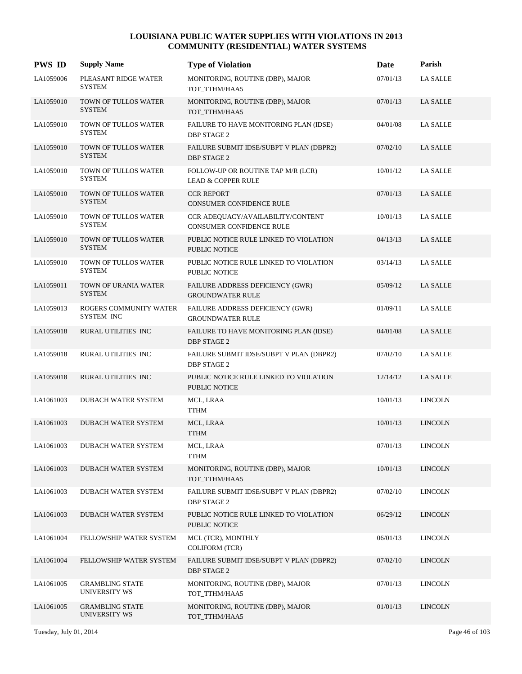| <b>PWS ID</b> | <b>Supply Name</b>                             | <b>Type of Violation</b>                                             | Date     | Parish          |
|---------------|------------------------------------------------|----------------------------------------------------------------------|----------|-----------------|
| LA1059006     | PLEASANT RIDGE WATER<br><b>SYSTEM</b>          | MONITORING, ROUTINE (DBP), MAJOR<br>TOT_TTHM/HAA5                    | 07/01/13 | <b>LA SALLE</b> |
| LA1059010     | <b>TOWN OF TULLOS WATER</b><br><b>SYSTEM</b>   | MONITORING, ROUTINE (DBP), MAJOR<br>TOT_TTHM/HAA5                    | 07/01/13 | <b>LA SALLE</b> |
| LA1059010     | TOWN OF TULLOS WATER<br><b>SYSTEM</b>          | FAILURE TO HAVE MONITORING PLAN (IDSE)<br><b>DBP STAGE 2</b>         | 04/01/08 | <b>LA SALLE</b> |
| LA1059010     | TOWN OF TULLOS WATER<br><b>SYSTEM</b>          | FAILURE SUBMIT IDSE/SUBPT V PLAN (DBPR2)<br><b>DBP STAGE 2</b>       | 07/02/10 | <b>LA SALLE</b> |
| LA1059010     | TOWN OF TULLOS WATER<br><b>SYSTEM</b>          | FOLLOW-UP OR ROUTINE TAP M/R (LCR)<br><b>LEAD &amp; COPPER RULE</b>  | 10/01/12 | <b>LA SALLE</b> |
| LA1059010     | TOWN OF TULLOS WATER<br><b>SYSTEM</b>          | <b>CCR REPORT</b><br>CONSUMER CONFIDENCE RULE                        | 07/01/13 | <b>LA SALLE</b> |
| LA1059010     | TOWN OF TULLOS WATER<br><b>SYSTEM</b>          | CCR ADEQUACY/AVAILABILITY/CONTENT<br><b>CONSUMER CONFIDENCE RULE</b> | 10/01/13 | <b>LA SALLE</b> |
| LA1059010     | TOWN OF TULLOS WATER<br><b>SYSTEM</b>          | PUBLIC NOTICE RULE LINKED TO VIOLATION<br>PUBLIC NOTICE              | 04/13/13 | <b>LA SALLE</b> |
| LA1059010     | TOWN OF TULLOS WATER<br><b>SYSTEM</b>          | PUBLIC NOTICE RULE LINKED TO VIOLATION<br>PUBLIC NOTICE              | 03/14/13 | <b>LA SALLE</b> |
| LA1059011     | TOWN OF URANIA WATER<br><b>SYSTEM</b>          | FAILURE ADDRESS DEFICIENCY (GWR)<br><b>GROUNDWATER RULE</b>          | 05/09/12 | <b>LA SALLE</b> |
| LA1059013     | ROGERS COMMUNITY WATER<br>SYSTEM INC           | FAILURE ADDRESS DEFICIENCY (GWR)<br><b>GROUNDWATER RULE</b>          | 01/09/11 | <b>LA SALLE</b> |
| LA1059018     | RURAL UTILITIES INC                            | FAILURE TO HAVE MONITORING PLAN (IDSE)<br><b>DBP STAGE 2</b>         | 04/01/08 | <b>LA SALLE</b> |
| LA1059018     | RURAL UTILITIES INC                            | FAILURE SUBMIT IDSE/SUBPT V PLAN (DBPR2)<br><b>DBP STAGE 2</b>       | 07/02/10 | <b>LA SALLE</b> |
| LA1059018     | RURAL UTILITIES INC                            | PUBLIC NOTICE RULE LINKED TO VIOLATION<br><b>PUBLIC NOTICE</b>       | 12/14/12 | <b>LA SALLE</b> |
| LA1061003     | DUBACH WATER SYSTEM                            | MCL, LRAA<br><b>TTHM</b>                                             | 10/01/13 | <b>LINCOLN</b>  |
| LA1061003     | <b>DUBACH WATER SYSTEM</b>                     | MCL, LRAA<br><b>TTHM</b>                                             | 10/01/13 | <b>LINCOLN</b>  |
| LA1061003     | DUBACH WATER SYSTEM                            | MCL, LRAA<br><b>TTHM</b>                                             | 07/01/13 | <b>LINCOLN</b>  |
| LA1061003     | <b>DUBACH WATER SYSTEM</b>                     | MONITORING, ROUTINE (DBP), MAJOR<br>TOT TTHM/HAA5                    | 10/01/13 | <b>LINCOLN</b>  |
| LA1061003     | DUBACH WATER SYSTEM                            | FAILURE SUBMIT IDSE/SUBPT V PLAN (DBPR2)<br><b>DBP STAGE 2</b>       | 07/02/10 | <b>LINCOLN</b>  |
| LA1061003     | DUBACH WATER SYSTEM                            | PUBLIC NOTICE RULE LINKED TO VIOLATION<br>PUBLIC NOTICE              | 06/29/12 | <b>LINCOLN</b>  |
| LA1061004     | FELLOWSHIP WATER SYSTEM                        | MCL (TCR), MONTHLY<br><b>COLIFORM (TCR)</b>                          | 06/01/13 | <b>LINCOLN</b>  |
| LA1061004     | FELLOWSHIP WATER SYSTEM                        | FAILURE SUBMIT IDSE/SUBPT V PLAN (DBPR2)<br>DBP STAGE 2              | 07/02/10 | <b>LINCOLN</b>  |
| LA1061005     | <b>GRAMBLING STATE</b><br><b>UNIVERSITY WS</b> | MONITORING, ROUTINE (DBP), MAJOR<br>TOT_TTHM/HAA5                    | 07/01/13 | <b>LINCOLN</b>  |
| LA1061005     | <b>GRAMBLING STATE</b><br><b>UNIVERSITY WS</b> | MONITORING, ROUTINE (DBP), MAJOR<br>TOT_TTHM/HAA5                    | 01/01/13 | <b>LINCOLN</b>  |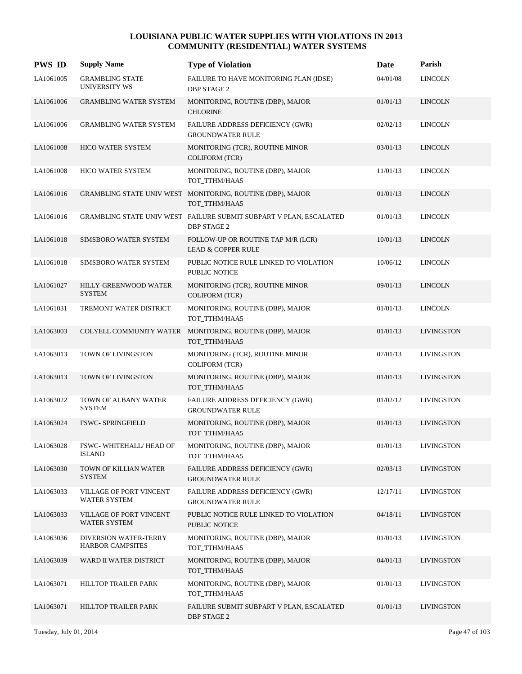| <b>PWS ID</b> | <b>Supply Name</b>                               | <b>Type of Violation</b>                                                                 | Date     | Parish            |
|---------------|--------------------------------------------------|------------------------------------------------------------------------------------------|----------|-------------------|
| LA1061005     | <b>GRAMBLING STATE</b><br><b>UNIVERSITY WS</b>   | FAILURE TO HAVE MONITORING PLAN (IDSE)<br><b>DBP STAGE 2</b>                             | 04/01/08 | <b>LINCOLN</b>    |
| LA1061006     | <b>GRAMBLING WATER SYSTEM</b>                    | MONITORING, ROUTINE (DBP), MAJOR<br><b>CHLORINE</b>                                      | 01/01/13 | <b>LINCOLN</b>    |
| LA1061006     | <b>GRAMBLING WATER SYSTEM</b>                    | FAILURE ADDRESS DEFICIENCY (GWR)<br><b>GROUNDWATER RULE</b>                              | 02/02/13 | <b>LINCOLN</b>    |
| LA1061008     | <b>HICO WATER SYSTEM</b>                         | MONITORING (TCR), ROUTINE MINOR<br><b>COLIFORM (TCR)</b>                                 | 03/01/13 | <b>LINCOLN</b>    |
| LA1061008     | HICO WATER SYSTEM                                | MONITORING, ROUTINE (DBP), MAJOR<br>TOT_TTHM/HAA5                                        | 11/01/13 | <b>LINCOLN</b>    |
| LA1061016     |                                                  | GRAMBLING STATE UNIV WEST MONITORING, ROUTINE (DBP), MAJOR<br>TOT_TTHM/HAA5              | 01/01/13 | <b>LINCOLN</b>    |
| LA1061016     |                                                  | GRAMBLING STATE UNIV WEST FAILURE SUBMIT SUBPART V PLAN, ESCALATED<br><b>DBP STAGE 2</b> | 01/01/13 | <b>LINCOLN</b>    |
| LA1061018     | SIMSBORO WATER SYSTEM                            | FOLLOW-UP OR ROUTINE TAP M/R (LCR)<br><b>LEAD &amp; COPPER RULE</b>                      | 10/01/13 | <b>LINCOLN</b>    |
| LA1061018     | SIMSBORO WATER SYSTEM                            | PUBLIC NOTICE RULE LINKED TO VIOLATION<br>PUBLIC NOTICE                                  | 10/06/12 | <b>LINCOLN</b>    |
| LA1061027     | HILLY-GREENWOOD WATER<br><b>SYSTEM</b>           | MONITORING (TCR), ROUTINE MINOR<br><b>COLIFORM (TCR)</b>                                 | 09/01/13 | <b>LINCOLN</b>    |
| LA1061031     | TREMONT WATER DISTRICT                           | MONITORING, ROUTINE (DBP), MAJOR<br>TOT_TTHM/HAA5                                        | 01/01/13 | <b>LINCOLN</b>    |
| LA1063003     |                                                  | COLYELL COMMUNITY WATER MONITORING, ROUTINE (DBP), MAJOR<br>TOT_TTHM/HAA5                | 01/01/13 | <b>LIVINGSTON</b> |
| LA1063013     | TOWN OF LIVINGSTON                               | MONITORING (TCR), ROUTINE MINOR<br><b>COLIFORM (TCR)</b>                                 | 07/01/13 | <b>LIVINGSTON</b> |
| LA1063013     | TOWN OF LIVINGSTON                               | MONITORING, ROUTINE (DBP), MAJOR<br>TOT_TTHM/HAA5                                        | 01/01/13 | <b>LIVINGSTON</b> |
| LA1063022     | TOWN OF ALBANY WATER<br><b>SYSTEM</b>            | FAILURE ADDRESS DEFICIENCY (GWR)<br><b>GROUNDWATER RULE</b>                              | 01/02/12 | <b>LIVINGSTON</b> |
| LA1063024     | <b>FSWC- SPRINGFIELD</b>                         | MONITORING, ROUTINE (DBP), MAJOR<br>TOT_TTHM/HAA5                                        | 01/01/13 | <b>LIVINGSTON</b> |
| LA1063028     | FSWC-WHITEHALL/HEAD OF<br><b>ISLAND</b>          | MONITORING, ROUTINE (DBP), MAJOR<br>TOT_TTHM/HAA5                                        | 01/01/13 | <b>LIVINGSTON</b> |
| LA1063030     | TOWN OF KILLIAN WATER<br><b>SYSTEM</b>           | FAILURE ADDRESS DEFICIENCY (GWR)<br><b>GROUNDWATER RULE</b>                              | 02/03/13 | <b>LIVINGSTON</b> |
| LA1063033     | VILLAGE OF PORT VINCENT<br><b>WATER SYSTEM</b>   | FAILURE ADDRESS DEFICIENCY (GWR)<br><b>GROUNDWATER RULE</b>                              | 12/17/11 | <b>LIVINGSTON</b> |
| LA1063033     | VILLAGE OF PORT VINCENT<br><b>WATER SYSTEM</b>   | PUBLIC NOTICE RULE LINKED TO VIOLATION<br><b>PUBLIC NOTICE</b>                           | 04/18/11 | <b>LIVINGSTON</b> |
| LA1063036     | DIVERSION WATER-TERRY<br><b>HARBOR CAMPSITES</b> | MONITORING, ROUTINE (DBP), MAJOR<br>TOT TTHM/HAA5                                        | 01/01/13 | <b>LIVINGSTON</b> |
| LA1063039     | WARD II WATER DISTRICT                           | MONITORING, ROUTINE (DBP), MAJOR<br>TOT_TTHM/HAA5                                        | 04/01/13 | <b>LIVINGSTON</b> |
| LA1063071     | HILLTOP TRAILER PARK                             | MONITORING, ROUTINE (DBP), MAJOR<br>TOT_TTHM/HAA5                                        | 01/01/13 | <b>LIVINGSTON</b> |
| LA1063071     | HILLTOP TRAILER PARK                             | FAILURE SUBMIT SUBPART V PLAN, ESCALATED<br><b>DBP STAGE 2</b>                           | 01/01/13 | <b>LIVINGSTON</b> |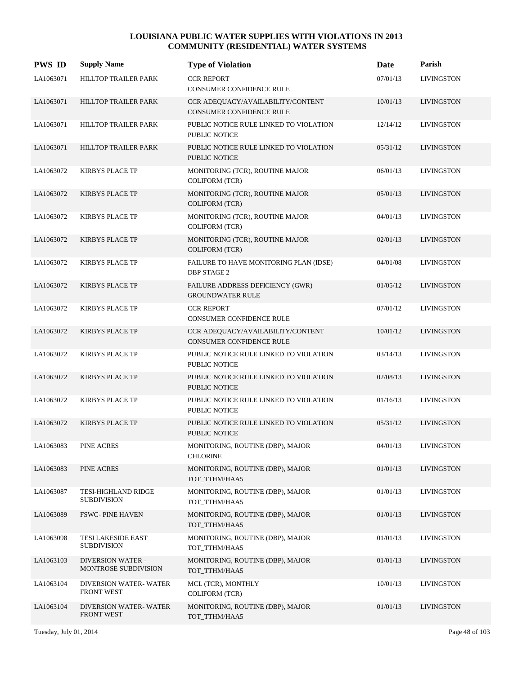| <b>PWS ID</b> | <b>Supply Name</b>                               | <b>Type of Violation</b>                                             | Date     | Parish            |
|---------------|--------------------------------------------------|----------------------------------------------------------------------|----------|-------------------|
| LA1063071     | HILLTOP TRAILER PARK                             | <b>CCR REPORT</b><br><b>CONSUMER CONFIDENCE RULE</b>                 | 07/01/13 | <b>LIVINGSTON</b> |
| LA1063071     | HILLTOP TRAILER PARK                             | CCR ADEQUACY/AVAILABILITY/CONTENT<br><b>CONSUMER CONFIDENCE RULE</b> | 10/01/13 | <b>LIVINGSTON</b> |
| LA1063071     | HILLTOP TRAILER PARK                             | PUBLIC NOTICE RULE LINKED TO VIOLATION<br>PUBLIC NOTICE              | 12/14/12 | <b>LIVINGSTON</b> |
| LA1063071     | <b>HILLTOP TRAILER PARK</b>                      | PUBLIC NOTICE RULE LINKED TO VIOLATION<br><b>PUBLIC NOTICE</b>       | 05/31/12 | <b>LIVINGSTON</b> |
| LA1063072     | <b>KIRBYS PLACE TP</b>                           | MONITORING (TCR), ROUTINE MAJOR<br><b>COLIFORM (TCR)</b>             | 06/01/13 | <b>LIVINGSTON</b> |
| LA1063072     | <b>KIRBYS PLACE TP</b>                           | MONITORING (TCR), ROUTINE MAJOR<br><b>COLIFORM (TCR)</b>             | 05/01/13 | <b>LIVINGSTON</b> |
| LA1063072     | <b>KIRBYS PLACE TP</b>                           | MONITORING (TCR), ROUTINE MAJOR<br><b>COLIFORM (TCR)</b>             | 04/01/13 | <b>LIVINGSTON</b> |
| LA1063072     | <b>KIRBYS PLACE TP</b>                           | MONITORING (TCR), ROUTINE MAJOR<br><b>COLIFORM (TCR)</b>             | 02/01/13 | <b>LIVINGSTON</b> |
| LA1063072     | <b>KIRBYS PLACE TP</b>                           | FAILURE TO HAVE MONITORING PLAN (IDSE)<br><b>DBP STAGE 2</b>         | 04/01/08 | <b>LIVINGSTON</b> |
| LA1063072     | <b>KIRBYS PLACE TP</b>                           | FAILURE ADDRESS DEFICIENCY (GWR)<br><b>GROUNDWATER RULE</b>          | 01/05/12 | <b>LIVINGSTON</b> |
| LA1063072     | <b>KIRBYS PLACE TP</b>                           | <b>CCR REPORT</b><br>CONSUMER CONFIDENCE RULE                        | 07/01/12 | <b>LIVINGSTON</b> |
| LA1063072     | <b>KIRBYS PLACE TP</b>                           | CCR ADEQUACY/AVAILABILITY/CONTENT<br>CONSUMER CONFIDENCE RULE        | 10/01/12 | <b>LIVINGSTON</b> |
| LA1063072     | <b>KIRBYS PLACE TP</b>                           | PUBLIC NOTICE RULE LINKED TO VIOLATION<br>PUBLIC NOTICE              | 03/14/13 | <b>LIVINGSTON</b> |
| LA1063072     | <b>KIRBYS PLACE TP</b>                           | PUBLIC NOTICE RULE LINKED TO VIOLATION<br><b>PUBLIC NOTICE</b>       | 02/08/13 | <b>LIVINGSTON</b> |
| LA1063072     | <b>KIRBYS PLACE TP</b>                           | PUBLIC NOTICE RULE LINKED TO VIOLATION<br>PUBLIC NOTICE              | 01/16/13 | <b>LIVINGSTON</b> |
| LA1063072     | <b>KIRBYS PLACE TP</b>                           | PUBLIC NOTICE RULE LINKED TO VIOLATION<br>PUBLIC NOTICE              | 05/31/12 | <b>LIVINGSTON</b> |
| LA1063083     | PINE ACRES                                       | MONITORING, ROUTINE (DBP), MAJOR<br><b>CHLORINE</b>                  | 04/01/13 | <b>LIVINGSTON</b> |
| LA1063083     | PINE ACRES                                       | MONITORING, ROUTINE (DBP), MAJOR<br>TOT TTHM/HAA5                    | 01/01/13 | <b>LIVINGSTON</b> |
| LA1063087     | TESI-HIGHLAND RIDGE<br><b>SUBDIVISION</b>        | MONITORING, ROUTINE (DBP), MAJOR<br>TOT_TTHM/HAA5                    | 01/01/13 | <b>LIVINGSTON</b> |
| LA1063089     | <b>FSWC-PINE HAVEN</b>                           | MONITORING, ROUTINE (DBP), MAJOR<br>TOT TTHM/HAA5                    | 01/01/13 | <b>LIVINGSTON</b> |
| LA1063098     | TESI LAKESIDE EAST<br><b>SUBDIVISION</b>         | MONITORING, ROUTINE (DBP), MAJOR<br>TOT TTHM/HAA5                    | 01/01/13 | <b>LIVINGSTON</b> |
| LA1063103     | <b>DIVERSION WATER -</b><br>MONTROSE SUBDIVISION | MONITORING, ROUTINE (DBP), MAJOR<br>TOT_TTHM/HAA5                    | 01/01/13 | <b>LIVINGSTON</b> |
| LA1063104     | DIVERSION WATER-WATER<br><b>FRONT WEST</b>       | MCL (TCR), MONTHLY<br><b>COLIFORM (TCR)</b>                          | 10/01/13 | <b>LIVINGSTON</b> |
| LA1063104     | DIVERSION WATER-WATER<br><b>FRONT WEST</b>       | MONITORING, ROUTINE (DBP), MAJOR<br>TOT_TTHM/HAA5                    | 01/01/13 | <b>LIVINGSTON</b> |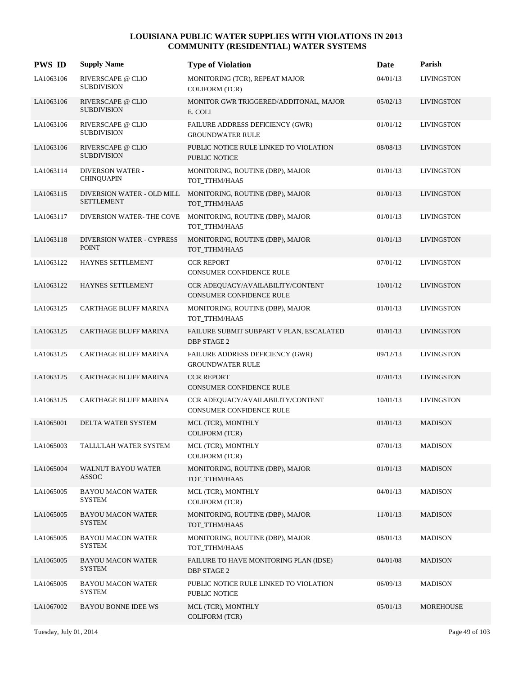| <b>PWS ID</b> | <b>Supply Name</b>                               | <b>Type of Violation</b>                                             | Date     | Parish            |
|---------------|--------------------------------------------------|----------------------------------------------------------------------|----------|-------------------|
| LA1063106     | RIVERSCAPE @ CLIO<br><b>SUBDIVISION</b>          | MONITORING (TCR), REPEAT MAJOR<br><b>COLIFORM (TCR)</b>              | 04/01/13 | <b>LIVINGSTON</b> |
| LA1063106     | RIVERSCAPE @ CLIO<br><b>SUBDIVISION</b>          | MONITOR GWR TRIGGERED/ADDITONAL, MAJOR<br>E. COLI                    | 05/02/13 | <b>LIVINGSTON</b> |
| LA1063106     | RIVERSCAPE @ CLIO<br><b>SUBDIVISION</b>          | FAILURE ADDRESS DEFICIENCY (GWR)<br><b>GROUNDWATER RULE</b>          | 01/01/12 | <b>LIVINGSTON</b> |
| LA1063106     | RIVERSCAPE @ CLIO<br><b>SUBDIVISION</b>          | PUBLIC NOTICE RULE LINKED TO VIOLATION<br><b>PUBLIC NOTICE</b>       | 08/08/13 | <b>LIVINGSTON</b> |
| LA1063114     | <b>DIVERSON WATER -</b><br><b>CHINQUAPIN</b>     | MONITORING, ROUTINE (DBP), MAJOR<br>TOT TTHM/HAA5                    | 01/01/13 | <b>LIVINGSTON</b> |
| LA1063115     | DIVERSION WATER - OLD MILL<br><b>SETTLEMENT</b>  | MONITORING, ROUTINE (DBP), MAJOR<br>TOT_TTHM/HAA5                    | 01/01/13 | <b>LIVINGSTON</b> |
| LA1063117     | DIVERSION WATER- THE COVE                        | MONITORING, ROUTINE (DBP), MAJOR<br>TOT_TTHM/HAA5                    | 01/01/13 | <b>LIVINGSTON</b> |
| LA1063118     | <b>DIVERSION WATER - CYPRESS</b><br><b>POINT</b> | MONITORING, ROUTINE (DBP), MAJOR<br>TOT_TTHM/HAA5                    | 01/01/13 | <b>LIVINGSTON</b> |
| LA1063122     | HAYNES SETTLEMENT                                | <b>CCR REPORT</b><br><b>CONSUMER CONFIDENCE RULE</b>                 | 07/01/12 | <b>LIVINGSTON</b> |
| LA1063122     | HAYNES SETTLEMENT                                | CCR ADEQUACY/AVAILABILITY/CONTENT<br>CONSUMER CONFIDENCE RULE        | 10/01/12 | <b>LIVINGSTON</b> |
| LA1063125     | CARTHAGE BLUFF MARINA                            | MONITORING, ROUTINE (DBP), MAJOR<br>TOT_TTHM/HAA5                    | 01/01/13 | <b>LIVINGSTON</b> |
| LA1063125     | <b>CARTHAGE BLUFF MARINA</b>                     | FAILURE SUBMIT SUBPART V PLAN, ESCALATED<br><b>DBP STAGE 2</b>       | 01/01/13 | <b>LIVINGSTON</b> |
| LA1063125     | CARTHAGE BLUFF MARINA                            | FAILURE ADDRESS DEFICIENCY (GWR)<br><b>GROUNDWATER RULE</b>          | 09/12/13 | <b>LIVINGSTON</b> |
| LA1063125     | CARTHAGE BLUFF MARINA                            | <b>CCR REPORT</b><br><b>CONSUMER CONFIDENCE RULE</b>                 | 07/01/13 | <b>LIVINGSTON</b> |
| LA1063125     | CARTHAGE BLUFF MARINA                            | CCR ADEQUACY/AVAILABILITY/CONTENT<br><b>CONSUMER CONFIDENCE RULE</b> | 10/01/13 | <b>LIVINGSTON</b> |
| LA1065001     | DELTA WATER SYSTEM                               | MCL (TCR), MONTHLY<br><b>COLIFORM (TCR)</b>                          | 01/01/13 | <b>MADISON</b>    |
| LA1065003     | TALLULAH WATER SYSTEM                            | MCL (TCR), MONTHLY<br><b>COLIFORM (TCR)</b>                          | 07/01/13 | <b>MADISON</b>    |
| LA1065004     | <b>WALNUT BAYOU WATER</b><br>ASSOC               | MONITORING, ROUTINE (DBP), MAJOR<br>TOT_TTHM/HAA5                    | 01/01/13 | <b>MADISON</b>    |
| LA1065005     | <b>BAYOU MACON WATER</b><br><b>SYSTEM</b>        | MCL (TCR), MONTHLY<br><b>COLIFORM (TCR)</b>                          | 04/01/13 | <b>MADISON</b>    |
| LA1065005     | <b>BAYOU MACON WATER</b><br><b>SYSTEM</b>        | MONITORING, ROUTINE (DBP), MAJOR<br>TOT_TTHM/HAA5                    | 11/01/13 | <b>MADISON</b>    |
| LA1065005     | <b>BAYOU MACON WATER</b><br>SYSTEM               | MONITORING, ROUTINE (DBP), MAJOR<br>TOT_TTHM/HAA5                    | 08/01/13 | <b>MADISON</b>    |
| LA1065005     | <b>BAYOU MACON WATER</b><br><b>SYSTEM</b>        | FAILURE TO HAVE MONITORING PLAN (IDSE)<br>DBP STAGE 2                | 04/01/08 | <b>MADISON</b>    |
| LA1065005     | <b>BAYOU MACON WATER</b><br><b>SYSTEM</b>        | PUBLIC NOTICE RULE LINKED TO VIOLATION<br>PUBLIC NOTICE              | 06/09/13 | <b>MADISON</b>    |
| LA1067002     | <b>BAYOU BONNE IDEE WS</b>                       | MCL (TCR), MONTHLY<br><b>COLIFORM (TCR)</b>                          | 05/01/13 | MOREHOUSE         |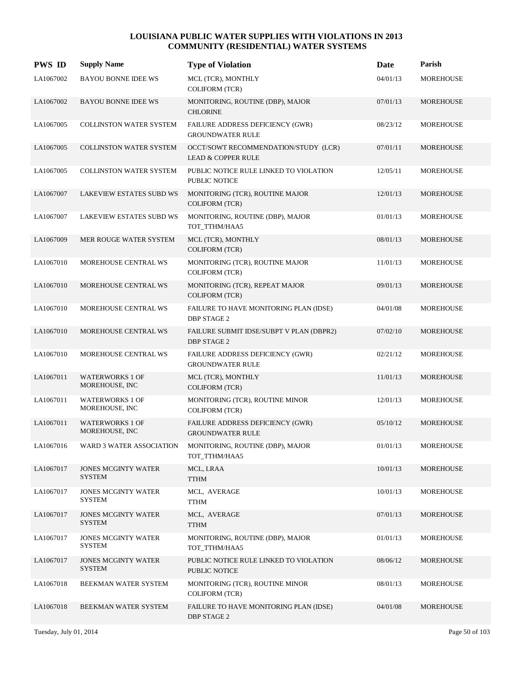| <b>PWS ID</b> | <b>Supply Name</b>                          | <b>Type of Violation</b>                                              | Date     | Parish           |
|---------------|---------------------------------------------|-----------------------------------------------------------------------|----------|------------------|
| LA1067002     | <b>BAYOU BONNE IDEE WS</b>                  | MCL (TCR), MONTHLY<br><b>COLIFORM (TCR)</b>                           | 04/01/13 | <b>MOREHOUSE</b> |
| LA1067002     | <b>BAYOU BONNE IDEE WS</b>                  | MONITORING, ROUTINE (DBP), MAJOR<br><b>CHLORINE</b>                   | 07/01/13 | MOREHOUSE        |
| LA1067005     | COLLINSTON WATER SYSTEM                     | FAILURE ADDRESS DEFICIENCY (GWR)<br><b>GROUNDWATER RULE</b>           | 08/23/12 | MOREHOUSE        |
| LA1067005     | <b>COLLINSTON WATER SYSTEM</b>              | OCCT/SOWT RECOMMENDATION/STUDY (LCR)<br><b>LEAD &amp; COPPER RULE</b> | 07/01/11 | <b>MOREHOUSE</b> |
| LA1067005     | <b>COLLINSTON WATER SYSTEM</b>              | PUBLIC NOTICE RULE LINKED TO VIOLATION<br>PUBLIC NOTICE               | 12/05/11 | <b>MOREHOUSE</b> |
| LA1067007     | <b>LAKEVIEW ESTATES SUBD WS</b>             | MONITORING (TCR), ROUTINE MAJOR<br><b>COLIFORM (TCR)</b>              | 12/01/13 | MOREHOUSE        |
| LA1067007     | <b>LAKEVIEW ESTATES SUBD WS</b>             | MONITORING, ROUTINE (DBP), MAJOR<br>TOT_TTHM/HAA5                     | 01/01/13 | MOREHOUSE        |
| LA1067009     | MER ROUGE WATER SYSTEM                      | MCL (TCR), MONTHLY<br><b>COLIFORM (TCR)</b>                           | 08/01/13 | <b>MOREHOUSE</b> |
| LA1067010     | MOREHOUSE CENTRAL WS                        | MONITORING (TCR), ROUTINE MAJOR<br><b>COLIFORM (TCR)</b>              | 11/01/13 | <b>MOREHOUSE</b> |
| LA1067010     | MOREHOUSE CENTRAL WS                        | MONITORING (TCR), REPEAT MAJOR<br><b>COLIFORM (TCR)</b>               | 09/01/13 | <b>MOREHOUSE</b> |
| LA1067010     | MOREHOUSE CENTRAL WS                        | FAILURE TO HAVE MONITORING PLAN (IDSE)<br><b>DBP STAGE 2</b>          | 04/01/08 | <b>MOREHOUSE</b> |
| LA1067010     | MOREHOUSE CENTRAL WS                        | FAILURE SUBMIT IDSE/SUBPT V PLAN (DBPR2)<br><b>DBP STAGE 2</b>        | 07/02/10 | <b>MOREHOUSE</b> |
| LA1067010     | MOREHOUSE CENTRAL WS                        | FAILURE ADDRESS DEFICIENCY (GWR)<br><b>GROUNDWATER RULE</b>           | 02/21/12 | <b>MOREHOUSE</b> |
| LA1067011     | <b>WATERWORKS 1 OF</b><br>MOREHOUSE, INC    | MCL (TCR), MONTHLY<br><b>COLIFORM (TCR)</b>                           | 11/01/13 | <b>MOREHOUSE</b> |
| LA1067011     | <b>WATERWORKS 1 OF</b><br>MOREHOUSE, INC    | MONITORING (TCR), ROUTINE MINOR<br><b>COLIFORM (TCR)</b>              | 12/01/13 | <b>MOREHOUSE</b> |
| LA1067011     | <b>WATERWORKS 1 OF</b><br>MOREHOUSE, INC    | FAILURE ADDRESS DEFICIENCY (GWR)<br><b>GROUNDWATER RULE</b>           | 05/10/12 | <b>MOREHOUSE</b> |
| LA1067016     | WARD 3 WATER ASSOCIATION                    | MONITORING, ROUTINE (DBP), MAJOR<br>TOT_TTHM/HAA5                     | 01/01/13 | <b>MOREHOUSE</b> |
| LA1067017     | <b>JONES MCGINTY WATER</b><br><b>SYSTEM</b> | MCL, LRAA<br><b>TTHM</b>                                              | 10/01/13 | <b>MOREHOUSE</b> |
| LA1067017     | <b>JONES MCGINTY WATER</b><br><b>SYSTEM</b> | MCL, AVERAGE<br>TTHM                                                  | 10/01/13 | MOREHOUSE        |
| LA1067017     | <b>JONES MCGINTY WATER</b><br><b>SYSTEM</b> | MCL, AVERAGE<br><b>TTHM</b>                                           | 07/01/13 | MOREHOUSE        |
| LA1067017     | <b>JONES MCGINTY WATER</b><br><b>SYSTEM</b> | MONITORING, ROUTINE (DBP), MAJOR<br>TOT_TTHM/HAA5                     | 01/01/13 | MOREHOUSE        |
| LA1067017     | <b>JONES MCGINTY WATER</b><br><b>SYSTEM</b> | PUBLIC NOTICE RULE LINKED TO VIOLATION<br>PUBLIC NOTICE               | 08/06/12 | MOREHOUSE        |
| LA1067018     | BEEKMAN WATER SYSTEM                        | MONITORING (TCR), ROUTINE MINOR<br><b>COLIFORM (TCR)</b>              | 08/01/13 | MOREHOUSE        |
| LA1067018     | BEEKMAN WATER SYSTEM                        | FAILURE TO HAVE MONITORING PLAN (IDSE)<br><b>DBP STAGE 2</b>          | 04/01/08 | MOREHOUSE        |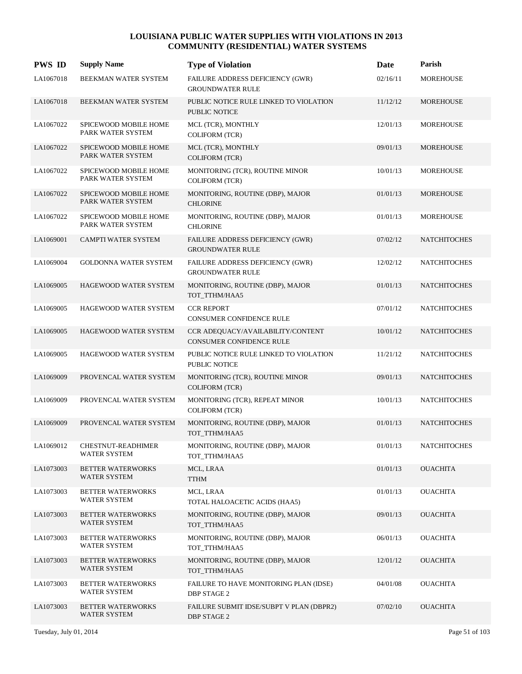| <b>PWS ID</b> | <b>Supply Name</b>                         | <b>Type of Violation</b>                                             | Date     | Parish              |
|---------------|--------------------------------------------|----------------------------------------------------------------------|----------|---------------------|
| LA1067018     | BEEKMAN WATER SYSTEM                       | FAILURE ADDRESS DEFICIENCY (GWR)<br><b>GROUNDWATER RULE</b>          | 02/16/11 | <b>MOREHOUSE</b>    |
| LA1067018     | BEEKMAN WATER SYSTEM                       | PUBLIC NOTICE RULE LINKED TO VIOLATION<br>PUBLIC NOTICE              | 11/12/12 | MOREHOUSE           |
| LA1067022     | SPICEWOOD MOBILE HOME<br>PARK WATER SYSTEM | MCL (TCR), MONTHLY<br><b>COLIFORM (TCR)</b>                          | 12/01/13 | MOREHOUSE           |
| LA1067022     | SPICEWOOD MOBILE HOME<br>PARK WATER SYSTEM | MCL (TCR), MONTHLY<br><b>COLIFORM (TCR)</b>                          | 09/01/13 | <b>MOREHOUSE</b>    |
| LA1067022     | SPICEWOOD MOBILE HOME<br>PARK WATER SYSTEM | MONITORING (TCR), ROUTINE MINOR<br><b>COLIFORM (TCR)</b>             | 10/01/13 | MOREHOUSE           |
| LA1067022     | SPICEWOOD MOBILE HOME<br>PARK WATER SYSTEM | MONITORING, ROUTINE (DBP), MAJOR<br><b>CHLORINE</b>                  | 01/01/13 | MOREHOUSE           |
| LA1067022     | SPICEWOOD MOBILE HOME<br>PARK WATER SYSTEM | MONITORING, ROUTINE (DBP), MAJOR<br><b>CHLORINE</b>                  | 01/01/13 | MOREHOUSE           |
| LA1069001     | <b>CAMPTI WATER SYSTEM</b>                 | FAILURE ADDRESS DEFICIENCY (GWR)<br><b>GROUNDWATER RULE</b>          | 07/02/12 | <b>NATCHITOCHES</b> |
| LA1069004     | <b>GOLDONNA WATER SYSTEM</b>               | FAILURE ADDRESS DEFICIENCY (GWR)<br><b>GROUNDWATER RULE</b>          | 12/02/12 | <b>NATCHITOCHES</b> |
| LA1069005     | HAGEWOOD WATER SYSTEM                      | MONITORING, ROUTINE (DBP), MAJOR<br>TOT_TTHM/HAA5                    | 01/01/13 | <b>NATCHITOCHES</b> |
| LA1069005     | HAGEWOOD WATER SYSTEM                      | <b>CCR REPORT</b><br><b>CONSUMER CONFIDENCE RULE</b>                 | 07/01/12 | <b>NATCHITOCHES</b> |
| LA1069005     | HAGEWOOD WATER SYSTEM                      | CCR ADEQUACY/AVAILABILITY/CONTENT<br><b>CONSUMER CONFIDENCE RULE</b> | 10/01/12 | <b>NATCHITOCHES</b> |
| LA1069005     | HAGEWOOD WATER SYSTEM                      | PUBLIC NOTICE RULE LINKED TO VIOLATION<br>PUBLIC NOTICE              | 11/21/12 | <b>NATCHITOCHES</b> |
| LA1069009     | PROVENCAL WATER SYSTEM                     | MONITORING (TCR), ROUTINE MINOR<br><b>COLIFORM</b> (TCR)             | 09/01/13 | <b>NATCHITOCHES</b> |
| LA1069009     | PROVENCAL WATER SYSTEM                     | MONITORING (TCR), REPEAT MINOR<br><b>COLIFORM (TCR)</b>              | 10/01/13 | <b>NATCHITOCHES</b> |
| LA1069009     | PROVENCAL WATER SYSTEM                     | MONITORING, ROUTINE (DBP), MAJOR<br>TOT_TTHM/HAA5                    | 01/01/13 | <b>NATCHITOCHES</b> |
| LA1069012     | CHESTNUT-READHIMER<br>WATER SYSTEM         | MONITORING, ROUTINE (DBP), MAJOR<br>TOT_TTHM/HAA5                    | 01/01/13 | <b>NATCHITOCHES</b> |
| LA1073003     | BETTER WATERWORKS<br>WATER SYSTEM          | MCL, LRAA<br><b>TTHM</b>                                             | 01/01/13 | <b>OUACHITA</b>     |
| LA1073003     | BETTER WATERWORKS<br>WATER SYSTEM          | MCL, LRAA<br>TOTAL HALOACETIC ACIDS (HAA5)                           | 01/01/13 | <b>OUACHITA</b>     |
| LA1073003     | <b>BETTER WATERWORKS</b><br>WATER SYSTEM   | MONITORING, ROUTINE (DBP), MAJOR<br>TOT_TTHM/HAA5                    | 09/01/13 | <b>OUACHITA</b>     |
| LA1073003     | BETTER WATERWORKS<br><b>WATER SYSTEM</b>   | MONITORING, ROUTINE (DBP), MAJOR<br>TOT_TTHM/HAA5                    | 06/01/13 | <b>OUACHITA</b>     |
| LA1073003     | BETTER WATERWORKS<br>WATER SYSTEM          | MONITORING, ROUTINE (DBP), MAJOR<br>TOT_TTHM/HAA5                    | 12/01/12 | <b>OUACHITA</b>     |
| LA1073003     | BETTER WATERWORKS<br>WATER SYSTEM          | FAILURE TO HAVE MONITORING PLAN (IDSE)<br><b>DBP STAGE 2</b>         | 04/01/08 | <b>OUACHITA</b>     |
| LA1073003     | BETTER WATERWORKS<br>WATER SYSTEM          | FAILURE SUBMIT IDSE/SUBPT V PLAN (DBPR2)<br><b>DBP STAGE 2</b>       | 07/02/10 | <b>OUACHITA</b>     |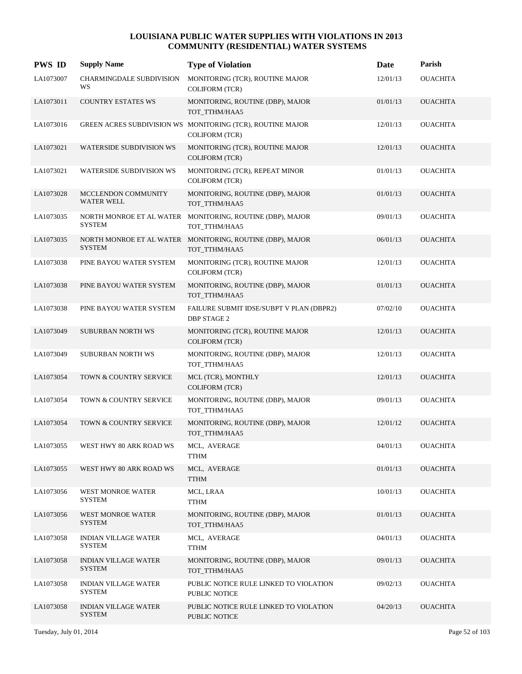| <b>PWS ID</b> | <b>Supply Name</b>                           | <b>Type of Violation</b>                                                            | Date     | Parish          |
|---------------|----------------------------------------------|-------------------------------------------------------------------------------------|----------|-----------------|
| LA1073007     | CHARMINGDALE SUBDIVISION<br>WS               | MONITORING (TCR), ROUTINE MAJOR<br><b>COLIFORM (TCR)</b>                            | 12/01/13 | <b>OUACHITA</b> |
| LA1073011     | <b>COUNTRY ESTATES WS</b>                    | MONITORING, ROUTINE (DBP), MAJOR<br>TOT_TTHM/HAA5                                   | 01/01/13 | <b>OUACHITA</b> |
| LA1073016     |                                              | GREEN ACRES SUBDIVISION WS MONITORING (TCR), ROUTINE MAJOR<br><b>COLIFORM (TCR)</b> | 12/01/13 | <b>OUACHITA</b> |
| LA1073021     | <b>WATERSIDE SUBDIVISION WS</b>              | MONITORING (TCR), ROUTINE MAJOR<br><b>COLIFORM (TCR)</b>                            | 12/01/13 | <b>OUACHITA</b> |
| LA1073021     | <b>WATERSIDE SUBDIVISION WS</b>              | MONITORING (TCR), REPEAT MINOR<br><b>COLIFORM (TCR)</b>                             | 01/01/13 | <b>OUACHITA</b> |
| LA1073028     | MCCLENDON COMMUNITY<br><b>WATER WELL</b>     | MONITORING, ROUTINE (DBP), MAJOR<br>TOT_TTHM/HAA5                                   | 01/01/13 | <b>OUACHITA</b> |
| LA1073035     | <b>SYSTEM</b>                                | NORTH MONROE ET AL WATER MONITORING, ROUTINE (DBP), MAJOR<br>TOT_TTHM/HAA5          | 09/01/13 | <b>OUACHITA</b> |
| LA1073035     | <b>SYSTEM</b>                                | NORTH MONROE ET AL WATER MONITORING, ROUTINE (DBP), MAJOR<br>TOT_TTHM/HAA5          | 06/01/13 | <b>OUACHITA</b> |
| LA1073038     | PINE BAYOU WATER SYSTEM                      | MONITORING (TCR), ROUTINE MAJOR<br><b>COLIFORM (TCR)</b>                            | 12/01/13 | <b>OUACHITA</b> |
| LA1073038     | PINE BAYOU WATER SYSTEM                      | MONITORING, ROUTINE (DBP), MAJOR<br>TOT_TTHM/HAA5                                   | 01/01/13 | <b>OUACHITA</b> |
| LA1073038     | PINE BAYOU WATER SYSTEM                      | FAILURE SUBMIT IDSE/SUBPT V PLAN (DBPR2)<br><b>DBP STAGE 2</b>                      | 07/02/10 | <b>OUACHITA</b> |
| LA1073049     | <b>SUBURBAN NORTH WS</b>                     | MONITORING (TCR), ROUTINE MAJOR<br><b>COLIFORM (TCR)</b>                            | 12/01/13 | <b>OUACHITA</b> |
| LA1073049     | SUBURBAN NORTH WS                            | MONITORING, ROUTINE (DBP), MAJOR<br>TOT_TTHM/HAA5                                   | 12/01/13 | <b>OUACHITA</b> |
| LA1073054     | TOWN & COUNTRY SERVICE                       | MCL (TCR), MONTHLY<br><b>COLIFORM (TCR)</b>                                         | 12/01/13 | <b>OUACHITA</b> |
| LA1073054     | TOWN & COUNTRY SERVICE                       | MONITORING, ROUTINE (DBP), MAJOR<br>TOT_TTHM/HAA5                                   | 09/01/13 | <b>OUACHITA</b> |
| LA1073054     | TOWN & COUNTRY SERVICE                       | MONITORING, ROUTINE (DBP), MAJOR<br>TOT_TTHM/HAA5                                   | 12/01/12 | <b>OUACHITA</b> |
| LA1073055     | WEST HWY 80 ARK ROAD WS                      | MCL, AVERAGE<br><b>TTHM</b>                                                         | 04/01/13 | <b>OUACHITA</b> |
| LA1073055     | WEST HWY 80 ARK ROAD WS                      | MCL, AVERAGE<br><b>TTHM</b>                                                         | 01/01/13 | <b>OUACHITA</b> |
| LA1073056     | <b>WEST MONROE WATER</b><br><b>SYSTEM</b>    | MCL, LRAA<br><b>TTHM</b>                                                            | 10/01/13 | <b>OUACHITA</b> |
| LA1073056     | WEST MONROE WATER<br><b>SYSTEM</b>           | MONITORING, ROUTINE (DBP), MAJOR<br>TOT_TTHM/HAA5                                   | 01/01/13 | <b>OUACHITA</b> |
| LA1073058     | <b>INDIAN VILLAGE WATER</b><br><b>SYSTEM</b> | MCL, AVERAGE<br><b>TTHM</b>                                                         | 04/01/13 | <b>OUACHITA</b> |
| LA1073058     | <b>INDIAN VILLAGE WATER</b><br><b>SYSTEM</b> | MONITORING, ROUTINE (DBP), MAJOR<br>TOT_TTHM/HAA5                                   | 09/01/13 | <b>OUACHITA</b> |
| LA1073058     | <b>INDIAN VILLAGE WATER</b><br><b>SYSTEM</b> | PUBLIC NOTICE RULE LINKED TO VIOLATION<br>PUBLIC NOTICE                             | 09/02/13 | <b>OUACHITA</b> |
| LA1073058     | <b>INDIAN VILLAGE WATER</b><br><b>SYSTEM</b> | PUBLIC NOTICE RULE LINKED TO VIOLATION<br>PUBLIC NOTICE                             | 04/20/13 | <b>OUACHITA</b> |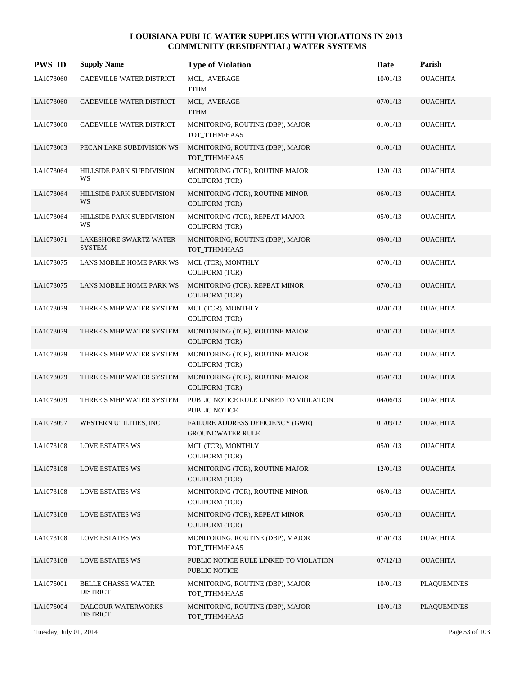| <b>PWS ID</b> | <b>Supply Name</b>                             | <b>Type of Violation</b>                                       | Date     | Parish             |
|---------------|------------------------------------------------|----------------------------------------------------------------|----------|--------------------|
| LA1073060     | CADEVILLE WATER DISTRICT                       | MCL, AVERAGE<br><b>TTHM</b>                                    | 10/01/13 | <b>OUACHITA</b>    |
| LA1073060     | CADEVILLE WATER DISTRICT                       | MCL, AVERAGE<br><b>TTHM</b>                                    | 07/01/13 | <b>OUACHITA</b>    |
| LA1073060     | CADEVILLE WATER DISTRICT                       | MONITORING, ROUTINE (DBP), MAJOR<br>TOT_TTHM/HAA5              | 01/01/13 | <b>OUACHITA</b>    |
| LA1073063     | PECAN LAKE SUBDIVISION WS                      | MONITORING, ROUTINE (DBP), MAJOR<br>TOT_TTHM/HAA5              | 01/01/13 | <b>OUACHITA</b>    |
| LA1073064     | HILLSIDE PARK SUBDIVISION<br>WS                | MONITORING (TCR), ROUTINE MAJOR<br><b>COLIFORM (TCR)</b>       | 12/01/13 | <b>OUACHITA</b>    |
| LA1073064     | HILLSIDE PARK SUBDIVISION<br>WS                | MONITORING (TCR), ROUTINE MINOR<br><b>COLIFORM (TCR)</b>       | 06/01/13 | <b>OUACHITA</b>    |
| LA1073064     | HILLSIDE PARK SUBDIVISION<br>WS                | MONITORING (TCR), REPEAT MAJOR<br><b>COLIFORM (TCR)</b>        | 05/01/13 | <b>OUACHITA</b>    |
| LA1073071     | <b>LAKESHORE SWARTZ WATER</b><br><b>SYSTEM</b> | MONITORING, ROUTINE (DBP), MAJOR<br>TOT_TTHM/HAA5              | 09/01/13 | <b>OUACHITA</b>    |
| LA1073075     | LANS MOBILE HOME PARK WS                       | MCL (TCR), MONTHLY<br><b>COLIFORM (TCR)</b>                    | 07/01/13 | <b>OUACHITA</b>    |
| LA1073075     | LANS MOBILE HOME PARK WS                       | MONITORING (TCR), REPEAT MINOR<br><b>COLIFORM (TCR)</b>        | 07/01/13 | <b>OUACHITA</b>    |
| LA1073079     | THREE S MHP WATER SYSTEM                       | MCL (TCR), MONTHLY<br><b>COLIFORM (TCR)</b>                    | 02/01/13 | <b>OUACHITA</b>    |
| LA1073079     | THREE S MHP WATER SYSTEM                       | MONITORING (TCR), ROUTINE MAJOR<br><b>COLIFORM (TCR)</b>       | 07/01/13 | <b>OUACHITA</b>    |
| LA1073079     | THREE S MHP WATER SYSTEM                       | MONITORING (TCR), ROUTINE MAJOR<br><b>COLIFORM (TCR)</b>       | 06/01/13 | <b>OUACHITA</b>    |
| LA1073079     | THREE S MHP WATER SYSTEM                       | MONITORING (TCR), ROUTINE MAJOR<br><b>COLIFORM (TCR)</b>       | 05/01/13 | <b>OUACHITA</b>    |
| LA1073079     | THREE S MHP WATER SYSTEM                       | PUBLIC NOTICE RULE LINKED TO VIOLATION<br><b>PUBLIC NOTICE</b> | 04/06/13 | <b>OUACHITA</b>    |
| LA1073097     | WESTERN UTILITIES, INC                         | FAILURE ADDRESS DEFICIENCY (GWR)<br><b>GROUNDWATER RULE</b>    | 01/09/12 | <b>OUACHITA</b>    |
| LA1073108     | <b>LOVE ESTATES WS</b>                         | MCL (TCR), MONTHLY<br><b>COLIFORM (TCR)</b>                    | 05/01/13 | <b>OUACHITA</b>    |
| LA1073108     | <b>LOVE ESTATES WS</b>                         | MONITORING (TCR), ROUTINE MAJOR<br>COLIFORM (TCR)              | 12/01/13 | <b>OUACHITA</b>    |
| LA1073108     | <b>LOVE ESTATES WS</b>                         | MONITORING (TCR), ROUTINE MINOR<br><b>COLIFORM (TCR)</b>       | 06/01/13 | <b>OUACHITA</b>    |
| LA1073108     | <b>LOVE ESTATES WS</b>                         | MONITORING (TCR), REPEAT MINOR<br>COLIFORM (TCR)               | 05/01/13 | <b>OUACHITA</b>    |
| LA1073108     | LOVE ESTATES WS                                | MONITORING, ROUTINE (DBP), MAJOR<br>TOT_TTHM/HAA5              | 01/01/13 | <b>OUACHITA</b>    |
| LA1073108     | <b>LOVE ESTATES WS</b>                         | PUBLIC NOTICE RULE LINKED TO VIOLATION<br>PUBLIC NOTICE        | 07/12/13 | <b>OUACHITA</b>    |
| LA1075001     | <b>BELLE CHASSE WATER</b><br><b>DISTRICT</b>   | MONITORING, ROUTINE (DBP), MAJOR<br>TOT_TTHM/HAA5              | 10/01/13 | <b>PLAQUEMINES</b> |
| LA1075004     | DALCOUR WATERWORKS<br><b>DISTRICT</b>          | MONITORING, ROUTINE (DBP), MAJOR<br>TOT_TTHM/HAA5              | 10/01/13 | <b>PLAQUEMINES</b> |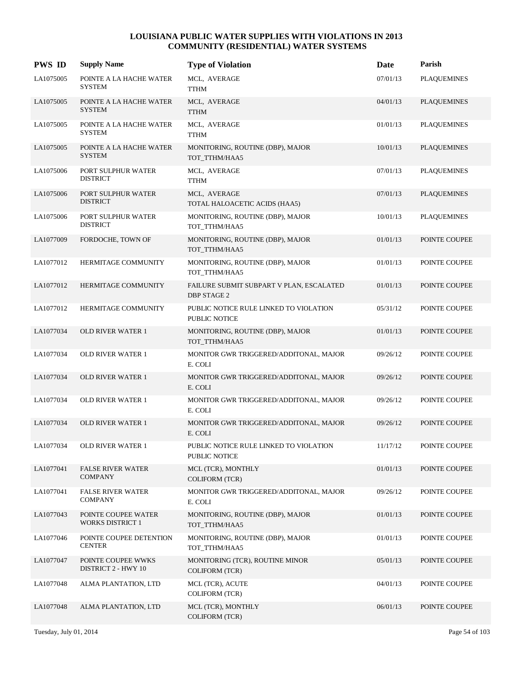| <b>PWS ID</b> | <b>Supply Name</b>                               | <b>Type of Violation</b>                                       | Date     | Parish             |
|---------------|--------------------------------------------------|----------------------------------------------------------------|----------|--------------------|
| LA1075005     | POINTE A LA HACHE WATER<br><b>SYSTEM</b>         | MCL, AVERAGE<br><b>TTHM</b>                                    | 07/01/13 | <b>PLAQUEMINES</b> |
| LA1075005     | POINTE A LA HACHE WATER<br><b>SYSTEM</b>         | MCL, AVERAGE<br><b>TTHM</b>                                    | 04/01/13 | <b>PLAQUEMINES</b> |
| LA1075005     | POINTE A LA HACHE WATER<br><b>SYSTEM</b>         | MCL, AVERAGE<br><b>TTHM</b>                                    | 01/01/13 | <b>PLAQUEMINES</b> |
| LA1075005     | POINTE A LA HACHE WATER<br><b>SYSTEM</b>         | MONITORING, ROUTINE (DBP), MAJOR<br>TOT_TTHM/HAA5              | 10/01/13 | <b>PLAQUEMINES</b> |
| LA1075006     | PORT SULPHUR WATER<br><b>DISTRICT</b>            | MCL, AVERAGE<br><b>TTHM</b>                                    | 07/01/13 | <b>PLAQUEMINES</b> |
| LA1075006     | PORT SULPHUR WATER<br><b>DISTRICT</b>            | MCL, AVERAGE<br>TOTAL HALOACETIC ACIDS (HAA5)                  | 07/01/13 | <b>PLAQUEMINES</b> |
| LA1075006     | PORT SULPHUR WATER<br><b>DISTRICT</b>            | MONITORING, ROUTINE (DBP), MAJOR<br>TOT TTHM/HAA5              | 10/01/13 | <b>PLAQUEMINES</b> |
| LA1077009     | FORDOCHE, TOWN OF                                | MONITORING, ROUTINE (DBP), MAJOR<br>TOT_TTHM/HAA5              | 01/01/13 | POINTE COUPEE      |
| LA1077012     | HERMITAGE COMMUNITY                              | MONITORING, ROUTINE (DBP), MAJOR<br>TOT_TTHM/HAA5              | 01/01/13 | POINTE COUPEE      |
| LA1077012     | HERMITAGE COMMUNITY                              | FAILURE SUBMIT SUBPART V PLAN, ESCALATED<br><b>DBP STAGE 2</b> | 01/01/13 | POINTE COUPEE      |
| LA1077012     | HERMITAGE COMMUNITY                              | PUBLIC NOTICE RULE LINKED TO VIOLATION<br>PUBLIC NOTICE        | 05/31/12 | POINTE COUPEE      |
| LA1077034     | <b>OLD RIVER WATER 1</b>                         | MONITORING, ROUTINE (DBP), MAJOR<br>TOT_TTHM/HAA5              | 01/01/13 | POINTE COUPEE      |
| LA1077034     | OLD RIVER WATER 1                                | MONITOR GWR TRIGGERED/ADDITONAL, MAJOR<br>E. COLI              | 09/26/12 | POINTE COUPEE      |
| LA1077034     | <b>OLD RIVER WATER 1</b>                         | MONITOR GWR TRIGGERED/ADDITONAL, MAJOR<br>E. COLI              | 09/26/12 | POINTE COUPEE      |
| LA1077034     | <b>OLD RIVER WATER 1</b>                         | MONITOR GWR TRIGGERED/ADDITONAL, MAJOR<br>E. COLI              | 09/26/12 | POINTE COUPEE      |
| LA1077034     | <b>OLD RIVER WATER 1</b>                         | MONITOR GWR TRIGGERED/ADDITONAL, MAJOR<br>E. COLI              | 09/26/12 | POINTE COUPEE      |
| LA1077034     | <b>OLD RIVER WATER 1</b>                         | PUBLIC NOTICE RULE LINKED TO VIOLATION<br>PUBLIC NOTICE        | 11/17/12 | POINTE COUPEE      |
| LA1077041     | <b>FALSE RIVER WATER</b><br><b>COMPANY</b>       | MCL (TCR), MONTHLY<br>COLIFORM (TCR)                           | 01/01/13 | POINTE COUPEE      |
| LA1077041     | <b>FALSE RIVER WATER</b><br><b>COMPANY</b>       | MONITOR GWR TRIGGERED/ADDITONAL, MAJOR<br>E. COLI              | 09/26/12 | POINTE COUPEE      |
| LA1077043     | POINTE COUPEE WATER<br><b>WORKS DISTRICT 1</b>   | MONITORING, ROUTINE (DBP), MAJOR<br>TOT TTHM/HAA5              | 01/01/13 | POINTE COUPEE      |
| LA1077046     | POINTE COUPEE DETENTION<br><b>CENTER</b>         | MONITORING, ROUTINE (DBP), MAJOR<br>TOT_TTHM/HAA5              | 01/01/13 | POINTE COUPEE      |
| LA1077047     | POINTE COUPEE WWKS<br><b>DISTRICT 2 - HWY 10</b> | MONITORING (TCR), ROUTINE MINOR<br><b>COLIFORM (TCR)</b>       | 05/01/13 | POINTE COUPEE      |
| LA1077048     | ALMA PLANTATION, LTD                             | MCL (TCR), ACUTE<br><b>COLIFORM (TCR)</b>                      | 04/01/13 | POINTE COUPEE      |
| LA1077048     | ALMA PLANTATION, LTD                             | MCL (TCR), MONTHLY<br>COLIFORM (TCR)                           | 06/01/13 | POINTE COUPEE      |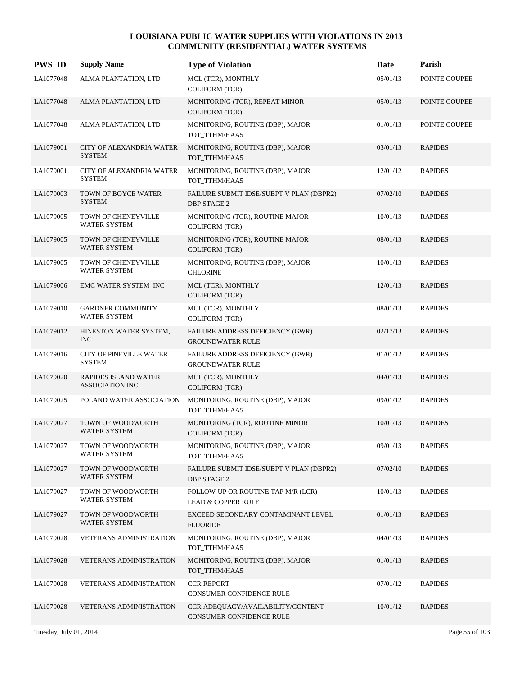| <b>PWS ID</b> | <b>Supply Name</b>                                    | <b>Type of Violation</b>                                            | Date     | Parish         |
|---------------|-------------------------------------------------------|---------------------------------------------------------------------|----------|----------------|
| LA1077048     | ALMA PLANTATION, LTD                                  | MCL (TCR), MONTHLY<br><b>COLIFORM (TCR)</b>                         | 05/01/13 | POINTE COUPEE  |
| LA1077048     | ALMA PLANTATION, LTD                                  | MONITORING (TCR), REPEAT MINOR<br><b>COLIFORM (TCR)</b>             | 05/01/13 | POINTE COUPEE  |
| LA1077048     | ALMA PLANTATION, LTD                                  | MONITORING, ROUTINE (DBP), MAJOR<br>TOT_TTHM/HAA5                   | 01/01/13 | POINTE COUPEE  |
| LA1079001     | CITY OF ALEXANDRIA WATER<br><b>SYSTEM</b>             | MONITORING, ROUTINE (DBP), MAJOR<br>TOT_TTHM/HAA5                   | 03/01/13 | <b>RAPIDES</b> |
| LA1079001     | CITY OF ALEXANDRIA WATER<br><b>SYSTEM</b>             | MONITORING, ROUTINE (DBP), MAJOR<br>TOT_TTHM/HAA5                   | 12/01/12 | <b>RAPIDES</b> |
| LA1079003     | TOWN OF BOYCE WATER<br><b>SYSTEM</b>                  | FAILURE SUBMIT IDSE/SUBPT V PLAN (DBPR2)<br><b>DBP STAGE 2</b>      | 07/02/10 | <b>RAPIDES</b> |
| LA1079005     | TOWN OF CHENEYVILLE<br>WATER SYSTEM                   | MONITORING (TCR), ROUTINE MAJOR<br><b>COLIFORM (TCR)</b>            | 10/01/13 | <b>RAPIDES</b> |
| LA1079005     | TOWN OF CHENEYVILLE<br>WATER SYSTEM                   | MONITORING (TCR), ROUTINE MAJOR<br>COLIFORM (TCR)                   | 08/01/13 | <b>RAPIDES</b> |
| LA1079005     | TOWN OF CHENEYVILLE<br>WATER SYSTEM                   | MONITORING, ROUTINE (DBP), MAJOR<br><b>CHLORINE</b>                 | 10/01/13 | <b>RAPIDES</b> |
| LA1079006     | EMC WATER SYSTEM INC                                  | MCL (TCR), MONTHLY<br><b>COLIFORM (TCR)</b>                         | 12/01/13 | <b>RAPIDES</b> |
| LA1079010     | <b>GARDNER COMMUNITY</b><br>WATER SYSTEM              | MCL (TCR), MONTHLY<br><b>COLIFORM (TCR)</b>                         | 08/01/13 | <b>RAPIDES</b> |
| LA1079012     | HINESTON WATER SYSTEM,<br><b>INC</b>                  | FAILURE ADDRESS DEFICIENCY (GWR)<br><b>GROUNDWATER RULE</b>         | 02/17/13 | <b>RAPIDES</b> |
| LA1079016     | <b>CITY OF PINEVILLE WATER</b><br><b>SYSTEM</b>       | FAILURE ADDRESS DEFICIENCY (GWR)<br><b>GROUNDWATER RULE</b>         | 01/01/12 | <b>RAPIDES</b> |
| LA1079020     | <b>RAPIDES ISLAND WATER</b><br><b>ASSOCIATION INC</b> | MCL (TCR), MONTHLY<br><b>COLIFORM (TCR)</b>                         | 04/01/13 | <b>RAPIDES</b> |
| LA1079025     | POLAND WATER ASSOCIATION                              | MONITORING, ROUTINE (DBP), MAJOR<br>TOT_TTHM/HAA5                   | 09/01/12 | <b>RAPIDES</b> |
| LA1079027     | TOWN OF WOODWORTH<br><b>WATER SYSTEM</b>              | MONITORING (TCR), ROUTINE MINOR<br><b>COLIFORM (TCR)</b>            | 10/01/13 | <b>RAPIDES</b> |
| LA1079027     | TOWN OF WOODWORTH<br>WATER SYSTEM                     | MONITORING, ROUTINE (DBP), MAJOR<br>TOT_TTHM/HAA5                   | 09/01/13 | <b>RAPIDES</b> |
| LA1079027     | TOWN OF WOODWORTH<br>WATER SYSTEM                     | FAILURE SUBMIT IDSE/SUBPT V PLAN (DBPR2)<br>DBP STAGE 2             | 07/02/10 | <b>RAPIDES</b> |
| LA1079027     | TOWN OF WOODWORTH<br>WATER SYSTEM                     | FOLLOW-UP OR ROUTINE TAP M/R (LCR)<br><b>LEAD &amp; COPPER RULE</b> | 10/01/13 | <b>RAPIDES</b> |
| LA1079027     | TOWN OF WOODWORTH<br>WATER SYSTEM                     | EXCEED SECONDARY CONTAMINANT LEVEL<br><b>FLUORIDE</b>               | 01/01/13 | <b>RAPIDES</b> |
| LA1079028     | <b>VETERANS ADMINISTRATION</b>                        | MONITORING, ROUTINE (DBP), MAJOR<br>TOT TTHM/HAA5                   | 04/01/13 | <b>RAPIDES</b> |
| LA1079028     | <b>VETERANS ADMINISTRATION</b>                        | MONITORING, ROUTINE (DBP), MAJOR<br>TOT_TTHM/HAA5                   | 01/01/13 | <b>RAPIDES</b> |
| LA1079028     | <b>VETERANS ADMINISTRATION</b>                        | <b>CCR REPORT</b><br>CONSUMER CONFIDENCE RULE                       | 07/01/12 | <b>RAPIDES</b> |
| LA1079028     | <b>VETERANS ADMINISTRATION</b>                        | CCR ADEQUACY/AVAILABILITY/CONTENT<br>CONSUMER CONFIDENCE RULE       | 10/01/12 | <b>RAPIDES</b> |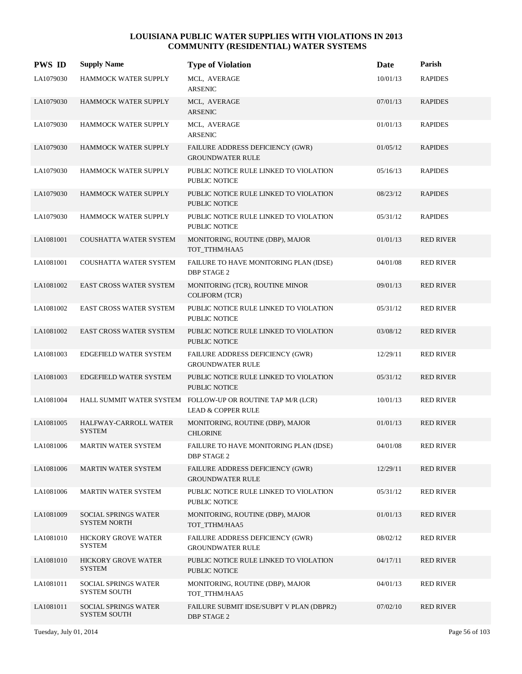| <b>PWS ID</b> | <b>Supply Name</b>                                 | <b>Type of Violation</b>                                                                     | Date     | Parish           |
|---------------|----------------------------------------------------|----------------------------------------------------------------------------------------------|----------|------------------|
| LA1079030     | HAMMOCK WATER SUPPLY                               | MCL, AVERAGE<br><b>ARSENIC</b>                                                               | 10/01/13 | <b>RAPIDES</b>   |
| LA1079030     | HAMMOCK WATER SUPPLY                               | MCL, AVERAGE<br><b>ARSENIC</b>                                                               | 07/01/13 | <b>RAPIDES</b>   |
| LA1079030     | HAMMOCK WATER SUPPLY                               | MCL, AVERAGE<br><b>ARSENIC</b>                                                               | 01/01/13 | <b>RAPIDES</b>   |
| LA1079030     | <b>HAMMOCK WATER SUPPLY</b>                        | FAILURE ADDRESS DEFICIENCY (GWR)<br><b>GROUNDWATER RULE</b>                                  | 01/05/12 | <b>RAPIDES</b>   |
| LA1079030     | HAMMOCK WATER SUPPLY                               | PUBLIC NOTICE RULE LINKED TO VIOLATION<br><b>PUBLIC NOTICE</b>                               | 05/16/13 | <b>RAPIDES</b>   |
| LA1079030     | HAMMOCK WATER SUPPLY                               | PUBLIC NOTICE RULE LINKED TO VIOLATION<br><b>PUBLIC NOTICE</b>                               | 08/23/12 | <b>RAPIDES</b>   |
| LA1079030     | HAMMOCK WATER SUPPLY                               | PUBLIC NOTICE RULE LINKED TO VIOLATION<br><b>PUBLIC NOTICE</b>                               | 05/31/12 | <b>RAPIDES</b>   |
| LA1081001     | <b>COUSHATTA WATER SYSTEM</b>                      | MONITORING, ROUTINE (DBP), MAJOR<br>TOT_TTHM/HAA5                                            | 01/01/13 | <b>RED RIVER</b> |
| LA1081001     | COUSHATTA WATER SYSTEM                             | FAILURE TO HAVE MONITORING PLAN (IDSE)<br><b>DBP STAGE 2</b>                                 | 04/01/08 | <b>RED RIVER</b> |
| LA1081002     | <b>EAST CROSS WATER SYSTEM</b>                     | MONITORING (TCR), ROUTINE MINOR<br><b>COLIFORM</b> (TCR)                                     | 09/01/13 | <b>RED RIVER</b> |
| LA1081002     | EAST CROSS WATER SYSTEM                            | PUBLIC NOTICE RULE LINKED TO VIOLATION<br>PUBLIC NOTICE                                      | 05/31/12 | <b>RED RIVER</b> |
| LA1081002     | <b>EAST CROSS WATER SYSTEM</b>                     | PUBLIC NOTICE RULE LINKED TO VIOLATION<br><b>PUBLIC NOTICE</b>                               | 03/08/12 | <b>RED RIVER</b> |
| LA1081003     | EDGEFIELD WATER SYSTEM                             | FAILURE ADDRESS DEFICIENCY (GWR)<br><b>GROUNDWATER RULE</b>                                  | 12/29/11 | <b>RED RIVER</b> |
| LA1081003     | EDGEFIELD WATER SYSTEM                             | PUBLIC NOTICE RULE LINKED TO VIOLATION<br><b>PUBLIC NOTICE</b>                               | 05/31/12 | <b>RED RIVER</b> |
| LA1081004     |                                                    | HALL SUMMIT WATER SYSTEM FOLLOW-UP OR ROUTINE TAP M/R (LCR)<br><b>LEAD &amp; COPPER RULE</b> | 10/01/13 | <b>RED RIVER</b> |
| LA1081005     | <b>HALFWAY-CARROLL WATER</b><br><b>SYSTEM</b>      | MONITORING, ROUTINE (DBP), MAJOR<br><b>CHLORINE</b>                                          | 01/01/13 | <b>RED RIVER</b> |
| LA1081006     | <b>MARTIN WATER SYSTEM</b>                         | FAILURE TO HAVE MONITORING PLAN (IDSE)<br>DBP STAGE 2                                        | 04/01/08 | <b>RED RIVER</b> |
| LA1081006     | <b>MARTIN WATER SYSTEM</b>                         | FAILURE ADDRESS DEFICIENCY (GWR)<br><b>GROUNDWATER RULE</b>                                  | 12/29/11 | <b>RED RIVER</b> |
| LA1081006     | <b>MARTIN WATER SYSTEM</b>                         | PUBLIC NOTICE RULE LINKED TO VIOLATION<br>PUBLIC NOTICE                                      | 05/31/12 | <b>RED RIVER</b> |
| LA1081009     | <b>SOCIAL SPRINGS WATER</b><br><b>SYSTEM NORTH</b> | MONITORING, ROUTINE (DBP), MAJOR<br>TOT_TTHM/HAA5                                            | 01/01/13 | <b>RED RIVER</b> |
| LA1081010     | <b>HICKORY GROVE WATER</b><br><b>SYSTEM</b>        | FAILURE ADDRESS DEFICIENCY (GWR)<br><b>GROUNDWATER RULE</b>                                  | 08/02/12 | <b>RED RIVER</b> |
| LA1081010     | <b>HICKORY GROVE WATER</b><br><b>SYSTEM</b>        | PUBLIC NOTICE RULE LINKED TO VIOLATION<br>PUBLIC NOTICE                                      | 04/17/11 | <b>RED RIVER</b> |
| LA1081011     | <b>SOCIAL SPRINGS WATER</b><br><b>SYSTEM SOUTH</b> | MONITORING, ROUTINE (DBP), MAJOR<br>TOT_TTHM/HAA5                                            | 04/01/13 | <b>RED RIVER</b> |
| LA1081011     | <b>SOCIAL SPRINGS WATER</b><br><b>SYSTEM SOUTH</b> | FAILURE SUBMIT IDSE/SUBPT V PLAN (DBPR2)<br><b>DBP STAGE 2</b>                               | 07/02/10 | <b>RED RIVER</b> |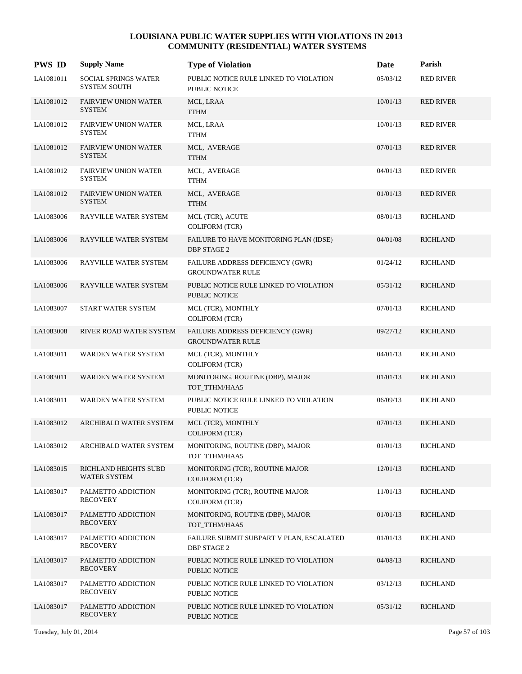| <b>PWS ID</b> | <b>Supply Name</b>                                 | <b>Type of Violation</b>                                       | Date     | Parish           |
|---------------|----------------------------------------------------|----------------------------------------------------------------|----------|------------------|
| LA1081011     | <b>SOCIAL SPRINGS WATER</b><br><b>SYSTEM SOUTH</b> | PUBLIC NOTICE RULE LINKED TO VIOLATION<br>PUBLIC NOTICE        | 05/03/12 | <b>RED RIVER</b> |
| LA1081012     | <b>FAIRVIEW UNION WATER</b><br><b>SYSTEM</b>       | MCL, LRAA<br><b>TTHM</b>                                       | 10/01/13 | <b>RED RIVER</b> |
| LA1081012     | <b>FAIRVIEW UNION WATER</b><br><b>SYSTEM</b>       | MCL, LRAA<br><b>TTHM</b>                                       | 10/01/13 | <b>RED RIVER</b> |
| LA1081012     | <b>FAIRVIEW UNION WATER</b><br><b>SYSTEM</b>       | MCL, AVERAGE<br><b>TTHM</b>                                    | 07/01/13 | <b>RED RIVER</b> |
| LA1081012     | <b>FAIRVIEW UNION WATER</b><br><b>SYSTEM</b>       | MCL, AVERAGE<br><b>TTHM</b>                                    | 04/01/13 | <b>RED RIVER</b> |
| LA1081012     | <b>FAIRVIEW UNION WATER</b><br><b>SYSTEM</b>       | MCL, AVERAGE<br><b>TTHM</b>                                    | 01/01/13 | <b>RED RIVER</b> |
| LA1083006     | RAYVILLE WATER SYSTEM                              | MCL (TCR), ACUTE<br><b>COLIFORM (TCR)</b>                      | 08/01/13 | <b>RICHLAND</b>  |
| LA1083006     | RAYVILLE WATER SYSTEM                              | FAILURE TO HAVE MONITORING PLAN (IDSE)<br><b>DBP STAGE 2</b>   | 04/01/08 | <b>RICHLAND</b>  |
| LA1083006     | RAYVILLE WATER SYSTEM                              | FAILURE ADDRESS DEFICIENCY (GWR)<br><b>GROUNDWATER RULE</b>    | 01/24/12 | <b>RICHLAND</b>  |
| LA1083006     | RAYVILLE WATER SYSTEM                              | PUBLIC NOTICE RULE LINKED TO VIOLATION<br>PUBLIC NOTICE        | 05/31/12 | <b>RICHLAND</b>  |
| LA1083007     | START WATER SYSTEM                                 | MCL (TCR), MONTHLY<br><b>COLIFORM (TCR)</b>                    | 07/01/13 | <b>RICHLAND</b>  |
| LA1083008     | RIVER ROAD WATER SYSTEM                            | FAILURE ADDRESS DEFICIENCY (GWR)<br><b>GROUNDWATER RULE</b>    | 09/27/12 | <b>RICHLAND</b>  |
| LA1083011     | WARDEN WATER SYSTEM                                | MCL (TCR), MONTHLY<br><b>COLIFORM (TCR)</b>                    | 04/01/13 | <b>RICHLAND</b>  |
| LA1083011     | WARDEN WATER SYSTEM                                | MONITORING, ROUTINE (DBP), MAJOR<br>TOT_TTHM/HAA5              | 01/01/13 | <b>RICHLAND</b>  |
| LA1083011     | WARDEN WATER SYSTEM                                | PUBLIC NOTICE RULE LINKED TO VIOLATION<br>PUBLIC NOTICE        | 06/09/13 | <b>RICHLAND</b>  |
| LA1083012     | <b>ARCHIBALD WATER SYSTEM</b>                      | MCL (TCR), MONTHLY<br><b>COLIFORM (TCR)</b>                    | 07/01/13 | <b>RICHLAND</b>  |
| LA1083012     | ARCHIBALD WATER SYSTEM                             | MONITORING, ROUTINE (DBP), MAJOR<br>TOT TTHM/HAA5              | 01/01/13 | <b>RICHLAND</b>  |
| LA1083015     | RICHLAND HEIGHTS SUBD<br><b>WATER SYSTEM</b>       | MONITORING (TCR), ROUTINE MAJOR<br><b>COLIFORM (TCR)</b>       | 12/01/13 | <b>RICHLAND</b>  |
| LA1083017     | PALMETTO ADDICTION<br><b>RECOVERY</b>              | MONITORING (TCR), ROUTINE MAJOR<br><b>COLIFORM (TCR)</b>       | 11/01/13 | <b>RICHLAND</b>  |
| LA1083017     | PALMETTO ADDICTION<br><b>RECOVERY</b>              | MONITORING, ROUTINE (DBP), MAJOR<br>TOT_TTHM/HAA5              | 01/01/13 | <b>RICHLAND</b>  |
| LA1083017     | PALMETTO ADDICTION<br><b>RECOVERY</b>              | FAILURE SUBMIT SUBPART V PLAN, ESCALATED<br><b>DBP STAGE 2</b> | 01/01/13 | <b>RICHLAND</b>  |
| LA1083017     | PALMETTO ADDICTION<br><b>RECOVERY</b>              | PUBLIC NOTICE RULE LINKED TO VIOLATION<br>PUBLIC NOTICE        | 04/08/13 | <b>RICHLAND</b>  |
| LA1083017     | PALMETTO ADDICTION<br><b>RECOVERY</b>              | PUBLIC NOTICE RULE LINKED TO VIOLATION<br><b>PUBLIC NOTICE</b> | 03/12/13 | <b>RICHLAND</b>  |
| LA1083017     | PALMETTO ADDICTION<br><b>RECOVERY</b>              | PUBLIC NOTICE RULE LINKED TO VIOLATION<br>PUBLIC NOTICE        | 05/31/12 | <b>RICHLAND</b>  |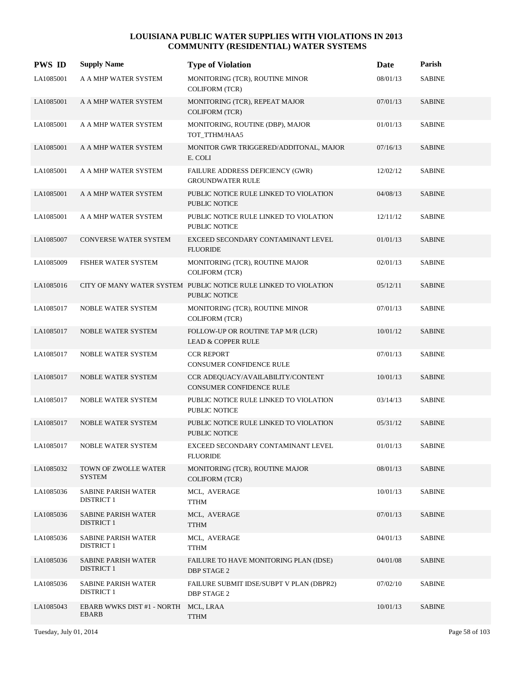| <b>PWS ID</b> | <b>Supply Name</b>                              | <b>Type of Violation</b>                                                                 | Date     | Parish        |
|---------------|-------------------------------------------------|------------------------------------------------------------------------------------------|----------|---------------|
| LA1085001     | A A MHP WATER SYSTEM                            | MONITORING (TCR), ROUTINE MINOR<br><b>COLIFORM (TCR)</b>                                 | 08/01/13 | <b>SABINE</b> |
| LA1085001     | A A MHP WATER SYSTEM                            | MONITORING (TCR), REPEAT MAJOR<br><b>COLIFORM (TCR)</b>                                  | 07/01/13 | <b>SABINE</b> |
| LA1085001     | A A MHP WATER SYSTEM                            | MONITORING, ROUTINE (DBP), MAJOR<br>TOT_TTHM/HAA5                                        | 01/01/13 | <b>SABINE</b> |
| LA1085001     | A A MHP WATER SYSTEM                            | MONITOR GWR TRIGGERED/ADDITONAL, MAJOR<br>E. COLI                                        | 07/16/13 | <b>SABINE</b> |
| LA1085001     | A A MHP WATER SYSTEM                            | FAILURE ADDRESS DEFICIENCY (GWR)<br><b>GROUNDWATER RULE</b>                              | 12/02/12 | <b>SABINE</b> |
| LA1085001     | A A MHP WATER SYSTEM                            | PUBLIC NOTICE RULE LINKED TO VIOLATION<br><b>PUBLIC NOTICE</b>                           | 04/08/13 | <b>SABINE</b> |
| LA1085001     | A A MHP WATER SYSTEM                            | PUBLIC NOTICE RULE LINKED TO VIOLATION<br><b>PUBLIC NOTICE</b>                           | 12/11/12 | <b>SABINE</b> |
| LA1085007     | <b>CONVERSE WATER SYSTEM</b>                    | EXCEED SECONDARY CONTAMINANT LEVEL<br><b>FLUORIDE</b>                                    | 01/01/13 | <b>SABINE</b> |
| LA1085009     | FISHER WATER SYSTEM                             | MONITORING (TCR), ROUTINE MAJOR<br><b>COLIFORM (TCR)</b>                                 | 02/01/13 | <b>SABINE</b> |
| LA1085016     |                                                 | CITY OF MANY WATER SYSTEM PUBLIC NOTICE RULE LINKED TO VIOLATION<br><b>PUBLIC NOTICE</b> | 05/12/11 | <b>SABINE</b> |
| LA1085017     | NOBLE WATER SYSTEM                              | MONITORING (TCR), ROUTINE MINOR<br><b>COLIFORM (TCR)</b>                                 | 07/01/13 | <b>SABINE</b> |
| LA1085017     | NOBLE WATER SYSTEM                              | FOLLOW-UP OR ROUTINE TAP M/R (LCR)<br><b>LEAD &amp; COPPER RULE</b>                      | 10/01/12 | <b>SABINE</b> |
| LA1085017     | NOBLE WATER SYSTEM                              | <b>CCR REPORT</b><br>CONSUMER CONFIDENCE RULE                                            | 07/01/13 | <b>SABINE</b> |
| LA1085017     | NOBLE WATER SYSTEM                              | CCR ADEQUACY/AVAILABILITY/CONTENT<br><b>CONSUMER CONFIDENCE RULE</b>                     | 10/01/13 | <b>SABINE</b> |
| LA1085017     | <b>NOBLE WATER SYSTEM</b>                       | PUBLIC NOTICE RULE LINKED TO VIOLATION<br>PUBLIC NOTICE                                  | 03/14/13 | <b>SABINE</b> |
| LA1085017     | <b>NOBLE WATER SYSTEM</b>                       | PUBLIC NOTICE RULE LINKED TO VIOLATION<br><b>PUBLIC NOTICE</b>                           | 05/31/12 | <b>SABINE</b> |
| LA1085017     | NOBLE WATER SYSTEM                              | EXCEED SECONDARY CONTAMINANT LEVEL<br><b>FLUORIDE</b>                                    | 01/01/13 | <b>SABINE</b> |
| LA1085032     | TOWN OF ZWOLLE WATER<br>SYSTEM                  | MONITORING (TCR), ROUTINE MAJOR<br><b>COLIFORM (TCR)</b>                                 | 08/01/13 | <b>SABINE</b> |
| LA1085036     | SABINE PARISH WATER<br><b>DISTRICT 1</b>        | MCL, AVERAGE<br><b>TTHM</b>                                                              | 10/01/13 | <b>SABINE</b> |
| LA1085036     | <b>SABINE PARISH WATER</b><br><b>DISTRICT 1</b> | MCL, AVERAGE<br><b>TTHM</b>                                                              | 07/01/13 | <b>SABINE</b> |
| LA1085036     | <b>SABINE PARISH WATER</b><br><b>DISTRICT 1</b> | MCL, AVERAGE<br><b>TTHM</b>                                                              | 04/01/13 | <b>SABINE</b> |
| LA1085036     | <b>SABINE PARISH WATER</b><br><b>DISTRICT 1</b> | FAILURE TO HAVE MONITORING PLAN (IDSE)<br>DBP STAGE 2                                    | 04/01/08 | <b>SABINE</b> |
| LA1085036     | <b>SABINE PARISH WATER</b><br><b>DISTRICT 1</b> | FAILURE SUBMIT IDSE/SUBPT V PLAN (DBPR2)<br><b>DBP STAGE 2</b>                           | 07/02/10 | <b>SABINE</b> |
| LA1085043     | EBARB WWKS DIST #1 - NORTH MCL, LRAA<br>EBARB   | <b>TTHM</b>                                                                              | 10/01/13 | <b>SABINE</b> |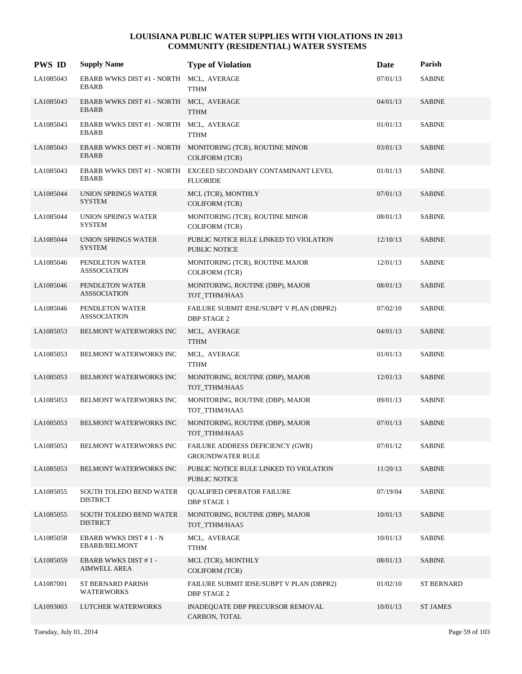| <b>PWS ID</b> | <b>Supply Name</b>                                      | <b>Type of Violation</b>                                                            | Date     | Parish            |
|---------------|---------------------------------------------------------|-------------------------------------------------------------------------------------|----------|-------------------|
| LA1085043     | EBARB WWKS DIST #1 - NORTH MCL, AVERAGE<br><b>EBARB</b> | <b>TTHM</b>                                                                         | 07/01/13 | <b>SABINE</b>     |
| LA1085043     | EBARB WWKS DIST #1 - NORTH MCL, AVERAGE<br><b>EBARB</b> | <b>TTHM</b>                                                                         | 04/01/13 | <b>SABINE</b>     |
| LA1085043     | EBARB WWKS DIST #1 - NORTH MCL, AVERAGE<br><b>EBARB</b> | <b>TTHM</b>                                                                         | 01/01/13 | <b>SABINE</b>     |
| LA1085043     | <b>EBARB</b>                                            | EBARB WWKS DIST #1 - NORTH MONITORING (TCR), ROUTINE MINOR<br><b>COLIFORM (TCR)</b> | 03/01/13 | <b>SABINE</b>     |
| LA1085043     | <b>EBARB</b>                                            | EBARB WWKS DIST #1 - NORTH EXCEED SECONDARY CONTAMINANT LEVEL<br><b>FLUORIDE</b>    | 01/01/13 | <b>SABINE</b>     |
| LA1085044     | UNION SPRINGS WATER<br><b>SYSTEM</b>                    | MCL (TCR), MONTHLY<br><b>COLIFORM (TCR)</b>                                         | 07/01/13 | <b>SABINE</b>     |
| LA1085044     | UNION SPRINGS WATER<br><b>SYSTEM</b>                    | MONITORING (TCR), ROUTINE MINOR<br><b>COLIFORM (TCR)</b>                            | 08/01/13 | <b>SABINE</b>     |
| LA1085044     | UNION SPRINGS WATER<br><b>SYSTEM</b>                    | PUBLIC NOTICE RULE LINKED TO VIOLATION<br>PUBLIC NOTICE                             | 12/10/13 | <b>SABINE</b>     |
| LA1085046     | PENDLETON WATER<br><b>ASSSOCIATION</b>                  | MONITORING (TCR), ROUTINE MAJOR<br><b>COLIFORM (TCR)</b>                            | 12/01/13 | <b>SABINE</b>     |
| LA1085046     | PENDLETON WATER<br><b>ASSSOCIATION</b>                  | MONITORING, ROUTINE (DBP), MAJOR<br>TOT_TTHM/HAA5                                   | 08/01/13 | <b>SABINE</b>     |
| LA1085046     | PENDLETON WATER<br><b>ASSSOCIATION</b>                  | FAILURE SUBMIT IDSE/SUBPT V PLAN (DBPR2)<br><b>DBP STAGE 2</b>                      | 07/02/10 | <b>SABINE</b>     |
| LA1085053     | BELMONT WATERWORKS INC                                  | MCL, AVERAGE<br><b>TTHM</b>                                                         | 04/01/13 | <b>SABINE</b>     |
| LA1085053     | BELMONT WATERWORKS INC                                  | MCL, AVERAGE<br><b>TTHM</b>                                                         | 01/01/13 | <b>SABINE</b>     |
| LA1085053     | BELMONT WATERWORKS INC                                  | MONITORING, ROUTINE (DBP), MAJOR<br>TOT_TTHM/HAA5                                   | 12/01/13 | <b>SABINE</b>     |
| LA1085053     | BELMONT WATERWORKS INC                                  | MONITORING, ROUTINE (DBP), MAJOR<br>TOT_TTHM/HAA5                                   | 09/01/13 | <b>SABINE</b>     |
| LA1085053     | BELMONT WATERWORKS INC                                  | MONITORING, ROUTINE (DBP), MAJOR<br>TOT TTHM/HAA5                                   | 07/01/13 | <b>SABINE</b>     |
| LA1085053     | BELMONT WATERWORKS INC                                  | FAILURE ADDRESS DEFICIENCY (GWR)<br><b>GROUNDWATER RULE</b>                         | 07/01/12 | <b>SABINE</b>     |
| LA1085053     | BELMONT WATERWORKS INC                                  | PUBLIC NOTICE RULE LINKED TO VIOLATION<br>PUBLIC NOTICE                             | 11/20/13 | <b>SABINE</b>     |
| LA1085055     | SOUTH TOLEDO BEND WATER<br><b>DISTRICT</b>              | <b>QUALIFIED OPERATOR FAILURE</b><br><b>DBP STAGE 1</b>                             | 07/19/04 | <b>SABINE</b>     |
| LA1085055     | SOUTH TOLEDO BEND WATER<br><b>DISTRICT</b>              | MONITORING, ROUTINE (DBP), MAJOR<br>TOT TTHM/HAA5                                   | 10/01/13 | <b>SABINE</b>     |
| LA1085058     | EBARB WWKS DIST #1 - N<br>EBARB/BELMONT                 | MCL, AVERAGE<br><b>TTHM</b>                                                         | 10/01/13 | <b>SABINE</b>     |
| LA1085059     | EBARB WWKS DIST #1-<br>AIMWELL AREA                     | MCL (TCR), MONTHLY<br><b>COLIFORM (TCR)</b>                                         | 08/01/13 | <b>SABINE</b>     |
| LA1087001     | ST BERNARD PARISH<br><b>WATERWORKS</b>                  | FAILURE SUBMIT IDSE/SUBPT V PLAN (DBPR2)<br><b>DBP STAGE 2</b>                      | 01/02/10 | <b>ST BERNARD</b> |
| LA1093003     | LUTCHER WATERWORKS                                      | INADEQUATE DBP PRECURSOR REMOVAL<br>CARBON, TOTAL                                   | 10/01/13 | <b>ST JAMES</b>   |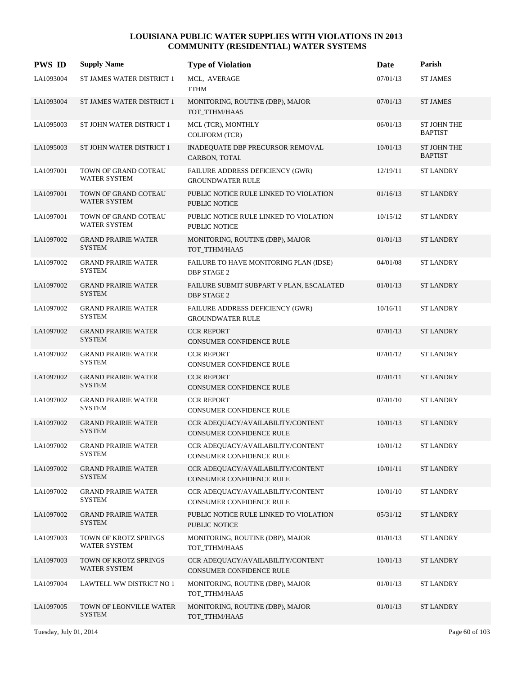| <b>PWS ID</b> | <b>Supply Name</b>                          | <b>Type of Violation</b>                                             | Date     | Parish                               |
|---------------|---------------------------------------------|----------------------------------------------------------------------|----------|--------------------------------------|
| LA1093004     | ST JAMES WATER DISTRICT 1                   | MCL, AVERAGE<br><b>TTHM</b>                                          | 07/01/13 | <b>ST JAMES</b>                      |
| LA1093004     | ST JAMES WATER DISTRICT 1                   | MONITORING, ROUTINE (DBP), MAJOR<br>TOT_TTHM/HAA5                    | 07/01/13 | <b>ST JAMES</b>                      |
| LA1095003     | ST JOHN WATER DISTRICT 1                    | MCL (TCR), MONTHLY<br><b>COLIFORM (TCR)</b>                          | 06/01/13 | <b>ST JOHN THE</b><br><b>BAPTIST</b> |
| LA1095003     | ST JOHN WATER DISTRICT 1                    | INADEQUATE DBP PRECURSOR REMOVAL<br>CARBON, TOTAL                    | 10/01/13 | <b>ST JOHN THE</b><br><b>BAPTIST</b> |
| LA1097001     | TOWN OF GRAND COTEAU<br><b>WATER SYSTEM</b> | FAILURE ADDRESS DEFICIENCY (GWR)<br><b>GROUNDWATER RULE</b>          | 12/19/11 | <b>ST LANDRY</b>                     |
| LA1097001     | TOWN OF GRAND COTEAU<br><b>WATER SYSTEM</b> | PUBLIC NOTICE RULE LINKED TO VIOLATION<br>PUBLIC NOTICE              | 01/16/13 | <b>ST LANDRY</b>                     |
| LA1097001     | TOWN OF GRAND COTEAU<br><b>WATER SYSTEM</b> | PUBLIC NOTICE RULE LINKED TO VIOLATION<br>PUBLIC NOTICE              | 10/15/12 | <b>ST LANDRY</b>                     |
| LA1097002     | <b>GRAND PRAIRIE WATER</b><br><b>SYSTEM</b> | MONITORING, ROUTINE (DBP), MAJOR<br>TOT TTHM/HAA5                    | 01/01/13 | <b>ST LANDRY</b>                     |
| LA1097002     | <b>GRAND PRAIRIE WATER</b><br><b>SYSTEM</b> | FAILURE TO HAVE MONITORING PLAN (IDSE)<br><b>DBP STAGE 2</b>         | 04/01/08 | <b>ST LANDRY</b>                     |
| LA1097002     | <b>GRAND PRAIRIE WATER</b><br><b>SYSTEM</b> | FAILURE SUBMIT SUBPART V PLAN, ESCALATED<br><b>DBP STAGE 2</b>       | 01/01/13 | <b>ST LANDRY</b>                     |
| LA1097002     | <b>GRAND PRAIRIE WATER</b><br><b>SYSTEM</b> | FAILURE ADDRESS DEFICIENCY (GWR)<br><b>GROUNDWATER RULE</b>          | 10/16/11 | <b>ST LANDRY</b>                     |
| LA1097002     | <b>GRAND PRAIRIE WATER</b><br><b>SYSTEM</b> | <b>CCR REPORT</b><br><b>CONSUMER CONFIDENCE RULE</b>                 | 07/01/13 | <b>ST LANDRY</b>                     |
| LA1097002     | <b>GRAND PRAIRIE WATER</b><br><b>SYSTEM</b> | <b>CCR REPORT</b><br>CONSUMER CONFIDENCE RULE                        | 07/01/12 | <b>ST LANDRY</b>                     |
| LA1097002     | <b>GRAND PRAIRIE WATER</b><br><b>SYSTEM</b> | <b>CCR REPORT</b><br>CONSUMER CONFIDENCE RULE                        | 07/01/11 | <b>ST LANDRY</b>                     |
| LA1097002     | <b>GRAND PRAIRIE WATER</b><br><b>SYSTEM</b> | <b>CCR REPORT</b><br>CONSUMER CONFIDENCE RULE                        | 07/01/10 | <b>ST LANDRY</b>                     |
| LA1097002     | <b>GRAND PRAIRIE WATER</b><br><b>SYSTEM</b> | CCR ADEQUACY/AVAILABILITY/CONTENT<br><b>CONSUMER CONFIDENCE RULE</b> | 10/01/13 | <b>ST LANDRY</b>                     |
| LA1097002     | <b>GRAND PRAIRIE WATER</b><br>SYSTEM        | CCR ADEQUACY/AVAILABILITY/CONTENT<br>CONSUMER CONFIDENCE RULE        | 10/01/12 | <b>ST LANDRY</b>                     |
| LA1097002     | <b>GRAND PRAIRIE WATER</b><br><b>SYSTEM</b> | CCR ADEQUACY/AVAILABILITY/CONTENT<br>CONSUMER CONFIDENCE RULE        | 10/01/11 | <b>ST LANDRY</b>                     |
| LA1097002     | <b>GRAND PRAIRIE WATER</b><br><b>SYSTEM</b> | CCR ADEQUACY/AVAILABILITY/CONTENT<br>CONSUMER CONFIDENCE RULE        | 10/01/10 | ST LANDRY                            |
| LA1097002     | <b>GRAND PRAIRIE WATER</b><br><b>SYSTEM</b> | PUBLIC NOTICE RULE LINKED TO VIOLATION<br>PUBLIC NOTICE              | 05/31/12 | <b>ST LANDRY</b>                     |
| LA1097003     | TOWN OF KROTZ SPRINGS<br>WATER SYSTEM       | MONITORING, ROUTINE (DBP), MAJOR<br>TOT TTHM/HAA5                    | 01/01/13 | <b>ST LANDRY</b>                     |
| LA1097003     | TOWN OF KROTZ SPRINGS<br>WATER SYSTEM       | CCR ADEQUACY/AVAILABILITY/CONTENT<br>CONSUMER CONFIDENCE RULE        | 10/01/13 | ST LANDRY                            |
| LA1097004     | LAWTELL WW DISTRICT NO 1                    | MONITORING, ROUTINE (DBP), MAJOR<br>TOT_TTHM/HAA5                    | 01/01/13 | ST LANDRY                            |
| LA1097005     | TOWN OF LEONVILLE WATER<br><b>SYSTEM</b>    | MONITORING, ROUTINE (DBP), MAJOR<br>TOT_TTHM/HAA5                    | 01/01/13 | <b>ST LANDRY</b>                     |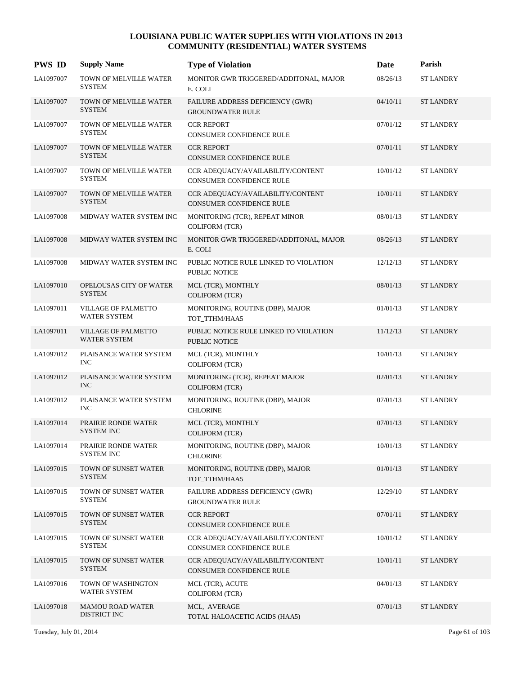| <b>PWS ID</b> | <b>Supply Name</b>                                | <b>Type of Violation</b>                                             | Date     | Parish           |
|---------------|---------------------------------------------------|----------------------------------------------------------------------|----------|------------------|
| LA1097007     | TOWN OF MELVILLE WATER<br><b>SYSTEM</b>           | MONITOR GWR TRIGGERED/ADDITONAL, MAJOR<br>E. COLI                    | 08/26/13 | <b>ST LANDRY</b> |
| LA1097007     | TOWN OF MELVILLE WATER<br><b>SYSTEM</b>           | FAILURE ADDRESS DEFICIENCY (GWR)<br><b>GROUNDWATER RULE</b>          | 04/10/11 | <b>ST LANDRY</b> |
| LA1097007     | TOWN OF MELVILLE WATER<br><b>SYSTEM</b>           | <b>CCR REPORT</b><br>CONSUMER CONFIDENCE RULE                        | 07/01/12 | <b>ST LANDRY</b> |
| LA1097007     | TOWN OF MELVILLE WATER<br><b>SYSTEM</b>           | <b>CCR REPORT</b><br><b>CONSUMER CONFIDENCE RULE</b>                 | 07/01/11 | <b>ST LANDRY</b> |
| LA1097007     | TOWN OF MELVILLE WATER<br><b>SYSTEM</b>           | CCR ADEQUACY/AVAILABILITY/CONTENT<br><b>CONSUMER CONFIDENCE RULE</b> | 10/01/12 | <b>ST LANDRY</b> |
| LA1097007     | TOWN OF MELVILLE WATER<br><b>SYSTEM</b>           | CCR ADEQUACY/AVAILABILITY/CONTENT<br>CONSUMER CONFIDENCE RULE        | 10/01/11 | <b>ST LANDRY</b> |
| LA1097008     | MIDWAY WATER SYSTEM INC                           | MONITORING (TCR), REPEAT MINOR<br><b>COLIFORM (TCR)</b>              | 08/01/13 | <b>ST LANDRY</b> |
| LA1097008     | MIDWAY WATER SYSTEM INC                           | MONITOR GWR TRIGGERED/ADDITONAL, MAJOR<br>E. COLI                    | 08/26/13 | <b>ST LANDRY</b> |
| LA1097008     | MIDWAY WATER SYSTEM INC                           | PUBLIC NOTICE RULE LINKED TO VIOLATION<br><b>PUBLIC NOTICE</b>       | 12/12/13 | <b>ST LANDRY</b> |
| LA1097010     | OPELOUSAS CITY OF WATER<br><b>SYSTEM</b>          | MCL (TCR), MONTHLY<br><b>COLIFORM (TCR)</b>                          | 08/01/13 | <b>ST LANDRY</b> |
| LA1097011     | <b>VILLAGE OF PALMETTO</b><br><b>WATER SYSTEM</b> | MONITORING, ROUTINE (DBP), MAJOR<br>TOT_TTHM/HAA5                    | 01/01/13 | <b>ST LANDRY</b> |
| LA1097011     | <b>VILLAGE OF PALMETTO</b><br>WATER SYSTEM        | PUBLIC NOTICE RULE LINKED TO VIOLATION<br>PUBLIC NOTICE              | 11/12/13 | <b>ST LANDRY</b> |
| LA1097012     | PLAISANCE WATER SYSTEM<br><b>INC</b>              | MCL (TCR), MONTHLY<br><b>COLIFORM (TCR)</b>                          | 10/01/13 | <b>ST LANDRY</b> |
| LA1097012     | PLAISANCE WATER SYSTEM<br><b>INC</b>              | MONITORING (TCR), REPEAT MAJOR<br><b>COLIFORM (TCR)</b>              | 02/01/13 | <b>ST LANDRY</b> |
| LA1097012     | PLAISANCE WATER SYSTEM<br><b>INC</b>              | MONITORING, ROUTINE (DBP), MAJOR<br><b>CHLORINE</b>                  | 07/01/13 | <b>ST LANDRY</b> |
| LA1097014     | PRAIRIE RONDE WATER<br><b>SYSTEM INC</b>          | MCL (TCR), MONTHLY<br><b>COLIFORM (TCR)</b>                          | 07/01/13 | <b>ST LANDRY</b> |
| LA1097014     | PRAIRIE RONDE WATER<br><b>SYSTEM INC</b>          | MONITORING, ROUTINE (DBP), MAJOR<br><b>CHLORINE</b>                  | 10/01/13 | <b>ST LANDRY</b> |
| LA1097015     | TOWN OF SUNSET WATER<br><b>SYSTEM</b>             | MONITORING, ROUTINE (DBP), MAJOR<br>TOT_TTHM/HAA5                    | 01/01/13 | <b>ST LANDRY</b> |
| LA1097015     | TOWN OF SUNSET WATER<br><b>SYSTEM</b>             | FAILURE ADDRESS DEFICIENCY (GWR)<br><b>GROUNDWATER RULE</b>          | 12/29/10 | <b>ST LANDRY</b> |
| LA1097015     | TOWN OF SUNSET WATER<br><b>SYSTEM</b>             | <b>CCR REPORT</b><br>CONSUMER CONFIDENCE RULE                        | 07/01/11 | <b>ST LANDRY</b> |
| LA1097015     | TOWN OF SUNSET WATER<br><b>SYSTEM</b>             | CCR ADEQUACY/AVAILABILITY/CONTENT<br>CONSUMER CONFIDENCE RULE        | 10/01/12 | <b>ST LANDRY</b> |
| LA1097015     | TOWN OF SUNSET WATER<br><b>SYSTEM</b>             | CCR ADEQUACY/AVAILABILITY/CONTENT<br>CONSUMER CONFIDENCE RULE        | 10/01/11 | <b>ST LANDRY</b> |
| LA1097016     | TOWN OF WASHINGTON<br>WATER SYSTEM                | MCL (TCR), ACUTE<br><b>COLIFORM (TCR)</b>                            | 04/01/13 | <b>ST LANDRY</b> |
| LA1097018     | <b>MAMOU ROAD WATER</b><br>DISTRICT INC           | MCL, AVERAGE<br>TOTAL HALOACETIC ACIDS (HAA5)                        | 07/01/13 | <b>ST LANDRY</b> |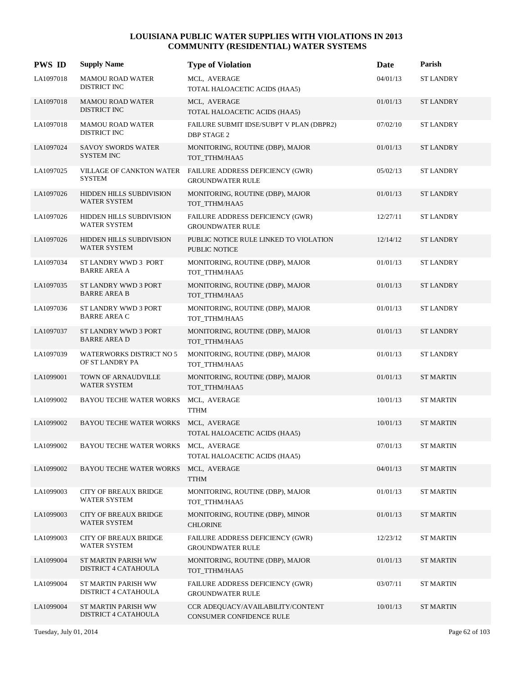| <b>PWS ID</b> | <b>Supply Name</b>                                  | <b>Type of Violation</b>                                       | Date     | Parish           |
|---------------|-----------------------------------------------------|----------------------------------------------------------------|----------|------------------|
| LA1097018     | <b>MAMOU ROAD WATER</b><br>DISTRICT INC             | MCL, AVERAGE<br>TOTAL HALOACETIC ACIDS (HAA5)                  | 04/01/13 | <b>ST LANDRY</b> |
| LA1097018     | <b>MAMOU ROAD WATER</b><br>DISTRICT INC             | MCL, AVERAGE<br>TOTAL HALOACETIC ACIDS (HAA5)                  | 01/01/13 | <b>ST LANDRY</b> |
| LA1097018     | <b>MAMOU ROAD WATER</b><br>DISTRICT INC             | FAILURE SUBMIT IDSE/SUBPT V PLAN (DBPR2)<br><b>DBP STAGE 2</b> | 07/02/10 | <b>ST LANDRY</b> |
| LA1097024     | <b>SAVOY SWORDS WATER</b><br><b>SYSTEM INC</b>      | MONITORING, ROUTINE (DBP), MAJOR<br>TOT_TTHM/HAA5              | 01/01/13 | <b>ST LANDRY</b> |
| LA1097025     | VILLAGE OF CANKTON WATER<br><b>SYSTEM</b>           | FAILURE ADDRESS DEFICIENCY (GWR)<br><b>GROUNDWATER RULE</b>    | 05/02/13 | <b>ST LANDRY</b> |
| LA1097026     | HIDDEN HILLS SUBDIVISION<br>WATER SYSTEM            | MONITORING, ROUTINE (DBP), MAJOR<br>TOT_TTHM/HAA5              | 01/01/13 | <b>ST LANDRY</b> |
| LA1097026     | HIDDEN HILLS SUBDIVISION<br><b>WATER SYSTEM</b>     | FAILURE ADDRESS DEFICIENCY (GWR)<br><b>GROUNDWATER RULE</b>    | 12/27/11 | <b>ST LANDRY</b> |
| LA1097026     | <b>HIDDEN HILLS SUBDIVISION</b><br>WATER SYSTEM     | PUBLIC NOTICE RULE LINKED TO VIOLATION<br><b>PUBLIC NOTICE</b> | 12/14/12 | <b>ST LANDRY</b> |
| LA1097034     | ST LANDRY WWD 3 PORT<br><b>BARRE AREA A</b>         | MONITORING, ROUTINE (DBP), MAJOR<br>TOT_TTHM/HAA5              | 01/01/13 | <b>ST LANDRY</b> |
| LA1097035     | ST LANDRY WWD 3 PORT<br><b>BARRE AREA B</b>         | MONITORING, ROUTINE (DBP), MAJOR<br>TOT_TTHM/HAA5              | 01/01/13 | <b>ST LANDRY</b> |
| LA1097036     | ST LANDRY WWD 3 PORT<br><b>BARRE AREA C</b>         | MONITORING, ROUTINE (DBP), MAJOR<br>TOT_TTHM/HAA5              | 01/01/13 | <b>ST LANDRY</b> |
| LA1097037     | ST LANDRY WWD 3 PORT<br><b>BARRE AREA D</b>         | MONITORING, ROUTINE (DBP), MAJOR<br>TOT_TTHM/HAA5              | 01/01/13 | <b>ST LANDRY</b> |
| LA1097039     | <b>WATERWORKS DISTRICT NO 5</b><br>OF ST LANDRY PA  | MONITORING, ROUTINE (DBP), MAJOR<br>TOT_TTHM/HAA5              | 01/01/13 | <b>ST LANDRY</b> |
| LA1099001     | TOWN OF ARNAUDVILLE<br>WATER SYSTEM                 | MONITORING, ROUTINE (DBP), MAJOR<br>TOT TTHM/HAA5              | 01/01/13 | <b>ST MARTIN</b> |
| LA1099002     | <b>BAYOU TECHE WATER WORKS</b>                      | MCL, AVERAGE<br><b>TTHM</b>                                    | 10/01/13 | <b>ST MARTIN</b> |
| LA1099002     | <b>BAYOU TECHE WATER WORKS</b>                      | MCL, AVERAGE<br>TOTAL HALOACETIC ACIDS (HAA5)                  | 10/01/13 | <b>ST MARTIN</b> |
| LA1099002     | BAYOU TECHE WATER WORKS                             | MCL, AVERAGE<br>TOTAL HALOACETIC ACIDS (HAA5)                  | 07/01/13 | <b>ST MARTIN</b> |
| LA1099002     | <b>BAYOU TECHE WATER WORKS</b>                      | MCL, AVERAGE<br><b>TTHM</b>                                    | 04/01/13 | <b>ST MARTIN</b> |
| LA1099003     | <b>CITY OF BREAUX BRIDGE</b><br><b>WATER SYSTEM</b> | MONITORING, ROUTINE (DBP), MAJOR<br>TOT_TTHM/HAA5              | 01/01/13 | <b>ST MARTIN</b> |
| LA1099003     | <b>CITY OF BREAUX BRIDGE</b><br><b>WATER SYSTEM</b> | MONITORING, ROUTINE (DBP), MINOR<br><b>CHLORINE</b>            | 01/01/13 | <b>ST MARTIN</b> |
| LA1099003     | <b>CITY OF BREAUX BRIDGE</b><br>WATER SYSTEM        | FAILURE ADDRESS DEFICIENCY (GWR)<br><b>GROUNDWATER RULE</b>    | 12/23/12 | <b>ST MARTIN</b> |
| LA1099004     | ST MARTIN PARISH WW<br>DISTRICT 4 CATAHOULA         | MONITORING, ROUTINE (DBP), MAJOR<br>TOT_TTHM/HAA5              | 01/01/13 | <b>ST MARTIN</b> |
| LA1099004     | ST MARTIN PARISH WW<br>DISTRICT 4 CATAHOULA         | FAILURE ADDRESS DEFICIENCY (GWR)<br><b>GROUNDWATER RULE</b>    | 03/07/11 | ST MARTIN        |
| LA1099004     | ST MARTIN PARISH WW<br>DISTRICT 4 CATAHOULA         | CCR ADEQUACY/AVAILABILITY/CONTENT<br>CONSUMER CONFIDENCE RULE  | 10/01/13 | <b>ST MARTIN</b> |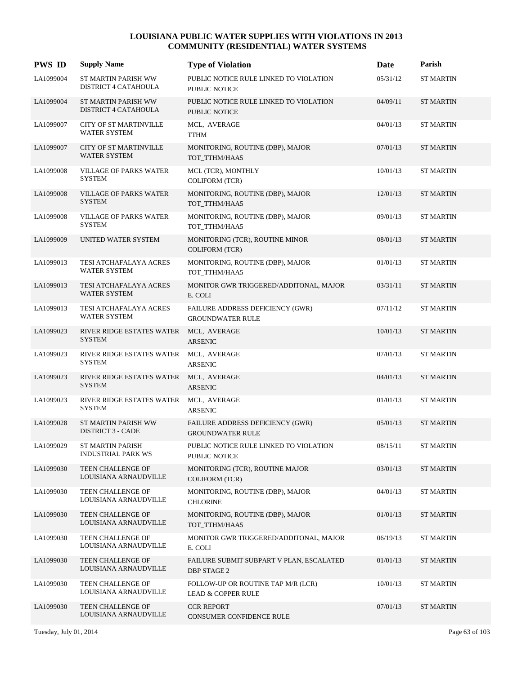| <b>PWS ID</b> | <b>Supply Name</b>                                   | <b>Type of Violation</b>                                       | Date     | Parish           |
|---------------|------------------------------------------------------|----------------------------------------------------------------|----------|------------------|
| LA1099004     | ST MARTIN PARISH WW<br>DISTRICT 4 CATAHOULA          | PUBLIC NOTICE RULE LINKED TO VIOLATION<br><b>PUBLIC NOTICE</b> | 05/31/12 | <b>ST MARTIN</b> |
| LA1099004     | ST MARTIN PARISH WW<br>DISTRICT 4 CATAHOULA          | PUBLIC NOTICE RULE LINKED TO VIOLATION<br><b>PUBLIC NOTICE</b> | 04/09/11 | <b>ST MARTIN</b> |
| LA1099007     | <b>CITY OF ST MARTINVILLE</b><br><b>WATER SYSTEM</b> | MCL, AVERAGE<br><b>TTHM</b>                                    | 04/01/13 | ST MARTIN        |
| LA1099007     | <b>CITY OF ST MARTINVILLE</b><br>WATER SYSTEM        | MONITORING, ROUTINE (DBP), MAJOR<br>TOT_TTHM/HAA5              | 07/01/13 | <b>ST MARTIN</b> |
| LA1099008     | <b>VILLAGE OF PARKS WATER</b><br><b>SYSTEM</b>       | MCL (TCR), MONTHLY<br><b>COLIFORM (TCR)</b>                    | 10/01/13 | <b>ST MARTIN</b> |
| LA1099008     | <b>VILLAGE OF PARKS WATER</b><br><b>SYSTEM</b>       | MONITORING, ROUTINE (DBP), MAJOR<br>TOT_TTHM/HAA5              | 12/01/13 | <b>ST MARTIN</b> |
| LA1099008     | <b>VILLAGE OF PARKS WATER</b><br><b>SYSTEM</b>       | MONITORING, ROUTINE (DBP), MAJOR<br>TOT_TTHM/HAA5              | 09/01/13 | ST MARTIN        |
| LA1099009     | UNITED WATER SYSTEM                                  | MONITORING (TCR), ROUTINE MINOR<br><b>COLIFORM (TCR)</b>       | 08/01/13 | <b>ST MARTIN</b> |
| LA1099013     | TESI ATCHAFALAYA ACRES<br>WATER SYSTEM               | MONITORING, ROUTINE (DBP), MAJOR<br>TOT_TTHM/HAA5              | 01/01/13 | <b>ST MARTIN</b> |
| LA1099013     | TESI ATCHAFALAYA ACRES<br>WATER SYSTEM               | MONITOR GWR TRIGGERED/ADDITONAL, MAJOR<br>E. COLI              | 03/31/11 | <b>ST MARTIN</b> |
| LA1099013     | TESI ATCHAFALAYA ACRES<br><b>WATER SYSTEM</b>        | FAILURE ADDRESS DEFICIENCY (GWR)<br><b>GROUNDWATER RULE</b>    | 07/11/12 | <b>ST MARTIN</b> |
| LA1099023     | RIVER RIDGE ESTATES WATER<br><b>SYSTEM</b>           | MCL, AVERAGE<br><b>ARSENIC</b>                                 | 10/01/13 | <b>ST MARTIN</b> |
| LA1099023     | RIVER RIDGE ESTATES WATER<br><b>SYSTEM</b>           | MCL, AVERAGE<br><b>ARSENIC</b>                                 | 07/01/13 | ST MARTIN        |
| LA1099023     | RIVER RIDGE ESTATES WATER<br><b>SYSTEM</b>           | MCL, AVERAGE<br><b>ARSENIC</b>                                 | 04/01/13 | <b>ST MARTIN</b> |
| LA1099023     | RIVER RIDGE ESTATES WATER<br><b>SYSTEM</b>           | MCL, AVERAGE<br><b>ARSENIC</b>                                 | 01/01/13 | ST MARTIN        |
| LA1099028     | ST MARTIN PARISH WW<br><b>DISTRICT 3 - CADE</b>      | FAILURE ADDRESS DEFICIENCY (GWR)<br><b>GROUNDWATER RULE</b>    | 05/01/13 | <b>ST MARTIN</b> |
| LA1099029     | <b>ST MARTIN PARISH</b><br><b>INDUSTRIAL PARK WS</b> | PUBLIC NOTICE RULE LINKED TO VIOLATION<br><b>PUBLIC NOTICE</b> | 08/15/11 | <b>ST MARTIN</b> |
| LA1099030     | TEEN CHALLENGE OF<br>LOUISIANA ARNAUDVILLE           | MONITORING (TCR), ROUTINE MAJOR<br><b>COLIFORM (TCR)</b>       | 03/01/13 | <b>ST MARTIN</b> |
| LA1099030     | TEEN CHALLENGE OF<br>LOUISIANA ARNAUDVILLE           | MONITORING, ROUTINE (DBP), MAJOR<br><b>CHLORINE</b>            | 04/01/13 | <b>ST MARTIN</b> |
| LA1099030     | TEEN CHALLENGE OF<br>LOUISIANA ARNAUDVILLE           | MONITORING, ROUTINE (DBP), MAJOR<br>TOT_TTHM/HAA5              | 01/01/13 | <b>ST MARTIN</b> |
| LA1099030     | TEEN CHALLENGE OF<br>LOUISIANA ARNAUDVILLE           | MONITOR GWR TRIGGERED/ADDITONAL, MAJOR<br>E. COLI              | 06/19/13 | <b>ST MARTIN</b> |
| LA1099030     | TEEN CHALLENGE OF<br>LOUISIANA ARNAUDVILLE           | FAILURE SUBMIT SUBPART V PLAN, ESCALATED<br>DBP STAGE 2        | 01/01/13 | <b>ST MARTIN</b> |
| LA1099030     | TEEN CHALLENGE OF<br>LOUISIANA ARNAUDVILLE           | FOLLOW-UP OR ROUTINE TAP M/R (LCR)<br>LEAD & COPPER RULE       | 10/01/13 | ST MARTIN        |
| LA1099030     | TEEN CHALLENGE OF<br>LOUISIANA ARNAUDVILLE           | <b>CCR REPORT</b><br>CONSUMER CONFIDENCE RULE                  | 07/01/13 | <b>ST MARTIN</b> |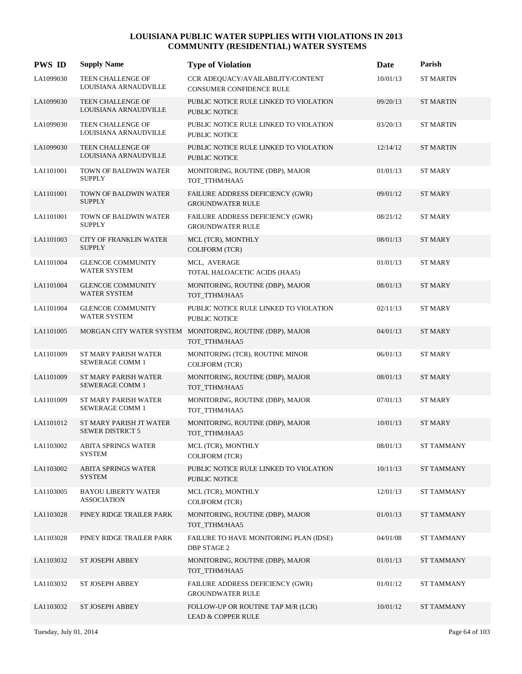| <b>PWS ID</b> | <b>Supply Name</b>                                 | <b>Type of Violation</b>                                                   | Date     | Parish            |
|---------------|----------------------------------------------------|----------------------------------------------------------------------------|----------|-------------------|
| LA1099030     | TEEN CHALLENGE OF<br>LOUISIANA ARNAUDVILLE         | CCR ADEQUACY/AVAILABILITY/CONTENT<br>CONSUMER CONFIDENCE RULE              | 10/01/13 | <b>ST MARTIN</b>  |
| LA1099030     | TEEN CHALLENGE OF<br>LOUISIANA ARNAUDVILLE         | PUBLIC NOTICE RULE LINKED TO VIOLATION<br>PUBLIC NOTICE                    | 09/20/13 | <b>ST MARTIN</b>  |
| LA1099030     | TEEN CHALLENGE OF<br>LOUISIANA ARNAUDVILLE         | PUBLIC NOTICE RULE LINKED TO VIOLATION<br>PUBLIC NOTICE                    | 03/20/13 | <b>ST MARTIN</b>  |
| LA1099030     | TEEN CHALLENGE OF<br>LOUISIANA ARNAUDVILLE         | PUBLIC NOTICE RULE LINKED TO VIOLATION<br><b>PUBLIC NOTICE</b>             | 12/14/12 | <b>ST MARTIN</b>  |
| LA1101001     | TOWN OF BALDWIN WATER<br><b>SUPPLY</b>             | MONITORING, ROUTINE (DBP), MAJOR<br>TOT_TTHM/HAA5                          | 01/01/13 | <b>ST MARY</b>    |
| LA1101001     | TOWN OF BALDWIN WATER<br><b>SUPPLY</b>             | FAILURE ADDRESS DEFICIENCY (GWR)<br><b>GROUNDWATER RULE</b>                | 09/01/12 | <b>ST MARY</b>    |
| LA1101001     | TOWN OF BALDWIN WATER<br><b>SUPPLY</b>             | FAILURE ADDRESS DEFICIENCY (GWR)<br><b>GROUNDWATER RULE</b>                | 08/21/12 | <b>ST MARY</b>    |
| LA1101003     | <b>CITY OF FRANKLIN WATER</b><br><b>SUPPLY</b>     | MCL (TCR), MONTHLY<br><b>COLIFORM (TCR)</b>                                | 08/01/13 | <b>ST MARY</b>    |
| LA1101004     | <b>GLENCOE COMMUNITY</b><br>WATER SYSTEM           | MCL, AVERAGE<br>TOTAL HALOACETIC ACIDS (HAA5)                              | 01/01/13 | <b>ST MARY</b>    |
| LA1101004     | <b>GLENCOE COMMUNITY</b><br><b>WATER SYSTEM</b>    | MONITORING, ROUTINE (DBP), MAJOR<br>TOT_TTHM/HAA5                          | 08/01/13 | <b>ST MARY</b>    |
| LA1101004     | <b>GLENCOE COMMUNITY</b><br><b>WATER SYSTEM</b>    | PUBLIC NOTICE RULE LINKED TO VIOLATION<br><b>PUBLIC NOTICE</b>             | 02/11/13 | <b>ST MARY</b>    |
| LA1101005     |                                                    | MORGAN CITY WATER SYSTEM MONITORING, ROUTINE (DBP), MAJOR<br>TOT_TTHM/HAA5 | 04/01/13 | <b>ST MARY</b>    |
| LA1101009     | ST MARY PARISH WATER<br>SEWERAGE COMM 1            | MONITORING (TCR), ROUTINE MINOR<br><b>COLIFORM (TCR)</b>                   | 06/01/13 | <b>ST MARY</b>    |
| LA1101009     | ST MARY PARISH WATER<br>SEWERAGE COMM 1            | MONITORING, ROUTINE (DBP), MAJOR<br>TOT_TTHM/HAA5                          | 08/01/13 | <b>ST MARY</b>    |
| LA1101009     | ST MARY PARISH WATER<br>SEWERAGE COMM 1            | MONITORING, ROUTINE (DBP), MAJOR<br>TOT_TTHM/HAA5                          | 07/01/13 | <b>ST MARY</b>    |
| LA1101012     | ST MARY PARISH JT WATER<br><b>SEWER DISTRICT 5</b> | MONITORING, ROUTINE (DBP), MAJOR<br>TOT_TTHM/HAA5                          | 10/01/13 | <b>ST MARY</b>    |
| LA1103002     | <b>ABITA SPRINGS WATER</b><br>SYSTEM               | MCL (TCR), MONTHLY<br><b>COLIFORM (TCR)</b>                                | 08/01/13 | <b>ST TAMMANY</b> |
| LA1103002     | <b>ABITA SPRINGS WATER</b><br><b>SYSTEM</b>        | PUBLIC NOTICE RULE LINKED TO VIOLATION<br>PUBLIC NOTICE                    | 10/11/13 | <b>ST TAMMANY</b> |
| LA1103005     | <b>BAYOU LIBERTY WATER</b><br><b>ASSOCIATION</b>   | MCL (TCR), MONTHLY<br><b>COLIFORM (TCR)</b>                                | 12/01/13 | <b>ST TAMMANY</b> |
| LA1103028     | PINEY RIDGE TRAILER PARK                           | MONITORING, ROUTINE (DBP), MAJOR<br>TOT_TTHM/HAA5                          | 01/01/13 | <b>ST TAMMANY</b> |
| LA1103028     | PINEY RIDGE TRAILER PARK                           | FAILURE TO HAVE MONITORING PLAN (IDSE)<br><b>DBP STAGE 2</b>               | 04/01/08 | <b>ST TAMMANY</b> |
| LA1103032     | <b>ST JOSEPH ABBEY</b>                             | MONITORING, ROUTINE (DBP), MAJOR<br>TOT_TTHM/HAA5                          | 01/01/13 | <b>ST TAMMANY</b> |
| LA1103032     | ST JOSEPH ABBEY                                    | FAILURE ADDRESS DEFICIENCY (GWR)<br><b>GROUNDWATER RULE</b>                | 01/01/12 | <b>ST TAMMANY</b> |
| LA1103032     | ST JOSEPH ABBEY                                    | FOLLOW-UP OR ROUTINE TAP M/R (LCR)<br><b>LEAD &amp; COPPER RULE</b>        | 10/01/12 | <b>ST TAMMANY</b> |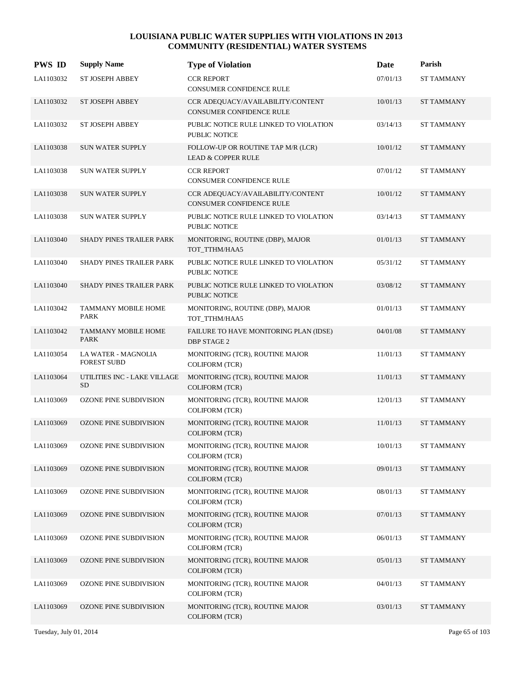| <b>PWS ID</b> | <b>Supply Name</b>                        | <b>Type of Violation</b>                                             | Date     | Parish            |
|---------------|-------------------------------------------|----------------------------------------------------------------------|----------|-------------------|
| LA1103032     | <b>ST JOSEPH ABBEY</b>                    | <b>CCR REPORT</b><br>CONSUMER CONFIDENCE RULE                        | 07/01/13 | ST TAMMANY        |
| LA1103032     | <b>ST JOSEPH ABBEY</b>                    | CCR ADEQUACY/AVAILABILITY/CONTENT<br><b>CONSUMER CONFIDENCE RULE</b> | 10/01/13 | <b>ST TAMMANY</b> |
| LA1103032     | <b>ST JOSEPH ABBEY</b>                    | PUBLIC NOTICE RULE LINKED TO VIOLATION<br>PUBLIC NOTICE              | 03/14/13 | <b>ST TAMMANY</b> |
| LA1103038     | <b>SUN WATER SUPPLY</b>                   | FOLLOW-UP OR ROUTINE TAP M/R (LCR)<br><b>LEAD &amp; COPPER RULE</b>  | 10/01/12 | <b>ST TAMMANY</b> |
| LA1103038     | <b>SUN WATER SUPPLY</b>                   | <b>CCR REPORT</b><br>CONSUMER CONFIDENCE RULE                        | 07/01/12 | <b>ST TAMMANY</b> |
| LA1103038     | SUN WATER SUPPLY                          | CCR ADEQUACY/AVAILABILITY/CONTENT<br><b>CONSUMER CONFIDENCE RULE</b> | 10/01/12 | <b>ST TAMMANY</b> |
| LA1103038     | <b>SUN WATER SUPPLY</b>                   | PUBLIC NOTICE RULE LINKED TO VIOLATION<br>PUBLIC NOTICE              | 03/14/13 | ST TAMMANY        |
| LA1103040     | <b>SHADY PINES TRAILER PARK</b>           | MONITORING, ROUTINE (DBP), MAJOR<br>TOT_TTHM/HAA5                    | 01/01/13 | <b>ST TAMMANY</b> |
| LA1103040     | SHADY PINES TRAILER PARK                  | PUBLIC NOTICE RULE LINKED TO VIOLATION<br>PUBLIC NOTICE              | 05/31/12 | <b>ST TAMMANY</b> |
| LA1103040     | SHADY PINES TRAILER PARK                  | PUBLIC NOTICE RULE LINKED TO VIOLATION<br>PUBLIC NOTICE              | 03/08/12 | ST TAMMANY        |
| LA1103042     | <b>TAMMANY MOBILE HOME</b><br><b>PARK</b> | MONITORING, ROUTINE (DBP), MAJOR<br>TOT_TTHM/HAA5                    | 01/01/13 | ST TAMMANY        |
| LA1103042     | <b>TAMMANY MOBILE HOME</b><br><b>PARK</b> | FAILURE TO HAVE MONITORING PLAN (IDSE)<br><b>DBP STAGE 2</b>         | 04/01/08 | ST TAMMANY        |
| LA1103054     | LA WATER - MAGNOLIA<br><b>FOREST SUBD</b> | MONITORING (TCR), ROUTINE MAJOR<br><b>COLIFORM (TCR)</b>             | 11/01/13 | ST TAMMANY        |
| LA1103064     | UTILITIES INC - LAKE VILLAGE<br><b>SD</b> | MONITORING (TCR), ROUTINE MAJOR<br>COLIFORM (TCR)                    | 11/01/13 | <b>ST TAMMANY</b> |
| LA1103069     | OZONE PINE SUBDIVISION                    | MONITORING (TCR), ROUTINE MAJOR<br><b>COLIFORM (TCR)</b>             | 12/01/13 | ST TAMMANY        |
| LA1103069     | <b>OZONE PINE SUBDIVISION</b>             | MONITORING (TCR), ROUTINE MAJOR<br><b>COLIFORM (TCR)</b>             | 11/01/13 | <b>ST TAMMANY</b> |
| LA1103069     | <b>OZONE PINE SUBDIVISION</b>             | MONITORING (TCR), ROUTINE MAJOR<br><b>COLIFORM (TCR)</b>             | 10/01/13 | ST TAMMANY        |
| LA1103069     | <b>OZONE PINE SUBDIVISION</b>             | MONITORING (TCR), ROUTINE MAJOR<br>COLIFORM (TCR)                    | 09/01/13 | ST TAMMANY        |
| LA1103069     | OZONE PINE SUBDIVISION                    | MONITORING (TCR), ROUTINE MAJOR<br>COLIFORM (TCR)                    | 08/01/13 | ST TAMMANY        |
| LA1103069     | OZONE PINE SUBDIVISION                    | MONITORING (TCR), ROUTINE MAJOR<br>COLIFORM (TCR)                    | 07/01/13 | ST TAMMANY        |
| LA1103069     | OZONE PINE SUBDIVISION                    | MONITORING (TCR), ROUTINE MAJOR<br><b>COLIFORM (TCR)</b>             | 06/01/13 | <b>ST TAMMANY</b> |
| LA1103069     | <b>OZONE PINE SUBDIVISION</b>             | MONITORING (TCR), ROUTINE MAJOR<br>COLIFORM (TCR)                    | 05/01/13 | ST TAMMANY        |
| LA1103069     | OZONE PINE SUBDIVISION                    | MONITORING (TCR), ROUTINE MAJOR<br>COLIFORM (TCR)                    | 04/01/13 | ST TAMMANY        |
| LA1103069     | OZONE PINE SUBDIVISION                    | MONITORING (TCR), ROUTINE MAJOR<br>COLIFORM (TCR)                    | 03/01/13 | ST TAMMANY        |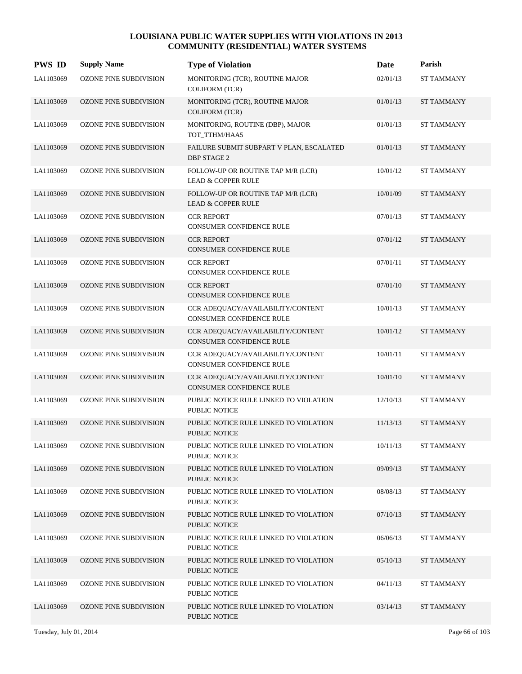| <b>PWS ID</b> | <b>Supply Name</b>            | <b>Type of Violation</b>                                            | Date     | Parish            |
|---------------|-------------------------------|---------------------------------------------------------------------|----------|-------------------|
| LA1103069     | OZONE PINE SUBDIVISION        | MONITORING (TCR), ROUTINE MAJOR<br><b>COLIFORM (TCR)</b>            | 02/01/13 | <b>ST TAMMANY</b> |
| LA1103069     | OZONE PINE SUBDIVISION        | MONITORING (TCR), ROUTINE MAJOR<br><b>COLIFORM (TCR)</b>            | 01/01/13 | <b>ST TAMMANY</b> |
| LA1103069     | <b>OZONE PINE SUBDIVISION</b> | MONITORING, ROUTINE (DBP), MAJOR<br>TOT_TTHM/HAA5                   | 01/01/13 | <b>ST TAMMANY</b> |
| LA1103069     | <b>OZONE PINE SUBDIVISION</b> | FAILURE SUBMIT SUBPART V PLAN, ESCALATED<br><b>DBP STAGE 2</b>      | 01/01/13 | <b>ST TAMMANY</b> |
| LA1103069     | <b>OZONE PINE SUBDIVISION</b> | FOLLOW-UP OR ROUTINE TAP M/R (LCR)<br><b>LEAD &amp; COPPER RULE</b> | 10/01/12 | <b>ST TAMMANY</b> |
| LA1103069     | <b>OZONE PINE SUBDIVISION</b> | FOLLOW-UP OR ROUTINE TAP M/R (LCR)<br><b>LEAD &amp; COPPER RULE</b> | 10/01/09 | <b>ST TAMMANY</b> |
| LA1103069     | <b>OZONE PINE SUBDIVISION</b> | <b>CCR REPORT</b><br>CONSUMER CONFIDENCE RULE                       | 07/01/13 | <b>ST TAMMANY</b> |
| LA1103069     | <b>OZONE PINE SUBDIVISION</b> | <b>CCR REPORT</b><br>CONSUMER CONFIDENCE RULE                       | 07/01/12 | <b>ST TAMMANY</b> |
| LA1103069     | <b>OZONE PINE SUBDIVISION</b> | <b>CCR REPORT</b><br><b>CONSUMER CONFIDENCE RULE</b>                | 07/01/11 | <b>ST TAMMANY</b> |
| LA1103069     | <b>OZONE PINE SUBDIVISION</b> | <b>CCR REPORT</b><br><b>CONSUMER CONFIDENCE RULE</b>                | 07/01/10 | <b>ST TAMMANY</b> |
| LA1103069     | <b>OZONE PINE SUBDIVISION</b> | CCR ADEQUACY/AVAILABILITY/CONTENT<br>CONSUMER CONFIDENCE RULE       | 10/01/13 | <b>ST TAMMANY</b> |
| LA1103069     | <b>OZONE PINE SUBDIVISION</b> | CCR ADEQUACY/AVAILABILITY/CONTENT<br>CONSUMER CONFIDENCE RULE       | 10/01/12 | <b>ST TAMMANY</b> |
| LA1103069     | <b>OZONE PINE SUBDIVISION</b> | CCR ADEQUACY/AVAILABILITY/CONTENT<br>CONSUMER CONFIDENCE RULE       | 10/01/11 | <b>ST TAMMANY</b> |
| LA1103069     | <b>OZONE PINE SUBDIVISION</b> | CCR ADEQUACY/AVAILABILITY/CONTENT<br>CONSUMER CONFIDENCE RULE       | 10/01/10 | <b>ST TAMMANY</b> |
| LA1103069     | <b>OZONE PINE SUBDIVISION</b> | PUBLIC NOTICE RULE LINKED TO VIOLATION<br>PUBLIC NOTICE             | 12/10/13 | <b>ST TAMMANY</b> |
| LA1103069     | <b>OZONE PINE SUBDIVISION</b> | PUBLIC NOTICE RULE LINKED TO VIOLATION<br><b>PUBLIC NOTICE</b>      | 11/13/13 | <b>ST TAMMANY</b> |
| LA1103069     | OZONE PINE SUBDIVISION        | PUBLIC NOTICE RULE LINKED TO VIOLATION<br>PUBLIC NOTICE             | 10/11/13 | <b>ST TAMMANY</b> |
| LA1103069     | <b>OZONE PINE SUBDIVISION</b> | PUBLIC NOTICE RULE LINKED TO VIOLATION<br>PUBLIC NOTICE             | 09/09/13 | <b>ST TAMMANY</b> |
| LA1103069     | <b>OZONE PINE SUBDIVISION</b> | PUBLIC NOTICE RULE LINKED TO VIOLATION<br><b>PUBLIC NOTICE</b>      | 08/08/13 | <b>ST TAMMANY</b> |
| LA1103069     | <b>OZONE PINE SUBDIVISION</b> | PUBLIC NOTICE RULE LINKED TO VIOLATION<br><b>PUBLIC NOTICE</b>      | 07/10/13 | <b>ST TAMMANY</b> |
| LA1103069     | OZONE PINE SUBDIVISION        | PUBLIC NOTICE RULE LINKED TO VIOLATION<br>PUBLIC NOTICE             | 06/06/13 | <b>ST TAMMANY</b> |
| LA1103069     | <b>OZONE PINE SUBDIVISION</b> | PUBLIC NOTICE RULE LINKED TO VIOLATION<br>PUBLIC NOTICE             | 05/10/13 | <b>ST TAMMANY</b> |
| LA1103069     | <b>OZONE PINE SUBDIVISION</b> | PUBLIC NOTICE RULE LINKED TO VIOLATION<br><b>PUBLIC NOTICE</b>      | 04/11/13 | <b>ST TAMMANY</b> |
| LA1103069     | <b>OZONE PINE SUBDIVISION</b> | PUBLIC NOTICE RULE LINKED TO VIOLATION<br><b>PUBLIC NOTICE</b>      | 03/14/13 | <b>ST TAMMANY</b> |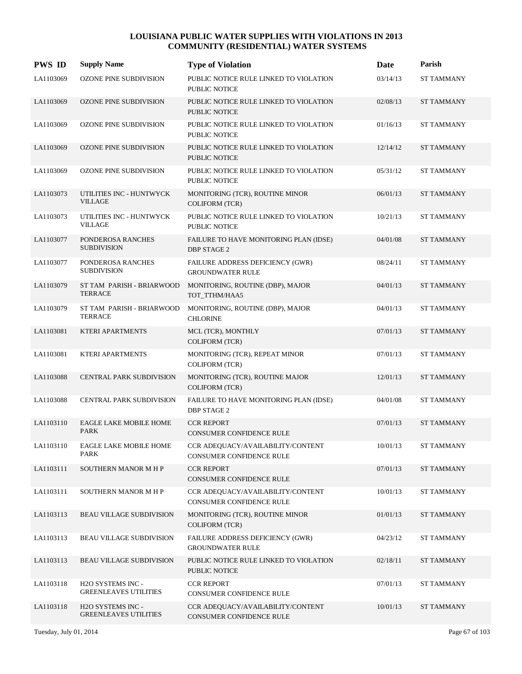| <b>PWS ID</b> | <b>Supply Name</b>                                | <b>Type of Violation</b>                                       | Date     | Parish            |
|---------------|---------------------------------------------------|----------------------------------------------------------------|----------|-------------------|
| LA1103069     | <b>OZONE PINE SUBDIVISION</b>                     | PUBLIC NOTICE RULE LINKED TO VIOLATION<br><b>PUBLIC NOTICE</b> | 03/14/13 | ST TAMMANY        |
| LA1103069     | OZONE PINE SUBDIVISION                            | PUBLIC NOTICE RULE LINKED TO VIOLATION<br><b>PUBLIC NOTICE</b> | 02/08/13 | <b>ST TAMMANY</b> |
| LA1103069     | OZONE PINE SUBDIVISION                            | PUBLIC NOTICE RULE LINKED TO VIOLATION<br>PUBLIC NOTICE        | 01/16/13 | <b>ST TAMMANY</b> |
| LA1103069     | <b>OZONE PINE SUBDIVISION</b>                     | PUBLIC NOTICE RULE LINKED TO VIOLATION<br><b>PUBLIC NOTICE</b> | 12/14/12 | <b>ST TAMMANY</b> |
| LA1103069     | OZONE PINE SUBDIVISION                            | PUBLIC NOTICE RULE LINKED TO VIOLATION<br><b>PUBLIC NOTICE</b> | 05/31/12 | <b>ST TAMMANY</b> |
| LA1103073     | UTILITIES INC - HUNTWYCK<br><b>VILLAGE</b>        | MONITORING (TCR), ROUTINE MINOR<br><b>COLIFORM (TCR)</b>       | 06/01/13 | <b>ST TAMMANY</b> |
| LA1103073     | UTILITIES INC - HUNTWYCK<br><b>VILLAGE</b>        | PUBLIC NOTICE RULE LINKED TO VIOLATION<br>PUBLIC NOTICE        | 10/21/13 | ST TAMMANY        |
| LA1103077     | PONDEROSA RANCHES<br><b>SUBDIVISION</b>           | FAILURE TO HAVE MONITORING PLAN (IDSE)<br><b>DBP STAGE 2</b>   | 04/01/08 | <b>ST TAMMANY</b> |
| LA1103077     | PONDEROSA RANCHES<br><b>SUBDIVISION</b>           | FAILURE ADDRESS DEFICIENCY (GWR)<br><b>GROUNDWATER RULE</b>    | 08/24/11 | <b>ST TAMMANY</b> |
| LA1103079     | ST TAM PARISH - BRIARWOOD<br><b>TERRACE</b>       | MONITORING, ROUTINE (DBP), MAJOR<br>TOT_TTHM/HAA5              | 04/01/13 | <b>ST TAMMANY</b> |
| LA1103079     | ST TAM PARISH - BRIARWOOD<br><b>TERRACE</b>       | MONITORING, ROUTINE (DBP), MAJOR<br><b>CHLORINE</b>            | 04/01/13 | <b>ST TAMMANY</b> |
| LA1103081     | <b>KTERI APARTMENTS</b>                           | MCL (TCR), MONTHLY<br><b>COLIFORM (TCR)</b>                    | 07/01/13 | <b>ST TAMMANY</b> |
| LA1103081     | <b>KTERI APARTMENTS</b>                           | MONITORING (TCR), REPEAT MINOR<br><b>COLIFORM (TCR)</b>        | 07/01/13 | <b>ST TAMMANY</b> |
| LA1103088     | CENTRAL PARK SUBDIVISION                          | MONITORING (TCR), ROUTINE MAJOR<br><b>COLIFORM (TCR)</b>       | 12/01/13 | <b>ST TAMMANY</b> |
| LA1103088     | <b>CENTRAL PARK SUBDIVISION</b>                   | FAILURE TO HAVE MONITORING PLAN (IDSE)<br><b>DBP STAGE 2</b>   | 04/01/08 | <b>ST TAMMANY</b> |
| LA1103110     | EAGLE LAKE MOBILE HOME<br><b>PARK</b>             | <b>CCR REPORT</b><br><b>CONSUMER CONFIDENCE RULE</b>           | 07/01/13 | <b>ST TAMMANY</b> |
| LA1103110     | EAGLE LAKE MOBILE HOME<br><b>PARK</b>             | CCR ADEQUACY/AVAILABILITY/CONTENT<br>CONSUMER CONFIDENCE RULE  | 10/01/13 | <b>ST TAMMANY</b> |
| LA1103111     | <b>SOUTHERN MANOR M H P</b>                       | <b>CCR REPORT</b><br>CONSUMER CONFIDENCE RULE                  | 07/01/13 | ST TAMMANY        |
| LA1103111     | SOUTHERN MANOR M H P                              | CCR ADEQUACY/AVAILABILITY/CONTENT<br>CONSUMER CONFIDENCE RULE  | 10/01/13 | ST TAMMANY        |
| LA1103113     | BEAU VILLAGE SUBDIVISION                          | MONITORING (TCR), ROUTINE MINOR<br><b>COLIFORM (TCR)</b>       | 01/01/13 | ST TAMMANY        |
| LA1103113     | BEAU VILLAGE SUBDIVISION                          | FAILURE ADDRESS DEFICIENCY (GWR)<br><b>GROUNDWATER RULE</b>    | 04/23/12 | <b>ST TAMMANY</b> |
| LA1103113     | <b>BEAU VILLAGE SUBDIVISION</b>                   | PUBLIC NOTICE RULE LINKED TO VIOLATION<br>PUBLIC NOTICE        | 02/18/11 | ST TAMMANY        |
| LA1103118     | H2O SYSTEMS INC -<br><b>GREENLEAVES UTILITIES</b> | <b>CCR REPORT</b><br>CONSUMER CONFIDENCE RULE                  | 07/01/13 | ST TAMMANY        |
| LA1103118     | H2O SYSTEMS INC -<br><b>GREENLEAVES UTILITIES</b> | CCR ADEQUACY/AVAILABILITY/CONTENT<br>CONSUMER CONFIDENCE RULE  | 10/01/13 | ST TAMMANY        |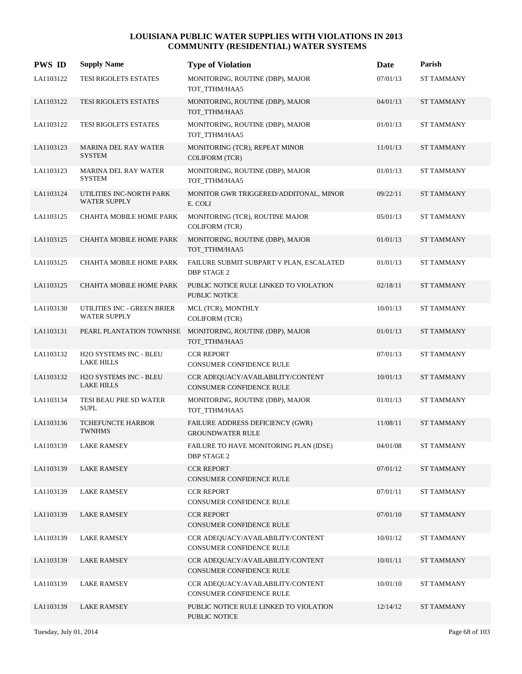| <b>PWS ID</b> | <b>Supply Name</b>                                 | <b>Type of Violation</b>                                       | Date     | Parish            |
|---------------|----------------------------------------------------|----------------------------------------------------------------|----------|-------------------|
| LA1103122     | TESI RIGOLETS ESTATES                              | MONITORING, ROUTINE (DBP), MAJOR<br>TOT_TTHM/HAA5              | 07/01/13 | <b>ST TAMMANY</b> |
| LA1103122     | TESI RIGOLETS ESTATES                              | MONITORING, ROUTINE (DBP), MAJOR<br>TOT_TTHM/HAA5              | 04/01/13 | <b>ST TAMMANY</b> |
| LA1103122     | TESI RIGOLETS ESTATES                              | MONITORING, ROUTINE (DBP), MAJOR<br>TOT_TTHM/HAA5              | 01/01/13 | <b>ST TAMMANY</b> |
| LA1103123     | <b>MARINA DEL RAY WATER</b><br><b>SYSTEM</b>       | MONITORING (TCR), REPEAT MINOR<br><b>COLIFORM (TCR)</b>        | 11/01/13 | <b>ST TAMMANY</b> |
| LA1103123     | <b>MARINA DEL RAY WATER</b><br><b>SYSTEM</b>       | MONITORING, ROUTINE (DBP), MAJOR<br>TOT_TTHM/HAA5              | 01/01/13 | <b>ST TAMMANY</b> |
| LA1103124     | UTILITIES INC-NORTH PARK<br><b>WATER SUPPLY</b>    | MONITOR GWR TRIGGERED/ADDITONAL, MINOR<br>E. COLI              | 09/22/11 | <b>ST TAMMANY</b> |
| LA1103125     | CHAHTA MOBILE HOME PARK                            | MONITORING (TCR), ROUTINE MAJOR<br><b>COLIFORM (TCR)</b>       | 05/01/13 | <b>ST TAMMANY</b> |
| LA1103125     | CHAHTA MOBILE HOME PARK                            | MONITORING, ROUTINE (DBP), MAJOR<br>TOT_TTHM/HAA5              | 01/01/13 | <b>ST TAMMANY</b> |
| LA1103125     | CHAHTA MOBILE HOME PARK                            | FAILURE SUBMIT SUBPART V PLAN, ESCALATED<br><b>DBP STAGE 2</b> | 01/01/13 | <b>ST TAMMANY</b> |
| LA1103125     | CHAHTA MOBILE HOME PARK                            | PUBLIC NOTICE RULE LINKED TO VIOLATION<br><b>PUBLIC NOTICE</b> | 02/18/11 | <b>ST TAMMANY</b> |
| LA1103130     | UTILITIES INC - GREEN BRIER<br><b>WATER SUPPLY</b> | MCL (TCR), MONTHLY<br><b>COLIFORM (TCR)</b>                    | 10/01/13 | <b>ST TAMMANY</b> |
| LA1103131     | PEARL PLANTATION TOWNHSE                           | MONITORING, ROUTINE (DBP), MAJOR<br>TOT_TTHM/HAA5              | 01/01/13 | <b>ST TAMMANY</b> |
| LA1103132     | H2O SYSTEMS INC - BLEU<br><b>LAKE HILLS</b>        | <b>CCR REPORT</b><br>CONSUMER CONFIDENCE RULE                  | 07/01/13 | <b>ST TAMMANY</b> |
| LA1103132     | H2O SYSTEMS INC - BLEU<br><b>LAKE HILLS</b>        | CCR ADEQUACY/AVAILABILITY/CONTENT<br>CONSUMER CONFIDENCE RULE  | 10/01/13 | <b>ST TAMMANY</b> |
| LA1103134     | TESI BEAU PRE SD WATER<br><b>SUPL</b>              | MONITORING, ROUTINE (DBP), MAJOR<br>TOT_TTHM/HAA5              | 01/01/13 | ST TAMMANY        |
| LA1103136     | TCHEFUNCTE HARBOR<br><b>TWNHMS</b>                 | FAILURE ADDRESS DEFICIENCY (GWR)<br><b>GROUNDWATER RULE</b>    | 11/08/11 | <b>ST TAMMANY</b> |
| LA1103139     | <b>LAKE RAMSEY</b>                                 | FAILURE TO HAVE MONITORING PLAN (IDSE)<br><b>DBP STAGE 2</b>   | 04/01/08 | ST TAMMANY        |
| LA1103139     | <b>LAKE RAMSEY</b>                                 | <b>CCR REPORT</b><br>CONSUMER CONFIDENCE RULE                  | 07/01/12 | <b>ST TAMMANY</b> |
| LA1103139     | <b>LAKE RAMSEY</b>                                 | <b>CCR REPORT</b><br>CONSUMER CONFIDENCE RULE                  | 07/01/11 | ST TAMMANY        |
| LA1103139     | <b>LAKE RAMSEY</b>                                 | <b>CCR REPORT</b><br>CONSUMER CONFIDENCE RULE                  | 07/01/10 | <b>ST TAMMANY</b> |
| LA1103139     | <b>LAKE RAMSEY</b>                                 | CCR ADEOUACY/AVAILABILITY/CONTENT<br>CONSUMER CONFIDENCE RULE  | 10/01/12 | ST TAMMANY        |
| LA1103139     | <b>LAKE RAMSEY</b>                                 | CCR ADEQUACY/AVAILABILITY/CONTENT<br>CONSUMER CONFIDENCE RULE  | 10/01/11 | <b>ST TAMMANY</b> |
| LA1103139     | <b>LAKE RAMSEY</b>                                 | CCR ADEQUACY/AVAILABILITY/CONTENT<br>CONSUMER CONFIDENCE RULE  | 10/01/10 | ST TAMMANY        |
| LA1103139     | <b>LAKE RAMSEY</b>                                 | PUBLIC NOTICE RULE LINKED TO VIOLATION<br>PUBLIC NOTICE        | 12/14/12 | <b>ST TAMMANY</b> |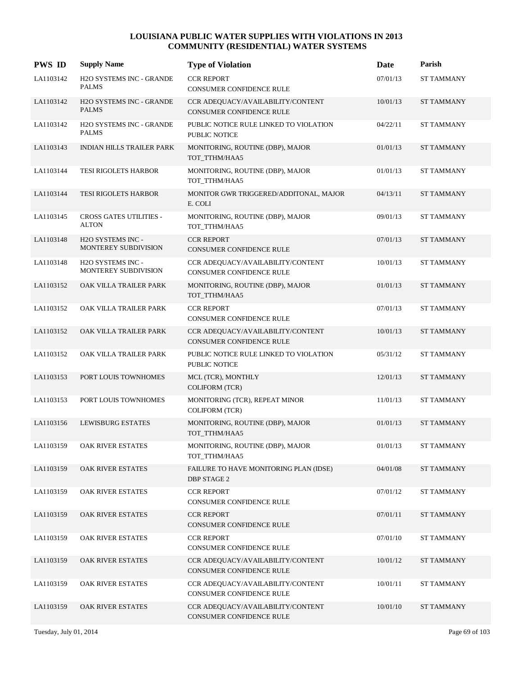| <b>PWS ID</b> | <b>Supply Name</b>                              | <b>Type of Violation</b>                                             | Date     | Parish            |
|---------------|-------------------------------------------------|----------------------------------------------------------------------|----------|-------------------|
| LA1103142     | H2O SYSTEMS INC - GRANDE<br><b>PALMS</b>        | <b>CCR REPORT</b><br><b>CONSUMER CONFIDENCE RULE</b>                 | 07/01/13 | ST TAMMANY        |
| LA1103142     | <b>H2O SYSTEMS INC - GRANDE</b><br><b>PALMS</b> | CCR ADEQUACY/AVAILABILITY/CONTENT<br>CONSUMER CONFIDENCE RULE        | 10/01/13 | <b>ST TAMMANY</b> |
| LA1103142     | H2O SYSTEMS INC - GRANDE<br><b>PALMS</b>        | PUBLIC NOTICE RULE LINKED TO VIOLATION<br>PUBLIC NOTICE              | 04/22/11 | <b>ST TAMMANY</b> |
| LA1103143     | <b>INDIAN HILLS TRAILER PARK</b>                | MONITORING, ROUTINE (DBP), MAJOR<br>TOT_TTHM/HAA5                    | 01/01/13 | <b>ST TAMMANY</b> |
| LA1103144     | TESI RIGOLETS HARBOR                            | MONITORING, ROUTINE (DBP), MAJOR<br>TOT_TTHM/HAA5                    | 01/01/13 | <b>ST TAMMANY</b> |
| LA1103144     | <b>TESI RIGOLETS HARBOR</b>                     | MONITOR GWR TRIGGERED/ADDITONAL, MAJOR<br>E. COLI                    | 04/13/11 | <b>ST TAMMANY</b> |
| LA1103145     | CROSS GATES UTILITIES -<br><b>ALTON</b>         | MONITORING, ROUTINE (DBP), MAJOR<br>TOT_TTHM/HAA5                    | 09/01/13 | ST TAMMANY        |
| LA1103148     | H2O SYSTEMS INC -<br>MONTEREY SUBDIVISION       | <b>CCR REPORT</b><br><b>CONSUMER CONFIDENCE RULE</b>                 | 07/01/13 | <b>ST TAMMANY</b> |
| LA1103148     | H2O SYSTEMS INC -<br>MONTEREY SUBDIVISION       | CCR ADEOUACY/AVAILABILITY/CONTENT<br>CONSUMER CONFIDENCE RULE        | 10/01/13 | <b>ST TAMMANY</b> |
| LA1103152     | OAK VILLA TRAILER PARK                          | MONITORING, ROUTINE (DBP), MAJOR<br>TOT_TTHM/HAA5                    | 01/01/13 | <b>ST TAMMANY</b> |
| LA1103152     | OAK VILLA TRAILER PARK                          | <b>CCR REPORT</b><br><b>CONSUMER CONFIDENCE RULE</b>                 | 07/01/13 | <b>ST TAMMANY</b> |
| LA1103152     | OAK VILLA TRAILER PARK                          | CCR ADEQUACY/AVAILABILITY/CONTENT<br><b>CONSUMER CONFIDENCE RULE</b> | 10/01/13 | <b>ST TAMMANY</b> |
| LA1103152     | OAK VILLA TRAILER PARK                          | PUBLIC NOTICE RULE LINKED TO VIOLATION<br><b>PUBLIC NOTICE</b>       | 05/31/12 | ST TAMMANY        |
| LA1103153     | PORT LOUIS TOWNHOMES                            | MCL (TCR), MONTHLY<br><b>COLIFORM (TCR)</b>                          | 12/01/13 | <b>ST TAMMANY</b> |
| LA1103153     | PORT LOUIS TOWNHOMES                            | MONITORING (TCR), REPEAT MINOR<br><b>COLIFORM (TCR)</b>              | 11/01/13 | ST TAMMANY        |
| LA1103156     | <b>LEWISBURG ESTATES</b>                        | MONITORING, ROUTINE (DBP), MAJOR<br>TOT_TTHM/HAA5                    | 01/01/13 | <b>ST TAMMANY</b> |
| LA1103159     | OAK RIVER ESTATES                               | MONITORING, ROUTINE (DBP), MAJOR<br>TOT_TTHM/HAA5                    | 01/01/13 | <b>ST TAMMANY</b> |
| LA1103159     | OAK RIVER ESTATES                               | FAILURE TO HAVE MONITORING PLAN (IDSE)<br><b>DBP STAGE 2</b>         | 04/01/08 | ST TAMMANY        |
| LA1103159     | OAK RIVER ESTATES                               | <b>CCR REPORT</b><br>CONSUMER CONFIDENCE RULE                        | 07/01/12 | ST TAMMANY        |
| LA1103159     | OAK RIVER ESTATES                               | <b>CCR REPORT</b><br>CONSUMER CONFIDENCE RULE                        | 07/01/11 | <b>ST TAMMANY</b> |
| LA1103159     | OAK RIVER ESTATES                               | <b>CCR REPORT</b><br>CONSUMER CONFIDENCE RULE                        | 07/01/10 | <b>ST TAMMANY</b> |
| LA1103159     | OAK RIVER ESTATES                               | CCR ADEQUACY/AVAILABILITY/CONTENT<br>CONSUMER CONFIDENCE RULE        | 10/01/12 | <b>ST TAMMANY</b> |
| LA1103159     | OAK RIVER ESTATES                               | CCR ADEQUACY/AVAILABILITY/CONTENT<br>CONSUMER CONFIDENCE RULE        | 10/01/11 | ST TAMMANY        |
| LA1103159     | OAK RIVER ESTATES                               | CCR ADEQUACY/AVAILABILITY/CONTENT<br>CONSUMER CONFIDENCE RULE        | 10/01/10 | <b>ST TAMMANY</b> |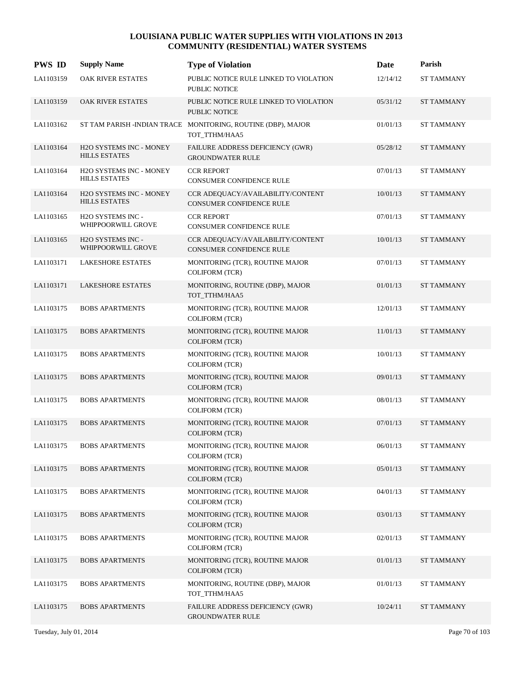| <b>PWS ID</b> | <b>Supply Name</b>                              | <b>Type of Violation</b>                                                      | Date     | Parish            |
|---------------|-------------------------------------------------|-------------------------------------------------------------------------------|----------|-------------------|
| LA1103159     | OAK RIVER ESTATES                               | PUBLIC NOTICE RULE LINKED TO VIOLATION<br>PUBLIC NOTICE                       | 12/14/12 | <b>ST TAMMANY</b> |
| LA1103159     | OAK RIVER ESTATES                               | PUBLIC NOTICE RULE LINKED TO VIOLATION<br>PUBLIC NOTICE                       | 05/31/12 | <b>ST TAMMANY</b> |
| LA1103162     |                                                 | ST TAM PARISH -INDIAN TRACE MONITORING, ROUTINE (DBP), MAJOR<br>TOT_TTHM/HAA5 | 01/01/13 | <b>ST TAMMANY</b> |
| LA1103164     | H2O SYSTEMS INC - MONEY<br><b>HILLS ESTATES</b> | FAILURE ADDRESS DEFICIENCY (GWR)<br><b>GROUNDWATER RULE</b>                   | 05/28/12 | <b>ST TAMMANY</b> |
| LA1103164     | H2O SYSTEMS INC - MONEY<br><b>HILLS ESTATES</b> | <b>CCR REPORT</b><br>CONSUMER CONFIDENCE RULE                                 | 07/01/13 | <b>ST TAMMANY</b> |
| LA1103164     | H2O SYSTEMS INC - MONEY<br><b>HILLS ESTATES</b> | CCR ADEQUACY/AVAILABILITY/CONTENT<br>CONSUMER CONFIDENCE RULE                 | 10/01/13 | <b>ST TAMMANY</b> |
| LA1103165     | H2O SYSTEMS INC -<br>WHIPPOORWILL GROVE         | <b>CCR REPORT</b><br>CONSUMER CONFIDENCE RULE                                 | 07/01/13 | <b>ST TAMMANY</b> |
| LA1103165     | H2O SYSTEMS INC -<br>WHIPPOORWILL GROVE         | CCR ADEQUACY/AVAILABILITY/CONTENT<br>CONSUMER CONFIDENCE RULE                 | 10/01/13 | <b>ST TAMMANY</b> |
| LA1103171     | <b>LAKESHORE ESTATES</b>                        | MONITORING (TCR), ROUTINE MAJOR<br><b>COLIFORM (TCR)</b>                      | 07/01/13 | <b>ST TAMMANY</b> |
| LA1103171     | <b>LAKESHORE ESTATES</b>                        | MONITORING, ROUTINE (DBP), MAJOR<br>TOT TTHM/HAA5                             | 01/01/13 | <b>ST TAMMANY</b> |
| LA1103175     | <b>BOBS APARTMENTS</b>                          | MONITORING (TCR), ROUTINE MAJOR<br><b>COLIFORM (TCR)</b>                      | 12/01/13 | <b>ST TAMMANY</b> |
| LA1103175     | <b>BOBS APARTMENTS</b>                          | MONITORING (TCR), ROUTINE MAJOR<br><b>COLIFORM (TCR)</b>                      | 11/01/13 | <b>ST TAMMANY</b> |
| LA1103175     | <b>BOBS APARTMENTS</b>                          | MONITORING (TCR), ROUTINE MAJOR<br><b>COLIFORM (TCR)</b>                      | 10/01/13 | <b>ST TAMMANY</b> |
| LA1103175     | <b>BOBS APARTMENTS</b>                          | MONITORING (TCR), ROUTINE MAJOR<br><b>COLIFORM (TCR)</b>                      | 09/01/13 | <b>ST TAMMANY</b> |
| LA1103175     | <b>BOBS APARTMENTS</b>                          | MONITORING (TCR), ROUTINE MAJOR<br><b>COLIFORM (TCR)</b>                      | 08/01/13 | <b>ST TAMMANY</b> |
| LA1103175     | <b>BOBS APARTMENTS</b>                          | MONITORING (TCR), ROUTINE MAJOR<br><b>COLIFORM (TCR)</b>                      | 07/01/13 | <b>ST TAMMANY</b> |
| LA1103175     | <b>BOBS APARTMENTS</b>                          | MONITORING (TCR), ROUTINE MAJOR<br><b>COLIFORM (TCR)</b>                      | 06/01/13 | <b>ST TAMMANY</b> |
| LA1103175     | <b>BOBS APARTMENTS</b>                          | MONITORING (TCR), ROUTINE MAJOR<br><b>COLIFORM (TCR)</b>                      | 05/01/13 | <b>ST TAMMANY</b> |
| LA1103175     | <b>BOBS APARTMENTS</b>                          | MONITORING (TCR), ROUTINE MAJOR<br><b>COLIFORM (TCR)</b>                      | 04/01/13 | ST TAMMANY        |
| LA1103175     | <b>BOBS APARTMENTS</b>                          | MONITORING (TCR), ROUTINE MAJOR<br><b>COLIFORM (TCR)</b>                      | 03/01/13 | ST TAMMANY        |
| LA1103175     | <b>BOBS APARTMENTS</b>                          | MONITORING (TCR), ROUTINE MAJOR<br><b>COLIFORM (TCR)</b>                      | 02/01/13 | ST TAMMANY        |
| LA1103175     | <b>BOBS APARTMENTS</b>                          | MONITORING (TCR), ROUTINE MAJOR<br><b>COLIFORM (TCR)</b>                      | 01/01/13 | <b>ST TAMMANY</b> |
| LA1103175     | <b>BOBS APARTMENTS</b>                          | MONITORING, ROUTINE (DBP), MAJOR<br>TOT_TTHM/HAA5                             | 01/01/13 | ST TAMMANY        |
| LA1103175     | <b>BOBS APARTMENTS</b>                          | FAILURE ADDRESS DEFICIENCY (GWR)<br><b>GROUNDWATER RULE</b>                   | 10/24/11 | ST TAMMANY        |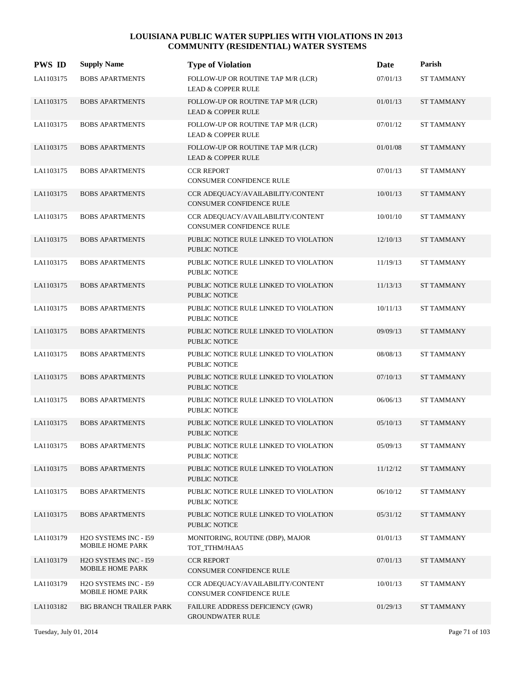| <b>PWS ID</b> | <b>Supply Name</b>                                            | <b>Type of Violation</b>                                            | Date     | Parish            |
|---------------|---------------------------------------------------------------|---------------------------------------------------------------------|----------|-------------------|
| LA1103175     | <b>BOBS APARTMENTS</b>                                        | FOLLOW-UP OR ROUTINE TAP M/R (LCR)<br><b>LEAD &amp; COPPER RULE</b> | 07/01/13 | <b>ST TAMMANY</b> |
| LA1103175     | <b>BOBS APARTMENTS</b>                                        | FOLLOW-UP OR ROUTINE TAP M/R (LCR)<br><b>LEAD &amp; COPPER RULE</b> | 01/01/13 | <b>ST TAMMANY</b> |
| LA1103175     | <b>BOBS APARTMENTS</b>                                        | FOLLOW-UP OR ROUTINE TAP M/R (LCR)<br><b>LEAD &amp; COPPER RULE</b> | 07/01/12 | <b>ST TAMMANY</b> |
| LA1103175     | <b>BOBS APARTMENTS</b>                                        | FOLLOW-UP OR ROUTINE TAP M/R (LCR)<br><b>LEAD &amp; COPPER RULE</b> | 01/01/08 | <b>ST TAMMANY</b> |
| LA1103175     | <b>BOBS APARTMENTS</b>                                        | <b>CCR REPORT</b><br><b>CONSUMER CONFIDENCE RULE</b>                | 07/01/13 | <b>ST TAMMANY</b> |
| LA1103175     | <b>BOBS APARTMENTS</b>                                        | CCR ADEQUACY/AVAILABILITY/CONTENT<br>CONSUMER CONFIDENCE RULE       | 10/01/13 | <b>ST TAMMANY</b> |
| LA1103175     | <b>BOBS APARTMENTS</b>                                        | CCR ADEQUACY/AVAILABILITY/CONTENT<br>CONSUMER CONFIDENCE RULE       | 10/01/10 | ST TAMMANY        |
| LA1103175     | <b>BOBS APARTMENTS</b>                                        | PUBLIC NOTICE RULE LINKED TO VIOLATION<br><b>PUBLIC NOTICE</b>      | 12/10/13 | <b>ST TAMMANY</b> |
| LA1103175     | <b>BOBS APARTMENTS</b>                                        | PUBLIC NOTICE RULE LINKED TO VIOLATION<br>PUBLIC NOTICE             | 11/19/13 | <b>ST TAMMANY</b> |
| LA1103175     | <b>BOBS APARTMENTS</b>                                        | PUBLIC NOTICE RULE LINKED TO VIOLATION<br><b>PUBLIC NOTICE</b>      | 11/13/13 | <b>ST TAMMANY</b> |
| LA1103175     | <b>BOBS APARTMENTS</b>                                        | PUBLIC NOTICE RULE LINKED TO VIOLATION<br>PUBLIC NOTICE             | 10/11/13 | <b>ST TAMMANY</b> |
| LA1103175     | <b>BOBS APARTMENTS</b>                                        | PUBLIC NOTICE RULE LINKED TO VIOLATION<br><b>PUBLIC NOTICE</b>      | 09/09/13 | <b>ST TAMMANY</b> |
| LA1103175     | <b>BOBS APARTMENTS</b>                                        | PUBLIC NOTICE RULE LINKED TO VIOLATION<br>PUBLIC NOTICE             | 08/08/13 | ST TAMMANY        |
| LA1103175     | <b>BOBS APARTMENTS</b>                                        | PUBLIC NOTICE RULE LINKED TO VIOLATION<br><b>PUBLIC NOTICE</b>      | 07/10/13 | <b>ST TAMMANY</b> |
| LA1103175     | <b>BOBS APARTMENTS</b>                                        | PUBLIC NOTICE RULE LINKED TO VIOLATION<br><b>PUBLIC NOTICE</b>      | 06/06/13 | ST TAMMANY        |
| LA1103175     | <b>BOBS APARTMENTS</b>                                        | PUBLIC NOTICE RULE LINKED TO VIOLATION<br><b>PUBLIC NOTICE</b>      | 05/10/13 | <b>ST TAMMANY</b> |
| LA1103175     | <b>BOBS APARTMENTS</b>                                        | PUBLIC NOTICE RULE LINKED TO VIOLATION<br><b>PUBLIC NOTICE</b>      | 05/09/13 | <b>ST TAMMANY</b> |
| LA1103175     | <b>BOBS APARTMENTS</b>                                        | PUBLIC NOTICE RULE LINKED TO VIOLATION<br>PUBLIC NOTICE             | 11/12/12 | <b>ST TAMMANY</b> |
| LA1103175     | <b>BOBS APARTMENTS</b>                                        | PUBLIC NOTICE RULE LINKED TO VIOLATION<br>PUBLIC NOTICE             | 06/10/12 | ST TAMMANY        |
| LA1103175     | <b>BOBS APARTMENTS</b>                                        | PUBLIC NOTICE RULE LINKED TO VIOLATION<br>PUBLIC NOTICE             | 05/31/12 | <b>ST TAMMANY</b> |
| LA1103179     | H2O SYSTEMS INC - I59<br>MOBILE HOME PARK                     | MONITORING, ROUTINE (DBP), MAJOR<br>TOT_TTHM/HAA5                   | 01/01/13 | ST TAMMANY        |
| LA1103179     | H <sub>2</sub> O SYSTEMS INC - I59<br><b>MOBILE HOME PARK</b> | <b>CCR REPORT</b><br>CONSUMER CONFIDENCE RULE                       | 07/01/13 | <b>ST TAMMANY</b> |
| LA1103179     | H <sub>2</sub> O SYSTEMS INC - I59<br>MOBILE HOME PARK        | CCR ADEQUACY/AVAILABILITY/CONTENT<br>CONSUMER CONFIDENCE RULE       | 10/01/13 | ST TAMMANY        |
| LA1103182     | <b>BIG BRANCH TRAILER PARK</b>                                | FAILURE ADDRESS DEFICIENCY (GWR)<br><b>GROUNDWATER RULE</b>         | 01/29/13 | <b>ST TAMMANY</b> |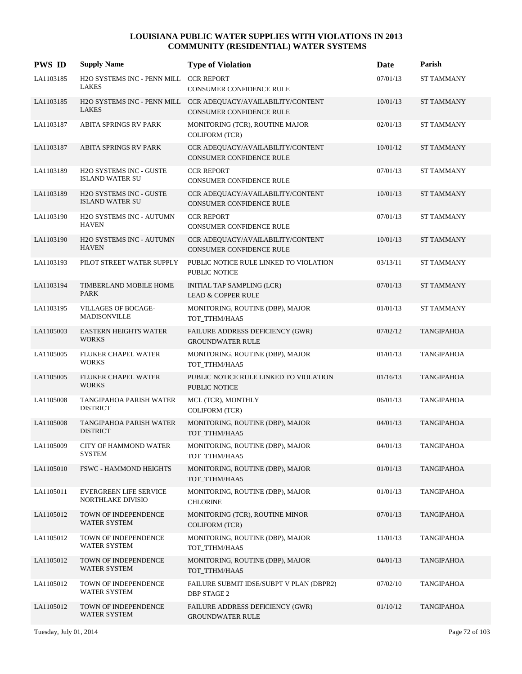| <b>PWS ID</b> | <b>Supply Name</b>                                       | <b>Type of Violation</b>                                                                         | Date     | Parish            |
|---------------|----------------------------------------------------------|--------------------------------------------------------------------------------------------------|----------|-------------------|
| LA1103185     | H2O SYSTEMS INC - PENN MILL<br><b>LAKES</b>              | <b>CCR REPORT</b><br>CONSUMER CONFIDENCE RULE                                                    | 07/01/13 | ST TAMMANY        |
| LA1103185     | <b>LAKES</b>                                             | H2O SYSTEMS INC - PENN MILL CCR ADEQUACY/AVAILABILITY/CONTENT<br><b>CONSUMER CONFIDENCE RULE</b> | 10/01/13 | <b>ST TAMMANY</b> |
| LA1103187     | ABITA SPRINGS RV PARK                                    | MONITORING (TCR), ROUTINE MAJOR<br><b>COLIFORM (TCR)</b>                                         | 02/01/13 | ST TAMMANY        |
| LA1103187     | <b>ABITA SPRINGS RV PARK</b>                             | CCR ADEQUACY/AVAILABILITY/CONTENT<br><b>CONSUMER CONFIDENCE RULE</b>                             | 10/01/12 | <b>ST TAMMANY</b> |
| LA1103189     | H2O SYSTEMS INC - GUSTE<br><b>ISLAND WATER SU</b>        | <b>CCR REPORT</b><br>CONSUMER CONFIDENCE RULE                                                    | 07/01/13 | <b>ST TAMMANY</b> |
| LA1103189     | <b>H2O SYSTEMS INC - GUSTE</b><br><b>ISLAND WATER SU</b> | CCR ADEQUACY/AVAILABILITY/CONTENT<br>CONSUMER CONFIDENCE RULE                                    | 10/01/13 | <b>ST TAMMANY</b> |
| LA1103190     | <b>H2O SYSTEMS INC - AUTUMN</b><br><b>HAVEN</b>          | <b>CCR REPORT</b><br>CONSUMER CONFIDENCE RULE                                                    | 07/01/13 | <b>ST TAMMANY</b> |
| LA1103190     | H2O SYSTEMS INC - AUTUMN<br><b>HAVEN</b>                 | CCR ADEQUACY/AVAILABILITY/CONTENT<br><b>CONSUMER CONFIDENCE RULE</b>                             | 10/01/13 | <b>ST TAMMANY</b> |
| LA1103193     | PILOT STREET WATER SUPPLY                                | PUBLIC NOTICE RULE LINKED TO VIOLATION<br>PUBLIC NOTICE                                          | 03/13/11 | <b>ST TAMMANY</b> |
| LA1103194     | TIMBERLAND MOBILE HOME<br><b>PARK</b>                    | INITIAL TAP SAMPLING (LCR)<br><b>LEAD &amp; COPPER RULE</b>                                      | 07/01/13 | <b>ST TAMMANY</b> |
| LA1103195     | <b>VILLAGES OF BOCAGE-</b><br><b>MADISONVILLE</b>        | MONITORING, ROUTINE (DBP), MAJOR<br>TOT_TTHM/HAA5                                                | 01/01/13 | ST TAMMANY        |
| LA1105003     | <b>EASTERN HEIGHTS WATER</b><br><b>WORKS</b>             | FAILURE ADDRESS DEFICIENCY (GWR)<br><b>GROUNDWATER RULE</b>                                      | 07/02/12 | <b>TANGIPAHOA</b> |
| LA1105005     | FLUKER CHAPEL WATER<br><b>WORKS</b>                      | MONITORING, ROUTINE (DBP), MAJOR<br>TOT_TTHM/HAA5                                                | 01/01/13 | <b>TANGIPAHOA</b> |
| LA1105005     | FLUKER CHAPEL WATER<br><b>WORKS</b>                      | PUBLIC NOTICE RULE LINKED TO VIOLATION<br>PUBLIC NOTICE                                          | 01/16/13 | <b>TANGIPAHOA</b> |
| LA1105008     | TANGIPAHOA PARISH WATER<br><b>DISTRICT</b>               | MCL (TCR), MONTHLY<br><b>COLIFORM (TCR)</b>                                                      | 06/01/13 | TANGIPAHOA        |
| LA1105008     | TANGIPAHOA PARISH WATER<br><b>DISTRICT</b>               | MONITORING, ROUTINE (DBP), MAJOR<br>TOT TTHM/HAA5                                                | 04/01/13 | <b>TANGIPAHOA</b> |
| LA1105009     | <b>CITY OF HAMMOND WATER</b><br><b>SYSTEM</b>            | MONITORING, ROUTINE (DBP), MAJOR<br>TOT_TTHM/HAA5                                                | 04/01/13 | <b>TANGIPAHOA</b> |
| LA1105010     | <b>FSWC - HAMMOND HEIGHTS</b>                            | MONITORING, ROUTINE (DBP), MAJOR<br>TOT TTHM/HAA5                                                | 01/01/13 | <b>TANGIPAHOA</b> |
| LA1105011     | <b>EVERGREEN LIFE SERVICE</b><br>NORTHLAKE DIVISIO       | MONITORING, ROUTINE (DBP), MAJOR<br><b>CHLORINE</b>                                              | 01/01/13 | <b>TANGIPAHOA</b> |
| LA1105012     | TOWN OF INDEPENDENCE<br><b>WATER SYSTEM</b>              | MONITORING (TCR), ROUTINE MINOR<br><b>COLIFORM (TCR)</b>                                         | 07/01/13 | <b>TANGIPAHOA</b> |
| LA1105012     | TOWN OF INDEPENDENCE<br><b>WATER SYSTEM</b>              | MONITORING, ROUTINE (DBP), MAJOR<br>TOT_TTHM/HAA5                                                | 11/01/13 | <b>TANGIPAHOA</b> |
| LA1105012     | TOWN OF INDEPENDENCE<br>WATER SYSTEM                     | MONITORING, ROUTINE (DBP), MAJOR<br>TOT_TTHM/HAA5                                                | 04/01/13 | TANGIPAHOA        |
| LA1105012     | TOWN OF INDEPENDENCE<br>WATER SYSTEM                     | FAILURE SUBMIT IDSE/SUBPT V PLAN (DBPR2)<br><b>DBP STAGE 2</b>                                   | 07/02/10 | <b>TANGIPAHOA</b> |
| LA1105012     | TOWN OF INDEPENDENCE<br>WATER SYSTEM                     | FAILURE ADDRESS DEFICIENCY (GWR)<br><b>GROUNDWATER RULE</b>                                      | 01/10/12 | <b>TANGIPAHOA</b> |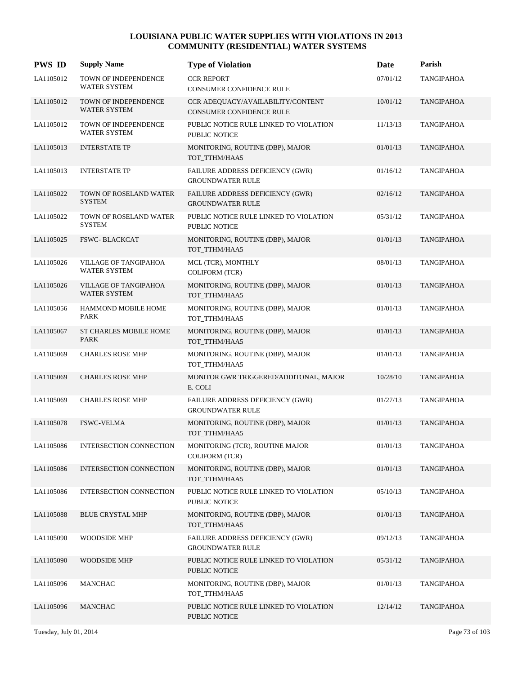| <b>PWS ID</b> | <b>Supply Name</b>                                 | <b>Type of Violation</b>                                             | Date     | Parish            |
|---------------|----------------------------------------------------|----------------------------------------------------------------------|----------|-------------------|
| LA1105012     | TOWN OF INDEPENDENCE<br><b>WATER SYSTEM</b>        | <b>CCR REPORT</b><br>CONSUMER CONFIDENCE RULE                        | 07/01/12 | TANGIPAHOA        |
| LA1105012     | TOWN OF INDEPENDENCE<br>WATER SYSTEM               | CCR ADEQUACY/AVAILABILITY/CONTENT<br><b>CONSUMER CONFIDENCE RULE</b> | 10/01/12 | <b>TANGIPAHOA</b> |
| LA1105012     | <b>TOWN OF INDEPENDENCE</b><br><b>WATER SYSTEM</b> | PUBLIC NOTICE RULE LINKED TO VIOLATION<br>PUBLIC NOTICE              | 11/13/13 | TANGIPAHOA        |
| LA1105013     | <b>INTERSTATE TP</b>                               | MONITORING, ROUTINE (DBP), MAJOR<br>TOT_TTHM/HAA5                    | 01/01/13 | <b>TANGIPAHOA</b> |
| LA1105013     | <b>INTERSTATE TP</b>                               | FAILURE ADDRESS DEFICIENCY (GWR)<br><b>GROUNDWATER RULE</b>          | 01/16/12 | <b>TANGIPAHOA</b> |
| LA1105022     | TOWN OF ROSELAND WATER<br><b>SYSTEM</b>            | FAILURE ADDRESS DEFICIENCY (GWR)<br><b>GROUNDWATER RULE</b>          | 02/16/12 | <b>TANGIPAHOA</b> |
| LA1105022     | TOWN OF ROSELAND WATER<br><b>SYSTEM</b>            | PUBLIC NOTICE RULE LINKED TO VIOLATION<br><b>PUBLIC NOTICE</b>       | 05/31/12 | TANGIPAHOA        |
| LA1105025     | <b>FSWC-BLACKCAT</b>                               | MONITORING, ROUTINE (DBP), MAJOR<br>TOT_TTHM/HAA5                    | 01/01/13 | <b>TANGIPAHOA</b> |
| LA1105026     | VILLAGE OF TANGIPAHOA<br>WATER SYSTEM              | MCL (TCR), MONTHLY<br><b>COLIFORM (TCR)</b>                          | 08/01/13 | <b>TANGIPAHOA</b> |
| LA1105026     | VILLAGE OF TANGIPAHOA<br><b>WATER SYSTEM</b>       | MONITORING, ROUTINE (DBP), MAJOR<br>TOT_TTHM/HAA5                    | 01/01/13 | <b>TANGIPAHOA</b> |
| LA1105056     | HAMMOND MOBILE HOME<br>PARK                        | MONITORING, ROUTINE (DBP), MAJOR<br>TOT_TTHM/HAA5                    | 01/01/13 | TANGIPAHOA        |
| LA1105067     | ST CHARLES MOBILE HOME<br>PARK                     | MONITORING, ROUTINE (DBP), MAJOR<br>TOT_TTHM/HAA5                    | 01/01/13 | <b>TANGIPAHOA</b> |
| LA1105069     | <b>CHARLES ROSE MHP</b>                            | MONITORING, ROUTINE (DBP), MAJOR<br>TOT_TTHM/HAA5                    | 01/01/13 | <b>TANGIPAHOA</b> |
| LA1105069     | <b>CHARLES ROSE MHP</b>                            | MONITOR GWR TRIGGERED/ADDITONAL, MAJOR<br>E. COLI                    | 10/28/10 | <b>TANGIPAHOA</b> |
| LA1105069     | <b>CHARLES ROSE MHP</b>                            | FAILURE ADDRESS DEFICIENCY (GWR)<br><b>GROUNDWATER RULE</b>          | 01/27/13 | TANGIPAHOA        |
| LA1105078     | <b>FSWC-VELMA</b>                                  | MONITORING, ROUTINE (DBP), MAJOR<br>TOT_TTHM/HAA5                    | 01/01/13 | <b>TANGIPAHOA</b> |
| LA1105086     | <b>INTERSECTION CONNECTION</b>                     | MONITORING (TCR), ROUTINE MAJOR<br><b>COLIFORM (TCR)</b>             | 01/01/13 | <b>TANGIPAHOA</b> |
| LA1105086     | <b>INTERSECTION CONNECTION</b>                     | MONITORING, ROUTINE (DBP), MAJOR<br>TOT TTHM/HAA5                    | 01/01/13 | <b>TANGIPAHOA</b> |
| LA1105086     | <b>INTERSECTION CONNECTION</b>                     | PUBLIC NOTICE RULE LINKED TO VIOLATION<br>PUBLIC NOTICE              | 05/10/13 | <b>TANGIPAHOA</b> |
| LA1105088     | <b>BLUE CRYSTAL MHP</b>                            | MONITORING, ROUTINE (DBP), MAJOR<br>TOT_TTHM/HAA5                    | 01/01/13 | <b>TANGIPAHOA</b> |
| LA1105090     | WOODSIDE MHP                                       | FAILURE ADDRESS DEFICIENCY (GWR)<br><b>GROUNDWATER RULE</b>          | 09/12/13 | <b>TANGIPAHOA</b> |
| LA1105090     | <b>WOODSIDE MHP</b>                                | PUBLIC NOTICE RULE LINKED TO VIOLATION<br>PUBLIC NOTICE              | 05/31/12 | <b>TANGIPAHOA</b> |
| LA1105096     | <b>MANCHAC</b>                                     | MONITORING, ROUTINE (DBP), MAJOR<br>TOT_TTHM/HAA5                    | 01/01/13 | <b>TANGIPAHOA</b> |
| LA1105096     | <b>MANCHAC</b>                                     | PUBLIC NOTICE RULE LINKED TO VIOLATION<br>PUBLIC NOTICE              | 12/14/12 | <b>TANGIPAHOA</b> |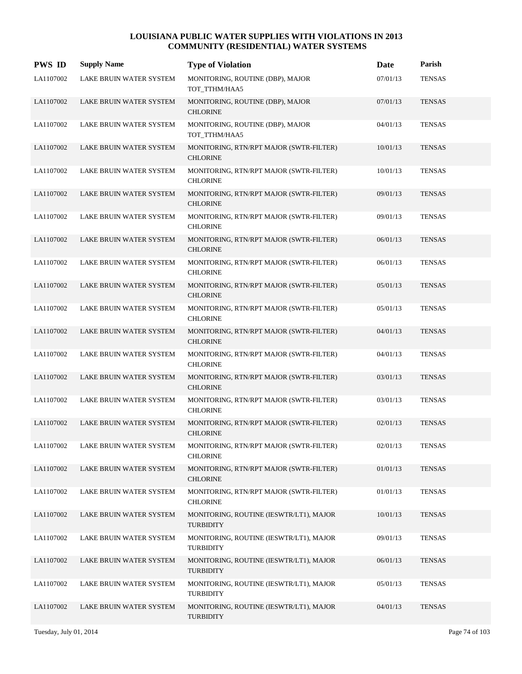| <b>PWS ID</b> | <b>Supply Name</b>             | <b>Type of Violation</b>                                    | Date     | Parish        |
|---------------|--------------------------------|-------------------------------------------------------------|----------|---------------|
| LA1107002     | LAKE BRUIN WATER SYSTEM        | MONITORING, ROUTINE (DBP), MAJOR<br>TOT_TTHM/HAA5           | 07/01/13 | <b>TENSAS</b> |
| LA1107002     | LAKE BRUIN WATER SYSTEM        | MONITORING, ROUTINE (DBP), MAJOR<br><b>CHLORINE</b>         | 07/01/13 | <b>TENSAS</b> |
| LA1107002     | LAKE BRUIN WATER SYSTEM        | MONITORING, ROUTINE (DBP), MAJOR<br>TOT_TTHM/HAA5           | 04/01/13 | <b>TENSAS</b> |
| LA1107002     | LAKE BRUIN WATER SYSTEM        | MONITORING, RTN/RPT MAJOR (SWTR-FILTER)<br><b>CHLORINE</b>  | 10/01/13 | <b>TENSAS</b> |
| LA1107002     | LAKE BRUIN WATER SYSTEM        | MONITORING, RTN/RPT MAJOR (SWTR-FILTER)<br><b>CHLORINE</b>  | 10/01/13 | <b>TENSAS</b> |
| LA1107002     | LAKE BRUIN WATER SYSTEM        | MONITORING, RTN/RPT MAJOR (SWTR-FILTER)<br><b>CHLORINE</b>  | 09/01/13 | <b>TENSAS</b> |
| LA1107002     | LAKE BRUIN WATER SYSTEM        | MONITORING, RTN/RPT MAJOR (SWTR-FILTER)<br><b>CHLORINE</b>  | 09/01/13 | <b>TENSAS</b> |
| LA1107002     | LAKE BRUIN WATER SYSTEM        | MONITORING, RTN/RPT MAJOR (SWTR-FILTER)<br><b>CHLORINE</b>  | 06/01/13 | <b>TENSAS</b> |
| LA1107002     | LAKE BRUIN WATER SYSTEM        | MONITORING, RTN/RPT MAJOR (SWTR-FILTER)<br><b>CHLORINE</b>  | 06/01/13 | <b>TENSAS</b> |
| LA1107002     | LAKE BRUIN WATER SYSTEM        | MONITORING, RTN/RPT MAJOR (SWTR-FILTER)<br><b>CHLORINE</b>  | 05/01/13 | <b>TENSAS</b> |
| LA1107002     | LAKE BRUIN WATER SYSTEM        | MONITORING, RTN/RPT MAJOR (SWTR-FILTER)<br><b>CHLORINE</b>  | 05/01/13 | <b>TENSAS</b> |
| LA1107002     | LAKE BRUIN WATER SYSTEM        | MONITORING, RTN/RPT MAJOR (SWTR-FILTER)<br><b>CHLORINE</b>  | 04/01/13 | <b>TENSAS</b> |
| LA1107002     | LAKE BRUIN WATER SYSTEM        | MONITORING, RTN/RPT MAJOR (SWTR-FILTER)<br><b>CHLORINE</b>  | 04/01/13 | <b>TENSAS</b> |
| LA1107002     | LAKE BRUIN WATER SYSTEM        | MONITORING, RTN/RPT MAJOR (SWTR-FILTER)<br><b>CHLORINE</b>  | 03/01/13 | <b>TENSAS</b> |
| LA1107002     | <b>LAKE BRUIN WATER SYSTEM</b> | MONITORING, RTN/RPT MAJOR (SWTR-FILTER)<br><b>CHLORINE</b>  | 03/01/13 | <b>TENSAS</b> |
| LA1107002     | LAKE BRUIN WATER SYSTEM        | MONITORING, RTN/RPT MAJOR (SWTR-FILTER)<br><b>CHLORINE</b>  | 02/01/13 | <b>TENSAS</b> |
| LA1107002     | LAKE BRUIN WATER SYSTEM        | MONITORING, RTN/RPT MAJOR (SWTR-FILTER)<br><b>CHLORINE</b>  | 02/01/13 | <b>TENSAS</b> |
| LA1107002     | LAKE BRUIN WATER SYSTEM        | MONITORING, RTN/RPT MAJOR (SWTR-FILTER)<br><b>CHLORINE</b>  | 01/01/13 | <b>TENSAS</b> |
| LA1107002     | LAKE BRUIN WATER SYSTEM        | MONITORING, RTN/RPT MAJOR (SWTR-FILTER)<br><b>CHLORINE</b>  | 01/01/13 | <b>TENSAS</b> |
| LA1107002     | LAKE BRUIN WATER SYSTEM        | MONITORING, ROUTINE (IESWTR/LT1), MAJOR<br><b>TURBIDITY</b> | 10/01/13 | <b>TENSAS</b> |
| LA1107002     | LAKE BRUIN WATER SYSTEM        | MONITORING, ROUTINE (IESWTR/LT1), MAJOR<br><b>TURBIDITY</b> | 09/01/13 | <b>TENSAS</b> |
| LA1107002     | LAKE BRUIN WATER SYSTEM        | MONITORING, ROUTINE (IESWTR/LT1), MAJOR<br><b>TURBIDITY</b> | 06/01/13 | <b>TENSAS</b> |
| LA1107002     | LAKE BRUIN WATER SYSTEM        | MONITORING, ROUTINE (IESWTR/LT1), MAJOR<br><b>TURBIDITY</b> | 05/01/13 | <b>TENSAS</b> |
| LA1107002     | LAKE BRUIN WATER SYSTEM        | MONITORING, ROUTINE (IESWTR/LT1), MAJOR<br><b>TURBIDITY</b> | 04/01/13 | <b>TENSAS</b> |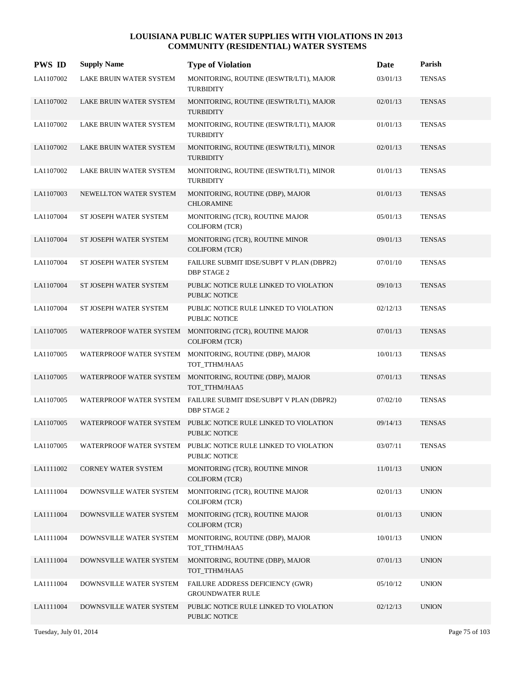| <b>PWS ID</b> | <b>Supply Name</b>             | <b>Type of Violation</b>                                                               | Date     | Parish        |
|---------------|--------------------------------|----------------------------------------------------------------------------------------|----------|---------------|
| LA1107002     | <b>LAKE BRUIN WATER SYSTEM</b> | MONITORING, ROUTINE (IESWTR/LT1), MAJOR<br><b>TURBIDITY</b>                            | 03/01/13 | <b>TENSAS</b> |
| LA1107002     | LAKE BRUIN WATER SYSTEM        | MONITORING, ROUTINE (IESWTR/LT1), MAJOR<br><b>TURBIDITY</b>                            | 02/01/13 | <b>TENSAS</b> |
| LA1107002     | LAKE BRUIN WATER SYSTEM        | MONITORING, ROUTINE (IESWTR/LT1), MAJOR<br><b>TURBIDITY</b>                            | 01/01/13 | <b>TENSAS</b> |
| LA1107002     | LAKE BRUIN WATER SYSTEM        | MONITORING, ROUTINE (IESWTR/LT1), MINOR<br><b>TURBIDITY</b>                            | 02/01/13 | <b>TENSAS</b> |
| LA1107002     | LAKE BRUIN WATER SYSTEM        | MONITORING, ROUTINE (IESWTR/LT1), MINOR<br><b>TURBIDITY</b>                            | 01/01/13 | <b>TENSAS</b> |
| LA1107003     | NEWELLTON WATER SYSTEM         | MONITORING, ROUTINE (DBP), MAJOR<br><b>CHLORAMINE</b>                                  | 01/01/13 | <b>TENSAS</b> |
| LA1107004     | ST JOSEPH WATER SYSTEM         | MONITORING (TCR), ROUTINE MAJOR<br><b>COLIFORM (TCR)</b>                               | 05/01/13 | <b>TENSAS</b> |
| LA1107004     | ST JOSEPH WATER SYSTEM         | MONITORING (TCR), ROUTINE MINOR<br><b>COLIFORM (TCR)</b>                               | 09/01/13 | <b>TENSAS</b> |
| LA1107004     | ST JOSEPH WATER SYSTEM         | FAILURE SUBMIT IDSE/SUBPT V PLAN (DBPR2)<br><b>DBP STAGE 2</b>                         | 07/01/10 | <b>TENSAS</b> |
| LA1107004     | ST JOSEPH WATER SYSTEM         | PUBLIC NOTICE RULE LINKED TO VIOLATION<br><b>PUBLIC NOTICE</b>                         | 09/10/13 | <b>TENSAS</b> |
| LA1107004     | ST JOSEPH WATER SYSTEM         | PUBLIC NOTICE RULE LINKED TO VIOLATION<br>PUBLIC NOTICE                                | 02/12/13 | <b>TENSAS</b> |
| LA1107005     | WATERPROOF WATER SYSTEM        | MONITORING (TCR), ROUTINE MAJOR<br><b>COLIFORM (TCR)</b>                               | 07/01/13 | <b>TENSAS</b> |
| LA1107005     | WATERPROOF WATER SYSTEM        | MONITORING, ROUTINE (DBP), MAJOR<br>TOT_TTHM/HAA5                                      | 10/01/13 | <b>TENSAS</b> |
| LA1107005     |                                | WATERPROOF WATER SYSTEM MONITORING, ROUTINE (DBP), MAJOR<br>TOT_TTHM/HAA5              | 07/01/13 | <b>TENSAS</b> |
| LA1107005     | WATERPROOF WATER SYSTEM        | FAILURE SUBMIT IDSE/SUBPT V PLAN (DBPR2)<br><b>DBP STAGE 2</b>                         | 07/02/10 | <b>TENSAS</b> |
| LA1107005     |                                | WATERPROOF WATER SYSTEM PUBLIC NOTICE RULE LINKED TO VIOLATION<br><b>PUBLIC NOTICE</b> | 09/14/13 | <b>TENSAS</b> |
| LA1107005     |                                | WATERPROOF WATER SYSTEM PUBLIC NOTICE RULE LINKED TO VIOLATION<br>PUBLIC NOTICE        | 03/07/11 | <b>TENSAS</b> |
| LA1111002     | <b>CORNEY WATER SYSTEM</b>     | MONITORING (TCR), ROUTINE MINOR<br><b>COLIFORM (TCR)</b>                               | 11/01/13 | <b>UNION</b>  |
| LA1111004     | DOWNSVILLE WATER SYSTEM        | MONITORING (TCR), ROUTINE MAJOR<br>COLIFORM (TCR)                                      | 02/01/13 | <b>UNION</b>  |
| LA1111004     | DOWNSVILLE WATER SYSTEM        | MONITORING (TCR), ROUTINE MAJOR<br><b>COLIFORM (TCR)</b>                               | 01/01/13 | <b>UNION</b>  |
| LA1111004     | DOWNSVILLE WATER SYSTEM        | MONITORING, ROUTINE (DBP), MAJOR<br>TOT_TTHM/HAA5                                      | 10/01/13 | <b>UNION</b>  |
| LA1111004     | DOWNSVILLE WATER SYSTEM        | MONITORING, ROUTINE (DBP), MAJOR<br>TOT_TTHM/HAA5                                      | 07/01/13 | <b>UNION</b>  |
| LA1111004     | DOWNSVILLE WATER SYSTEM        | FAILURE ADDRESS DEFICIENCY (GWR)<br><b>GROUNDWATER RULE</b>                            | 05/10/12 | <b>UNION</b>  |
| LA1111004     | DOWNSVILLE WATER SYSTEM        | PUBLIC NOTICE RULE LINKED TO VIOLATION<br>PUBLIC NOTICE                                | 02/12/13 | <b>UNION</b>  |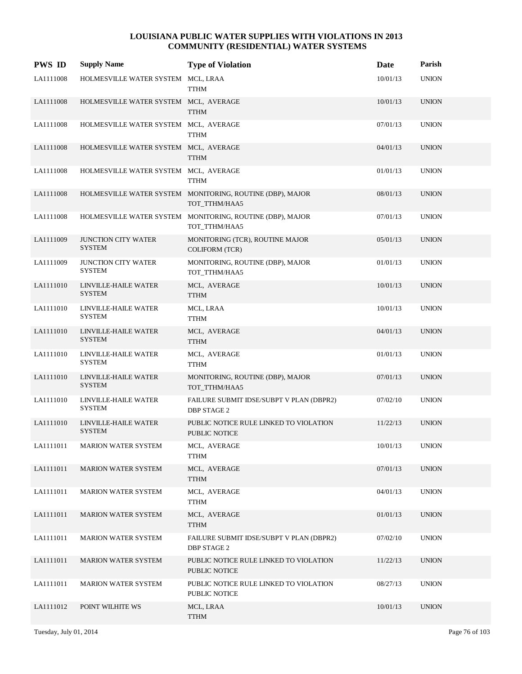| <b>PWS ID</b> | <b>Supply Name</b>                          | <b>Type of Violation</b>                                                   | Date     | Parish       |
|---------------|---------------------------------------------|----------------------------------------------------------------------------|----------|--------------|
| LA1111008     | HOLMESVILLE WATER SYSTEM MCL, LRAA          | TTHM                                                                       | 10/01/13 | <b>UNION</b> |
| LA1111008     | HOLMESVILLE WATER SYSTEM MCL, AVERAGE       | <b>TTHM</b>                                                                | 10/01/13 | <b>UNION</b> |
| LA1111008     | HOLMESVILLE WATER SYSTEM MCL, AVERAGE       | <b>TTHM</b>                                                                | 07/01/13 | <b>UNION</b> |
| LA1111008     | HOLMESVILLE WATER SYSTEM MCL, AVERAGE       | <b>TTHM</b>                                                                | 04/01/13 | <b>UNION</b> |
| LA1111008     | HOLMESVILLE WATER SYSTEM MCL, AVERAGE       | TTHM                                                                       | 01/01/13 | <b>UNION</b> |
| LA1111008     |                                             | HOLMESVILLE WATER SYSTEM MONITORING, ROUTINE (DBP), MAJOR<br>TOT_TTHM/HAA5 | 08/01/13 | <b>UNION</b> |
| LA1111008     |                                             | HOLMESVILLE WATER SYSTEM MONITORING, ROUTINE (DBP), MAJOR<br>TOT_TTHM/HAA5 | 07/01/13 | <b>UNION</b> |
| LA1111009     | <b>JUNCTION CITY WATER</b><br><b>SYSTEM</b> | MONITORING (TCR), ROUTINE MAJOR<br><b>COLIFORM (TCR)</b>                   | 05/01/13 | <b>UNION</b> |
| LA1111009     | <b>JUNCTION CITY WATER</b><br><b>SYSTEM</b> | MONITORING, ROUTINE (DBP), MAJOR<br>TOT_TTHM/HAA5                          | 01/01/13 | <b>UNION</b> |
| LA1111010     | LINVILLE-HAILE WATER<br><b>SYSTEM</b>       | MCL, AVERAGE<br><b>TTHM</b>                                                | 10/01/13 | <b>UNION</b> |
| LA1111010     | LINVILLE-HAILE WATER<br><b>SYSTEM</b>       | MCL, LRAA<br>TTHM                                                          | 10/01/13 | <b>UNION</b> |
| LA1111010     | LINVILLE-HAILE WATER<br><b>SYSTEM</b>       | MCL, AVERAGE<br><b>TTHM</b>                                                | 04/01/13 | <b>UNION</b> |
| LA1111010     | LINVILLE-HAILE WATER<br><b>SYSTEM</b>       | MCL, AVERAGE<br>TTHM                                                       | 01/01/13 | <b>UNION</b> |
| LA1111010     | LINVILLE-HAILE WATER<br><b>SYSTEM</b>       | MONITORING, ROUTINE (DBP), MAJOR<br>TOT_TTHM/HAA5                          | 07/01/13 | <b>UNION</b> |
| LA1111010     | LINVILLE-HAILE WATER<br><b>SYSTEM</b>       | FAILURE SUBMIT IDSE/SUBPT V PLAN (DBPR2)<br><b>DBP STAGE 2</b>             | 07/02/10 | <b>UNION</b> |
| LA1111010     | LINVILLE-HAILE WATER<br><b>SYSTEM</b>       | PUBLIC NOTICE RULE LINKED TO VIOLATION<br>PUBLIC NOTICE                    | 11/22/13 | <b>UNION</b> |
| LA1111011     | <b>MARION WATER SYSTEM</b>                  | MCL, AVERAGE<br><b>TTHM</b>                                                | 10/01/13 | <b>UNION</b> |
| LA1111011     | <b>MARION WATER SYSTEM</b>                  | MCL, AVERAGE<br>TTHM                                                       | 07/01/13 | <b>UNION</b> |
| LA1111011     | <b>MARION WATER SYSTEM</b>                  | MCL, AVERAGE<br><b>TTHM</b>                                                | 04/01/13 | <b>UNION</b> |
| LA1111011     | <b>MARION WATER SYSTEM</b>                  | MCL, AVERAGE<br><b>TTHM</b>                                                | 01/01/13 | <b>UNION</b> |
| LA1111011     | MARION WATER SYSTEM                         | FAILURE SUBMIT IDSE/SUBPT V PLAN (DBPR2)<br><b>DBP STAGE 2</b>             | 07/02/10 | <b>UNION</b> |
| LA1111011     | <b>MARION WATER SYSTEM</b>                  | PUBLIC NOTICE RULE LINKED TO VIOLATION<br>PUBLIC NOTICE                    | 11/22/13 | <b>UNION</b> |
| LA1111011     | <b>MARION WATER SYSTEM</b>                  | PUBLIC NOTICE RULE LINKED TO VIOLATION<br>PUBLIC NOTICE                    | 08/27/13 | <b>UNION</b> |
| LA1111012     | POINT WILHITE WS                            | MCL, LRAA<br><b>TTHM</b>                                                   | 10/01/13 | <b>UNION</b> |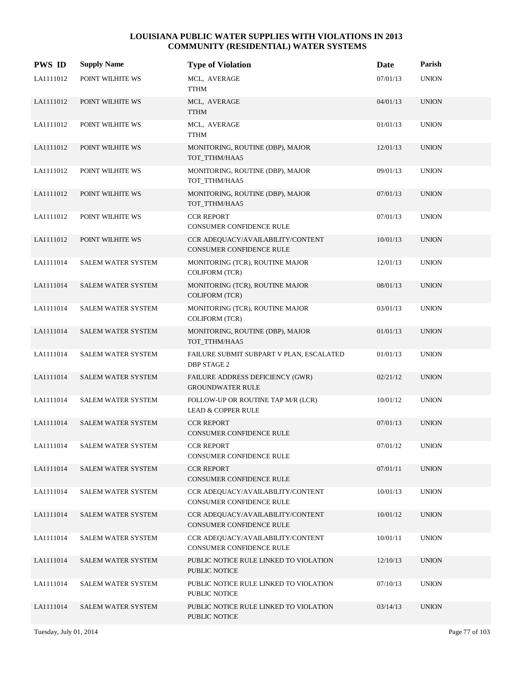| <b>PWS ID</b> | <b>Supply Name</b>        | <b>Type of Violation</b>                                             | Date     | Parish       |
|---------------|---------------------------|----------------------------------------------------------------------|----------|--------------|
| LA1111012     | POINT WILHITE WS          | MCL, AVERAGE<br><b>TTHM</b>                                          | 07/01/13 | <b>UNION</b> |
| LA1111012     | POINT WILHITE WS          | MCL, AVERAGE<br><b>TTHM</b>                                          | 04/01/13 | <b>UNION</b> |
| LA1111012     | POINT WILHITE WS          | MCL, AVERAGE<br><b>TTHM</b>                                          | 01/01/13 | <b>UNION</b> |
| LA1111012     | POINT WILHITE WS          | MONITORING, ROUTINE (DBP), MAJOR<br>TOT_TTHM/HAA5                    | 12/01/13 | <b>UNION</b> |
| LA1111012     | POINT WILHITE WS          | MONITORING, ROUTINE (DBP), MAJOR<br>TOT_TTHM/HAA5                    | 09/01/13 | <b>UNION</b> |
| LA1111012     | POINT WILHITE WS          | MONITORING, ROUTINE (DBP), MAJOR<br>TOT_TTHM/HAA5                    | 07/01/13 | <b>UNION</b> |
| LA1111012     | POINT WILHITE WS          | <b>CCR REPORT</b><br><b>CONSUMER CONFIDENCE RULE</b>                 | 07/01/13 | <b>UNION</b> |
| LA1111012     | POINT WILHITE WS          | CCR ADEQUACY/AVAILABILITY/CONTENT<br><b>CONSUMER CONFIDENCE RULE</b> | 10/01/13 | <b>UNION</b> |
| LA1111014     | SALEM WATER SYSTEM        | MONITORING (TCR), ROUTINE MAJOR<br><b>COLIFORM (TCR)</b>             | 12/01/13 | <b>UNION</b> |
| LA1111014     | SALEM WATER SYSTEM        | MONITORING (TCR), ROUTINE MAJOR<br><b>COLIFORM (TCR)</b>             | 08/01/13 | <b>UNION</b> |
| LA1111014     | <b>SALEM WATER SYSTEM</b> | MONITORING (TCR), ROUTINE MAJOR<br><b>COLIFORM (TCR)</b>             | 03/01/13 | <b>UNION</b> |
| LA1111014     | <b>SALEM WATER SYSTEM</b> | MONITORING, ROUTINE (DBP), MAJOR<br>TOT_TTHM/HAA5                    | 01/01/13 | <b>UNION</b> |
| LA1111014     | SALEM WATER SYSTEM        | FAILURE SUBMIT SUBPART V PLAN, ESCALATED<br><b>DBP STAGE 2</b>       | 01/01/13 | <b>UNION</b> |
| LA1111014     | <b>SALEM WATER SYSTEM</b> | FAILURE ADDRESS DEFICIENCY (GWR)<br><b>GROUNDWATER RULE</b>          | 02/21/12 | <b>UNION</b> |
| LA1111014     | <b>SALEM WATER SYSTEM</b> | FOLLOW-UP OR ROUTINE TAP M/R (LCR)<br><b>LEAD &amp; COPPER RULE</b>  | 10/01/12 | <b>UNION</b> |
| LA1111014     | <b>SALEM WATER SYSTEM</b> | <b>CCR REPORT</b><br><b>CONSUMER CONFIDENCE RULE</b>                 | 07/01/13 | <b>UNION</b> |
| LA1111014     | <b>SALEM WATER SYSTEM</b> | <b>CCR REPORT</b><br>CONSUMER CONFIDENCE RULE                        | 07/01/12 | <b>UNION</b> |
| LA1111014     | <b>SALEM WATER SYSTEM</b> | <b>CCR REPORT</b><br>CONSUMER CONFIDENCE RULE                        | 07/01/11 | <b>UNION</b> |
| LA1111014     | <b>SALEM WATER SYSTEM</b> | CCR ADEQUACY/AVAILABILITY/CONTENT<br>CONSUMER CONFIDENCE RULE        | 10/01/13 | <b>UNION</b> |
| LA1111014     | SALEM WATER SYSTEM        | CCR ADEQUACY/AVAILABILITY/CONTENT<br>CONSUMER CONFIDENCE RULE        | 10/01/12 | <b>UNION</b> |
| LA1111014     | SALEM WATER SYSTEM        | CCR ADEOUACY/AVAILABILITY/CONTENT<br>CONSUMER CONFIDENCE RULE        | 10/01/11 | <b>UNION</b> |
| LA1111014     | <b>SALEM WATER SYSTEM</b> | PUBLIC NOTICE RULE LINKED TO VIOLATION<br>PUBLIC NOTICE              | 12/10/13 | <b>UNION</b> |
| LA1111014     | <b>SALEM WATER SYSTEM</b> | PUBLIC NOTICE RULE LINKED TO VIOLATION<br>PUBLIC NOTICE              | 07/10/13 | <b>UNION</b> |
| LA1111014     | <b>SALEM WATER SYSTEM</b> | PUBLIC NOTICE RULE LINKED TO VIOLATION<br>PUBLIC NOTICE              | 03/14/13 | <b>UNION</b> |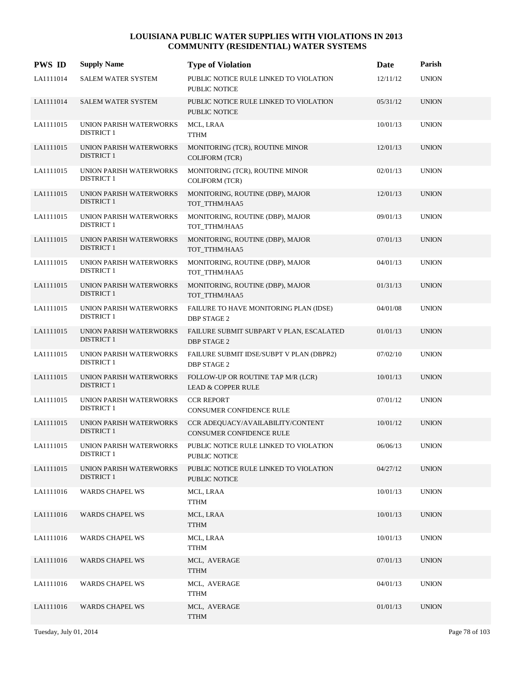| <b>PWS ID</b> | <b>Supply Name</b>                           | <b>Type of Violation</b>                                            | Date     | Parish       |
|---------------|----------------------------------------------|---------------------------------------------------------------------|----------|--------------|
| LA1111014     | <b>SALEM WATER SYSTEM</b>                    | PUBLIC NOTICE RULE LINKED TO VIOLATION<br>PUBLIC NOTICE             | 12/11/12 | <b>UNION</b> |
| LA1111014     | <b>SALEM WATER SYSTEM</b>                    | PUBLIC NOTICE RULE LINKED TO VIOLATION<br><b>PUBLIC NOTICE</b>      | 05/31/12 | <b>UNION</b> |
| LA1111015     | UNION PARISH WATERWORKS<br><b>DISTRICT 1</b> | MCL, LRAA<br><b>TTHM</b>                                            | 10/01/13 | <b>UNION</b> |
| LA1111015     | UNION PARISH WATERWORKS<br><b>DISTRICT 1</b> | MONITORING (TCR), ROUTINE MINOR<br><b>COLIFORM (TCR)</b>            | 12/01/13 | <b>UNION</b> |
| LA1111015     | UNION PARISH WATERWORKS<br><b>DISTRICT 1</b> | MONITORING (TCR), ROUTINE MINOR<br><b>COLIFORM (TCR)</b>            | 02/01/13 | <b>UNION</b> |
| LA1111015     | UNION PARISH WATERWORKS<br><b>DISTRICT 1</b> | MONITORING, ROUTINE (DBP), MAJOR<br>TOT_TTHM/HAA5                   | 12/01/13 | <b>UNION</b> |
| LA1111015     | UNION PARISH WATERWORKS<br><b>DISTRICT 1</b> | MONITORING, ROUTINE (DBP), MAJOR<br>TOT_TTHM/HAA5                   | 09/01/13 | <b>UNION</b> |
| LA1111015     | UNION PARISH WATERWORKS<br><b>DISTRICT 1</b> | MONITORING, ROUTINE (DBP), MAJOR<br>TOT TTHM/HAA5                   | 07/01/13 | <b>UNION</b> |
| LA1111015     | UNION PARISH WATERWORKS<br><b>DISTRICT 1</b> | MONITORING, ROUTINE (DBP), MAJOR<br>TOT TTHM/HAA5                   | 04/01/13 | <b>UNION</b> |
| LA1111015     | UNION PARISH WATERWORKS<br><b>DISTRICT 1</b> | MONITORING, ROUTINE (DBP), MAJOR<br>TOT_TTHM/HAA5                   | 01/31/13 | <b>UNION</b> |
| LA1111015     | UNION PARISH WATERWORKS<br><b>DISTRICT 1</b> | FAILURE TO HAVE MONITORING PLAN (IDSE)<br><b>DBP STAGE 2</b>        | 04/01/08 | <b>UNION</b> |
| LA1111015     | UNION PARISH WATERWORKS<br><b>DISTRICT 1</b> | FAILURE SUBMIT SUBPART V PLAN, ESCALATED<br><b>DBP STAGE 2</b>      | 01/01/13 | <b>UNION</b> |
| LA1111015     | UNION PARISH WATERWORKS<br><b>DISTRICT 1</b> | FAILURE SUBMIT IDSE/SUBPT V PLAN (DBPR2)<br><b>DBP STAGE 2</b>      | 07/02/10 | <b>UNION</b> |
| LA1111015     | UNION PARISH WATERWORKS<br><b>DISTRICT 1</b> | FOLLOW-UP OR ROUTINE TAP M/R (LCR)<br><b>LEAD &amp; COPPER RULE</b> | 10/01/13 | <b>UNION</b> |
| LA1111015     | UNION PARISH WATERWORKS<br><b>DISTRICT 1</b> | <b>CCR REPORT</b><br>CONSUMER CONFIDENCE RULE                       | 07/01/12 | <b>UNION</b> |
| LA1111015     | UNION PARISH WATERWORKS<br><b>DISTRICT 1</b> | CCR ADEQUACY/AVAILABILITY/CONTENT<br>CONSUMER CONFIDENCE RULE       | 10/01/12 | <b>UNION</b> |
| LA1111015     | UNION PARISH WATERWORKS<br><b>DISTRICT 1</b> | PUBLIC NOTICE RULE LINKED TO VIOLATION<br>PUBLIC NOTICE             | 06/06/13 | <b>UNION</b> |
| LA1111015     | UNION PARISH WATERWORKS<br><b>DISTRICT 1</b> | PUBLIC NOTICE RULE LINKED TO VIOLATION<br>PUBLIC NOTICE             | 04/27/12 | <b>UNION</b> |
| LA1111016     | <b>WARDS CHAPEL WS</b>                       | MCL, LRAA<br><b>TTHM</b>                                            | 10/01/13 | <b>UNION</b> |
| LA1111016     | <b>WARDS CHAPEL WS</b>                       | MCL, LRAA<br><b>TTHM</b>                                            | 10/01/13 | <b>UNION</b> |
| LA1111016     | <b>WARDS CHAPEL WS</b>                       | MCL, LRAA<br><b>TTHM</b>                                            | 10/01/13 | <b>UNION</b> |
| LA1111016     | <b>WARDS CHAPEL WS</b>                       | MCL, AVERAGE<br><b>TTHM</b>                                         | 07/01/13 | <b>UNION</b> |
| LA1111016     | <b>WARDS CHAPEL WS</b>                       | MCL, AVERAGE<br><b>TTHM</b>                                         | 04/01/13 | <b>UNION</b> |
| LA1111016     | <b>WARDS CHAPEL WS</b>                       | MCL, AVERAGE<br><b>TTHM</b>                                         | 01/01/13 | <b>UNION</b> |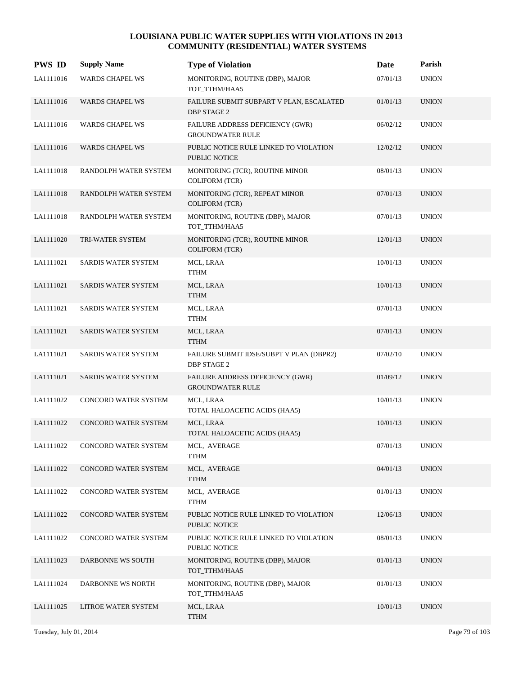| <b>PWS ID</b> | <b>Supply Name</b>     | <b>Type of Violation</b>                                       | Date     | Parish       |
|---------------|------------------------|----------------------------------------------------------------|----------|--------------|
| LA1111016     | <b>WARDS CHAPEL WS</b> | MONITORING, ROUTINE (DBP), MAJOR<br>TOT_TTHM/HAA5              | 07/01/13 | <b>UNION</b> |
| LA1111016     | WARDS CHAPEL WS        | FAILURE SUBMIT SUBPART V PLAN, ESCALATED<br><b>DBP STAGE 2</b> | 01/01/13 | <b>UNION</b> |
| LA1111016     | <b>WARDS CHAPEL WS</b> | FAILURE ADDRESS DEFICIENCY (GWR)<br><b>GROUNDWATER RULE</b>    | 06/02/12 | <b>UNION</b> |
| LA1111016     | WARDS CHAPEL WS        | PUBLIC NOTICE RULE LINKED TO VIOLATION<br>PUBLIC NOTICE        | 12/02/12 | <b>UNION</b> |
| LA1111018     | RANDOLPH WATER SYSTEM  | MONITORING (TCR), ROUTINE MINOR<br><b>COLIFORM (TCR)</b>       | 08/01/13 | <b>UNION</b> |
| LA1111018     | RANDOLPH WATER SYSTEM  | MONITORING (TCR), REPEAT MINOR<br><b>COLIFORM (TCR)</b>        | 07/01/13 | <b>UNION</b> |
| LA1111018     | RANDOLPH WATER SYSTEM  | MONITORING, ROUTINE (DBP), MAJOR<br>TOT TTHM/HAA5              | 07/01/13 | <b>UNION</b> |
| LA1111020     | TRI-WATER SYSTEM       | MONITORING (TCR), ROUTINE MINOR<br><b>COLIFORM (TCR)</b>       | 12/01/13 | <b>UNION</b> |
| LA1111021     | SARDIS WATER SYSTEM    | MCL, LRAA<br><b>TTHM</b>                                       | 10/01/13 | <b>UNION</b> |
| LA1111021     | SARDIS WATER SYSTEM    | MCL, LRAA<br><b>TTHM</b>                                       | 10/01/13 | <b>UNION</b> |
| LA1111021     | SARDIS WATER SYSTEM    | MCL, LRAA<br><b>TTHM</b>                                       | 07/01/13 | <b>UNION</b> |
| LA1111021     | SARDIS WATER SYSTEM    | MCL, LRAA<br><b>TTHM</b>                                       | 07/01/13 | <b>UNION</b> |
| LA1111021     | SARDIS WATER SYSTEM    | FAILURE SUBMIT IDSE/SUBPT V PLAN (DBPR2)<br><b>DBP STAGE 2</b> | 07/02/10 | <b>UNION</b> |
| LA1111021     | SARDIS WATER SYSTEM    | FAILURE ADDRESS DEFICIENCY (GWR)<br><b>GROUNDWATER RULE</b>    | 01/09/12 | <b>UNION</b> |
| LA1111022     | CONCORD WATER SYSTEM   | MCL, LRAA<br>TOTAL HALOACETIC ACIDS (HAA5)                     | 10/01/13 | <b>UNION</b> |
| LA1111022     | CONCORD WATER SYSTEM   | MCL, LRAA<br>TOTAL HALOACETIC ACIDS (HAA5)                     | 10/01/13 | <b>UNION</b> |
| LA1111022     | CONCORD WATER SYSTEM   | MCL, AVERAGE<br><b>TTHM</b>                                    | 07/01/13 | <b>UNION</b> |
| LA1111022     | CONCORD WATER SYSTEM   | MCL, AVERAGE<br><b>TTHM</b>                                    | 04/01/13 | <b>UNION</b> |
| LA1111022     | CONCORD WATER SYSTEM   | MCL, AVERAGE<br><b>TTHM</b>                                    | 01/01/13 | <b>UNION</b> |
| LA1111022     | CONCORD WATER SYSTEM   | PUBLIC NOTICE RULE LINKED TO VIOLATION<br>PUBLIC NOTICE        | 12/06/13 | <b>UNION</b> |
| LA1111022     | CONCORD WATER SYSTEM   | PUBLIC NOTICE RULE LINKED TO VIOLATION<br>PUBLIC NOTICE        | 08/01/13 | <b>UNION</b> |
| LA1111023     | DARBONNE WS SOUTH      | MONITORING, ROUTINE (DBP), MAJOR<br>TOT_TTHM/HAA5              | 01/01/13 | <b>UNION</b> |
| LA1111024     | DARBONNE WS NORTH      | MONITORING, ROUTINE (DBP), MAJOR<br>TOT_TTHM/HAA5              | 01/01/13 | <b>UNION</b> |
| LA1111025     | LITROE WATER SYSTEM    | MCL, LRAA<br><b>TTHM</b>                                       | 10/01/13 | <b>UNION</b> |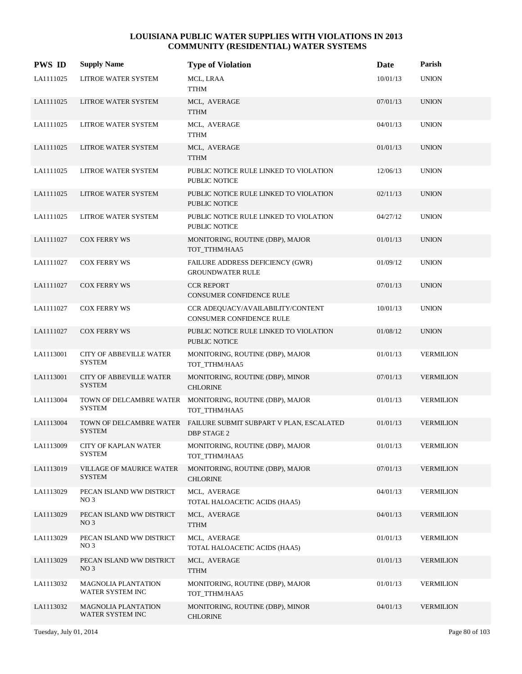| <b>PWS ID</b> | <b>Supply Name</b>                               | <b>Type of Violation</b>                                                               | Date     | Parish           |
|---------------|--------------------------------------------------|----------------------------------------------------------------------------------------|----------|------------------|
| LA1111025     | LITROE WATER SYSTEM                              | MCL, LRAA<br><b>TTHM</b>                                                               | 10/01/13 | <b>UNION</b>     |
| LA1111025     | LITROE WATER SYSTEM                              | MCL, AVERAGE<br><b>TTHM</b>                                                            | 07/01/13 | <b>UNION</b>     |
| LA1111025     | LITROE WATER SYSTEM                              | MCL, AVERAGE<br><b>TTHM</b>                                                            | 04/01/13 | <b>UNION</b>     |
| LA1111025     | LITROE WATER SYSTEM                              | MCL, AVERAGE<br><b>TTHM</b>                                                            | 01/01/13 | <b>UNION</b>     |
| LA1111025     | LITROE WATER SYSTEM                              | PUBLIC NOTICE RULE LINKED TO VIOLATION<br>PUBLIC NOTICE                                | 12/06/13 | <b>UNION</b>     |
| LA1111025     | LITROE WATER SYSTEM                              | PUBLIC NOTICE RULE LINKED TO VIOLATION<br><b>PUBLIC NOTICE</b>                         | 02/11/13 | <b>UNION</b>     |
| LA1111025     | LITROE WATER SYSTEM                              | PUBLIC NOTICE RULE LINKED TO VIOLATION<br><b>PUBLIC NOTICE</b>                         | 04/27/12 | <b>UNION</b>     |
| LA1111027     | <b>COX FERRY WS</b>                              | MONITORING, ROUTINE (DBP), MAJOR<br>TOT_TTHM/HAA5                                      | 01/01/13 | <b>UNION</b>     |
| LA1111027     | <b>COX FERRY WS</b>                              | FAILURE ADDRESS DEFICIENCY (GWR)<br><b>GROUNDWATER RULE</b>                            | 01/09/12 | <b>UNION</b>     |
| LA1111027     | <b>COX FERRY WS</b>                              | <b>CCR REPORT</b><br><b>CONSUMER CONFIDENCE RULE</b>                                   | 07/01/13 | <b>UNION</b>     |
| LA1111027     | <b>COX FERRY WS</b>                              | CCR ADEQUACY/AVAILABILITY/CONTENT<br>CONSUMER CONFIDENCE RULE                          | 10/01/13 | <b>UNION</b>     |
| LA1111027     | <b>COX FERRY WS</b>                              | PUBLIC NOTICE RULE LINKED TO VIOLATION<br><b>PUBLIC NOTICE</b>                         | 01/08/12 | <b>UNION</b>     |
| LA1113001     | CITY OF ABBEVILLE WATER<br><b>SYSTEM</b>         | MONITORING, ROUTINE (DBP), MAJOR<br>TOT_TTHM/HAA5                                      | 01/01/13 | <b>VERMILION</b> |
| LA1113001     | <b>CITY OF ABBEVILLE WATER</b><br><b>SYSTEM</b>  | MONITORING, ROUTINE (DBP), MINOR<br><b>CHLORINE</b>                                    | 07/01/13 | <b>VERMILION</b> |
| LA1113004     | TOWN OF DELCAMBRE WATER<br><b>SYSTEM</b>         | MONITORING, ROUTINE (DBP), MAJOR<br>TOT TTHM/HAA5                                      | 01/01/13 | <b>VERMILION</b> |
| LA1113004     | <b>SYSTEM</b>                                    | TOWN OF DELCAMBRE WATER FAILURE SUBMIT SUBPART V PLAN, ESCALATED<br><b>DBP STAGE 2</b> | 01/01/13 | <b>VERMILION</b> |
| LA1113009     | CITY OF KAPLAN WATER<br><b>SYSTEM</b>            | MONITORING, ROUTINE (DBP), MAJOR<br>TOT_TTHM/HAA5                                      | 01/01/13 | <b>VERMILION</b> |
| LA1113019     | <b>VILLAGE OF MAURICE WATER</b><br><b>SYSTEM</b> | MONITORING, ROUTINE (DBP), MAJOR<br><b>CHLORINE</b>                                    | 07/01/13 | <b>VERMILION</b> |
| LA1113029     | PECAN ISLAND WW DISTRICT<br>NO <sub>3</sub>      | MCL, AVERAGE<br>TOTAL HALOACETIC ACIDS (HAA5)                                          | 04/01/13 | <b>VERMILION</b> |
| LA1113029     | PECAN ISLAND WW DISTRICT<br>NO <sub>3</sub>      | MCL, AVERAGE<br><b>TTHM</b>                                                            | 04/01/13 | <b>VERMILION</b> |
| LA1113029     | PECAN ISLAND WW DISTRICT<br>NO <sub>3</sub>      | MCL, AVERAGE<br>TOTAL HALOACETIC ACIDS (HAA5)                                          | 01/01/13 | <b>VERMILION</b> |
| LA1113029     | PECAN ISLAND WW DISTRICT<br>NO <sub>3</sub>      | MCL, AVERAGE<br><b>TTHM</b>                                                            | 01/01/13 | <b>VERMILION</b> |
| LA1113032     | <b>MAGNOLIA PLANTATION</b><br>WATER SYSTEM INC   | MONITORING, ROUTINE (DBP), MAJOR<br>TOT_TTHM/HAA5                                      | 01/01/13 | <b>VERMILION</b> |
| LA1113032     | <b>MAGNOLIA PLANTATION</b><br>WATER SYSTEM INC   | MONITORING, ROUTINE (DBP), MINOR<br><b>CHLORINE</b>                                    | 04/01/13 | <b>VERMILION</b> |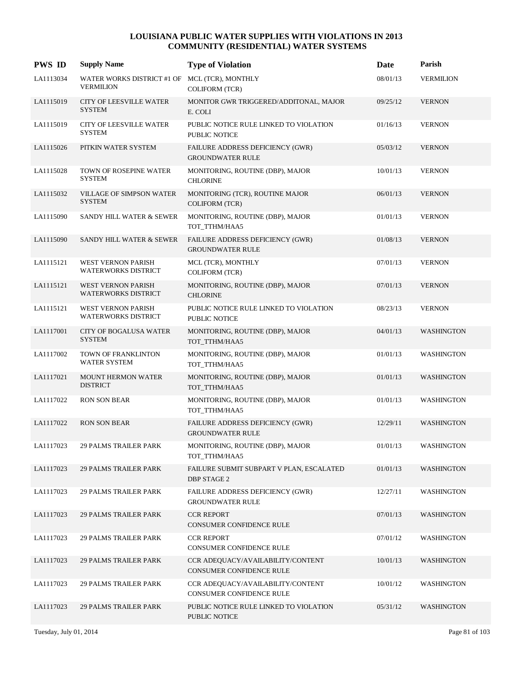| <b>PWS ID</b> | <b>Supply Name</b>                                                | <b>Type of Violation</b>                                       | Date     | Parish            |
|---------------|-------------------------------------------------------------------|----------------------------------------------------------------|----------|-------------------|
| LA1113034     | WATER WORKS DISTRICT #1 OF MCL (TCR), MONTHLY<br><b>VERMILION</b> | <b>COLIFORM (TCR)</b>                                          | 08/01/13 | <b>VERMILION</b>  |
| LA1115019     | <b>CITY OF LEESVILLE WATER</b><br><b>SYSTEM</b>                   | MONITOR GWR TRIGGERED/ADDITONAL, MAJOR<br>E. COLI              | 09/25/12 | <b>VERNON</b>     |
| LA1115019     | <b>CITY OF LEESVILLE WATER</b><br><b>SYSTEM</b>                   | PUBLIC NOTICE RULE LINKED TO VIOLATION<br>PUBLIC NOTICE        | 01/16/13 | <b>VERNON</b>     |
| LA1115026     | PITKIN WATER SYSTEM                                               | FAILURE ADDRESS DEFICIENCY (GWR)<br><b>GROUNDWATER RULE</b>    | 05/03/12 | <b>VERNON</b>     |
| LA1115028     | TOWN OF ROSEPINE WATER<br><b>SYSTEM</b>                           | MONITORING, ROUTINE (DBP), MAJOR<br><b>CHLORINE</b>            | 10/01/13 | <b>VERNON</b>     |
| LA1115032     | <b>VILLAGE OF SIMPSON WATER</b><br><b>SYSTEM</b>                  | MONITORING (TCR), ROUTINE MAJOR<br><b>COLIFORM (TCR)</b>       | 06/01/13 | <b>VERNON</b>     |
| LA1115090     | SANDY HILL WATER & SEWER                                          | MONITORING, ROUTINE (DBP), MAJOR<br>TOT TTHM/HAA5              | 01/01/13 | <b>VERNON</b>     |
| LA1115090     | <b>SANDY HILL WATER &amp; SEWER</b>                               | FAILURE ADDRESS DEFICIENCY (GWR)<br><b>GROUNDWATER RULE</b>    | 01/08/13 | <b>VERNON</b>     |
| LA1115121     | WEST VERNON PARISH<br><b>WATERWORKS DISTRICT</b>                  | MCL (TCR), MONTHLY<br><b>COLIFORM (TCR)</b>                    | 07/01/13 | <b>VERNON</b>     |
| LA1115121     | <b>WEST VERNON PARISH</b><br><b>WATERWORKS DISTRICT</b>           | MONITORING, ROUTINE (DBP), MAJOR<br><b>CHLORINE</b>            | 07/01/13 | <b>VERNON</b>     |
| LA1115121     | WEST VERNON PARISH<br><b>WATERWORKS DISTRICT</b>                  | PUBLIC NOTICE RULE LINKED TO VIOLATION<br>PUBLIC NOTICE        | 08/23/13 | <b>VERNON</b>     |
| LA1117001     | <b>CITY OF BOGALUSA WATER</b><br><b>SYSTEM</b>                    | MONITORING, ROUTINE (DBP), MAJOR<br>TOT_TTHM/HAA5              | 04/01/13 | <b>WASHINGTON</b> |
| LA1117002     | TOWN OF FRANKLINTON<br>WATER SYSTEM                               | MONITORING, ROUTINE (DBP), MAJOR<br>TOT_TTHM/HAA5              | 01/01/13 | <b>WASHINGTON</b> |
| LA1117021     | <b>MOUNT HERMON WATER</b><br><b>DISTRICT</b>                      | MONITORING, ROUTINE (DBP), MAJOR<br>TOT TTHM/HAA5              | 01/01/13 | <b>WASHINGTON</b> |
| LA1117022     | <b>RON SON BEAR</b>                                               | MONITORING, ROUTINE (DBP), MAJOR<br>TOT_TTHM/HAA5              | 01/01/13 | <b>WASHINGTON</b> |
| LA1117022     | <b>RON SON BEAR</b>                                               | FAILURE ADDRESS DEFICIENCY (GWR)<br><b>GROUNDWATER RULE</b>    | 12/29/11 | <b>WASHINGTON</b> |
| LA1117023     | <b>29 PALMS TRAILER PARK</b>                                      | MONITORING, ROUTINE (DBP), MAJOR<br>TOT_TTHM/HAA5              | 01/01/13 | <b>WASHINGTON</b> |
| LA1117023     | <b>29 PALMS TRAILER PARK</b>                                      | FAILURE SUBMIT SUBPART V PLAN, ESCALATED<br><b>DBP STAGE 2</b> | 01/01/13 | <b>WASHINGTON</b> |
| LA1117023     | <b>29 PALMS TRAILER PARK</b>                                      | FAILURE ADDRESS DEFICIENCY (GWR)<br><b>GROUNDWATER RULE</b>    | 12/27/11 | <b>WASHINGTON</b> |
| LA1117023     | <b>29 PALMS TRAILER PARK</b>                                      | <b>CCR REPORT</b><br>CONSUMER CONFIDENCE RULE                  | 07/01/13 | <b>WASHINGTON</b> |
| LA1117023     | <b>29 PALMS TRAILER PARK</b>                                      | <b>CCR REPORT</b><br>CONSUMER CONFIDENCE RULE                  | 07/01/12 | <b>WASHINGTON</b> |
| LA1117023     | <b>29 PALMS TRAILER PARK</b>                                      | CCR ADEQUACY/AVAILABILITY/CONTENT<br>CONSUMER CONFIDENCE RULE  | 10/01/13 | <b>WASHINGTON</b> |
| LA1117023     | <b>29 PALMS TRAILER PARK</b>                                      | CCR ADEQUACY/AVAILABILITY/CONTENT<br>CONSUMER CONFIDENCE RULE  | 10/01/12 | <b>WASHINGTON</b> |
| LA1117023     | <b>29 PALMS TRAILER PARK</b>                                      | PUBLIC NOTICE RULE LINKED TO VIOLATION<br>PUBLIC NOTICE        | 05/31/12 | <b>WASHINGTON</b> |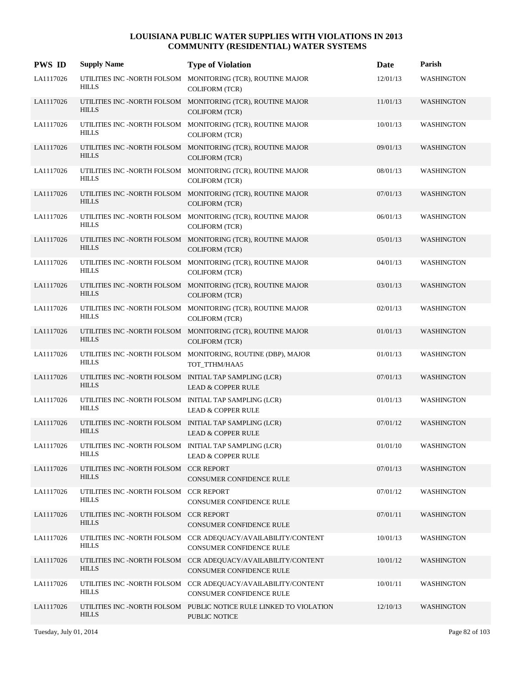| <b>PWS ID</b> | <b>Supply Name</b>                                                     | <b>Type of Violation</b>                                                                  | Date     | Parish            |
|---------------|------------------------------------------------------------------------|-------------------------------------------------------------------------------------------|----------|-------------------|
| LA1117026     | <b>HILLS</b>                                                           | UTILITIES INC -NORTH FOLSOM MONITORING (TCR), ROUTINE MAJOR<br><b>COLIFORM (TCR)</b>      | 12/01/13 | WASHINGTON        |
| LA1117026     | <b>HILLS</b>                                                           | UTILITIES INC -NORTH FOLSOM MONITORING (TCR), ROUTINE MAJOR<br><b>COLIFORM (TCR)</b>      | 11/01/13 | <b>WASHINGTON</b> |
| LA1117026     | <b>HILLS</b>                                                           | UTILITIES INC -NORTH FOLSOM MONITORING (TCR), ROUTINE MAJOR<br><b>COLIFORM (TCR)</b>      | 10/01/13 | <b>WASHINGTON</b> |
| LA1117026     | <b>HILLS</b>                                                           | UTILITIES INC -NORTH FOLSOM MONITORING (TCR), ROUTINE MAJOR<br><b>COLIFORM</b> (TCR)      | 09/01/13 | <b>WASHINGTON</b> |
| LA1117026     | <b>HILLS</b>                                                           | UTILITIES INC -NORTH FOLSOM MONITORING (TCR), ROUTINE MAJOR<br><b>COLIFORM (TCR)</b>      | 08/01/13 | <b>WASHINGTON</b> |
| LA1117026     | <b>HILLS</b>                                                           | UTILITIES INC -NORTH FOLSOM MONITORING (TCR), ROUTINE MAJOR<br><b>COLIFORM</b> (TCR)      | 07/01/13 | <b>WASHINGTON</b> |
| LA1117026     | <b>HILLS</b>                                                           | UTILITIES INC -NORTH FOLSOM MONITORING (TCR), ROUTINE MAJOR<br><b>COLIFORM (TCR)</b>      | 06/01/13 | <b>WASHINGTON</b> |
| LA1117026     | <b>HILLS</b>                                                           | UTILITIES INC -NORTH FOLSOM MONITORING (TCR), ROUTINE MAJOR<br><b>COLIFORM</b> (TCR)      | 05/01/13 | <b>WASHINGTON</b> |
| LA1117026     | <b>HILLS</b>                                                           | UTILITIES INC -NORTH FOLSOM MONITORING (TCR), ROUTINE MAJOR<br><b>COLIFORM (TCR)</b>      | 04/01/13 | <b>WASHINGTON</b> |
| LA1117026     | <b>HILLS</b>                                                           | UTILITIES INC -NORTH FOLSOM MONITORING (TCR), ROUTINE MAJOR<br><b>COLIFORM (TCR)</b>      | 03/01/13 | <b>WASHINGTON</b> |
| LA1117026     | <b>HILLS</b>                                                           | UTILITIES INC -NORTH FOLSOM MONITORING (TCR), ROUTINE MAJOR<br><b>COLIFORM (TCR)</b>      | 02/01/13 | <b>WASHINGTON</b> |
| LA1117026     | <b>HILLS</b>                                                           | UTILITIES INC -NORTH FOLSOM MONITORING (TCR), ROUTINE MAJOR<br><b>COLIFORM (TCR)</b>      | 01/01/13 | <b>WASHINGTON</b> |
| LA1117026     | <b>HILLS</b>                                                           | UTILITIES INC -NORTH FOLSOM MONITORING, ROUTINE (DBP), MAJOR<br>TOT_TTHM/HAA5             | 01/01/13 | <b>WASHINGTON</b> |
| LA1117026     | UTILITIES INC -NORTH FOLSOM INITIAL TAP SAMPLING (LCR)<br><b>HILLS</b> | <b>LEAD &amp; COPPER RULE</b>                                                             | 07/01/13 | <b>WASHINGTON</b> |
| LA1117026     | UTILITIES INC -NORTH FOLSOM INITIAL TAP SAMPLING (LCR)<br><b>HILLS</b> | <b>LEAD &amp; COPPER RULE</b>                                                             | 01/01/13 | <b>WASHINGTON</b> |
| LA1117026     | UTILITIES INC -NORTH FOLSOM INITIAL TAP SAMPLING (LCR)<br><b>HILLS</b> | <b>LEAD &amp; COPPER RULE</b>                                                             | 07/01/12 | <b>WASHINGTON</b> |
| LA1117026     | UTILITIES INC -NORTH FOLSOM INITIAL TAP SAMPLING (LCR)<br><b>HILLS</b> | LEAD & COPPER RULE                                                                        | 01/01/10 | <b>WASHINGTON</b> |
| LA1117026     | UTILITIES INC -NORTH FOLSOM CCR REPORT<br><b>HILLS</b>                 | CONSUMER CONFIDENCE RULE                                                                  | 07/01/13 | <b>WASHINGTON</b> |
| LA1117026     | UTILITIES INC -NORTH FOLSOM CCR REPORT<br><b>HILLS</b>                 | CONSUMER CONFIDENCE RULE                                                                  | 07/01/12 | <b>WASHINGTON</b> |
| LA1117026     | UTILITIES INC -NORTH FOLSOM CCR REPORT<br><b>HILLS</b>                 | CONSUMER CONFIDENCE RULE                                                                  | 07/01/11 | <b>WASHINGTON</b> |
| LA1117026     | <b>HILLS</b>                                                           | UTILITIES INC -NORTH FOLSOM CCR ADEQUACY/AVAILABILITY/CONTENT<br>CONSUMER CONFIDENCE RULE | 10/01/13 | <b>WASHINGTON</b> |
| LA1117026     | <b>HILLS</b>                                                           | UTILITIES INC -NORTH FOLSOM CCR ADEQUACY/AVAILABILITY/CONTENT<br>CONSUMER CONFIDENCE RULE | 10/01/12 | <b>WASHINGTON</b> |
| LA1117026     | <b>HILLS</b>                                                           | UTILITIES INC -NORTH FOLSOM CCR ADEQUACY/AVAILABILITY/CONTENT<br>CONSUMER CONFIDENCE RULE | 10/01/11 | <b>WASHINGTON</b> |
| LA1117026     | <b>HILLS</b>                                                           | UTILITIES INC -NORTH FOLSOM PUBLIC NOTICE RULE LINKED TO VIOLATION<br>PUBLIC NOTICE       | 12/10/13 | <b>WASHINGTON</b> |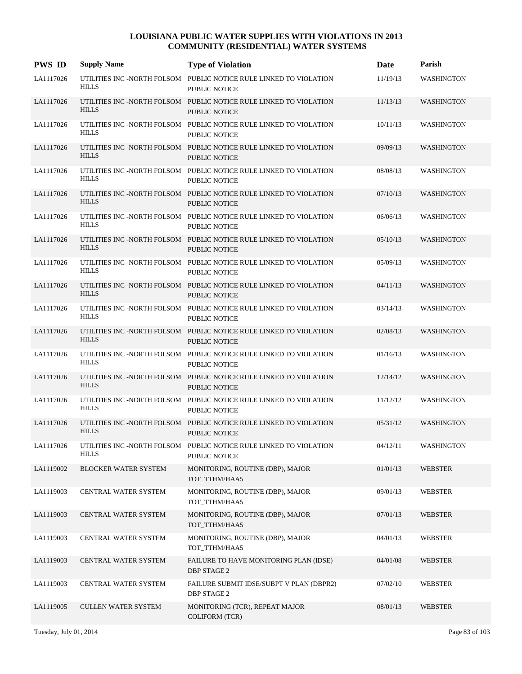| <b>PWS ID</b> | <b>Supply Name</b>          | <b>Type of Violation</b>                                                                   | Date     | Parish            |
|---------------|-----------------------------|--------------------------------------------------------------------------------------------|----------|-------------------|
| LA1117026     | <b>HILLS</b>                | UTILITIES INC -NORTH FOLSOM PUBLIC NOTICE RULE LINKED TO VIOLATION<br>PUBLIC NOTICE        | 11/19/13 | <b>WASHINGTON</b> |
| LA1117026     | <b>HILLS</b>                | UTILITIES INC -NORTH FOLSOM PUBLIC NOTICE RULE LINKED TO VIOLATION<br>PUBLIC NOTICE        | 11/13/13 | <b>WASHINGTON</b> |
| LA1117026     | <b>HILLS</b>                | UTILITIES INC -NORTH FOLSOM PUBLIC NOTICE RULE LINKED TO VIOLATION<br><b>PUBLIC NOTICE</b> | 10/11/13 | <b>WASHINGTON</b> |
| LA1117026     | <b>HILLS</b>                | UTILITIES INC -NORTH FOLSOM PUBLIC NOTICE RULE LINKED TO VIOLATION<br><b>PUBLIC NOTICE</b> | 09/09/13 | <b>WASHINGTON</b> |
| LA1117026     | <b>HILLS</b>                | UTILITIES INC -NORTH FOLSOM PUBLIC NOTICE RULE LINKED TO VIOLATION<br>PUBLIC NOTICE        | 08/08/13 | <b>WASHINGTON</b> |
| LA1117026     | <b>HILLS</b>                | UTILITIES INC -NORTH FOLSOM PUBLIC NOTICE RULE LINKED TO VIOLATION<br><b>PUBLIC NOTICE</b> | 07/10/13 | <b>WASHINGTON</b> |
| LA1117026     | <b>HILLS</b>                | UTILITIES INC -NORTH FOLSOM PUBLIC NOTICE RULE LINKED TO VIOLATION<br>PUBLIC NOTICE        | 06/06/13 | <b>WASHINGTON</b> |
| LA1117026     | <b>HILLS</b>                | UTILITIES INC -NORTH FOLSOM PUBLIC NOTICE RULE LINKED TO VIOLATION<br><b>PUBLIC NOTICE</b> | 05/10/13 | <b>WASHINGTON</b> |
| LA1117026     | <b>HILLS</b>                | UTILITIES INC -NORTH FOLSOM PUBLIC NOTICE RULE LINKED TO VIOLATION<br><b>PUBLIC NOTICE</b> | 05/09/13 | <b>WASHINGTON</b> |
| LA1117026     | <b>HILLS</b>                | UTILITIES INC -NORTH FOLSOM PUBLIC NOTICE RULE LINKED TO VIOLATION<br><b>PUBLIC NOTICE</b> | 04/11/13 | <b>WASHINGTON</b> |
| LA1117026     | <b>HILLS</b>                | UTILITIES INC -NORTH FOLSOM PUBLIC NOTICE RULE LINKED TO VIOLATION<br><b>PUBLIC NOTICE</b> | 03/14/13 | <b>WASHINGTON</b> |
| LA1117026     | <b>HILLS</b>                | UTILITIES INC -NORTH FOLSOM PUBLIC NOTICE RULE LINKED TO VIOLATION<br><b>PUBLIC NOTICE</b> | 02/08/13 | <b>WASHINGTON</b> |
| LA1117026     | <b>HILLS</b>                | UTILITIES INC -NORTH FOLSOM PUBLIC NOTICE RULE LINKED TO VIOLATION<br><b>PUBLIC NOTICE</b> | 01/16/13 | <b>WASHINGTON</b> |
| LA1117026     | <b>HILLS</b>                | UTILITIES INC -NORTH FOLSOM PUBLIC NOTICE RULE LINKED TO VIOLATION<br><b>PUBLIC NOTICE</b> | 12/14/12 | <b>WASHINGTON</b> |
| LA1117026     | <b>HILLS</b>                | UTILITIES INC -NORTH FOLSOM PUBLIC NOTICE RULE LINKED TO VIOLATION<br><b>PUBLIC NOTICE</b> | 11/12/12 | <b>WASHINGTON</b> |
| LA1117026     | <b>HILLS</b>                | UTILITIES INC -NORTH FOLSOM PUBLIC NOTICE RULE LINKED TO VIOLATION<br>PUBLIC NOTICE        | 05/31/12 | <b>WASHINGTON</b> |
| LA1117026     | <b>HILLS</b>                | UTILITIES INC -NORTH FOLSOM PUBLIC NOTICE RULE LINKED TO VIOLATION<br>PUBLIC NOTICE        | 04/12/11 | <b>WASHINGTON</b> |
| LA1119002     | <b>BLOCKER WATER SYSTEM</b> | MONITORING, ROUTINE (DBP), MAJOR<br>TOT_TTHM/HAA5                                          | 01/01/13 | <b>WEBSTER</b>    |
| LA1119003     | CENTRAL WATER SYSTEM        | MONITORING, ROUTINE (DBP), MAJOR<br>TOT_TTHM/HAA5                                          | 09/01/13 | <b>WEBSTER</b>    |
| LA1119003     | CENTRAL WATER SYSTEM        | MONITORING, ROUTINE (DBP), MAJOR<br>TOT_TTHM/HAA5                                          | 07/01/13 | <b>WEBSTER</b>    |
| LA1119003     | CENTRAL WATER SYSTEM        | MONITORING, ROUTINE (DBP), MAJOR<br>TOT_TTHM/HAA5                                          | 04/01/13 | WEBSTER           |
| LA1119003     | CENTRAL WATER SYSTEM        | FAILURE TO HAVE MONITORING PLAN (IDSE)<br>DBP STAGE 2                                      | 04/01/08 | <b>WEBSTER</b>    |
| LA1119003     | CENTRAL WATER SYSTEM        | FAILURE SUBMIT IDSE/SUBPT V PLAN (DBPR2)<br><b>DBP STAGE 2</b>                             | 07/02/10 | WEBSTER           |
| LA1119005     | <b>CULLEN WATER SYSTEM</b>  | MONITORING (TCR), REPEAT MAJOR<br>COLIFORM (TCR)                                           | 08/01/13 | <b>WEBSTER</b>    |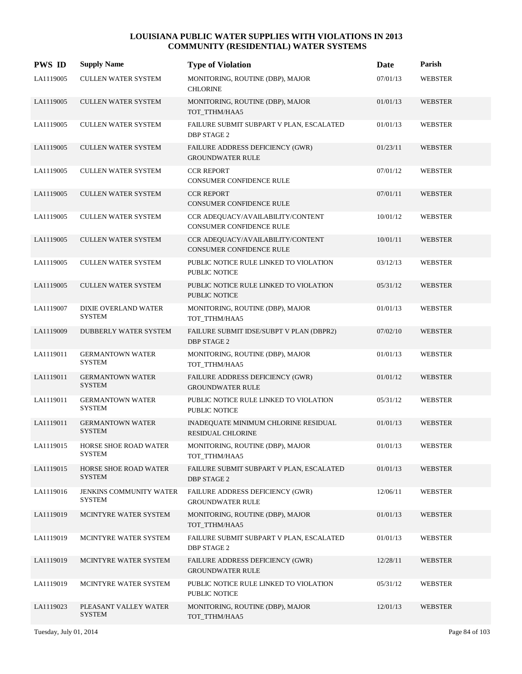| <b>PWS ID</b> | <b>Supply Name</b>                              | <b>Type of Violation</b>                                             | Date     | Parish         |
|---------------|-------------------------------------------------|----------------------------------------------------------------------|----------|----------------|
| LA1119005     | <b>CULLEN WATER SYSTEM</b>                      | MONITORING, ROUTINE (DBP), MAJOR<br><b>CHLORINE</b>                  | 07/01/13 | <b>WEBSTER</b> |
| LA1119005     | <b>CULLEN WATER SYSTEM</b>                      | MONITORING, ROUTINE (DBP), MAJOR<br>TOT_TTHM/HAA5                    | 01/01/13 | WEBSTER        |
| LA1119005     | <b>CULLEN WATER SYSTEM</b>                      | FAILURE SUBMIT SUBPART V PLAN, ESCALATED<br><b>DBP STAGE 2</b>       | 01/01/13 | <b>WEBSTER</b> |
| LA1119005     | <b>CULLEN WATER SYSTEM</b>                      | FAILURE ADDRESS DEFICIENCY (GWR)<br><b>GROUNDWATER RULE</b>          | 01/23/11 | WEBSTER        |
| LA1119005     | <b>CULLEN WATER SYSTEM</b>                      | <b>CCR REPORT</b><br><b>CONSUMER CONFIDENCE RULE</b>                 | 07/01/12 | <b>WEBSTER</b> |
| LA1119005     | <b>CULLEN WATER SYSTEM</b>                      | <b>CCR REPORT</b><br>CONSUMER CONFIDENCE RULE                        | 07/01/11 | WEBSTER        |
| LA1119005     | <b>CULLEN WATER SYSTEM</b>                      | CCR ADEQUACY/AVAILABILITY/CONTENT<br><b>CONSUMER CONFIDENCE RULE</b> | 10/01/12 | WEBSTER        |
| LA1119005     | <b>CULLEN WATER SYSTEM</b>                      | CCR ADEQUACY/AVAILABILITY/CONTENT<br><b>CONSUMER CONFIDENCE RULE</b> | 10/01/11 | WEBSTER        |
| LA1119005     | <b>CULLEN WATER SYSTEM</b>                      | PUBLIC NOTICE RULE LINKED TO VIOLATION<br>PUBLIC NOTICE              | 03/12/13 | <b>WEBSTER</b> |
| LA1119005     | <b>CULLEN WATER SYSTEM</b>                      | PUBLIC NOTICE RULE LINKED TO VIOLATION<br><b>PUBLIC NOTICE</b>       | 05/31/12 | <b>WEBSTER</b> |
| LA1119007     | DIXIE OVERLAND WATER<br><b>SYSTEM</b>           | MONITORING, ROUTINE (DBP), MAJOR<br>TOT_TTHM/HAA5                    | 01/01/13 | <b>WEBSTER</b> |
| LA1119009     | DUBBERLY WATER SYSTEM                           | FAILURE SUBMIT IDSE/SUBPT V PLAN (DBPR2)<br><b>DBP STAGE 2</b>       | 07/02/10 | WEBSTER        |
| LA1119011     | <b>GERMANTOWN WATER</b><br><b>SYSTEM</b>        | MONITORING, ROUTINE (DBP), MAJOR<br>TOT_TTHM/HAA5                    | 01/01/13 | <b>WEBSTER</b> |
| LA1119011     | <b>GERMANTOWN WATER</b><br><b>SYSTEM</b>        | FAILURE ADDRESS DEFICIENCY (GWR)<br><b>GROUNDWATER RULE</b>          | 01/01/12 | <b>WEBSTER</b> |
| LA1119011     | <b>GERMANTOWN WATER</b><br><b>SYSTEM</b>        | PUBLIC NOTICE RULE LINKED TO VIOLATION<br>PUBLIC NOTICE              | 05/31/12 | <b>WEBSTER</b> |
| LA1119011     | <b>GERMANTOWN WATER</b><br><b>SYSTEM</b>        | INADEQUATE MINIMUM CHLORINE RESIDUAL<br><b>RESIDUAL CHLORINE</b>     | 01/01/13 | WEBSTER        |
| LA1119015     | HORSE SHOE ROAD WATER<br>SYSTEM                 | MONITORING, ROUTINE (DBP), MAJOR<br>TOT_TTHM/HAA5                    | 01/01/13 | WEBSTER        |
| LA1119015     | HORSE SHOE ROAD WATER<br><b>SYSTEM</b>          | FAILURE SUBMIT SUBPART V PLAN, ESCALATED<br><b>DBP STAGE 2</b>       | 01/01/13 | WEBSTER        |
| LA1119016     | <b>JENKINS COMMUNITY WATER</b><br><b>SYSTEM</b> | FAILURE ADDRESS DEFICIENCY (GWR)<br><b>GROUNDWATER RULE</b>          | 12/06/11 | <b>WEBSTER</b> |
| LA1119019     | MCINTYRE WATER SYSTEM                           | MONITORING, ROUTINE (DBP), MAJOR<br>TOT_TTHM/HAA5                    | 01/01/13 | WEBSTER        |
| LA1119019     | MCINTYRE WATER SYSTEM                           | FAILURE SUBMIT SUBPART V PLAN, ESCALATED<br><b>DBP STAGE 2</b>       | 01/01/13 | WEBSTER        |
| LA1119019     | MCINTYRE WATER SYSTEM                           | FAILURE ADDRESS DEFICIENCY (GWR)<br><b>GROUNDWATER RULE</b>          | 12/28/11 | WEBSTER        |
| LA1119019     | MCINTYRE WATER SYSTEM                           | PUBLIC NOTICE RULE LINKED TO VIOLATION<br>PUBLIC NOTICE              | 05/31/12 | WEBSTER        |
| LA1119023     | PLEASANT VALLEY WATER<br><b>SYSTEM</b>          | MONITORING, ROUTINE (DBP), MAJOR<br>TOT_TTHM/HAA5                    | 12/01/13 | WEBSTER        |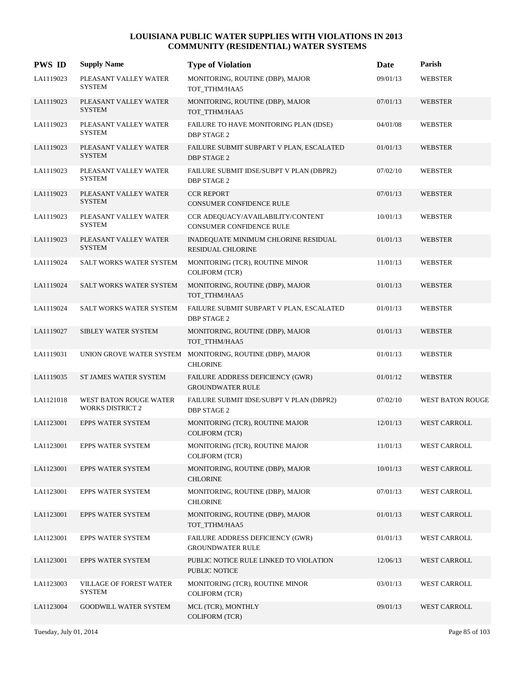| <b>PWS ID</b> | <b>Supply Name</b>                                | <b>Type of Violation</b>                                                     | Date     | Parish                  |
|---------------|---------------------------------------------------|------------------------------------------------------------------------------|----------|-------------------------|
| LA1119023     | PLEASANT VALLEY WATER<br><b>SYSTEM</b>            | MONITORING, ROUTINE (DBP), MAJOR<br>TOT_TTHM/HAA5                            | 09/01/13 | <b>WEBSTER</b>          |
| LA1119023     | PLEASANT VALLEY WATER<br><b>SYSTEM</b>            | MONITORING, ROUTINE (DBP), MAJOR<br>TOT_TTHM/HAA5                            | 07/01/13 | WEBSTER                 |
| LA1119023     | PLEASANT VALLEY WATER<br><b>SYSTEM</b>            | FAILURE TO HAVE MONITORING PLAN (IDSE)<br><b>DBP STAGE 2</b>                 | 04/01/08 | <b>WEBSTER</b>          |
| LA1119023     | PLEASANT VALLEY WATER<br><b>SYSTEM</b>            | FAILURE SUBMIT SUBPART V PLAN, ESCALATED<br><b>DBP STAGE 2</b>               | 01/01/13 | WEBSTER                 |
| LA1119023     | PLEASANT VALLEY WATER<br><b>SYSTEM</b>            | FAILURE SUBMIT IDSE/SUBPT V PLAN (DBPR2)<br><b>DBP STAGE 2</b>               | 07/02/10 | <b>WEBSTER</b>          |
| LA1119023     | PLEASANT VALLEY WATER<br><b>SYSTEM</b>            | <b>CCR REPORT</b><br>CONSUMER CONFIDENCE RULE                                | 07/01/13 | WEBSTER                 |
| LA1119023     | PLEASANT VALLEY WATER<br><b>SYSTEM</b>            | CCR ADEQUACY/AVAILABILITY/CONTENT<br><b>CONSUMER CONFIDENCE RULE</b>         | 10/01/13 | WEBSTER                 |
| LA1119023     | PLEASANT VALLEY WATER<br><b>SYSTEM</b>            | INADEQUATE MINIMUM CHLORINE RESIDUAL<br><b>RESIDUAL CHLORINE</b>             | 01/01/13 | WEBSTER                 |
| LA1119024     | SALT WORKS WATER SYSTEM                           | MONITORING (TCR), ROUTINE MINOR<br><b>COLIFORM (TCR)</b>                     | 11/01/13 | <b>WEBSTER</b>          |
| LA1119024     | <b>SALT WORKS WATER SYSTEM</b>                    | MONITORING, ROUTINE (DBP), MAJOR<br>TOT_TTHM/HAA5                            | 01/01/13 | <b>WEBSTER</b>          |
| LA1119024     | SALT WORKS WATER SYSTEM                           | FAILURE SUBMIT SUBPART V PLAN, ESCALATED<br><b>DBP STAGE 2</b>               | 01/01/13 | <b>WEBSTER</b>          |
| LA1119027     | SIBLEY WATER SYSTEM                               | MONITORING, ROUTINE (DBP), MAJOR<br>TOT_TTHM/HAA5                            | 01/01/13 | WEBSTER                 |
| LA1119031     |                                                   | UNION GROVE WATER SYSTEM MONITORING, ROUTINE (DBP), MAJOR<br><b>CHLORINE</b> | 01/01/13 | WEBSTER                 |
| LA1119035     | ST JAMES WATER SYSTEM                             | FAILURE ADDRESS DEFICIENCY (GWR)<br><b>GROUNDWATER RULE</b>                  | 01/01/12 | <b>WEBSTER</b>          |
| LA1121018     | WEST BATON ROUGE WATER<br><b>WORKS DISTRICT 2</b> | FAILURE SUBMIT IDSE/SUBPT V PLAN (DBPR2)<br><b>DBP STAGE 2</b>               | 07/02/10 | <b>WEST BATON ROUGE</b> |
| LA1123001     | <b>EPPS WATER SYSTEM</b>                          | MONITORING (TCR), ROUTINE MAJOR<br><b>COLIFORM (TCR)</b>                     | 12/01/13 | <b>WEST CARROLL</b>     |
| LA1123001     | EPPS WATER SYSTEM                                 | MONITORING (TCR), ROUTINE MAJOR<br>COLIFORM (TCR)                            | 11/01/13 | WEST CARROLL            |
| LA1123001     | <b>EPPS WATER SYSTEM</b>                          | MONITORING, ROUTINE (DBP), MAJOR<br><b>CHLORINE</b>                          | 10/01/13 | WEST CARROLL            |
| LA1123001     | <b>EPPS WATER SYSTEM</b>                          | MONITORING, ROUTINE (DBP), MAJOR<br><b>CHLORINE</b>                          | 07/01/13 | WEST CARROLL            |
| LA1123001     | EPPS WATER SYSTEM                                 | MONITORING, ROUTINE (DBP), MAJOR<br>TOT_TTHM/HAA5                            | 01/01/13 | WEST CARROLL            |
| LA1123001     | EPPS WATER SYSTEM                                 | FAILURE ADDRESS DEFICIENCY (GWR)<br><b>GROUNDWATER RULE</b>                  | 01/01/13 | WEST CARROLL            |
| LA1123001     | EPPS WATER SYSTEM                                 | PUBLIC NOTICE RULE LINKED TO VIOLATION<br><b>PUBLIC NOTICE</b>               | 12/06/13 | WEST CARROLL            |
| LA1123003     | VILLAGE OF FOREST WATER<br><b>SYSTEM</b>          | MONITORING (TCR), ROUTINE MINOR<br><b>COLIFORM (TCR)</b>                     | 03/01/13 | WEST CARROLL            |
| LA1123004     | <b>GOODWILL WATER SYSTEM</b>                      | MCL (TCR), MONTHLY<br>COLIFORM (TCR)                                         | 09/01/13 | WEST CARROLL            |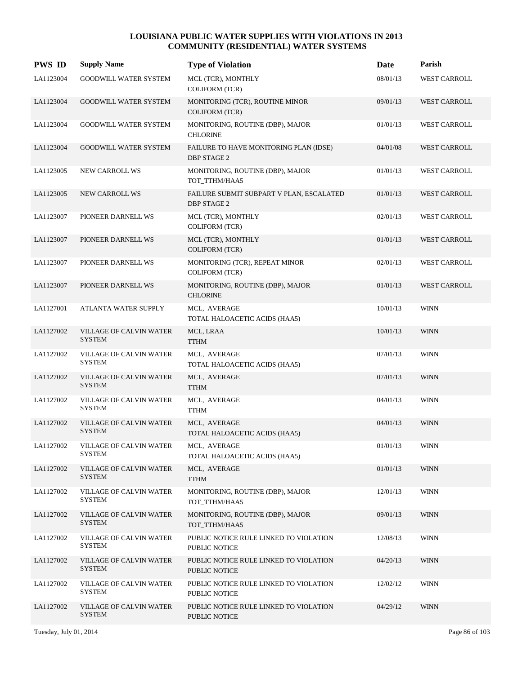| <b>PWS ID</b> | <b>Supply Name</b>                              | <b>Type of Violation</b>                                       | Date     | Parish              |
|---------------|-------------------------------------------------|----------------------------------------------------------------|----------|---------------------|
| LA1123004     | <b>GOODWILL WATER SYSTEM</b>                    | MCL (TCR), MONTHLY<br><b>COLIFORM (TCR)</b>                    | 08/01/13 | WEST CARROLL        |
| LA1123004     | <b>GOODWILL WATER SYSTEM</b>                    | MONITORING (TCR), ROUTINE MINOR<br><b>COLIFORM (TCR)</b>       | 09/01/13 | WEST CARROLL        |
| LA1123004     | <b>GOODWILL WATER SYSTEM</b>                    | MONITORING, ROUTINE (DBP), MAJOR<br><b>CHLORINE</b>            | 01/01/13 | <b>WEST CARROLL</b> |
| LA1123004     | <b>GOODWILL WATER SYSTEM</b>                    | FAILURE TO HAVE MONITORING PLAN (IDSE)<br><b>DBP STAGE 2</b>   | 04/01/08 | WEST CARROLL        |
| LA1123005     | <b>NEW CARROLL WS</b>                           | MONITORING, ROUTINE (DBP), MAJOR<br>TOT_TTHM/HAA5              | 01/01/13 | <b>WEST CARROLL</b> |
| LA1123005     | NEW CARROLL WS                                  | FAILURE SUBMIT SUBPART V PLAN, ESCALATED<br><b>DBP STAGE 2</b> | 01/01/13 | WEST CARROLL        |
| LA1123007     | PIONEER DARNELL WS                              | MCL (TCR), MONTHLY<br><b>COLIFORM (TCR)</b>                    | 02/01/13 | <b>WEST CARROLL</b> |
| LA1123007     | PIONEER DARNELL WS                              | MCL (TCR), MONTHLY<br><b>COLIFORM (TCR)</b>                    | 01/01/13 | <b>WEST CARROLL</b> |
| LA1123007     | PIONEER DARNELL WS                              | MONITORING (TCR), REPEAT MINOR<br><b>COLIFORM (TCR)</b>        | 02/01/13 | <b>WEST CARROLL</b> |
| LA1123007     | PIONEER DARNELL WS                              | MONITORING, ROUTINE (DBP), MAJOR<br><b>CHLORINE</b>            | 01/01/13 | <b>WEST CARROLL</b> |
| LA1127001     | ATLANTA WATER SUPPLY                            | MCL, AVERAGE<br>TOTAL HALOACETIC ACIDS (HAA5)                  | 10/01/13 | <b>WINN</b>         |
| LA1127002     | <b>VILLAGE OF CALVIN WATER</b><br><b>SYSTEM</b> | MCL, LRAA<br><b>TTHM</b>                                       | 10/01/13 | <b>WINN</b>         |
| LA1127002     | VILLAGE OF CALVIN WATER<br><b>SYSTEM</b>        | MCL, AVERAGE<br>TOTAL HALOACETIC ACIDS (HAA5)                  | 07/01/13 | <b>WINN</b>         |
| LA1127002     | VILLAGE OF CALVIN WATER<br><b>SYSTEM</b>        | MCL, AVERAGE<br><b>TTHM</b>                                    | 07/01/13 | <b>WINN</b>         |
| LA1127002     | VILLAGE OF CALVIN WATER<br><b>SYSTEM</b>        | MCL, AVERAGE<br><b>TTHM</b>                                    | 04/01/13 | <b>WINN</b>         |
| LA1127002     | <b>VILLAGE OF CALVIN WATER</b><br><b>SYSTEM</b> | MCL, AVERAGE<br>TOTAL HALOACETIC ACIDS (HAA5)                  | 04/01/13 | <b>WINN</b>         |
| LA1127002     | VILLAGE OF CALVIN WATER<br><b>SYSTEM</b>        | MCL, AVERAGE<br>TOTAL HALOACETIC ACIDS (HAA5)                  | 01/01/13 | <b>WINN</b>         |
| LA1127002     | <b>VILLAGE OF CALVIN WATER</b><br><b>SYSTEM</b> | MCL, AVERAGE<br><b>TTHM</b>                                    | 01/01/13 | <b>WINN</b>         |
| LA1127002     | <b>VILLAGE OF CALVIN WATER</b><br><b>SYSTEM</b> | MONITORING, ROUTINE (DBP), MAJOR<br>TOT_TTHM/HAA5              | 12/01/13 | <b>WINN</b>         |
| LA1127002     | VILLAGE OF CALVIN WATER<br><b>SYSTEM</b>        | MONITORING, ROUTINE (DBP), MAJOR<br>TOT_TTHM/HAA5              | 09/01/13 | <b>WINN</b>         |
| LA1127002     | VILLAGE OF CALVIN WATER<br><b>SYSTEM</b>        | PUBLIC NOTICE RULE LINKED TO VIOLATION<br>PUBLIC NOTICE        | 12/08/13 | <b>WINN</b>         |
| LA1127002     | VILLAGE OF CALVIN WATER<br><b>SYSTEM</b>        | PUBLIC NOTICE RULE LINKED TO VIOLATION<br>PUBLIC NOTICE        | 04/20/13 | <b>WINN</b>         |
| LA1127002     | <b>VILLAGE OF CALVIN WATER</b><br><b>SYSTEM</b> | PUBLIC NOTICE RULE LINKED TO VIOLATION<br>PUBLIC NOTICE        | 12/02/12 | <b>WINN</b>         |
| LA1127002     | VILLAGE OF CALVIN WATER<br><b>SYSTEM</b>        | PUBLIC NOTICE RULE LINKED TO VIOLATION<br>PUBLIC NOTICE        | 04/29/12 | <b>WINN</b>         |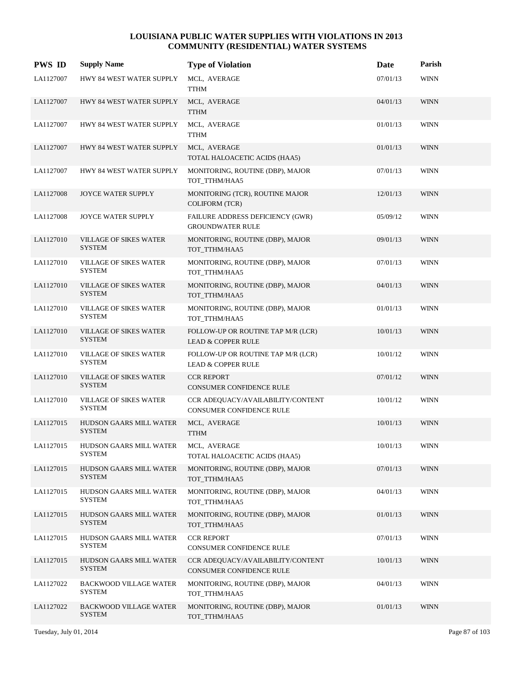| <b>PWS ID</b> | <b>Supply Name</b>                              | <b>Type of Violation</b>                                             | <b>Date</b> | Parish      |
|---------------|-------------------------------------------------|----------------------------------------------------------------------|-------------|-------------|
| LA1127007     | HWY 84 WEST WATER SUPPLY                        | MCL, AVERAGE<br><b>TTHM</b>                                          | 07/01/13    | <b>WINN</b> |
| LA1127007     | HWY 84 WEST WATER SUPPLY                        | MCL, AVERAGE<br><b>TTHM</b>                                          | 04/01/13    | <b>WINN</b> |
| LA1127007     | HWY 84 WEST WATER SUPPLY                        | MCL, AVERAGE<br><b>TTHM</b>                                          | 01/01/13    | <b>WINN</b> |
| LA1127007     | HWY 84 WEST WATER SUPPLY                        | MCL, AVERAGE<br>TOTAL HALOACETIC ACIDS (HAA5)                        | 01/01/13    | <b>WINN</b> |
| LA1127007     | HWY 84 WEST WATER SUPPLY                        | MONITORING, ROUTINE (DBP), MAJOR<br>TOT_TTHM/HAA5                    | 07/01/13    | <b>WINN</b> |
| LA1127008     | JOYCE WATER SUPPLY                              | MONITORING (TCR), ROUTINE MAJOR<br><b>COLIFORM (TCR)</b>             | 12/01/13    | <b>WINN</b> |
| LA1127008     | JOYCE WATER SUPPLY                              | FAILURE ADDRESS DEFICIENCY (GWR)<br><b>GROUNDWATER RULE</b>          | 05/09/12    | <b>WINN</b> |
| LA1127010     | <b>VILLAGE OF SIKES WATER</b><br><b>SYSTEM</b>  | MONITORING, ROUTINE (DBP), MAJOR<br>TOT_TTHM/HAA5                    | 09/01/13    | <b>WINN</b> |
| LA1127010     | VILLAGE OF SIKES WATER<br><b>SYSTEM</b>         | MONITORING, ROUTINE (DBP), MAJOR<br>TOT_TTHM/HAA5                    | 07/01/13    | <b>WINN</b> |
| LA1127010     | VILLAGE OF SIKES WATER<br><b>SYSTEM</b>         | MONITORING, ROUTINE (DBP), MAJOR<br>TOT_TTHM/HAA5                    | 04/01/13    | <b>WINN</b> |
| LA1127010     | <b>VILLAGE OF SIKES WATER</b><br><b>SYSTEM</b>  | MONITORING, ROUTINE (DBP), MAJOR<br>TOT_TTHM/HAA5                    | 01/01/13    | <b>WINN</b> |
| LA1127010     | <b>VILLAGE OF SIKES WATER</b><br><b>SYSTEM</b>  | FOLLOW-UP OR ROUTINE TAP M/R (LCR)<br><b>LEAD &amp; COPPER RULE</b>  | 10/01/13    | <b>WINN</b> |
| LA1127010     | VILLAGE OF SIKES WATER<br><b>SYSTEM</b>         | FOLLOW-UP OR ROUTINE TAP M/R (LCR)<br><b>LEAD &amp; COPPER RULE</b>  | 10/01/12    | <b>WINN</b> |
| LA1127010     | <b>VILLAGE OF SIKES WATER</b><br><b>SYSTEM</b>  | <b>CCR REPORT</b><br>CONSUMER CONFIDENCE RULE                        | 07/01/12    | <b>WINN</b> |
| LA1127010     | <b>VILLAGE OF SIKES WATER</b><br><b>SYSTEM</b>  | CCR ADEQUACY/AVAILABILITY/CONTENT<br><b>CONSUMER CONFIDENCE RULE</b> | 10/01/12    | <b>WINN</b> |
| LA1127015     | HUDSON GAARS MILL WATER<br><b>SYSTEM</b>        | MCL, AVERAGE<br><b>TTHM</b>                                          | 10/01/13    | <b>WINN</b> |
| LA1127015     | HUDSON GAARS MILL WATER<br><b>SYSTEM</b>        | MCL, AVERAGE<br>TOTAL HALOACETIC ACIDS (HAA5)                        | 10/01/13    | <b>WINN</b> |
| LA1127015     | HUDSON GAARS MILL WATER<br><b>SYSTEM</b>        | MONITORING, ROUTINE (DBP), MAJOR<br>TOT TTHM/HAA5                    | 07/01/13    | <b>WINN</b> |
| LA1127015     | <b>HUDSON GAARS MILL WATER</b><br><b>SYSTEM</b> | MONITORING, ROUTINE (DBP), MAJOR<br>TOT_TTHM/HAA5                    | 04/01/13    | <b>WINN</b> |
| LA1127015     | HUDSON GAARS MILL WATER<br><b>SYSTEM</b>        | MONITORING, ROUTINE (DBP), MAJOR<br>TOT TTHM/HAA5                    | 01/01/13    | <b>WINN</b> |
| LA1127015     | HUDSON GAARS MILL WATER<br><b>SYSTEM</b>        | <b>CCR REPORT</b><br>CONSUMER CONFIDENCE RULE                        | 07/01/13    | <b>WINN</b> |
| LA1127015     | HUDSON GAARS MILL WATER<br><b>SYSTEM</b>        | CCR ADEQUACY/AVAILABILITY/CONTENT<br>CONSUMER CONFIDENCE RULE        | 10/01/13    | <b>WINN</b> |
| LA1127022     | <b>BACKWOOD VILLAGE WATER</b><br>SYSTEM         | MONITORING, ROUTINE (DBP), MAJOR<br>TOT_TTHM/HAA5                    | 04/01/13    | <b>WINN</b> |
| LA1127022     | <b>BACKWOOD VILLAGE WATER</b><br><b>SYSTEM</b>  | MONITORING, ROUTINE (DBP), MAJOR<br>TOT_TTHM/HAA5                    | 01/01/13    | <b>WINN</b> |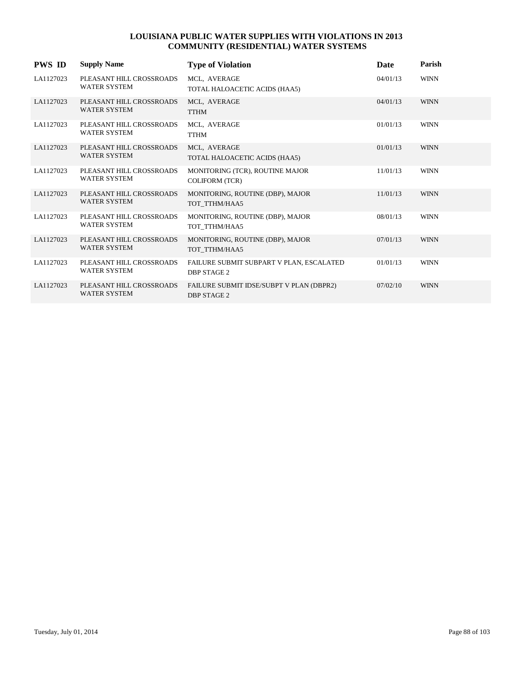| <b>PWS ID</b> | <b>Supply Name</b>                              | <b>Type of Violation</b>                                       | <b>Date</b> | Parish      |
|---------------|-------------------------------------------------|----------------------------------------------------------------|-------------|-------------|
| LA1127023     | PLEASANT HILL CROSSROADS<br><b>WATER SYSTEM</b> | MCL, AVERAGE<br>TOTAL HALOACETIC ACIDS (HAA5)                  | 04/01/13    | <b>WINN</b> |
| LA1127023     | PLEASANT HILL CROSSROADS<br><b>WATER SYSTEM</b> | MCL, AVERAGE<br><b>TTHM</b>                                    | 04/01/13    | <b>WINN</b> |
| LA1127023     | PLEASANT HILL CROSSROADS<br><b>WATER SYSTEM</b> | MCL, AVERAGE<br><b>TTHM</b>                                    | 01/01/13    | <b>WINN</b> |
| LA1127023     | PLEASANT HILL CROSSROADS<br><b>WATER SYSTEM</b> | MCL, AVERAGE<br>TOTAL HALOACETIC ACIDS (HAA5)                  | 01/01/13    | <b>WINN</b> |
| LA1127023     | PLEASANT HILL CROSSROADS<br><b>WATER SYSTEM</b> | MONITORING (TCR), ROUTINE MAJOR<br><b>COLIFORM (TCR)</b>       | 11/01/13    | <b>WINN</b> |
| LA1127023     | PLEASANT HILL CROSSROADS<br><b>WATER SYSTEM</b> | MONITORING, ROUTINE (DBP), MAJOR<br>TOT TTHM/HAA5              | 11/01/13    | <b>WINN</b> |
| LA1127023     | PLEASANT HILL CROSSROADS<br><b>WATER SYSTEM</b> | MONITORING, ROUTINE (DBP), MAJOR<br>TOT TTHM/HAA5              | 08/01/13    | <b>WINN</b> |
| LA1127023     | PLEASANT HILL CROSSROADS<br><b>WATER SYSTEM</b> | MONITORING, ROUTINE (DBP), MAJOR<br>TOT TTHM/HAA5              | 07/01/13    | <b>WINN</b> |
| LA1127023     | PLEASANT HILL CROSSROADS<br><b>WATER SYSTEM</b> | FAILURE SUBMIT SUBPART V PLAN, ESCALATED<br><b>DBP STAGE 2</b> | 01/01/13    | <b>WINN</b> |
| LA1127023     | PLEASANT HILL CROSSROADS<br><b>WATER SYSTEM</b> | FAILURE SUBMIT IDSE/SUBPT V PLAN (DBPR2)<br><b>DBP STAGE 2</b> | 07/02/10    | <b>WINN</b> |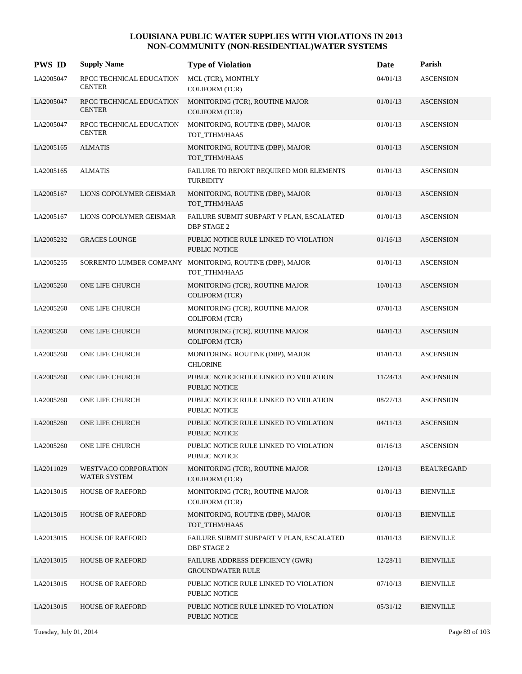| <b>PWS ID</b> | <b>Supply Name</b>                        | <b>Type of Violation</b>                                                  | Date     | Parish            |
|---------------|-------------------------------------------|---------------------------------------------------------------------------|----------|-------------------|
| LA2005047     | RPCC TECHNICAL EDUCATION<br><b>CENTER</b> | MCL (TCR), MONTHLY<br><b>COLIFORM (TCR)</b>                               | 04/01/13 | <b>ASCENSION</b>  |
| LA2005047     | RPCC TECHNICAL EDUCATION<br><b>CENTER</b> | MONITORING (TCR), ROUTINE MAJOR<br><b>COLIFORM (TCR)</b>                  | 01/01/13 | <b>ASCENSION</b>  |
| LA2005047     | RPCC TECHNICAL EDUCATION<br><b>CENTER</b> | MONITORING, ROUTINE (DBP), MAJOR<br>TOT_TTHM/HAA5                         | 01/01/13 | <b>ASCENSION</b>  |
| LA2005165     | <b>ALMATIS</b>                            | MONITORING, ROUTINE (DBP), MAJOR<br>TOT_TTHM/HAA5                         | 01/01/13 | <b>ASCENSION</b>  |
| LA2005165     | <b>ALMATIS</b>                            | FAILURE TO REPORT REQUIRED MOR ELEMENTS<br><b>TURBIDITY</b>               | 01/01/13 | <b>ASCENSION</b>  |
| LA2005167     | LIONS COPOLYMER GEISMAR                   | MONITORING, ROUTINE (DBP), MAJOR<br>TOT_TTHM/HAA5                         | 01/01/13 | <b>ASCENSION</b>  |
| LA2005167     | LIONS COPOLYMER GEISMAR                   | FAILURE SUBMIT SUBPART V PLAN, ESCALATED<br><b>DBP STAGE 2</b>            | 01/01/13 | <b>ASCENSION</b>  |
| LA2005232     | <b>GRACES LOUNGE</b>                      | PUBLIC NOTICE RULE LINKED TO VIOLATION<br>PUBLIC NOTICE                   | 01/16/13 | <b>ASCENSION</b>  |
| LA2005255     |                                           | SORRENTO LUMBER COMPANY MONITORING, ROUTINE (DBP), MAJOR<br>TOT_TTHM/HAA5 | 01/01/13 | <b>ASCENSION</b>  |
| LA2005260     | <b>ONE LIFE CHURCH</b>                    | MONITORING (TCR), ROUTINE MAJOR<br><b>COLIFORM (TCR)</b>                  | 10/01/13 | <b>ASCENSION</b>  |
| LA2005260     | ONE LIFE CHURCH                           | MONITORING (TCR), ROUTINE MAJOR<br><b>COLIFORM (TCR)</b>                  | 07/01/13 | <b>ASCENSION</b>  |
| LA2005260     | ONE LIFE CHURCH                           | MONITORING (TCR), ROUTINE MAJOR<br><b>COLIFORM (TCR)</b>                  | 04/01/13 | <b>ASCENSION</b>  |
| LA2005260     | ONE LIFE CHURCH                           | MONITORING, ROUTINE (DBP), MAJOR<br><b>CHLORINE</b>                       | 01/01/13 | <b>ASCENSION</b>  |
| LA2005260     | ONE LIFE CHURCH                           | PUBLIC NOTICE RULE LINKED TO VIOLATION<br><b>PUBLIC NOTICE</b>            | 11/24/13 | <b>ASCENSION</b>  |
| LA2005260     | ONE LIFE CHURCH                           | PUBLIC NOTICE RULE LINKED TO VIOLATION<br>PUBLIC NOTICE                   | 08/27/13 | <b>ASCENSION</b>  |
| LA2005260     | ONE LIFE CHURCH                           | PUBLIC NOTICE RULE LINKED TO VIOLATION<br>PUBLIC NOTICE                   | 04/11/13 | <b>ASCENSION</b>  |
| LA2005260     | ONE LIFE CHURCH                           | PUBLIC NOTICE RULE LINKED TO VIOLATION<br>PUBLIC NOTICE                   | 01/16/13 | <b>ASCENSION</b>  |
| LA2011029     | WESTVACO CORPORATION<br>WATER SYSTEM      | MONITORING (TCR), ROUTINE MAJOR<br><b>COLIFORM (TCR)</b>                  | 12/01/13 | <b>BEAUREGARD</b> |
| LA2013015     | <b>HOUSE OF RAEFORD</b>                   | MONITORING (TCR), ROUTINE MAJOR<br><b>COLIFORM (TCR)</b>                  | 01/01/13 | <b>BIENVILLE</b>  |
| LA2013015     | <b>HOUSE OF RAEFORD</b>                   | MONITORING, ROUTINE (DBP), MAJOR<br>TOT_TTHM/HAA5                         | 01/01/13 | <b>BIENVILLE</b>  |
| LA2013015     | HOUSE OF RAEFORD                          | FAILURE SUBMIT SUBPART V PLAN, ESCALATED<br><b>DBP STAGE 2</b>            | 01/01/13 | <b>BIENVILLE</b>  |
| LA2013015     | <b>HOUSE OF RAEFORD</b>                   | FAILURE ADDRESS DEFICIENCY (GWR)<br><b>GROUNDWATER RULE</b>               | 12/28/11 | <b>BIENVILLE</b>  |
| LA2013015     | HOUSE OF RAEFORD                          | PUBLIC NOTICE RULE LINKED TO VIOLATION<br>PUBLIC NOTICE                   | 07/10/13 | <b>BIENVILLE</b>  |
| LA2013015     | <b>HOUSE OF RAEFORD</b>                   | PUBLIC NOTICE RULE LINKED TO VIOLATION<br>PUBLIC NOTICE                   | 05/31/12 | <b>BIENVILLE</b>  |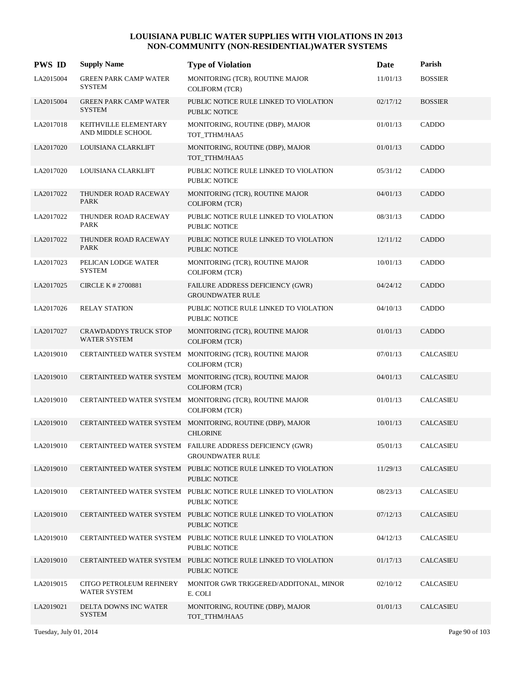| <b>PWS ID</b> | <b>Supply Name</b>                                  | <b>Type of Violation</b>                                                                | Date     | Parish           |
|---------------|-----------------------------------------------------|-----------------------------------------------------------------------------------------|----------|------------------|
| LA2015004     | <b>GREEN PARK CAMP WATER</b><br><b>SYSTEM</b>       | MONITORING (TCR), ROUTINE MAJOR<br><b>COLIFORM (TCR)</b>                                | 11/01/13 | <b>BOSSIER</b>   |
| LA2015004     | <b>GREEN PARK CAMP WATER</b><br><b>SYSTEM</b>       | PUBLIC NOTICE RULE LINKED TO VIOLATION<br>PUBLIC NOTICE                                 | 02/17/12 | <b>BOSSIER</b>   |
| LA2017018     | KEITHVILLE ELEMENTARY<br>AND MIDDLE SCHOOL          | MONITORING, ROUTINE (DBP), MAJOR<br>TOT_TTHM/HAA5                                       | 01/01/13 | CADDO            |
| LA2017020     | LOUISIANA CLARKLIFT                                 | MONITORING, ROUTINE (DBP), MAJOR<br>TOT_TTHM/HAA5                                       | 01/01/13 | <b>CADDO</b>     |
| LA2017020     | LOUISIANA CLARKLIFT                                 | PUBLIC NOTICE RULE LINKED TO VIOLATION<br>PUBLIC NOTICE                                 | 05/31/12 | CADDO            |
| LA2017022     | THUNDER ROAD RACEWAY<br><b>PARK</b>                 | MONITORING (TCR), ROUTINE MAJOR<br><b>COLIFORM (TCR)</b>                                | 04/01/13 | <b>CADDO</b>     |
| LA2017022     | THUNDER ROAD RACEWAY<br><b>PARK</b>                 | PUBLIC NOTICE RULE LINKED TO VIOLATION<br>PUBLIC NOTICE                                 | 08/31/13 | CADDO            |
| LA2017022     | THUNDER ROAD RACEWAY<br><b>PARK</b>                 | PUBLIC NOTICE RULE LINKED TO VIOLATION<br>PUBLIC NOTICE                                 | 12/11/12 | <b>CADDO</b>     |
| LA2017023     | PELICAN LODGE WATER<br><b>SYSTEM</b>                | MONITORING (TCR), ROUTINE MAJOR<br><b>COLIFORM (TCR)</b>                                | 10/01/13 | CADDO            |
| LA2017025     | CIRCLE K # 2700881                                  | FAILURE ADDRESS DEFICIENCY (GWR)<br><b>GROUNDWATER RULE</b>                             | 04/24/12 | <b>CADDO</b>     |
| LA2017026     | <b>RELAY STATION</b>                                | PUBLIC NOTICE RULE LINKED TO VIOLATION<br>PUBLIC NOTICE                                 | 04/10/13 | CADDO            |
| LA2017027     | <b>CRAWDADDYS TRUCK STOP</b><br><b>WATER SYSTEM</b> | MONITORING (TCR), ROUTINE MAJOR<br><b>COLIFORM (TCR)</b>                                | 01/01/13 | <b>CADDO</b>     |
| LA2019010     |                                                     | CERTAINTEED WATER SYSTEM MONITORING (TCR), ROUTINE MAJOR<br><b>COLIFORM (TCR)</b>       | 07/01/13 | <b>CALCASIEU</b> |
| LA2019010     |                                                     | CERTAINTEED WATER SYSTEM MONITORING (TCR), ROUTINE MAJOR<br><b>COLIFORM (TCR)</b>       | 04/01/13 | <b>CALCASIEU</b> |
| LA2019010     |                                                     | CERTAINTEED WATER SYSTEM MONITORING (TCR), ROUTINE MAJOR<br><b>COLIFORM (TCR)</b>       | 01/01/13 | <b>CALCASIEU</b> |
| LA2019010     |                                                     | CERTAINTEED WATER SYSTEM MONITORING, ROUTINE (DBP), MAJOR<br><b>CHLORINE</b>            | 10/01/13 | <b>CALCASIEU</b> |
| LA2019010     |                                                     | CERTAINTEED WATER SYSTEM FAILURE ADDRESS DEFICIENCY (GWR)<br><b>GROUNDWATER RULE</b>    | 05/01/13 | <b>CALCASIEU</b> |
| LA2019010     |                                                     | CERTAINTEED WATER SYSTEM PUBLIC NOTICE RULE LINKED TO VIOLATION<br>PUBLIC NOTICE        | 11/29/13 | CALCASIEU        |
| LA2019010     |                                                     | CERTAINTEED WATER SYSTEM PUBLIC NOTICE RULE LINKED TO VIOLATION<br>PUBLIC NOTICE        | 08/23/13 | CALCASIEU        |
| LA2019010     |                                                     | CERTAINTEED WATER SYSTEM PUBLIC NOTICE RULE LINKED TO VIOLATION<br>PUBLIC NOTICE        | 07/12/13 | <b>CALCASIEU</b> |
| LA2019010     |                                                     | CERTAINTEED WATER SYSTEM PUBLIC NOTICE RULE LINKED TO VIOLATION<br>PUBLIC NOTICE        | 04/12/13 | CALCASIEU        |
| LA2019010     |                                                     | CERTAINTEED WATER SYSTEM PUBLIC NOTICE RULE LINKED TO VIOLATION<br><b>PUBLIC NOTICE</b> | 01/17/13 | CALCASIEU        |
| LA2019015     | CITGO PETROLEUM REFINERY<br>WATER SYSTEM            | MONITOR GWR TRIGGERED/ADDITONAL, MINOR<br>E. COLI                                       | 02/10/12 | CALCASIEU        |
| LA2019021     | DELTA DOWNS INC WATER<br><b>SYSTEM</b>              | MONITORING, ROUTINE (DBP), MAJOR<br>TOT_TTHM/HAA5                                       | 01/01/13 | CALCASIEU        |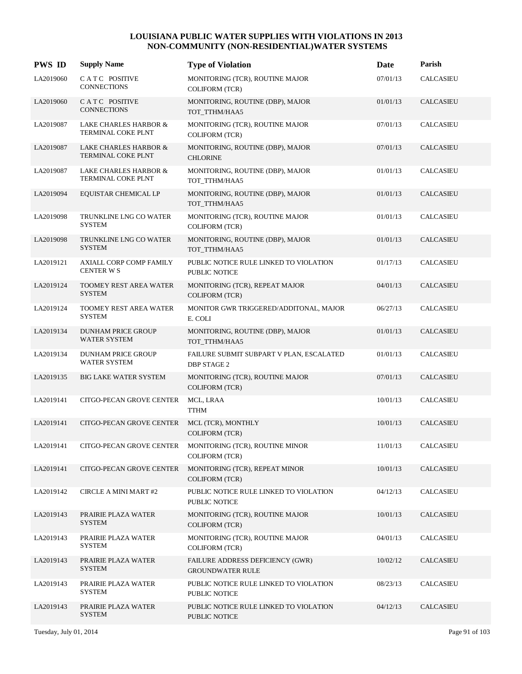| <b>PWS ID</b> | <b>Supply Name</b>                                            | <b>Type of Violation</b>                                       | Date     | Parish           |
|---------------|---------------------------------------------------------------|----------------------------------------------------------------|----------|------------------|
| LA2019060     | CATC POSITIVE<br><b>CONNECTIONS</b>                           | MONITORING (TCR), ROUTINE MAJOR<br><b>COLIFORM (TCR)</b>       | 07/01/13 | <b>CALCASIEU</b> |
| LA2019060     | CATC POSITIVE<br><b>CONNECTIONS</b>                           | MONITORING, ROUTINE (DBP), MAJOR<br>TOT_TTHM/HAA5              | 01/01/13 | CALCASIEU        |
| LA2019087     | LAKE CHARLES HARBOR &<br>TERMINAL COKE PLNT                   | MONITORING (TCR), ROUTINE MAJOR<br><b>COLIFORM (TCR)</b>       | 07/01/13 | CALCASIEU        |
| LA2019087     | <b>LAKE CHARLES HARBOR &amp;</b><br>TERMINAL COKE PLNT        | MONITORING, ROUTINE (DBP), MAJOR<br><b>CHLORINE</b>            | 07/01/13 | <b>CALCASIEU</b> |
| LA2019087     | <b>LAKE CHARLES HARBOR &amp;</b><br><b>TERMINAL COKE PLNT</b> | MONITORING, ROUTINE (DBP), MAJOR<br>TOT_TTHM/HAA5              | 01/01/13 | CALCASIEU        |
| LA2019094     | EQUISTAR CHEMICAL LP                                          | MONITORING, ROUTINE (DBP), MAJOR<br>TOT_TTHM/HAA5              | 01/01/13 | CALCASIEU        |
| LA2019098     | TRUNKLINE LNG CO WATER<br><b>SYSTEM</b>                       | MONITORING (TCR), ROUTINE MAJOR<br><b>COLIFORM (TCR)</b>       | 01/01/13 | <b>CALCASIEU</b> |
| LA2019098     | TRUNKLINE LNG CO WATER<br><b>SYSTEM</b>                       | MONITORING, ROUTINE (DBP), MAJOR<br>TOT_TTHM/HAA5              | 01/01/13 | <b>CALCASIEU</b> |
| LA2019121     | AXIALL CORP COMP FAMILY<br><b>CENTER WS</b>                   | PUBLIC NOTICE RULE LINKED TO VIOLATION<br><b>PUBLIC NOTICE</b> | 01/17/13 | CALCASIEU        |
| LA2019124     | TOOMEY REST AREA WATER<br><b>SYSTEM</b>                       | MONITORING (TCR), REPEAT MAJOR<br><b>COLIFORM (TCR)</b>        | 04/01/13 | CALCASIEU        |
| LA2019124     | TOOMEY REST AREA WATER<br><b>SYSTEM</b>                       | MONITOR GWR TRIGGERED/ADDITONAL, MAJOR<br>E. COLI              | 06/27/13 | <b>CALCASIEU</b> |
| LA2019134     | <b>DUNHAM PRICE GROUP</b><br>WATER SYSTEM                     | MONITORING, ROUTINE (DBP), MAJOR<br>TOT_TTHM/HAA5              | 01/01/13 | <b>CALCASIEU</b> |
| LA2019134     | DUNHAM PRICE GROUP<br>WATER SYSTEM                            | FAILURE SUBMIT SUBPART V PLAN, ESCALATED<br><b>DBP STAGE 2</b> | 01/01/13 | CALCASIEU        |
| LA2019135     | <b>BIG LAKE WATER SYSTEM</b>                                  | MONITORING (TCR), ROUTINE MAJOR<br><b>COLIFORM (TCR)</b>       | 07/01/13 | CALCASIEU        |
| LA2019141     | CITGO-PECAN GROVE CENTER                                      | MCL, LRAA<br><b>TTHM</b>                                       | 10/01/13 | <b>CALCASIEU</b> |
| LA2019141     | CITGO-PECAN GROVE CENTER                                      | MCL (TCR), MONTHLY<br><b>COLIFORM (TCR)</b>                    | 10/01/13 | CALCASIEU        |
| LA2019141     | CITGO-PECAN GROVE CENTER                                      | MONITORING (TCR), ROUTINE MINOR<br><b>COLIFORM (TCR)</b>       | 11/01/13 | <b>CALCASIEU</b> |
| LA2019141     | CITGO-PECAN GROVE CENTER                                      | MONITORING (TCR), REPEAT MINOR<br><b>COLIFORM</b> (TCR)        | 10/01/13 | CALCASIEU        |
| LA2019142     | <b>CIRCLE A MINI MART #2</b>                                  | PUBLIC NOTICE RULE LINKED TO VIOLATION<br>PUBLIC NOTICE        | 04/12/13 | CALCASIEU        |
| LA2019143     | PRAIRIE PLAZA WATER<br><b>SYSTEM</b>                          | MONITORING (TCR), ROUTINE MAJOR<br><b>COLIFORM (TCR)</b>       | 10/01/13 | CALCASIEU        |
| LA2019143     | PRAIRIE PLAZA WATER<br><b>SYSTEM</b>                          | MONITORING (TCR), ROUTINE MAJOR<br><b>COLIFORM (TCR)</b>       | 04/01/13 | CALCASIEU        |
| LA2019143     | PRAIRIE PLAZA WATER<br><b>SYSTEM</b>                          | FAILURE ADDRESS DEFICIENCY (GWR)<br><b>GROUNDWATER RULE</b>    | 10/02/12 | CALCASIEU        |
| LA2019143     | PRAIRIE PLAZA WATER<br><b>SYSTEM</b>                          | PUBLIC NOTICE RULE LINKED TO VIOLATION<br>PUBLIC NOTICE        | 08/23/13 | CALCASIEU        |
| LA2019143     | PRAIRIE PLAZA WATER<br><b>SYSTEM</b>                          | PUBLIC NOTICE RULE LINKED TO VIOLATION<br>PUBLIC NOTICE        | 04/12/13 | CALCASIEU        |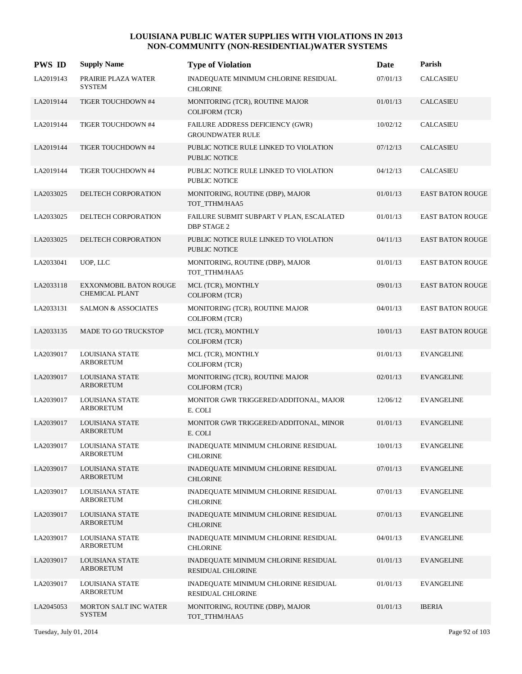| <b>PWS ID</b> | <b>Supply Name</b>                                     | <b>Type of Violation</b>                                       | Date     | Parish                  |
|---------------|--------------------------------------------------------|----------------------------------------------------------------|----------|-------------------------|
| LA2019143     | PRAIRIE PLAZA WATER<br><b>SYSTEM</b>                   | INADEQUATE MINIMUM CHLORINE RESIDUAL<br><b>CHLORINE</b>        | 07/01/13 | <b>CALCASIEU</b>        |
| LA2019144     | TIGER TOUCHDOWN #4                                     | MONITORING (TCR), ROUTINE MAJOR<br><b>COLIFORM (TCR)</b>       | 01/01/13 | <b>CALCASIEU</b>        |
| LA2019144     | TIGER TOUCHDOWN #4                                     | FAILURE ADDRESS DEFICIENCY (GWR)<br><b>GROUNDWATER RULE</b>    | 10/02/12 | <b>CALCASIEU</b>        |
| LA2019144     | TIGER TOUCHDOWN #4                                     | PUBLIC NOTICE RULE LINKED TO VIOLATION<br><b>PUBLIC NOTICE</b> | 07/12/13 | <b>CALCASIEU</b>        |
| LA2019144     | TIGER TOUCHDOWN #4                                     | PUBLIC NOTICE RULE LINKED TO VIOLATION<br>PUBLIC NOTICE        | 04/12/13 | <b>CALCASIEU</b>        |
| LA2033025     | DELTECH CORPORATION                                    | MONITORING, ROUTINE (DBP), MAJOR<br>TOT_TTHM/HAA5              | 01/01/13 | <b>EAST BATON ROUGE</b> |
| LA2033025     | DELTECH CORPORATION                                    | FAILURE SUBMIT SUBPART V PLAN, ESCALATED<br><b>DBP STAGE 2</b> | 01/01/13 | <b>EAST BATON ROUGE</b> |
| LA2033025     | DELTECH CORPORATION                                    | PUBLIC NOTICE RULE LINKED TO VIOLATION<br><b>PUBLIC NOTICE</b> | 04/11/13 | <b>EAST BATON ROUGE</b> |
| LA2033041     | UOP, LLC                                               | MONITORING, ROUTINE (DBP), MAJOR<br>TOT_TTHM/HAA5              | 01/01/13 | <b>EAST BATON ROUGE</b> |
| LA2033118     | <b>EXXONMOBIL BATON ROUGE</b><br><b>CHEMICAL PLANT</b> | MCL (TCR), MONTHLY<br><b>COLIFORM (TCR)</b>                    | 09/01/13 | <b>EAST BATON ROUGE</b> |
| LA2033131     | <b>SALMON &amp; ASSOCIATES</b>                         | MONITORING (TCR), ROUTINE MAJOR<br><b>COLIFORM (TCR)</b>       | 04/01/13 | <b>EAST BATON ROUGE</b> |
| LA2033135     | <b>MADE TO GO TRUCKSTOP</b>                            | MCL (TCR), MONTHLY<br><b>COLIFORM (TCR)</b>                    | 10/01/13 | <b>EAST BATON ROUGE</b> |
| LA2039017     | LOUISIANA STATE<br><b>ARBORETUM</b>                    | MCL (TCR), MONTHLY<br><b>COLIFORM (TCR)</b>                    | 01/01/13 | <b>EVANGELINE</b>       |
| LA2039017     | <b>LOUISIANA STATE</b><br><b>ARBORETUM</b>             | MONITORING (TCR), ROUTINE MAJOR<br><b>COLIFORM (TCR)</b>       | 02/01/13 | <b>EVANGELINE</b>       |
| LA2039017     | LOUISIANA STATE<br><b>ARBORETUM</b>                    | MONITOR GWR TRIGGERED/ADDITONAL, MAJOR<br>E. COLI              | 12/06/12 | <b>EVANGELINE</b>       |
| LA2039017     | LOUISIANA STATE<br><b>ARBORETUM</b>                    | MONITOR GWR TRIGGERED/ADDITONAL, MINOR<br>E. COLI              | 01/01/13 | <b>EVANGELINE</b>       |
| LA2039017     | LOUISIANA STATE<br><b>ARBORETUM</b>                    | INADEQUATE MINIMUM CHLORINE RESIDUAL<br><b>CHLORINE</b>        | 10/01/13 | <b>EVANGELINE</b>       |
| LA2039017     | LOUISIANA STATE<br><b>ARBORETUM</b>                    | INADEQUATE MINIMUM CHLORINE RESIDUAL<br><b>CHLORINE</b>        | 07/01/13 | <b>EVANGELINE</b>       |
| LA2039017     | LOUISIANA STATE<br>ARBORETUM                           | INADEQUATE MINIMUM CHLORINE RESIDUAL<br><b>CHLORINE</b>        | 07/01/13 | <b>EVANGELINE</b>       |
| LA2039017     | LOUISIANA STATE<br><b>ARBORETUM</b>                    | INADEQUATE MINIMUM CHLORINE RESIDUAL<br><b>CHLORINE</b>        | 07/01/13 | <b>EVANGELINE</b>       |
| LA2039017     | LOUISIANA STATE<br><b>ARBORETUM</b>                    | INADEQUATE MINIMUM CHLORINE RESIDUAL<br><b>CHLORINE</b>        | 04/01/13 | <b>EVANGELINE</b>       |
| LA2039017     | LOUISIANA STATE<br><b>ARBORETUM</b>                    | INADEQUATE MINIMUM CHLORINE RESIDUAL<br>RESIDUAL CHLORINE      | 01/01/13 | <b>EVANGELINE</b>       |
| LA2039017     | LOUISIANA STATE<br><b>ARBORETUM</b>                    | INADEQUATE MINIMUM CHLORINE RESIDUAL<br>RESIDUAL CHLORINE      | 01/01/13 | <b>EVANGELINE</b>       |
| LA2045053     | <b>MORTON SALT INC WATER</b><br><b>SYSTEM</b>          | MONITORING, ROUTINE (DBP), MAJOR<br>TOT_TTHM/HAA5              | 01/01/13 | <b>IBERIA</b>           |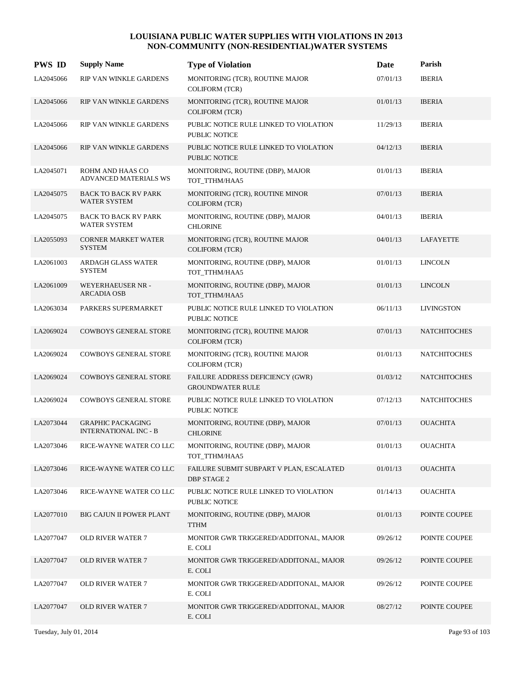| <b>PWS ID</b> | <b>Supply Name</b>                                       | <b>Type of Violation</b>                                       | <b>Date</b> | Parish              |
|---------------|----------------------------------------------------------|----------------------------------------------------------------|-------------|---------------------|
| LA2045066     | RIP VAN WINKLE GARDENS                                   | MONITORING (TCR), ROUTINE MAJOR<br><b>COLIFORM (TCR)</b>       | 07/01/13    | <b>IBERIA</b>       |
| LA2045066     | RIP VAN WINKLE GARDENS                                   | MONITORING (TCR), ROUTINE MAJOR<br><b>COLIFORM</b> (TCR)       | 01/01/13    | <b>IBERIA</b>       |
| LA2045066     | RIP VAN WINKLE GARDENS                                   | PUBLIC NOTICE RULE LINKED TO VIOLATION<br><b>PUBLIC NOTICE</b> | 11/29/13    | <b>IBERIA</b>       |
| LA2045066     | RIP VAN WINKLE GARDENS                                   | PUBLIC NOTICE RULE LINKED TO VIOLATION<br>PUBLIC NOTICE        | 04/12/13    | <b>IBERIA</b>       |
| LA2045071     | ROHM AND HAAS CO<br>ADVANCED MATERIALS WS                | MONITORING, ROUTINE (DBP), MAJOR<br>TOT_TTHM/HAA5              | 01/01/13    | <b>IBERIA</b>       |
| LA2045075     | <b>BACK TO BACK RV PARK</b><br><b>WATER SYSTEM</b>       | MONITORING (TCR), ROUTINE MINOR<br><b>COLIFORM (TCR)</b>       | 07/01/13    | <b>IBERIA</b>       |
| LA2045075     | <b>BACK TO BACK RV PARK</b><br>WATER SYSTEM              | MONITORING, ROUTINE (DBP), MAJOR<br><b>CHLORINE</b>            | 04/01/13    | <b>IBERIA</b>       |
| LA2055093     | <b>CORNER MARKET WATER</b><br><b>SYSTEM</b>              | MONITORING (TCR), ROUTINE MAJOR<br><b>COLIFORM (TCR)</b>       | 04/01/13    | LAFAYETTE           |
| LA2061003     | <b>ARDAGH GLASS WATER</b><br><b>SYSTEM</b>               | MONITORING, ROUTINE (DBP), MAJOR<br>TOT_TTHM/HAA5              | 01/01/13    | <b>LINCOLN</b>      |
| LA2061009     | <b>WEYERHAEUSER NR -</b><br><b>ARCADIA OSB</b>           | MONITORING, ROUTINE (DBP), MAJOR<br>TOT_TTHM/HAA5              | 01/01/13    | <b>LINCOLN</b>      |
| LA2063034     | PARKERS SUPERMARKET                                      | PUBLIC NOTICE RULE LINKED TO VIOLATION<br><b>PUBLIC NOTICE</b> | 06/11/13    | <b>LIVINGSTON</b>   |
| LA2069024     | <b>COWBOYS GENERAL STORE</b>                             | MONITORING (TCR), ROUTINE MAJOR<br><b>COLIFORM</b> (TCR)       | 07/01/13    | <b>NATCHITOCHES</b> |
| LA2069024     | <b>COWBOYS GENERAL STORE</b>                             | MONITORING (TCR), ROUTINE MAJOR<br><b>COLIFORM (TCR)</b>       | 01/01/13    | <b>NATCHITOCHES</b> |
| LA2069024     | <b>COWBOYS GENERAL STORE</b>                             | FAILURE ADDRESS DEFICIENCY (GWR)<br><b>GROUNDWATER RULE</b>    | 01/03/12    | <b>NATCHITOCHES</b> |
| LA2069024     | <b>COWBOYS GENERAL STORE</b>                             | PUBLIC NOTICE RULE LINKED TO VIOLATION<br>PUBLIC NOTICE        | 07/12/13    | <b>NATCHITOCHES</b> |
| LA2073044     | <b>GRAPHIC PACKAGING</b><br><b>INTERNATIONAL INC - B</b> | MONITORING, ROUTINE (DBP), MAJOR<br><b>CHLORINE</b>            | 07/01/13    | <b>OUACHITA</b>     |
| LA2073046     | RICE-WAYNE WATER CO LLC                                  | MONITORING, ROUTINE (DBP), MAJOR<br>TOT TTHM/HAA5              | 01/01/13    | <b>OUACHITA</b>     |
| LA2073046     | RICE-WAYNE WATER CO LLC                                  | FAILURE SUBMIT SUBPART V PLAN, ESCALATED<br><b>DBP STAGE 2</b> | 01/01/13    | <b>OUACHITA</b>     |
| LA2073046     | RICE-WAYNE WATER CO LLC                                  | PUBLIC NOTICE RULE LINKED TO VIOLATION<br>PUBLIC NOTICE        | 01/14/13    | <b>OUACHITA</b>     |
| LA2077010     | <b>BIG CAJUN II POWER PLANT</b>                          | MONITORING, ROUTINE (DBP), MAJOR<br><b>TTHM</b>                | 01/01/13    | POINTE COUPEE       |
| LA2077047     | <b>OLD RIVER WATER 7</b>                                 | MONITOR GWR TRIGGERED/ADDITONAL, MAJOR<br>E. COLI              | 09/26/12    | POINTE COUPEE       |
| LA2077047     | <b>OLD RIVER WATER 7</b>                                 | MONITOR GWR TRIGGERED/ADDITONAL, MAJOR<br>E. COLI              | 09/26/12    | POINTE COUPEE       |
| LA2077047     | OLD RIVER WATER 7                                        | MONITOR GWR TRIGGERED/ADDITONAL, MAJOR<br>E. COLI              | 09/26/12    | POINTE COUPEE       |
| LA2077047     | <b>OLD RIVER WATER 7</b>                                 | MONITOR GWR TRIGGERED/ADDITONAL, MAJOR<br>E. COLI              | 08/27/12    | POINTE COUPEE       |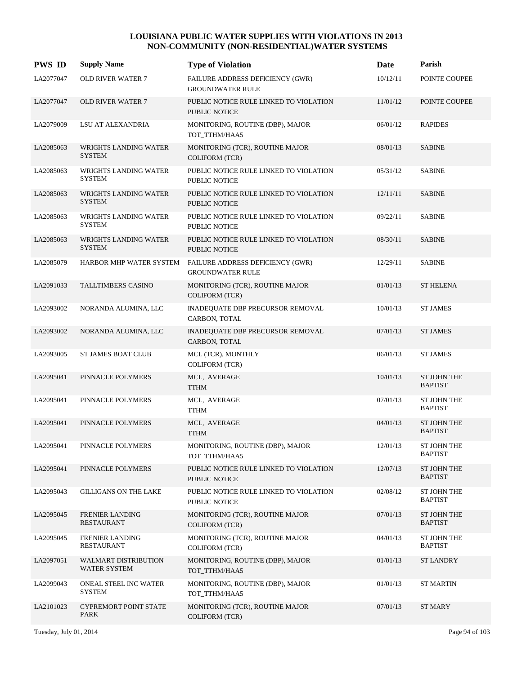| <b>PWS ID</b> | <b>Supply Name</b>                            | <b>Type of Violation</b>                                       | Date     | Parish                               |
|---------------|-----------------------------------------------|----------------------------------------------------------------|----------|--------------------------------------|
| LA2077047     | <b>OLD RIVER WATER 7</b>                      | FAILURE ADDRESS DEFICIENCY (GWR)<br><b>GROUNDWATER RULE</b>    | 10/12/11 | POINTE COUPEE                        |
| LA2077047     | <b>OLD RIVER WATER 7</b>                      | PUBLIC NOTICE RULE LINKED TO VIOLATION<br><b>PUBLIC NOTICE</b> | 11/01/12 | POINTE COUPEE                        |
| LA2079009     | LSU AT ALEXANDRIA                             | MONITORING, ROUTINE (DBP), MAJOR<br>TOT_TTHM/HAA5              | 06/01/12 | <b>RAPIDES</b>                       |
| LA2085063     | WRIGHTS LANDING WATER<br><b>SYSTEM</b>        | MONITORING (TCR), ROUTINE MAJOR<br><b>COLIFORM</b> (TCR)       | 08/01/13 | <b>SABINE</b>                        |
| LA2085063     | <b>WRIGHTS LANDING WATER</b><br><b>SYSTEM</b> | PUBLIC NOTICE RULE LINKED TO VIOLATION<br>PUBLIC NOTICE        | 05/31/12 | <b>SABINE</b>                        |
| LA2085063     | <b>WRIGHTS LANDING WATER</b><br><b>SYSTEM</b> | PUBLIC NOTICE RULE LINKED TO VIOLATION<br>PUBLIC NOTICE        | 12/11/11 | <b>SABINE</b>                        |
| LA2085063     | WRIGHTS LANDING WATER<br><b>SYSTEM</b>        | PUBLIC NOTICE RULE LINKED TO VIOLATION<br>PUBLIC NOTICE        | 09/22/11 | <b>SABINE</b>                        |
| LA2085063     | WRIGHTS LANDING WATER<br><b>SYSTEM</b>        | PUBLIC NOTICE RULE LINKED TO VIOLATION<br><b>PUBLIC NOTICE</b> | 08/30/11 | <b>SABINE</b>                        |
| LA2085079     | HARBOR MHP WATER SYSTEM                       | FAILURE ADDRESS DEFICIENCY (GWR)<br><b>GROUNDWATER RULE</b>    | 12/29/11 | <b>SABINE</b>                        |
| LA2091033     | TALLTIMBERS CASINO                            | MONITORING (TCR), ROUTINE MAJOR<br><b>COLIFORM</b> (TCR)       | 01/01/13 | <b>ST HELENA</b>                     |
| LA2093002     | NORANDA ALUMINA, LLC                          | INADEQUATE DBP PRECURSOR REMOVAL<br>CARBON, TOTAL              | 10/01/13 | <b>ST JAMES</b>                      |
| LA2093002     | NORANDA ALUMINA, LLC                          | <b>INADEQUATE DBP PRECURSOR REMOVAL</b><br>CARBON, TOTAL       | 07/01/13 | <b>ST JAMES</b>                      |
| LA2093005     | ST JAMES BOAT CLUB                            | MCL (TCR), MONTHLY<br><b>COLIFORM (TCR)</b>                    | 06/01/13 | <b>ST JAMES</b>                      |
| LA2095041     | PINNACLE POLYMERS                             | MCL, AVERAGE<br><b>TTHM</b>                                    | 10/01/13 | <b>ST JOHN THE</b><br><b>BAPTIST</b> |
| LA2095041     | PINNACLE POLYMERS                             | MCL, AVERAGE<br><b>TTHM</b>                                    | 07/01/13 | ST JOHN THE<br><b>BAPTIST</b>        |
| LA2095041     | PINNACLE POLYMERS                             | MCL, AVERAGE<br><b>TTHM</b>                                    | 04/01/13 | ST JOHN THE<br><b>BAPTIST</b>        |
| LA2095041     | PINNACLE POLYMERS                             | MONITORING, ROUTINE (DBP), MAJOR<br>TOT_TTHM/HAA5              | 12/01/13 | ST JOHN THE<br><b>BAPTIST</b>        |
| LA2095041     | PINNACLE POLYMERS                             | PUBLIC NOTICE RULE LINKED TO VIOLATION<br>PUBLIC NOTICE        | 12/07/13 | ST JOHN THE<br><b>BAPTIST</b>        |
| LA2095043     | <b>GILLIGANS ON THE LAKE</b>                  | PUBLIC NOTICE RULE LINKED TO VIOLATION<br>PUBLIC NOTICE        | 02/08/12 | ST JOHN THE<br><b>BAPTIST</b>        |
| LA2095045     | <b>FRENIER LANDING</b><br><b>RESTAURANT</b>   | MONITORING (TCR), ROUTINE MAJOR<br><b>COLIFORM (TCR)</b>       | 07/01/13 | ST JOHN THE<br><b>BAPTIST</b>        |
| LA2095045     | <b>FRENIER LANDING</b><br>RESTAURANT          | MONITORING (TCR), ROUTINE MAJOR<br><b>COLIFORM (TCR)</b>       | 04/01/13 | ST JOHN THE<br><b>BAPTIST</b>        |
| LA2097051     | <b>WALMART DISTRIBUTION</b><br>WATER SYSTEM   | MONITORING, ROUTINE (DBP), MAJOR<br>TOT_TTHM/HAA5              | 01/01/13 | <b>ST LANDRY</b>                     |
| LA2099043     | ONEAL STEEL INC WATER<br><b>SYSTEM</b>        | MONITORING, ROUTINE (DBP), MAJOR<br>TOT_TTHM/HAA5              | 01/01/13 | <b>ST MARTIN</b>                     |
| LA2101023     | <b>CYPREMORT POINT STATE</b><br><b>PARK</b>   | MONITORING (TCR), ROUTINE MAJOR<br><b>COLIFORM (TCR)</b>       | 07/01/13 | <b>ST MARY</b>                       |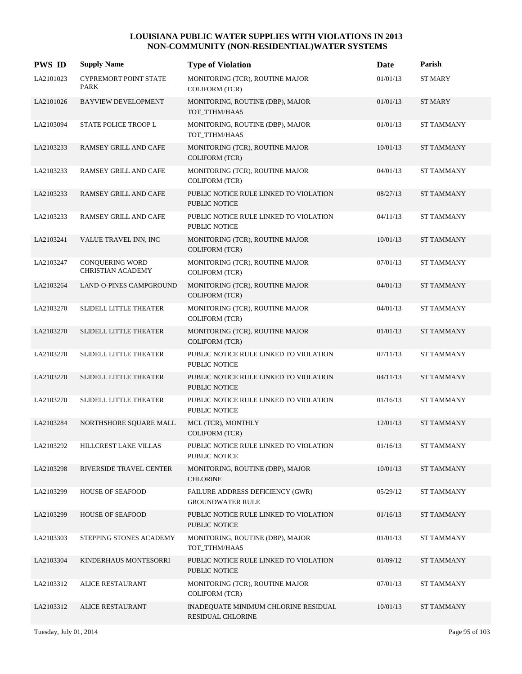| <b>PWS ID</b> | <b>Supply Name</b>                                 | <b>Type of Violation</b>                                       | Date     | Parish            |
|---------------|----------------------------------------------------|----------------------------------------------------------------|----------|-------------------|
| LA2101023     | <b>CYPREMORT POINT STATE</b><br>PARK               | MONITORING (TCR), ROUTINE MAJOR<br><b>COLIFORM (TCR)</b>       | 01/01/13 | <b>ST MARY</b>    |
| LA2101026     | <b>BAYVIEW DEVELOPMENT</b>                         | MONITORING, ROUTINE (DBP), MAJOR<br>TOT_TTHM/HAA5              | 01/01/13 | <b>ST MARY</b>    |
| LA2103094     | STATE POLICE TROOP L                               | MONITORING, ROUTINE (DBP), MAJOR<br>TOT_TTHM/HAA5              | 01/01/13 | <b>ST TAMMANY</b> |
| LA2103233     | <b>RAMSEY GRILL AND CAFE</b>                       | MONITORING (TCR), ROUTINE MAJOR<br><b>COLIFORM (TCR)</b>       | 10/01/13 | <b>ST TAMMANY</b> |
| LA2103233     | RAMSEY GRILL AND CAFE                              | MONITORING (TCR), ROUTINE MAJOR<br>COLIFORM (TCR)              | 04/01/13 | <b>ST TAMMANY</b> |
| LA2103233     | <b>RAMSEY GRILL AND CAFE</b>                       | PUBLIC NOTICE RULE LINKED TO VIOLATION<br>PUBLIC NOTICE        | 08/27/13 | <b>ST TAMMANY</b> |
| LA2103233     | RAMSEY GRILL AND CAFE                              | PUBLIC NOTICE RULE LINKED TO VIOLATION<br>PUBLIC NOTICE        | 04/11/13 | <b>ST TAMMANY</b> |
| LA2103241     | VALUE TRAVEL INN, INC                              | MONITORING (TCR), ROUTINE MAJOR<br><b>COLIFORM (TCR)</b>       | 10/01/13 | <b>ST TAMMANY</b> |
| LA2103247     | <b>CONOUERING WORD</b><br><b>CHRISTIAN ACADEMY</b> | MONITORING (TCR), ROUTINE MAJOR<br><b>COLIFORM (TCR)</b>       | 07/01/13 | <b>ST TAMMANY</b> |
| LA2103264     | <b>LAND-O-PINES CAMPGROUND</b>                     | MONITORING (TCR), ROUTINE MAJOR<br><b>COLIFORM (TCR)</b>       | 04/01/13 | <b>ST TAMMANY</b> |
| LA2103270     | SLIDELL LITTLE THEATER                             | MONITORING (TCR), ROUTINE MAJOR<br><b>COLIFORM (TCR)</b>       | 04/01/13 | <b>ST TAMMANY</b> |
| LA2103270     | <b>SLIDELL LITTLE THEATER</b>                      | MONITORING (TCR), ROUTINE MAJOR<br><b>COLIFORM (TCR)</b>       | 01/01/13 | <b>ST TAMMANY</b> |
| LA2103270     | SLIDELL LITTLE THEATER                             | PUBLIC NOTICE RULE LINKED TO VIOLATION<br>PUBLIC NOTICE        | 07/11/13 | <b>ST TAMMANY</b> |
| LA2103270     | <b>SLIDELL LITTLE THEATER</b>                      | PUBLIC NOTICE RULE LINKED TO VIOLATION<br><b>PUBLIC NOTICE</b> | 04/11/13 | <b>ST TAMMANY</b> |
| LA2103270     | SLIDELL LITTLE THEATER                             | PUBLIC NOTICE RULE LINKED TO VIOLATION<br>PUBLIC NOTICE        | 01/16/13 | <b>ST TAMMANY</b> |
| LA2103284     | NORTHSHORE SQUARE MALL                             | MCL (TCR), MONTHLY<br><b>COLIFORM (TCR)</b>                    | 12/01/13 | <b>ST TAMMANY</b> |
| LA2103292     | HILLCREST LAKE VILLAS                              | PUBLIC NOTICE RULE LINKED TO VIOLATION<br>PUBLIC NOTICE        | 01/16/13 | ST TAMMANY        |
| LA2103298     | RIVERSIDE TRAVEL CENTER                            | MONITORING, ROUTINE (DBP), MAJOR<br><b>CHLORINE</b>            | 10/01/13 | <b>ST TAMMANY</b> |
| LA2103299     | <b>HOUSE OF SEAFOOD</b>                            | FAILURE ADDRESS DEFICIENCY (GWR)<br><b>GROUNDWATER RULE</b>    | 05/29/12 | ST TAMMANY        |
| LA2103299     | <b>HOUSE OF SEAFOOD</b>                            | PUBLIC NOTICE RULE LINKED TO VIOLATION<br>PUBLIC NOTICE        | 01/16/13 | <b>ST TAMMANY</b> |
| LA2103303     | STEPPING STONES ACADEMY                            | MONITORING, ROUTINE (DBP), MAJOR<br>TOT_TTHM/HAA5              | 01/01/13 | <b>ST TAMMANY</b> |
| LA2103304     | KINDERHAUS MONTESORRI                              | PUBLIC NOTICE RULE LINKED TO VIOLATION<br>PUBLIC NOTICE        | 01/09/12 | <b>ST TAMMANY</b> |
| LA2103312     | <b>ALICE RESTAURANT</b>                            | MONITORING (TCR), ROUTINE MAJOR<br><b>COLIFORM (TCR)</b>       | 07/01/13 | ST TAMMANY        |
| LA2103312     | <b>ALICE RESTAURANT</b>                            | INADEQUATE MINIMUM CHLORINE RESIDUAL<br>RESIDUAL CHLORINE      | 10/01/13 | <b>ST TAMMANY</b> |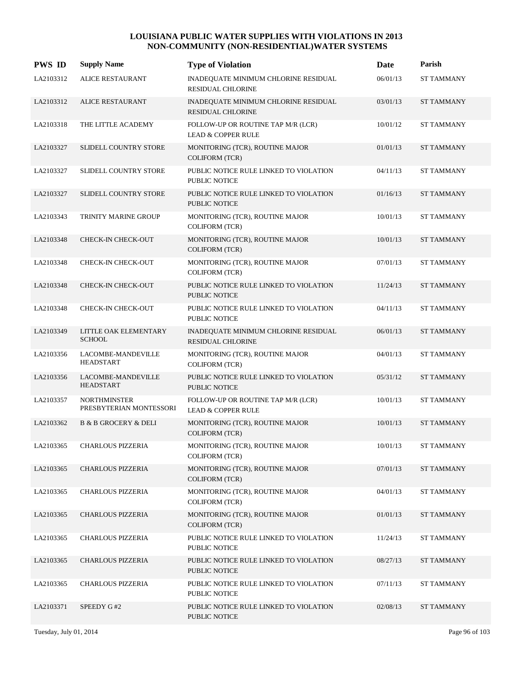| <b>PWS ID</b> | <b>Supply Name</b>                             | <b>Type of Violation</b>                                            | Date     | Parish            |
|---------------|------------------------------------------------|---------------------------------------------------------------------|----------|-------------------|
| LA2103312     | <b>ALICE RESTAURANT</b>                        | INADEQUATE MINIMUM CHLORINE RESIDUAL<br><b>RESIDUAL CHLORINE</b>    | 06/01/13 | <b>ST TAMMANY</b> |
| LA2103312     | ALICE RESTAURANT                               | INADEQUATE MINIMUM CHLORINE RESIDUAL<br><b>RESIDUAL CHLORINE</b>    | 03/01/13 | <b>ST TAMMANY</b> |
| LA2103318     | THE LITTLE ACADEMY                             | FOLLOW-UP OR ROUTINE TAP M/R (LCR)<br><b>LEAD &amp; COPPER RULE</b> | 10/01/12 | ST TAMMANY        |
| LA2103327     | SLIDELL COUNTRY STORE                          | MONITORING (TCR), ROUTINE MAJOR<br>COLIFORM (TCR)                   | 01/01/13 | <b>ST TAMMANY</b> |
| LA2103327     | SLIDELL COUNTRY STORE                          | PUBLIC NOTICE RULE LINKED TO VIOLATION<br>PUBLIC NOTICE             | 04/11/13 | <b>ST TAMMANY</b> |
| LA2103327     | SLIDELL COUNTRY STORE                          | PUBLIC NOTICE RULE LINKED TO VIOLATION<br><b>PUBLIC NOTICE</b>      | 01/16/13 | <b>ST TAMMANY</b> |
| LA2103343     | TRINITY MARINE GROUP                           | MONITORING (TCR), ROUTINE MAJOR<br>COLIFORM (TCR)                   | 10/01/13 | <b>ST TAMMANY</b> |
| LA2103348     | CHECK-IN CHECK-OUT                             | MONITORING (TCR), ROUTINE MAJOR<br>COLIFORM (TCR)                   | 10/01/13 | <b>ST TAMMANY</b> |
| LA2103348     | CHECK-IN CHECK-OUT                             | MONITORING (TCR), ROUTINE MAJOR<br><b>COLIFORM (TCR)</b>            | 07/01/13 | <b>ST TAMMANY</b> |
| LA2103348     | CHECK-IN CHECK-OUT                             | PUBLIC NOTICE RULE LINKED TO VIOLATION<br><b>PUBLIC NOTICE</b>      | 11/24/13 | <b>ST TAMMANY</b> |
| LA2103348     | CHECK-IN CHECK-OUT                             | PUBLIC NOTICE RULE LINKED TO VIOLATION<br>PUBLIC NOTICE             | 04/11/13 | ST TAMMANY        |
| LA2103349     | LITTLE OAK ELEMENTARY<br><b>SCHOOL</b>         | INADEQUATE MINIMUM CHLORINE RESIDUAL<br><b>RESIDUAL CHLORINE</b>    | 06/01/13 | <b>ST TAMMANY</b> |
| LA2103356     | LACOMBE-MANDEVILLE<br><b>HEADSTART</b>         | MONITORING (TCR), ROUTINE MAJOR<br><b>COLIFORM (TCR)</b>            | 04/01/13 | <b>ST TAMMANY</b> |
| LA2103356     | LACOMBE-MANDEVILLE<br><b>HEADSTART</b>         | PUBLIC NOTICE RULE LINKED TO VIOLATION<br><b>PUBLIC NOTICE</b>      | 05/31/12 | <b>ST TAMMANY</b> |
| LA2103357     | <b>NORTHMINSTER</b><br>PRESBYTERIAN MONTESSORI | FOLLOW-UP OR ROUTINE TAP M/R (LCR)<br><b>LEAD &amp; COPPER RULE</b> | 10/01/13 | ST TAMMANY        |
| LA2103362     | <b>B &amp; B GROCERY &amp; DELI</b>            | MONITORING (TCR), ROUTINE MAJOR<br><b>COLIFORM (TCR)</b>            | 10/01/13 | <b>ST TAMMANY</b> |
| LA2103365     | <b>CHARLOUS PIZZERIA</b>                       | MONITORING (TCR), ROUTINE MAJOR<br><b>COLIFORM (TCR)</b>            | 10/01/13 | <b>ST TAMMANY</b> |
| LA2103365     | <b>CHARLOUS PIZZERIA</b>                       | MONITORING (TCR), ROUTINE MAJOR<br>COLIFORM (TCR)                   | 07/01/13 | ST TAMMANY        |
| LA2103365     | CHARLOUS PIZZERIA                              | MONITORING (TCR), ROUTINE MAJOR<br><b>COLIFORM (TCR)</b>            | 04/01/13 | ST TAMMANY        |
| LA2103365     | <b>CHARLOUS PIZZERIA</b>                       | MONITORING (TCR), ROUTINE MAJOR<br><b>COLIFORM (TCR)</b>            | 01/01/13 | <b>ST TAMMANY</b> |
| LA2103365     | CHARLOUS PIZZERIA                              | PUBLIC NOTICE RULE LINKED TO VIOLATION<br>PUBLIC NOTICE             | 11/24/13 | ST TAMMANY        |
| LA2103365     | <b>CHARLOUS PIZZERIA</b>                       | PUBLIC NOTICE RULE LINKED TO VIOLATION<br>PUBLIC NOTICE             | 08/27/13 | <b>ST TAMMANY</b> |
| LA2103365     | CHARLOUS PIZZERIA                              | PUBLIC NOTICE RULE LINKED TO VIOLATION<br>PUBLIC NOTICE             | 07/11/13 | ST TAMMANY        |
| LA2103371     | SPEEDY G#2                                     | PUBLIC NOTICE RULE LINKED TO VIOLATION<br>PUBLIC NOTICE             | 02/08/13 | <b>ST TAMMANY</b> |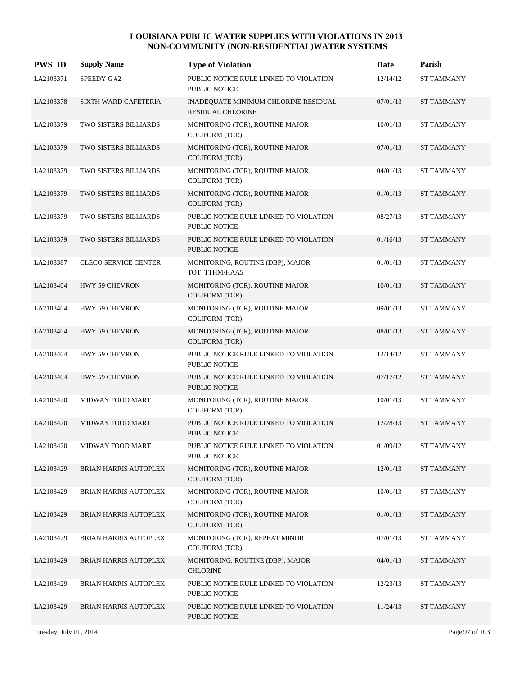| <b>PWS ID</b> | <b>Supply Name</b>           | <b>Type of Violation</b>                                         | Date     | Parish            |
|---------------|------------------------------|------------------------------------------------------------------|----------|-------------------|
| LA2103371     | SPEEDY G#2                   | PUBLIC NOTICE RULE LINKED TO VIOLATION<br>PUBLIC NOTICE          | 12/14/12 | <b>ST TAMMANY</b> |
| LA2103378     | SIXTH WARD CAFETERIA         | INADEQUATE MINIMUM CHLORINE RESIDUAL<br><b>RESIDUAL CHLORINE</b> | 07/01/13 | <b>ST TAMMANY</b> |
| LA2103379     | TWO SISTERS BILLIARDS        | MONITORING (TCR), ROUTINE MAJOR<br><b>COLIFORM (TCR)</b>         | 10/01/13 | ST TAMMANY        |
| LA2103379     | TWO SISTERS BILLIARDS        | MONITORING (TCR), ROUTINE MAJOR<br>COLIFORM (TCR)                | 07/01/13 | <b>ST TAMMANY</b> |
| LA2103379     | TWO SISTERS BILLIARDS        | MONITORING (TCR), ROUTINE MAJOR<br>COLIFORM (TCR)                | 04/01/13 | <b>ST TAMMANY</b> |
| LA2103379     | TWO SISTERS BILLIARDS        | MONITORING (TCR), ROUTINE MAJOR<br><b>COLIFORM (TCR)</b>         | 01/01/13 | <b>ST TAMMANY</b> |
| LA2103379     | TWO SISTERS BILLIARDS        | PUBLIC NOTICE RULE LINKED TO VIOLATION<br><b>PUBLIC NOTICE</b>   | 08/27/13 | <b>ST TAMMANY</b> |
| LA2103379     | TWO SISTERS BILLIARDS        | PUBLIC NOTICE RULE LINKED TO VIOLATION<br><b>PUBLIC NOTICE</b>   | 01/16/13 | <b>ST TAMMANY</b> |
| LA2103387     | <b>CLECO SERVICE CENTER</b>  | MONITORING, ROUTINE (DBP), MAJOR<br>TOT_TTHM/HAA5                | 01/01/13 | <b>ST TAMMANY</b> |
| LA2103404     | HWY 59 CHEVRON               | MONITORING (TCR), ROUTINE MAJOR<br><b>COLIFORM (TCR)</b>         | 10/01/13 | <b>ST TAMMANY</b> |
| LA2103404     | <b>HWY 59 CHEVRON</b>        | MONITORING (TCR), ROUTINE MAJOR<br>COLIFORM (TCR)                | 09/01/13 | <b>ST TAMMANY</b> |
| LA2103404     | HWY 59 CHEVRON               | MONITORING (TCR), ROUTINE MAJOR<br>COLIFORM (TCR)                | 08/01/13 | <b>ST TAMMANY</b> |
| LA2103404     | HWY 59 CHEVRON               | PUBLIC NOTICE RULE LINKED TO VIOLATION<br>PUBLIC NOTICE          | 12/14/12 | <b>ST TAMMANY</b> |
| LA2103404     | HWY 59 CHEVRON               | PUBLIC NOTICE RULE LINKED TO VIOLATION<br><b>PUBLIC NOTICE</b>   | 07/17/12 | <b>ST TAMMANY</b> |
| LA2103420     | MIDWAY FOOD MART             | MONITORING (TCR), ROUTINE MAJOR<br><b>COLIFORM (TCR)</b>         | 10/01/13 | <b>ST TAMMANY</b> |
| LA2103420     | <b>MIDWAY FOOD MART</b>      | PUBLIC NOTICE RULE LINKED TO VIOLATION<br>PUBLIC NOTICE          | 12/28/13 | <b>ST TAMMANY</b> |
| LA2103420     | MIDWAY FOOD MART             | PUBLIC NOTICE RULE LINKED TO VIOLATION<br>PUBLIC NOTICE          | 01/09/12 | <b>ST TAMMANY</b> |
| LA2103429     | BRIAN HARRIS AUTOPLEX        | MONITORING (TCR), ROUTINE MAJOR<br>COLIFORM (TCR)                | 12/01/13 | ST TAMMANY        |
| LA2103429     | BRIAN HARRIS AUTOPLEX        | MONITORING (TCR), ROUTINE MAJOR<br><b>COLIFORM (TCR)</b>         | 10/01/13 | <b>ST TAMMANY</b> |
| LA2103429     | <b>BRIAN HARRIS AUTOPLEX</b> | MONITORING (TCR), ROUTINE MAJOR<br><b>COLIFORM (TCR)</b>         | 01/01/13 | <b>ST TAMMANY</b> |
| LA2103429     | BRIAN HARRIS AUTOPLEX        | MONITORING (TCR), REPEAT MINOR<br><b>COLIFORM (TCR)</b>          | 07/01/13 | ST TAMMANY        |
| LA2103429     | BRIAN HARRIS AUTOPLEX        | MONITORING, ROUTINE (DBP), MAJOR<br><b>CHLORINE</b>              | 04/01/13 | <b>ST TAMMANY</b> |
| LA2103429     | BRIAN HARRIS AUTOPLEX        | PUBLIC NOTICE RULE LINKED TO VIOLATION<br>PUBLIC NOTICE          | 12/23/13 | ST TAMMANY        |
| LA2103429     | BRIAN HARRIS AUTOPLEX        | PUBLIC NOTICE RULE LINKED TO VIOLATION<br>PUBLIC NOTICE          | 11/24/13 | <b>ST TAMMANY</b> |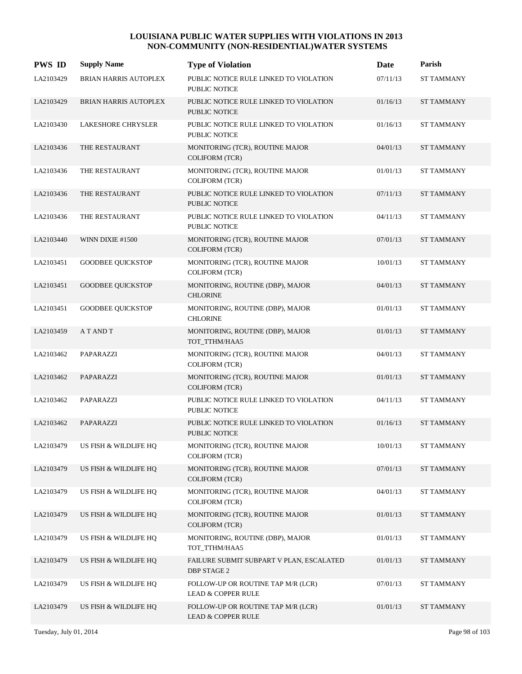| <b>PWS ID</b> | <b>Supply Name</b>           | <b>Type of Violation</b>                                            | Date     | Parish            |
|---------------|------------------------------|---------------------------------------------------------------------|----------|-------------------|
| LA2103429     | <b>BRIAN HARRIS AUTOPLEX</b> | PUBLIC NOTICE RULE LINKED TO VIOLATION<br>PUBLIC NOTICE             | 07/11/13 | <b>ST TAMMANY</b> |
| LA2103429     | <b>BRIAN HARRIS AUTOPLEX</b> | PUBLIC NOTICE RULE LINKED TO VIOLATION<br>PUBLIC NOTICE             | 01/16/13 | <b>ST TAMMANY</b> |
| LA2103430     | <b>LAKESHORE CHRYSLER</b>    | PUBLIC NOTICE RULE LINKED TO VIOLATION<br>PUBLIC NOTICE             | 01/16/13 | <b>ST TAMMANY</b> |
| LA2103436     | THE RESTAURANT               | MONITORING (TCR), ROUTINE MAJOR<br>COLIFORM (TCR)                   | 04/01/13 | <b>ST TAMMANY</b> |
| LA2103436     | THE RESTAURANT               | MONITORING (TCR), ROUTINE MAJOR<br>COLIFORM (TCR)                   | 01/01/13 | <b>ST TAMMANY</b> |
| LA2103436     | THE RESTAURANT               | PUBLIC NOTICE RULE LINKED TO VIOLATION<br><b>PUBLIC NOTICE</b>      | 07/11/13 | <b>ST TAMMANY</b> |
| LA2103436     | THE RESTAURANT               | PUBLIC NOTICE RULE LINKED TO VIOLATION<br><b>PUBLIC NOTICE</b>      | 04/11/13 | <b>ST TAMMANY</b> |
| LA2103440     | WINN DIXIE #1500             | MONITORING (TCR), ROUTINE MAJOR<br>COLIFORM (TCR)                   | 07/01/13 | <b>ST TAMMANY</b> |
| LA2103451     | <b>GOODBEE OUICKSTOP</b>     | MONITORING (TCR), ROUTINE MAJOR<br>COLIFORM (TCR)                   | 10/01/13 | <b>ST TAMMANY</b> |
| LA2103451     | <b>GOODBEE QUICKSTOP</b>     | MONITORING, ROUTINE (DBP), MAJOR<br><b>CHLORINE</b>                 | 04/01/13 | <b>ST TAMMANY</b> |
| LA2103451     | <b>GOODBEE QUICKSTOP</b>     | MONITORING, ROUTINE (DBP), MAJOR<br><b>CHLORINE</b>                 | 01/01/13 | <b>ST TAMMANY</b> |
| LA2103459     | A T AND T                    | MONITORING, ROUTINE (DBP), MAJOR<br>TOT_TTHM/HAA5                   | 01/01/13 | <b>ST TAMMANY</b> |
| LA2103462     | PAPARAZZI                    | MONITORING (TCR), ROUTINE MAJOR<br><b>COLIFORM (TCR)</b>            | 04/01/13 | <b>ST TAMMANY</b> |
| LA2103462     | PAPARAZZI                    | MONITORING (TCR), ROUTINE MAJOR<br><b>COLIFORM (TCR)</b>            | 01/01/13 | <b>ST TAMMANY</b> |
| LA2103462     | PAPARAZZI                    | PUBLIC NOTICE RULE LINKED TO VIOLATION<br>PUBLIC NOTICE             | 04/11/13 | <b>ST TAMMANY</b> |
| LA2103462     | PAPARAZZI                    | PUBLIC NOTICE RULE LINKED TO VIOLATION<br><b>PUBLIC NOTICE</b>      | 01/16/13 | <b>ST TAMMANY</b> |
| LA2103479     | US FISH & WILDLIFE HQ        | MONITORING (TCR), ROUTINE MAJOR<br><b>COLIFORM (TCR)</b>            | 10/01/13 | <b>ST TAMMANY</b> |
| LA2103479     | US FISH & WILDLIFE HO        | MONITORING (TCR), ROUTINE MAJOR<br>COLIFORM (TCR)                   | 07/01/13 | ST TAMMANY        |
| LA2103479     | US FISH & WILDLIFE HQ        | MONITORING (TCR), ROUTINE MAJOR<br><b>COLIFORM (TCR)</b>            | 04/01/13 | ST TAMMANY        |
| LA2103479     | US FISH & WILDLIFE HQ        | MONITORING (TCR), ROUTINE MAJOR<br><b>COLIFORM (TCR)</b>            | 01/01/13 | <b>ST TAMMANY</b> |
| LA2103479     | US FISH & WILDLIFE HQ        | MONITORING, ROUTINE (DBP), MAJOR<br>TOT_TTHM/HAA5                   | 01/01/13 | ST TAMMANY        |
| LA2103479     | US FISH & WILDLIFE HQ        | FAILURE SUBMIT SUBPART V PLAN, ESCALATED<br><b>DBP STAGE 2</b>      | 01/01/13 | ST TAMMANY        |
| LA2103479     | US FISH & WILDLIFE HQ        | FOLLOW-UP OR ROUTINE TAP M/R (LCR)<br><b>LEAD &amp; COPPER RULE</b> | 07/01/13 | ST TAMMANY        |
| LA2103479     | US FISH & WILDLIFE HQ        | FOLLOW-UP OR ROUTINE TAP M/R (LCR)<br>LEAD & COPPER RULE            | 01/01/13 | <b>ST TAMMANY</b> |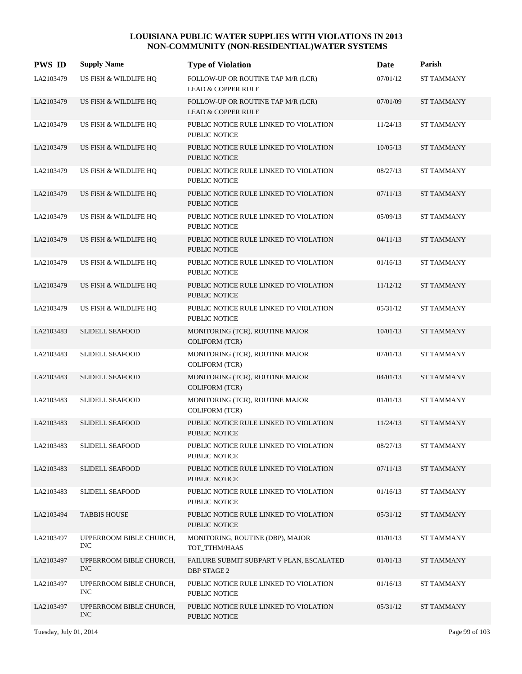| <b>PWS ID</b> | <b>Supply Name</b>                    | <b>Type of Violation</b>                                            | Date     | Parish            |
|---------------|---------------------------------------|---------------------------------------------------------------------|----------|-------------------|
| LA2103479     | US FISH & WILDLIFE HQ                 | FOLLOW-UP OR ROUTINE TAP M/R (LCR)<br><b>LEAD &amp; COPPER RULE</b> | 07/01/12 | <b>ST TAMMANY</b> |
| LA2103479     | US FISH & WILDLIFE HQ                 | FOLLOW-UP OR ROUTINE TAP M/R (LCR)<br><b>LEAD &amp; COPPER RULE</b> | 07/01/09 | <b>ST TAMMANY</b> |
| LA2103479     | US FISH & WILDLIFE HQ                 | PUBLIC NOTICE RULE LINKED TO VIOLATION<br>PUBLIC NOTICE             | 11/24/13 | <b>ST TAMMANY</b> |
| LA2103479     | US FISH & WILDLIFE HQ                 | PUBLIC NOTICE RULE LINKED TO VIOLATION<br>PUBLIC NOTICE             | 10/05/13 | <b>ST TAMMANY</b> |
| LA2103479     | US FISH & WILDLIFE HQ                 | PUBLIC NOTICE RULE LINKED TO VIOLATION<br>PUBLIC NOTICE             | 08/27/13 | <b>ST TAMMANY</b> |
| LA2103479     | US FISH & WILDLIFE HQ                 | PUBLIC NOTICE RULE LINKED TO VIOLATION<br><b>PUBLIC NOTICE</b>      | 07/11/13 | <b>ST TAMMANY</b> |
| LA2103479     | US FISH & WILDLIFE HQ                 | PUBLIC NOTICE RULE LINKED TO VIOLATION<br>PUBLIC NOTICE             | 05/09/13 | <b>ST TAMMANY</b> |
| LA2103479     | US FISH & WILDLIFE HQ                 | PUBLIC NOTICE RULE LINKED TO VIOLATION<br>PUBLIC NOTICE             | 04/11/13 | <b>ST TAMMANY</b> |
| LA2103479     | US FISH & WILDLIFE HQ                 | PUBLIC NOTICE RULE LINKED TO VIOLATION<br>PUBLIC NOTICE             | 01/16/13 | <b>ST TAMMANY</b> |
| LA2103479     | US FISH & WILDLIFE HQ                 | PUBLIC NOTICE RULE LINKED TO VIOLATION<br><b>PUBLIC NOTICE</b>      | 11/12/12 | <b>ST TAMMANY</b> |
| LA2103479     | US FISH & WILDLIFE HQ                 | PUBLIC NOTICE RULE LINKED TO VIOLATION<br>PUBLIC NOTICE             | 05/31/12 | <b>ST TAMMANY</b> |
| LA2103483     | <b>SLIDELL SEAFOOD</b>                | MONITORING (TCR), ROUTINE MAJOR<br>COLIFORM (TCR)                   | 10/01/13 | <b>ST TAMMANY</b> |
| LA2103483     | <b>SLIDELL SEAFOOD</b>                | MONITORING (TCR), ROUTINE MAJOR<br><b>COLIFORM (TCR)</b>            | 07/01/13 | <b>ST TAMMANY</b> |
| LA2103483     | <b>SLIDELL SEAFOOD</b>                | MONITORING (TCR), ROUTINE MAJOR<br><b>COLIFORM (TCR)</b>            | 04/01/13 | <b>ST TAMMANY</b> |
| LA2103483     | <b>SLIDELL SEAFOOD</b>                | MONITORING (TCR), ROUTINE MAJOR<br><b>COLIFORM (TCR)</b>            | 01/01/13 | <b>ST TAMMANY</b> |
| LA2103483     | <b>SLIDELL SEAFOOD</b>                | PUBLIC NOTICE RULE LINKED TO VIOLATION<br><b>PUBLIC NOTICE</b>      | 11/24/13 | <b>ST TAMMANY</b> |
| LA2103483     | <b>SLIDELL SEAFOOD</b>                | PUBLIC NOTICE RULE LINKED TO VIOLATION<br>PUBLIC NOTICE             | 08/27/13 | ST TAMMANY        |
| LA2103483     | <b>SLIDELL SEAFOOD</b>                | PUBLIC NOTICE RULE LINKED TO VIOLATION<br>PUBLIC NOTICE             | 07/11/13 | <b>ST TAMMANY</b> |
| LA2103483     | <b>SLIDELL SEAFOOD</b>                | PUBLIC NOTICE RULE LINKED TO VIOLATION<br>PUBLIC NOTICE             | 01/16/13 | <b>ST TAMMANY</b> |
| LA2103494     | <b>TABBIS HOUSE</b>                   | PUBLIC NOTICE RULE LINKED TO VIOLATION<br><b>PUBLIC NOTICE</b>      | 05/31/12 | <b>ST TAMMANY</b> |
| LA2103497     | UPPERROOM BIBLE CHURCH,<br><b>INC</b> | MONITORING, ROUTINE (DBP), MAJOR<br>TOT_TTHM/HAA5                   | 01/01/13 | <b>ST TAMMANY</b> |
| LA2103497     | UPPERROOM BIBLE CHURCH,<br><b>INC</b> | FAILURE SUBMIT SUBPART V PLAN, ESCALATED<br><b>DBP STAGE 2</b>      | 01/01/13 | <b>ST TAMMANY</b> |
| LA2103497     | UPPERROOM BIBLE CHURCH,<br><b>INC</b> | PUBLIC NOTICE RULE LINKED TO VIOLATION<br>PUBLIC NOTICE             | 01/16/13 | <b>ST TAMMANY</b> |
| LA2103497     | UPPERROOM BIBLE CHURCH,<br>$\rm{INC}$ | PUBLIC NOTICE RULE LINKED TO VIOLATION<br>PUBLIC NOTICE             | 05/31/12 | ST TAMMANY        |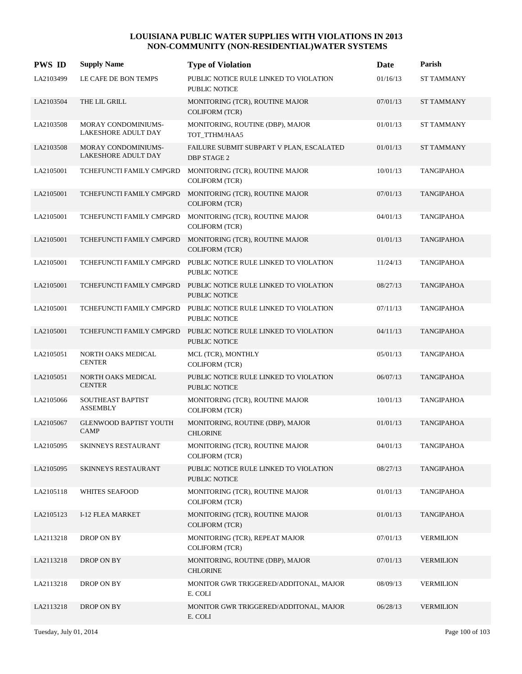| <b>PWS ID</b> | <b>Supply Name</b>                                | <b>Type of Violation</b>                                                         | Date     | Parish            |
|---------------|---------------------------------------------------|----------------------------------------------------------------------------------|----------|-------------------|
| LA2103499     | LE CAFE DE BON TEMPS                              | PUBLIC NOTICE RULE LINKED TO VIOLATION<br>PUBLIC NOTICE                          | 01/16/13 | <b>ST TAMMANY</b> |
| LA2103504     | THE LIL GRILL                                     | MONITORING (TCR), ROUTINE MAJOR<br><b>COLIFORM (TCR)</b>                         | 07/01/13 | <b>ST TAMMANY</b> |
| LA2103508     | MORAY CONDOMINIUMS-<br>LAKESHORE ADULT DAY        | MONITORING, ROUTINE (DBP), MAJOR<br>TOT_TTHM/HAA5                                | 01/01/13 | ST TAMMANY        |
| LA2103508     | <b>MORAY CONDOMINIUMS-</b><br>LAKESHORE ADULT DAY | FAILURE SUBMIT SUBPART V PLAN, ESCALATED<br><b>DBP STAGE 2</b>                   | 01/01/13 | <b>ST TAMMANY</b> |
| LA2105001     | TCHEFUNCTI FAMILY CMPGRD                          | MONITORING (TCR), ROUTINE MAJOR<br><b>COLIFORM (TCR)</b>                         | 10/01/13 | <b>TANGIPAHOA</b> |
| LA2105001     | TCHEFUNCTI FAMILY CMPGRD                          | MONITORING (TCR), ROUTINE MAJOR<br><b>COLIFORM (TCR)</b>                         | 07/01/13 | <b>TANGIPAHOA</b> |
| LA2105001     | TCHEFUNCTI FAMILY CMPGRD                          | MONITORING (TCR), ROUTINE MAJOR<br><b>COLIFORM (TCR)</b>                         | 04/01/13 | <b>TANGIPAHOA</b> |
| LA2105001     | TCHEFUNCTI FAMILY CMPGRD                          | MONITORING (TCR), ROUTINE MAJOR<br>COLIFORM (TCR)                                | 01/01/13 | <b>TANGIPAHOA</b> |
| LA2105001     | TCHEFUNCTI FAMILY CMPGRD                          | PUBLIC NOTICE RULE LINKED TO VIOLATION<br>PUBLIC NOTICE                          | 11/24/13 | <b>TANGIPAHOA</b> |
| LA2105001     | TCHEFUNCTI FAMILY CMPGRD                          | PUBLIC NOTICE RULE LINKED TO VIOLATION<br><b>PUBLIC NOTICE</b>                   | 08/27/13 | <b>TANGIPAHOA</b> |
| LA2105001     |                                                   | TCHEFUNCTI FAMILY CMPGRD PUBLIC NOTICE RULE LINKED TO VIOLATION<br>PUBLIC NOTICE | 07/11/13 | <b>TANGIPAHOA</b> |
| LA2105001     | TCHEFUNCTI FAMILY CMPGRD                          | PUBLIC NOTICE RULE LINKED TO VIOLATION<br><b>PUBLIC NOTICE</b>                   | 04/11/13 | <b>TANGIPAHOA</b> |
| LA2105051     | NORTH OAKS MEDICAL<br><b>CENTER</b>               | MCL (TCR), MONTHLY<br><b>COLIFORM (TCR)</b>                                      | 05/01/13 | <b>TANGIPAHOA</b> |
| LA2105051     | NORTH OAKS MEDICAL<br><b>CENTER</b>               | PUBLIC NOTICE RULE LINKED TO VIOLATION<br><b>PUBLIC NOTICE</b>                   | 06/07/13 | <b>TANGIPAHOA</b> |
| LA2105066     | SOUTHEAST BAPTIST<br><b>ASSEMBLY</b>              | MONITORING (TCR), ROUTINE MAJOR<br><b>COLIFORM (TCR)</b>                         | 10/01/13 | <b>TANGIPAHOA</b> |
| LA2105067     | <b>GLENWOOD BAPTIST YOUTH</b><br><b>CAMP</b>      | MONITORING, ROUTINE (DBP), MAJOR<br><b>CHLORINE</b>                              | 01/01/13 | <b>TANGIPAHOA</b> |
| LA2105095     | SKINNEYS RESTAURANT                               | MONITORING (TCR), ROUTINE MAJOR<br><b>COLIFORM (TCR)</b>                         | 04/01/13 | <b>TANGIPAHOA</b> |
| LA2105095     | <b>SKINNEYS RESTAURANT</b>                        | PUBLIC NOTICE RULE LINKED TO VIOLATION<br>PUBLIC NOTICE                          | 08/27/13 | <b>TANGIPAHOA</b> |
| LA2105118     | <b>WHITES SEAFOOD</b>                             | MONITORING (TCR), ROUTINE MAJOR<br><b>COLIFORM (TCR)</b>                         | 01/01/13 | <b>TANGIPAHOA</b> |
| LA2105123     | I-12 FLEA MARKET                                  | MONITORING (TCR), ROUTINE MAJOR<br><b>COLIFORM (TCR)</b>                         | 01/01/13 | <b>TANGIPAHOA</b> |
| LA2113218     | DROP ON BY                                        | MONITORING (TCR), REPEAT MAJOR<br><b>COLIFORM (TCR)</b>                          | 07/01/13 | <b>VERMILION</b>  |
| LA2113218     | DROP ON BY                                        | MONITORING, ROUTINE (DBP), MAJOR<br><b>CHLORINE</b>                              | 07/01/13 | <b>VERMILION</b>  |
| LA2113218     | DROP ON BY                                        | MONITOR GWR TRIGGERED/ADDITONAL, MAJOR<br>E. COLI                                | 08/09/13 | <b>VERMILION</b>  |
| LA2113218     | DROP ON BY                                        | MONITOR GWR TRIGGERED/ADDITONAL, MAJOR<br>E. COLI                                | 06/28/13 | <b>VERMILION</b>  |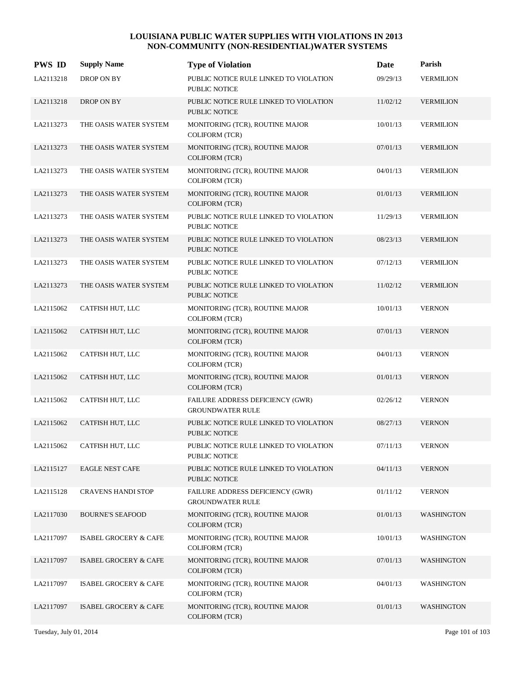| <b>PWS ID</b> | <b>Supply Name</b>               | <b>Type of Violation</b>                                           | Date     | Parish            |
|---------------|----------------------------------|--------------------------------------------------------------------|----------|-------------------|
| LA2113218     | DROP ON BY                       | PUBLIC NOTICE RULE LINKED TO VIOLATION<br><b>PUBLIC NOTICE</b>     | 09/29/13 | <b>VERMILION</b>  |
| LA2113218     | DROP ON BY                       | PUBLIC NOTICE RULE LINKED TO VIOLATION<br><b>PUBLIC NOTICE</b>     | 11/02/12 | <b>VERMILION</b>  |
| LA2113273     | THE OASIS WATER SYSTEM           | MONITORING (TCR), ROUTINE MAJOR<br><b>COLIFORM (TCR)</b>           | 10/01/13 | <b>VERMILION</b>  |
| LA2113273     | THE OASIS WATER SYSTEM           | MONITORING (TCR), ROUTINE MAJOR<br>COLIFORM (TCR)                  | 07/01/13 | <b>VERMILION</b>  |
| LA2113273     | THE OASIS WATER SYSTEM           | MONITORING (TCR), ROUTINE MAJOR<br>COLIFORM (TCR)                  | 04/01/13 | <b>VERMILION</b>  |
| LA2113273     | THE OASIS WATER SYSTEM           | MONITORING (TCR), ROUTINE MAJOR<br><b>COLIFORM (TCR)</b>           | 01/01/13 | <b>VERMILION</b>  |
| LA2113273     | THE OASIS WATER SYSTEM           | PUBLIC NOTICE RULE LINKED TO VIOLATION<br>PUBLIC NOTICE            | 11/29/13 | <b>VERMILION</b>  |
| LA2113273     | THE OASIS WATER SYSTEM           | PUBLIC NOTICE RULE LINKED TO VIOLATION<br>PUBLIC NOTICE            | 08/23/13 | <b>VERMILION</b>  |
| LA2113273     | THE OASIS WATER SYSTEM           | PUBLIC NOTICE RULE LINKED TO VIOLATION<br><b>PUBLIC NOTICE</b>     | 07/12/13 | <b>VERMILION</b>  |
| LA2113273     | THE OASIS WATER SYSTEM           | PUBLIC NOTICE RULE LINKED TO VIOLATION<br>PUBLIC NOTICE            | 11/02/12 | <b>VERMILION</b>  |
| LA2115062     | CATFISH HUT, LLC                 | MONITORING (TCR), ROUTINE MAJOR<br><b>COLIFORM (TCR)</b>           | 10/01/13 | <b>VERNON</b>     |
| LA2115062     | CATFISH HUT, LLC                 | MONITORING (TCR), ROUTINE MAJOR<br><b>COLIFORM (TCR)</b>           | 07/01/13 | <b>VERNON</b>     |
| LA2115062     | CATFISH HUT, LLC                 | MONITORING (TCR), ROUTINE MAJOR<br><b>COLIFORM (TCR)</b>           | 04/01/13 | <b>VERNON</b>     |
| LA2115062     | CATFISH HUT, LLC                 | MONITORING (TCR), ROUTINE MAJOR<br><b>COLIFORM (TCR)</b>           | 01/01/13 | <b>VERNON</b>     |
| LA2115062     | CATFISH HUT, LLC                 | FAILURE ADDRESS DEFICIENCY (GWR)<br><b>GROUNDWATER RULE</b>        | 02/26/12 | <b>VERNON</b>     |
| LA2115062     | CATFISH HUT, LLC                 | PUBLIC NOTICE RULE LINKED TO VIOLATION<br><b>PUBLIC NOTICE</b>     | 08/27/13 | <b>VERNON</b>     |
| LA2115062     | CATFISH HUT, LLC                 | PUBLIC NOTICE RULE LINKED TO VIOLATION<br>PUBLIC NOTICE            | 07/11/13 | <b>VERNON</b>     |
| LA2115127     | <b>EAGLE NEST CAFE</b>           | PUBLIC NOTICE RULE LINKED TO VIOLATION<br>PUBLIC NOTICE            | 04/11/13 | <b>VERNON</b>     |
| LA2115128     | <b>CRAVENS HANDI STOP</b>        | <b>FAILURE ADDRESS DEFICIENCY (GWR)</b><br><b>GROUNDWATER RULE</b> | 01/11/12 | <b>VERNON</b>     |
| LA2117030     | <b>BOURNE'S SEAFOOD</b>          | MONITORING (TCR), ROUTINE MAJOR<br>COLIFORM (TCR)                  | 01/01/13 | <b>WASHINGTON</b> |
| LA2117097     | ISABEL GROCERY & CAFE            | MONITORING (TCR), ROUTINE MAJOR<br><b>COLIFORM (TCR)</b>           | 10/01/13 | <b>WASHINGTON</b> |
| LA2117097     | <b>ISABEL GROCERY &amp; CAFE</b> | MONITORING (TCR), ROUTINE MAJOR<br>COLIFORM (TCR)                  | 07/01/13 | <b>WASHINGTON</b> |
| LA2117097     | <b>ISABEL GROCERY &amp; CAFE</b> | MONITORING (TCR), ROUTINE MAJOR<br><b>COLIFORM (TCR)</b>           | 04/01/13 | <b>WASHINGTON</b> |
| LA2117097     | <b>ISABEL GROCERY &amp; CAFE</b> | MONITORING (TCR), ROUTINE MAJOR<br>COLIFORM (TCR)                  | 01/01/13 | <b>WASHINGTON</b> |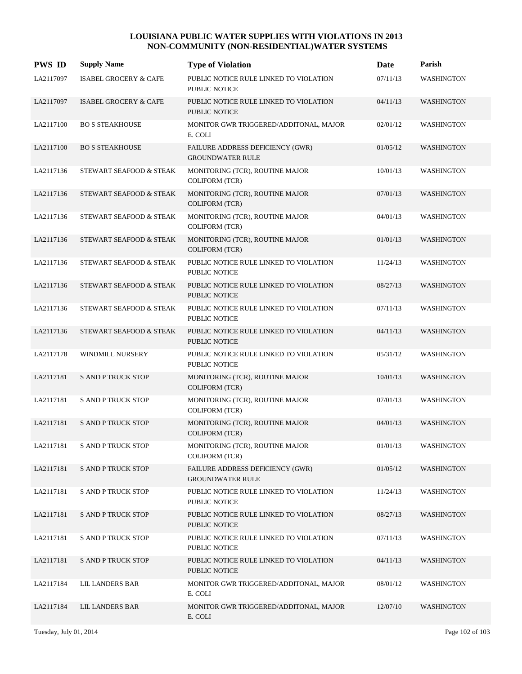| <b>PWS ID</b> | <b>Supply Name</b>               | <b>Type of Violation</b>                                       | Date     | Parish            |
|---------------|----------------------------------|----------------------------------------------------------------|----------|-------------------|
| LA2117097     | <b>ISABEL GROCERY &amp; CAFE</b> | PUBLIC NOTICE RULE LINKED TO VIOLATION<br>PUBLIC NOTICE        | 07/11/13 | <b>WASHINGTON</b> |
| LA2117097     | <b>ISABEL GROCERY &amp; CAFE</b> | PUBLIC NOTICE RULE LINKED TO VIOLATION<br><b>PUBLIC NOTICE</b> | 04/11/13 | <b>WASHINGTON</b> |
| LA2117100     | <b>BO S STEAKHOUSE</b>           | MONITOR GWR TRIGGERED/ADDITONAL, MAJOR<br>E. COLI              | 02/01/12 | <b>WASHINGTON</b> |
| LA2117100     | <b>BO S STEAKHOUSE</b>           | FAILURE ADDRESS DEFICIENCY (GWR)<br><b>GROUNDWATER RULE</b>    | 01/05/12 | <b>WASHINGTON</b> |
| LA2117136     | STEWART SEAFOOD & STEAK          | MONITORING (TCR), ROUTINE MAJOR<br><b>COLIFORM (TCR)</b>       | 10/01/13 | <b>WASHINGTON</b> |
| LA2117136     | STEWART SEAFOOD & STEAK          | MONITORING (TCR), ROUTINE MAJOR<br><b>COLIFORM</b> (TCR)       | 07/01/13 | WASHINGTON        |
| LA2117136     | STEWART SEAFOOD & STEAK          | MONITORING (TCR), ROUTINE MAJOR<br><b>COLIFORM (TCR)</b>       | 04/01/13 | <b>WASHINGTON</b> |
| LA2117136     | STEWART SEAFOOD & STEAK          | MONITORING (TCR), ROUTINE MAJOR<br><b>COLIFORM (TCR)</b>       | 01/01/13 | <b>WASHINGTON</b> |
| LA2117136     | STEWART SEAFOOD & STEAK          | PUBLIC NOTICE RULE LINKED TO VIOLATION<br>PUBLIC NOTICE        | 11/24/13 | <b>WASHINGTON</b> |
| LA2117136     | STEWART SEAFOOD & STEAK          | PUBLIC NOTICE RULE LINKED TO VIOLATION<br>PUBLIC NOTICE        | 08/27/13 | <b>WASHINGTON</b> |
| LA2117136     | STEWART SEAFOOD & STEAK          | PUBLIC NOTICE RULE LINKED TO VIOLATION<br>PUBLIC NOTICE        | 07/11/13 | <b>WASHINGTON</b> |
| LA2117136     | STEWART SEAFOOD & STEAK          | PUBLIC NOTICE RULE LINKED TO VIOLATION<br><b>PUBLIC NOTICE</b> | 04/11/13 | <b>WASHINGTON</b> |
| LA2117178     | WINDMILL NURSERY                 | PUBLIC NOTICE RULE LINKED TO VIOLATION<br>PUBLIC NOTICE        | 05/31/12 | <b>WASHINGTON</b> |
| LA2117181     | <b>S AND P TRUCK STOP</b>        | MONITORING (TCR), ROUTINE MAJOR<br><b>COLIFORM (TCR)</b>       | 10/01/13 | <b>WASHINGTON</b> |
| LA2117181     | <b>S AND P TRUCK STOP</b>        | MONITORING (TCR), ROUTINE MAJOR<br>COLIFORM (TCR)              | 07/01/13 | <b>WASHINGTON</b> |
| LA2117181     | <b>S AND P TRUCK STOP</b>        | MONITORING (TCR), ROUTINE MAJOR<br><b>COLIFORM (TCR)</b>       | 04/01/13 | <b>WASHINGTON</b> |
| LA2117181     | <b>S AND P TRUCK STOP</b>        | MONITORING (TCR), ROUTINE MAJOR<br>COLIFORM (TCR)              | 01/01/13 | <b>WASHINGTON</b> |
| LA2117181     | <b>S AND P TRUCK STOP</b>        | FAILURE ADDRESS DEFICIENCY (GWR)<br><b>GROUNDWATER RULE</b>    | 01/05/12 | <b>WASHINGTON</b> |
| LA2117181     | <b>S AND P TRUCK STOP</b>        | PUBLIC NOTICE RULE LINKED TO VIOLATION<br>PUBLIC NOTICE        | 11/24/13 | <b>WASHINGTON</b> |
| LA2117181     | <b>S AND P TRUCK STOP</b>        | PUBLIC NOTICE RULE LINKED TO VIOLATION<br>PUBLIC NOTICE        | 08/27/13 | <b>WASHINGTON</b> |
| LA2117181     | <b>S AND P TRUCK STOP</b>        | PUBLIC NOTICE RULE LINKED TO VIOLATION<br>PUBLIC NOTICE        | 07/11/13 | <b>WASHINGTON</b> |
| LA2117181     | <b>S AND P TRUCK STOP</b>        | PUBLIC NOTICE RULE LINKED TO VIOLATION<br>PUBLIC NOTICE        | 04/11/13 | <b>WASHINGTON</b> |
| LA2117184     | <b>LIL LANDERS BAR</b>           | MONITOR GWR TRIGGERED/ADDITONAL, MAJOR<br>E. COLI              | 08/01/12 | <b>WASHINGTON</b> |
| LA2117184     | <b>LIL LANDERS BAR</b>           | MONITOR GWR TRIGGERED/ADDITONAL, MAJOR<br>E. COLI              | 12/07/10 | <b>WASHINGTON</b> |